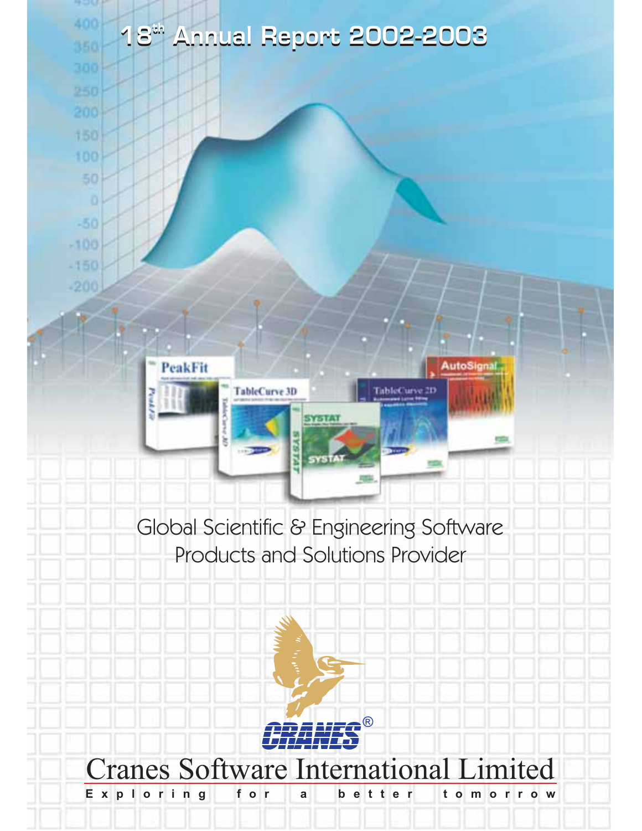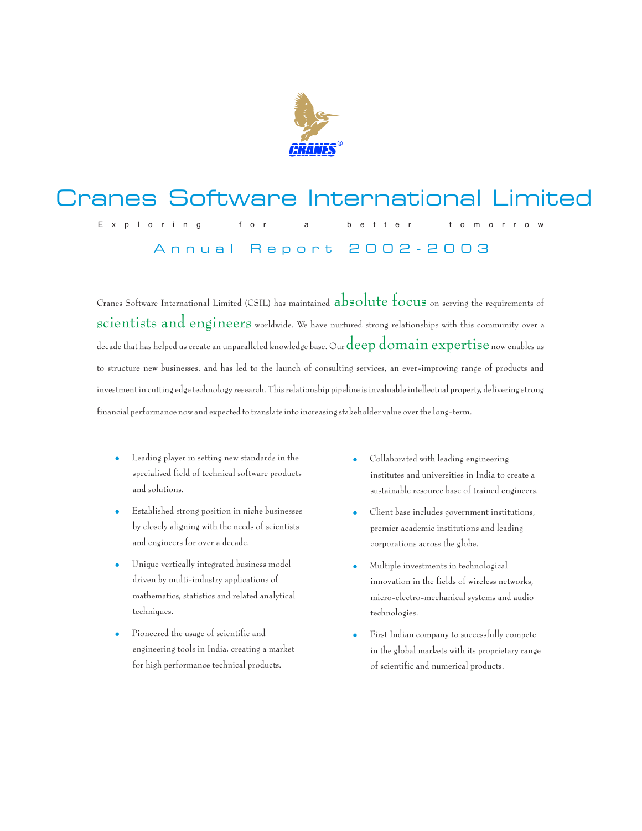

#### Cranes Software International Limited  $f$  $0<sub>0</sub>$  $\mathsf{b}$  $\epsilon$  $t \circ$  $m$  $\mathbf{F}$  is the contract of  $\mathbf{S}$  of the theory is the three than  $\mathbf{F}$ Annual Report 2002-2003

Cranes Software International Limited (CSIL) has maintained  $\rm absolute\, focus$  on serving the requirements of  $scientists$  and engineers worldwide. We have nurtured strong relationships with this community over a decade that has helped us create an unparalleled knowledge base. Our  $\deg$  domain  $\operatorname{expertise}$  now enables us to structure new businesses, and has led to the launch of consulting services, an ever-improving range of products and investment in cutting edge technology research. This relationship pipeline is invaluable intellectual property, delivering strong financial performance now and expected to translate into increasing stakeholder value over the long-term.

- $\bullet$ Leading player in setting new standards in the specialised field of technical software products and solutions.
- $\bullet$ Established strong position in niche businesses by closely aligning with the needs of scientists and engineers for over a decade.
- $\bullet$ Unique vertically integrated business model driven by multi-industry applications of mathematics, statistics and related analytical techniques.
- $\ddot{\phantom{0}}$ Pioneered the usage of scientific and engineering tools in India, creating a market for high performance technical products.
- $\bullet$ Collaborated with leading engineering institutes and universities in India to create a sustainable resource base of trained engineers.
- $\bullet$ Client base includes government institutions, premier academic institutions and leading corporations across the globe.
- $\ddot{\phantom{0}}$ Multiple investments in technological innovation in the fields of wireless networks, micro-electro-mechanical systems and audio technologies.
- $\bullet$ First Indian company to successfully compete in the global markets with its proprietary range of scientific and numerical products.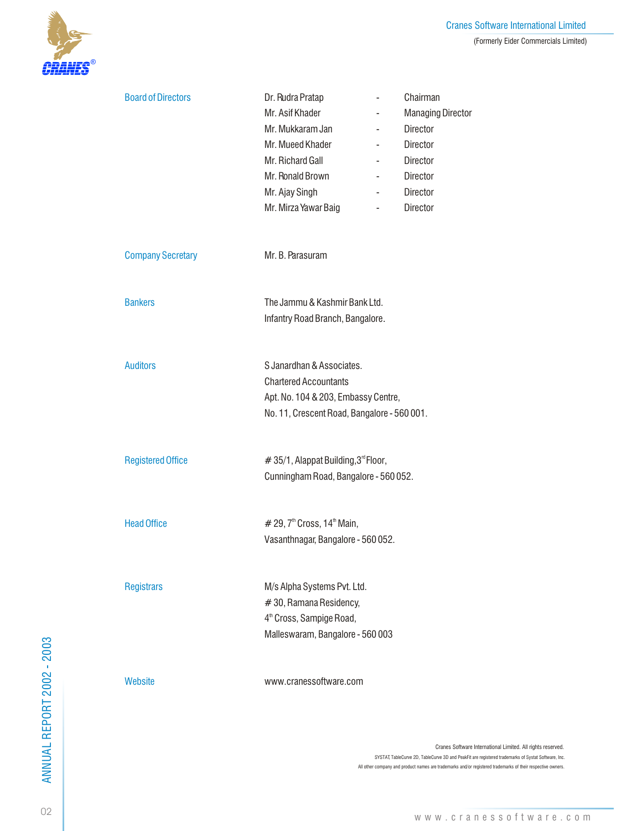

| <b>Board of Directors</b> | Dr. Rudra Pratap<br>Mr. Asif Khader<br>Mr. Mukkaram Jan<br>Mr. Mueed Khader<br>Mr. Richard Gall<br>Mr. Ronald Brown<br>Mr. Ajay Singh<br>Mr. Mirza Yawar Baig | Chairman<br>$\overline{\phantom{0}}$<br><b>Managing Director</b><br>$\overline{\phantom{0}}$<br>Director<br>$\overline{\phantom{a}}$<br>Director<br>$\overline{\phantom{a}}$<br><b>Director</b><br>$\overline{\phantom{a}}$<br><b>Director</b><br>$\overline{\phantom{0}}$<br><b>Director</b><br>$\overline{\phantom{a}}$<br><b>Director</b><br>$\overline{\phantom{a}}$ |
|---------------------------|---------------------------------------------------------------------------------------------------------------------------------------------------------------|--------------------------------------------------------------------------------------------------------------------------------------------------------------------------------------------------------------------------------------------------------------------------------------------------------------------------------------------------------------------------|
| <b>Company Secretary</b>  | Mr. B. Parasuram                                                                                                                                              |                                                                                                                                                                                                                                                                                                                                                                          |
| <b>Bankers</b>            | The Jammu & Kashmir Bank Ltd.<br>Infantry Road Branch, Bangalore.                                                                                             |                                                                                                                                                                                                                                                                                                                                                                          |
| <b>Auditors</b>           | S Janardhan & Associates<br><b>Chartered Accountants</b><br>Apt. No. 104 & 203, Embassy Centre,<br>No. 11, Crescent Road, Bangalore - 560 001.                |                                                                                                                                                                                                                                                                                                                                                                          |
| <b>Registered Office</b>  | #35/1, Alappat Building, 3 <sup>rd</sup> Floor,<br>Cunningham Road, Bangalore - 560 052.                                                                      |                                                                                                                                                                                                                                                                                                                                                                          |
| <b>Head Office</b>        | # 29, $7th$ Cross, $14th$ Main,<br>Vasanthnagar, Bangalore - 560 052.                                                                                         |                                                                                                                                                                                                                                                                                                                                                                          |
| <b>Registrars</b>         | M/s Alpha Systems Pvt. Ltd.<br>#30, Ramana Residency,<br>4 <sup>th</sup> Cross, Sampige Road,<br>Malleswaram, Bangalore - 560 003                             |                                                                                                                                                                                                                                                                                                                                                                          |
| Website                   | www.cranessoftware.com                                                                                                                                        |                                                                                                                                                                                                                                                                                                                                                                          |

Cranes Software International Limited. All rights reserved. SYSTAT, TableCurve 2D, TableCurve 3D and PeakFit are registered trademarks of Systat Software, Inc. All other company and product names are trademarks and/or registered trademarks of their respective owners.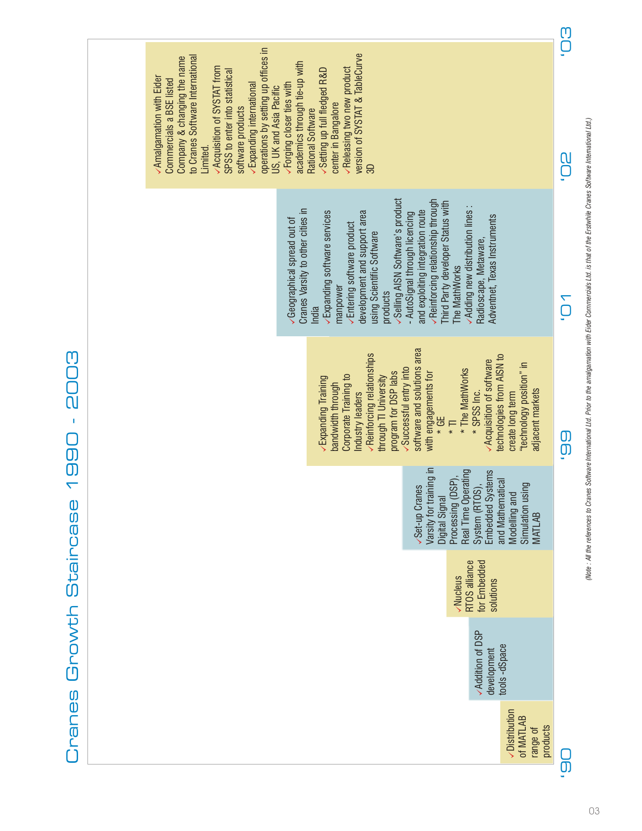



03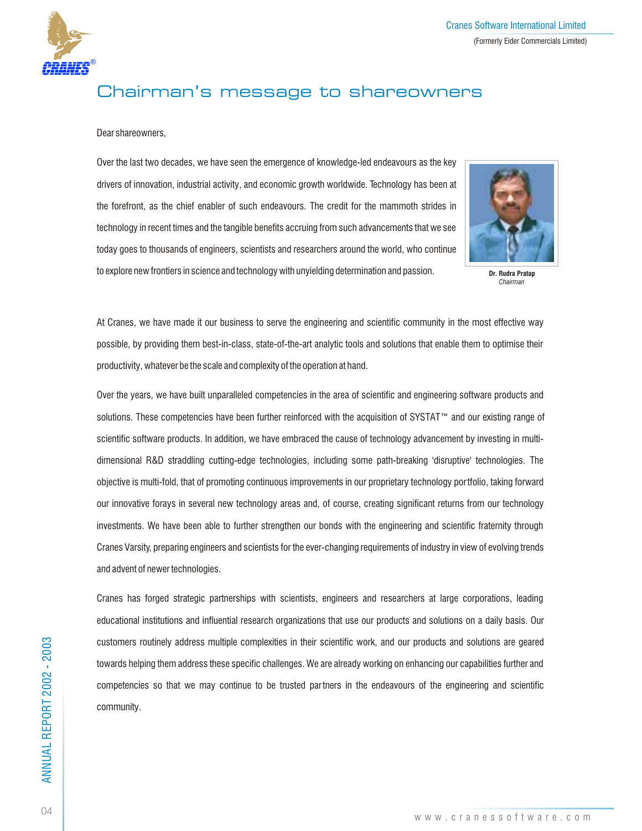

## Chairman's message to shareowners

## Dear shareowners,

Over the last two decades, we have seen the emergence of knowledge-led endeavours as the key drivers of innovation, industrial activity, and economic growth worldwide. Technology has been at the forefront, as the chief enabler of such endeavours. The credit for the mammoth strides in technology in recent times and the tangible benefits accruing from such advancements that we see today goes to thousands of engineers, scientists and researchers around the world, who continue to explore new frontiers in science and technology with unyielding determination and passion.



**Dr. Rudra Pratap** *Chairman*

At Cranes, we have made it our business to serve the engineering and scientific community in the most effective way possible, by providing them best-in-class, state-of-the-art analytic tools and solutions that enable them to optimise their productivity, whatever be the scale and complexity of the operation at hand.

Over the years, we have built unparalleled competencies in the area of scientific and engineering software products and solutions. These competencies have been further reinforced with the acquisition of SYSTAT™ and our existing range of scientific software products. In addition, we have embraced the cause of technology advancement by investing in multidimensional R&D straddling cutting-edge technologies, including some path-breaking 'disruptive' technologies. The objective is multi-fold, that of promoting continuous improvements in our proprietary technology portfolio, taking forward our innovative forays in several new technology areas and, of course, creating significant returns from our technology investments. We have been able to further strengthen our bonds with the engineering and scientific fraternity through Cranes Varsity, preparing engineers and scientists for the ever-changing requirements of industry in view of evolving trends and advent of newer technologies.

Cranes has forged strategic partnerships with scientists, engineers and researchers at large corporations, leading educational institutions and influential research organizations that use our products and solutions on a daily basis. Our customers routinely address multiple complexities in their scientific work, and our products and solutions are geared towards helping them address these specific challenges. We are already working on enhancing our capabilities further and competencies so that we may continue to be trusted partners in the endeavours of the engineering and scientific community.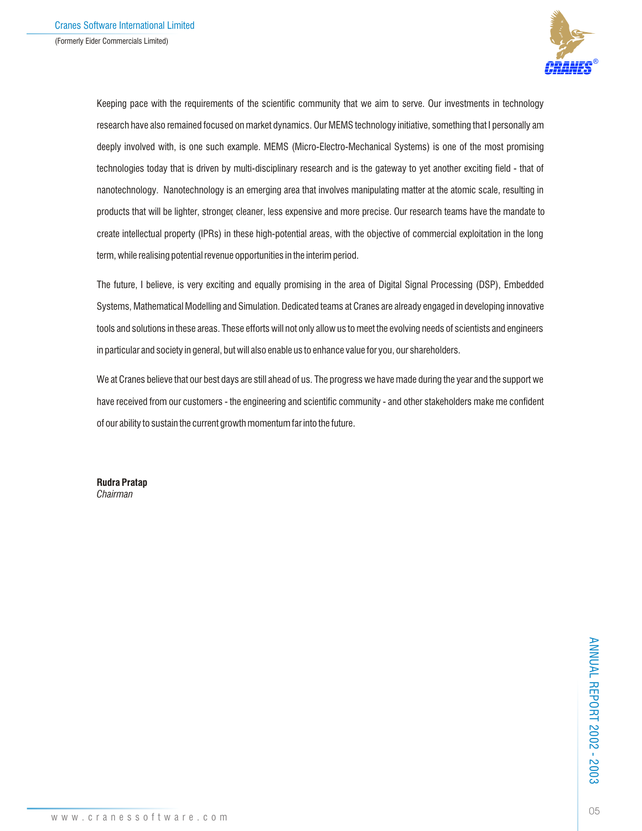

Keeping pace with the requirements of the scientific community that we aim to serve. Our investments in technology research have also remained focused on market dynamics. Our MEMS technology initiative, something that I personally am deeply involved with, is one such example. MEMS (Micro-Electro-Mechanical Systems) is one of the most promising technologies today that is driven by multi-disciplinary research and is the gateway to yet another exciting field - that of nanotechnology. Nanotechnology is an emerging area that involves manipulating matter at the atomic scale, resulting in products that will be lighter, stronger, cleaner, less expensive and more precise. Our research teams have the mandate to create intellectual property (IPRs) in these high-potential areas, with the objective of commercial exploitation in the long term, while realising potential revenue opportunities in the interim period.

The future, I believe, is very exciting and equally promising in the area of Digital Signal Processing (DSP), Embedded Systems, Mathematical Modelling and Simulation. Dedicated teams at Cranes are already engaged in developing innovative tools and solutions in these areas. These efforts will not only allow us to meet the evolving needs of scientists and engineers in particular and society in general, but will also enable us to enhance value for you, our shareholders.

We at Cranes believe that our best days are still ahead of us. The progress we have made during the year and the support we have received from our customers - the engineering and scientific community - and other stakeholders make me confident of our ability to sustain the current growth momentum far into the future.

**Rudra Pratap** *Chairman*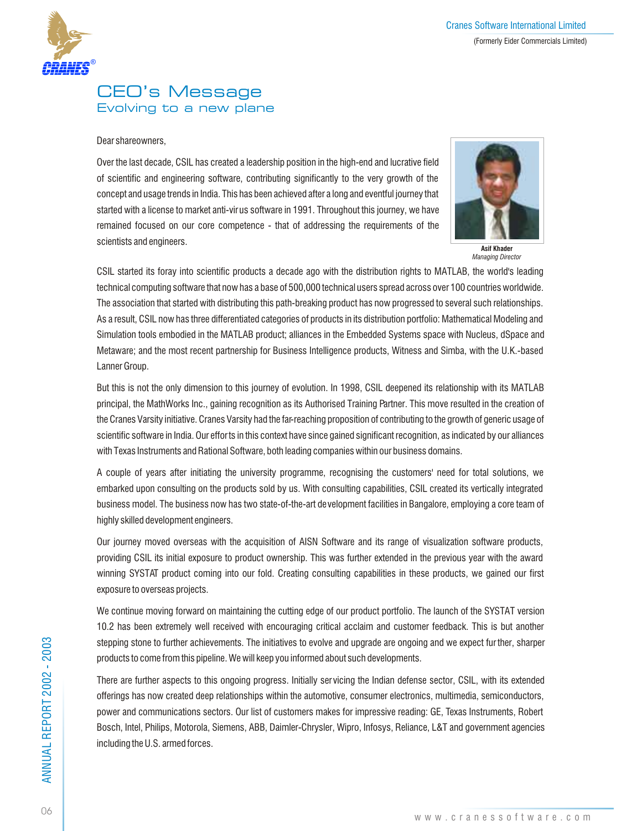

## CEO's Message Evolving to a new plane

## Dear shareowners,

Over the last decade, CSIL has created a leadership position in the high-end and lucrative field of scientific and engineering software, contributing significantly to the very growth of the concept and usage trends in India. This has been achieved after a long and eventful journey that started with a license to market anti-virus software in 1991. Throughout this journey, we have remained focused on our core competence - that of addressing the requirements of the scientists and engineers.



**Asif Khader** *Managing Director*

CSIL started its foray into scientific products a decade ago with the distribution rights to MATLAB, the world's leading technical computing software that now has a base of 500,000 technical users spread across over 100 countries worldwide. The association that started with distributing this path-breaking product has now progressed to several such relationships. As a result, CSIL now has three differentiated categories of products in its distribution portfolio: Mathematical Modeling and Simulation tools embodied in the MATLAB product; alliances in the Embedded Systems space with Nucleus, dSpace and Metaware; and the most recent partnership for Business Intelligence products, Witness and Simba, with the U.K.-based Lanner Group.

But this is not the only dimension to this journey of evolution. In 1998, CSIL deepened its relationship with its MATLAB principal, the MathWorks Inc., gaining recognition as its Authorised Training Partner. This move resulted in the creation of the Cranes Varsity initiative. Cranes Varsity had the far-reaching proposition of contributing to the growth of generic usage of scientific software in India. Our efforts in this context have since gained significant recognition, as indicated by our alliances with Texas Instruments and Rational Software, both leading companies within our business domains.

A couple of years after initiating the university programme, recognising the customers' need for total solutions, we embarked upon consulting on the products sold by us. With consulting capabilities, CSIL created its vertically integrated business model. The business now has two state-of-the-art development facilities in Bangalore, employing a core team of highly skilled development engineers.

Our journey moved overseas with the acquisition of AISN Software and its range of visualization software products, providing CSIL its initial exposure to product ownership. This was further extended in the previous year with the award winning SYSTAT product coming into our fold. Creating consulting capabilities in these products, we gained our first exposure to overseas projects.

We continue moving forward on maintaining the cutting edge of our product portfolio. The launch of the SYSTAT version 10.2 has been extremely well received with encouraging critical acclaim and customer feedback. This is but another stepping stone to further achievements. The initiatives to evolve and upgrade are ongoing and we expect fur ther, sharper products to come from this pipeline. We will keep you informed about such developments.

There are further aspects to this ongoing progress. Initially servicing the Indian defense sector, CSIL, with its extended offerings has now created deep relationships within the automotive, consumer electronics, multimedia, semiconductors, power and communications sectors. Our list of customers makes for impressive reading: GE, Texas Instruments, Robert Bosch, Intel, Philips, Motorola, Siemens, ABB, Daimler-Chrysler, Wipro, Infosys, Reliance, L&T and government agencies including the U.S. armed forces.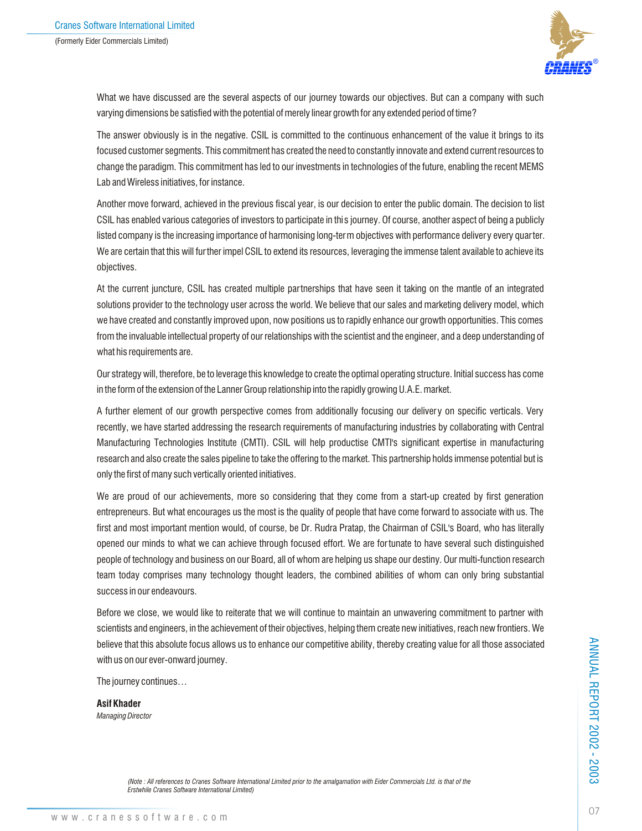

What we have discussed are the several aspects of our journey towards our objectives. But can a company with such varying dimensions be satisfied with the potential of merely linear growth for any extended period of time?

The answer obviously is in the negative. CSIL is committed to the continuous enhancement of the value it brings to its focused customer segments. This commitment has created the need to constantly innovate and extend current resources to change the paradigm. This commitment has led to our investments in technologies of the future, enabling the recent MEMS Lab and Wireless initiatives, for instance.

Another move forward, achieved in the previous fiscal year, is our decision to enter the public domain. The decision to list CSIL has enabled various categories of investors to participate in this journey. Of course, another aspect of being a publicly listed company is the increasing importance of harmonising long-term objectives with performance delivery every quarter. We are certain that this will fur ther impel CSIL to extend its resources, leveraging the immense talent available to achieve its objectives.

At the current juncture, CSIL has created multiple partnerships that have seen it taking on the mantle of an integrated solutions provider to the technology user across the world. We believe that our sales and marketing delivery model, which we have created and constantly improved upon, now positions us to rapidly enhance our growth opportunities. This comes from the invaluable intellectual property of our relationships with the scientist and the engineer, and a deep understanding of what his requirements are.

Our strategy will, therefore, be to leverage this knowledge to create the optimal operating structure. Initial success has come in the form of the extension of the Lanner Group relationship into the rapidly growing U.A.E. market.

A further element of our growth perspective comes from additionally focusing our delivery on specific verticals. Very recently, we have started addressing the research requirements of manufacturing industries by collaborating with Central Manufacturing Technologies Institute (CMTI). CSIL will help productise CMTI's significant expertise in manufacturing research and also create the sales pipeline to take the offering to the market. This partnership holds immense potential but is only the first of many such vertically oriented initiatives.

We are proud of our achievements, more so considering that they come from a start-up created by first generation entrepreneurs. But what encourages us the most is the quality of people that have come forward to associate with us. The first and most important mention would, of course, be Dr. Rudra Pratap, the Chairman of CSIL's Board, who has literally opened our minds to what we can achieve through focused effort. We are for tunate to have several such distinguished people of technology and business on our Board, all of whom are helping us shape our destiny. Our multi-function research team today comprises many technology thought leaders, the combined abilities of whom can only bring substantial success in our endeavours.

Before we close, we would like to reiterate that we will continue to maintain an unwavering commitment to partner with scientists and engineers, in the achievement of their objectives, helping them create new initiatives, reach new frontiers. We believe that this absolute focus allows us to enhance our competitive ability, thereby creating value for all those associated with us on our ever-onward journey.

The journey continues…

**Asif Khader** *Managing Director*

*(Note : All references to Cranes Software International Limited prior to the amalgamation with Eider Commercials Ltd. is that of the Erstwhile Cranes Software International Limited)*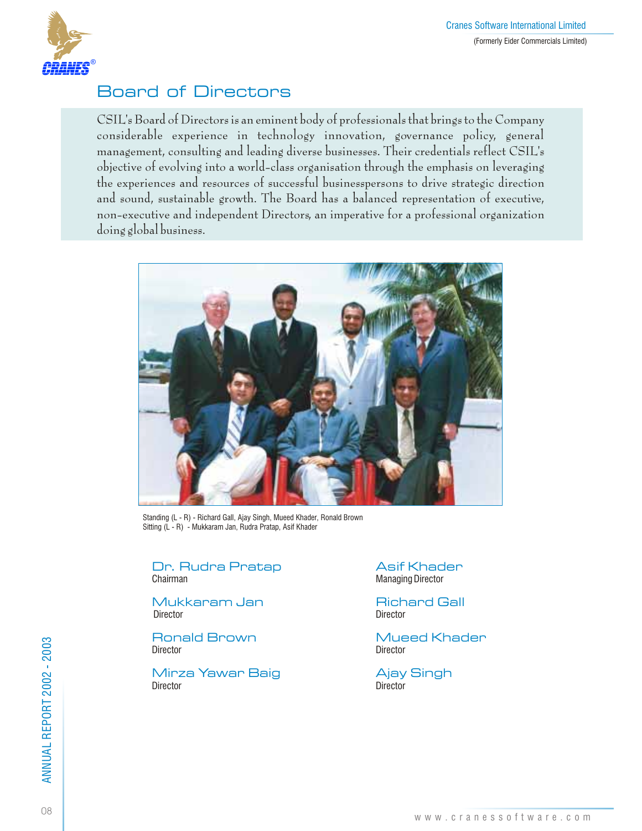

## Board of Directors

CSIL's Board of Directors is an eminent body of professionals that brings to the Company considerable experience in technology innovation, governance policy, general management, consulting and leading diverse businesses. Their credentials reflect CSIL's objective of evolving into a world-class organisation through the emphasis on leveraging the experiences and resources of successful businesspersons to drive strategic direction and sound, sustainable growth. The Board has a balanced representation of executive, non-executive and independent Directors, an imperative for a professional organization doing global business.



Standing (L - R) - Richard Gall, Ajay Singh, Mueed Khader, Ronald Brown Sitting (L - R) - Mukkaram Jan, Rudra Pratap, Asif Khader

Dr. Rudra Pratap Asif Khader<br>
Chairman Managing Director

Mukkaram Jan Richard Gall Director Director Director

Director Director

Mirza Yawar Baig Ajay Singh Director Director

Managing Director

Ronald Brown Mueed Khader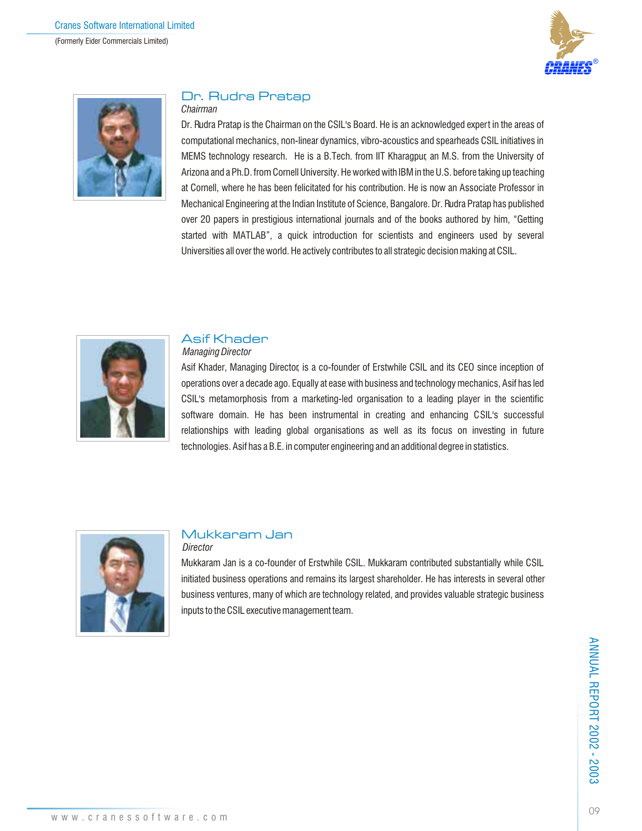



## Dr. Rudra Pratap

## *Chairman*

Dr. Rudra Pratap is the Chairman on the CSIL's Board. He is an acknowledged expert in the areas of computational mechanics, non-linear dynamics, vibro-acoustics and spearheads CSIL initiatives in MEMS technology research. He is a B.Tech. from IIT Kharagpur, an M.S. from the University of Arizona and a Ph.D. from Cornell University. He worked with IBM in the U.S. before taking up teaching at Cornell, where he has been felicitated for his contribution. He is now an Associate Professor in Mechanical Engineering at the Indian Institute of Science, Bangalore. Dr. Rudra Pratap has published over 20 papers in prestigious international journals and of the books authored by him, "Getting started with MATLAB", a quick introduction for scientists and engineers used by several Universities all over the world. He actively contributes to all strategic decision making at CSIL.



### Asif Khader  *Managing Director*

## Asif Khader, Managing Director, is a co-founder of Erstwhile CSIL and its CEO since inception of operations over a decade ago. Equally at ease with business and technology mechanics, Asif has led CSIL's metamorphosis from a marketing-led organisation to a leading player in the scientific software domain. He has been instrumental in creating and enhancing CSIL's successful relationships with leading global organisations as well as its focus on investing in future technologies. Asif has a B.E. in computer engineering and an additional degree in statistics.



## Mukkaram Jan  *Director*

Mukkaram Jan is a co-founder of Erstwhile CSIL. Mukkaram contributed substantially while CSIL initiated business operations and remains its largest shareholder. He has interests in several other business ventures, many of which are technology related, and provides valuable strategic business inputs to the CSIL executive management team.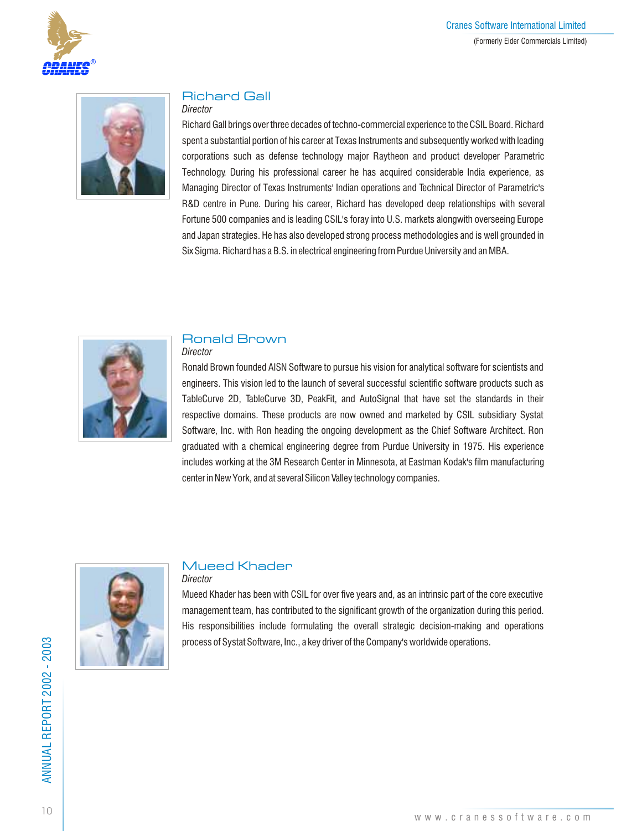



## Richard Gall

## *Director*

Richard Gall brings over three decades of techno-commercial experience to the CSIL Board. Richard spent a substantial portion of his career at Texas Instruments and subsequently worked with leading corporations such as defense technology major Raytheon and product developer Parametric Technology. During his professional career he has acquired considerable India experience, as Managing Director of Texas Instruments' Indian operations and Technical Director of Parametric's R&D centre in Pune. During his career, Richard has developed deep relationships with several Fortune 500 companies and is leading CSIL's foray into U.S. markets alongwith overseeing Europe and Japan strategies. He has also developed strong process methodologies and is well grounded in Six Sigma. Richard has a B.S. in electrical engineering from Purdue University and an MBA.



## Ronald Brown

*Director*

Ronald Brown founded AISN Software to pursue his vision for analytical software for scientists and engineers. This vision led to the launch of several successful scientific software products such as TableCurve 2D, TableCurve 3D, PeakFit, and AutoSignal that have set the standards in their respective domains. These products are now owned and marketed by CSIL subsidiary Systat Software, Inc. with Ron heading the ongoing development as the Chief Software Architect. Ron graduated with a chemical engineering degree from Purdue University in 1975. His experience includes working at the 3M Research Center in Minnesota, at Eastman Kodak's film manufacturing center in New York, and at several Silicon Valley technology companies.



## Mueed Khader

*Director*

Mueed Khader has been with CSIL for over five years and, as an intrinsic part of the core executive management team, has contributed to the significant growth of the organization during this period. His responsibilities include formulating the overall strategic decision-making and operations process of Systat Software, Inc., a key driver of the Company's worldwide operations.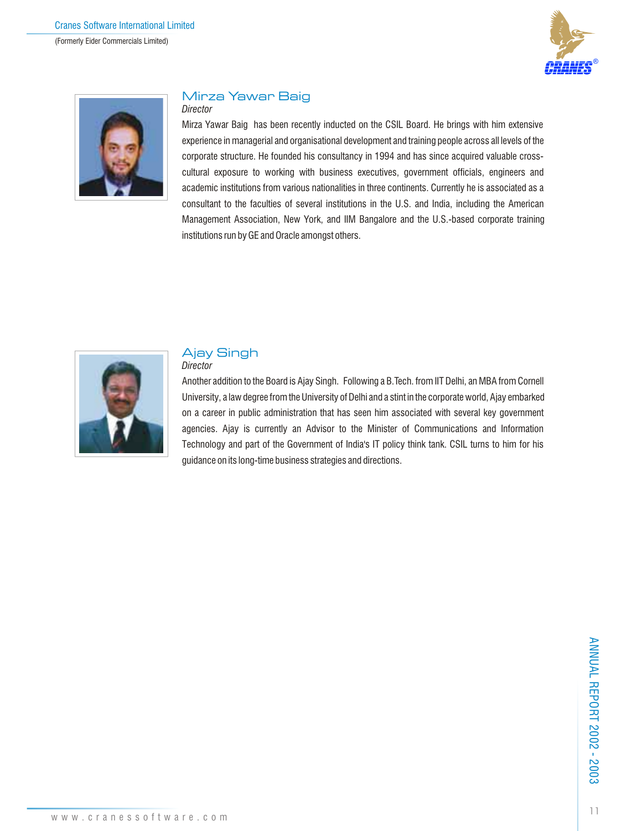



## Mirza Yawar Baig

### *Director*

Mirza Yawar Baig has been recently inducted on the CSIL Board. He brings with him extensive experience in managerial and organisational development and training people across all levels of the corporate structure. He founded his consultancy in 1994 and has since acquired valuable crosscultural exposure to working with business executives, government officials, engineers and academic institutions from various nationalities in three continents. Currently he is associated as a consultant to the faculties of several institutions in the U.S. and India, including the American Management Association, New York, and IIM Bangalore and the U.S.-based corporate training institutions run by GE and Oracle amongst others.



## Ajay Singh

## *Director*

Another addition to the Board is Ajay Singh. Following a B.Tech. from IIT Delhi, an MBA from Cornell University, a law degree from the University of Delhi and a stint in the corporate world, Ajay embarked on a career in public administration that has seen him associated with several key government agencies. Ajay is currently an Advisor to the Minister of Communications and Information Technology and part of the Government of India's IT policy think tank. CSIL turns to him for his guidance on its long-time business strategies and directions.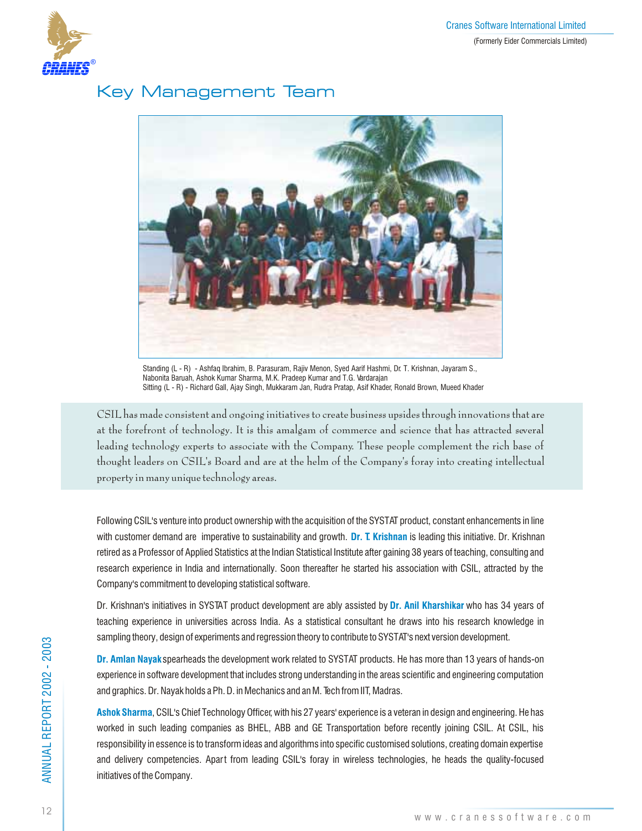

## Key Management Team



Standing (L - R) - Ashfaq Ibrahim, B. Parasuram, Rajiv Menon, Syed Aarif Hashmi, Dr. T. Krishnan, Jayaram S., Nabonita Baruah, Ashok Kumar Sharma, M.K. Pradeep Kumar and T.G. Vardarajan Sitting (L - R) - Richard Gall, Ajay Singh, Mukkaram Jan, Rudra Pratap, Asif Khader, Ronald Brown, Mueed Khader

CSIL has made consistent and ongoing initiatives to create business upsides through innovations that are at the forefront of technology. It is this amalgam of commerce and science that has attracted several leading technology experts to associate with the Company. These people complement the rich base of thought leaders on CSIL's Board and are at the helm of the Company's foray into creating intellectual property in many unique technology areas.

Following CSIL's venture into product ownership with the acquisition of the SYSTAT product, constant enhancements in line with customer demand are imperative to sustainability and growth. Dr. T. Krishnan is leading this initiative. Dr. Krishnan retired as a Professor of Applied Statistics at the Indian Statistical Institute after gaining 38 years of teaching, consulting and research experience in India and internationally. Soon thereafter he started his association with CSIL, attracted by the Company's commitment to developing statistical software.

Dr. Krishnan's initiatives in SYSTAT product development are ably assisted by <mark>Dr. Anil Kharshikar</mark> who has 34 years of teaching experience in universities across India. As a statistical consultant he draws into his research knowledge in sampling theory, design of experiments and regression theory to contribute to SYSTAT's next version development.

**Dr. Amlan Nayak** spearheads the development work related to SYSTAT products. He has more than 13 years of hands-on experience in software development that includes strong understanding in the areas scientific and engineering computation and graphics. Dr. Nayak holds a Ph. D. in Mechanics and an M. Tech from IIT, Madras.

**Ashok Sharma**, CSIL's Chief Technology Officer, with his 27 years' experience is a veteran in design and engineering. He has worked in such leading companies as BHEL, ABB and GE Transportation before recently joining CSIL. At CSIL, his responsibility in essence is to transform ideas and algorithms into specific customised solutions, creating domain expertise and delivery competencies. Apart from leading CSIL's foray in wireless technologies, he heads the quality-focused initiatives of the Company.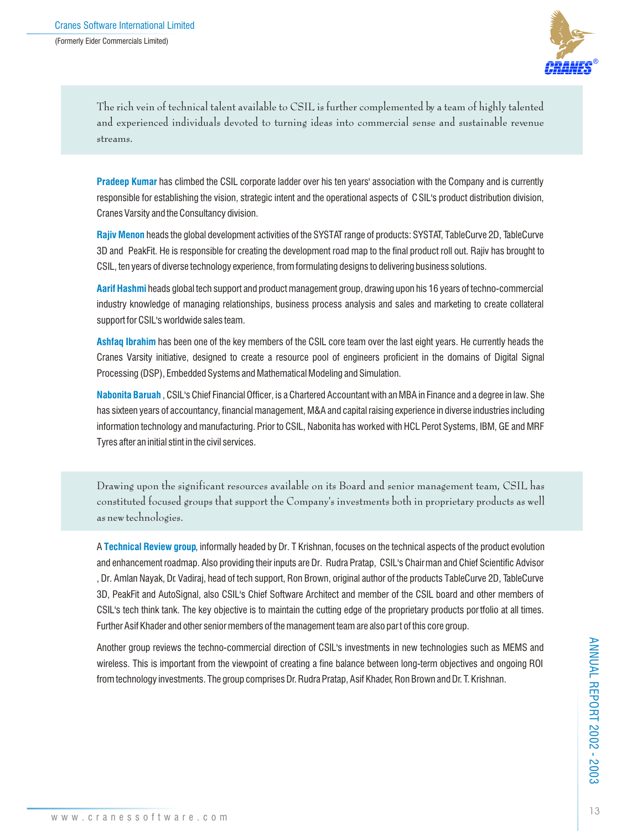

The rich vein of technical talent available to CSIL is further complemented by a team of highly talented and experienced individuals devoted to turning ideas into commercial sense and sustainable revenue streams.

Pradeep Kumar has climbed the CSIL corporate ladder over his ten years' association with the Company and is currently responsible for establishing the vision, strategic intent and the operational aspects of CSIL's product distribution division, Cranes Varsity and the Consultancy division.

Rajiv Menon heads the global development activities of the SYSTAT range of products: SYSTAT, TableCurve 2D, TableCurve 3D and PeakFit. He is responsible for creating the development road map to the final product roll out. Rajiv has brought to CSIL, ten years of diverse technology experience, from formulating designs to delivering business solutions.

**Aarif Hashmi** heads global tech support and product management group, drawing upon his 16 years of techno-commercial industry knowledge of managing relationships, business process analysis and sales and marketing to create collateral support for CSIL's worldwide sales team.

Ashfaq Ibrahim has been one of the key members of the CSIL core team over the last eight years. He currently heads the Cranes Varsity initiative, designed to create a resource pool of engineers proficient in the domains of Digital Signal Processing (DSP), Embedded Systems and Mathematical Modeling and Simulation.

**Nabonita Baruah** , CSIL's Chief Financial Officer, is a Chartered Accountant with an MBA in Finance and a degree in law. She has sixteen years of accountancy, financial management, M&A and capital raising experience in diverse industries including information technology and manufacturing. Prior to CSIL, Nabonita has worked with HCL Perot Systems, IBM, GE and MRF Tyres after an initial stint in the civil services.

Drawing upon the significant resources available on its Board and senior management team, CSIL has constituted focused groups that support the Company's investments both in proprietary products as well as new technologies.

**A Technical Review group**, informally headed by Dr. T Krishnan, focuses on the technical aspects of the product evolution and enhancement roadmap. Also providing their inputs are Dr. Rudra Pratap, CSIL's Chairman and Chief Scientific Advisor , Dr. Amlan Nayak, Dr. Vadiraj, head of tech support, Ron Brown, original author of the products TableCurve 2D, TableCurve 3D, PeakFit and AutoSignal, also CSIL's Chief Software Architect and member of the CSIL board and other members of CSIL's tech think tank. The key objective is to maintain the cutting edge of the proprietary products por tfolio at all times. Further Asif Khader and other senior members of the management team are also par t of this core group.

Another group reviews the techno-commercial direction of CSIL's investments in new technologies such as MEMS and wireless. This is important from the viewpoint of creating a fine balance between long-term objectives and ongoing ROI from technology investments. The group comprises Dr. Rudra Pratap, Asif Khader, Ron Brown and Dr. T. Krishnan.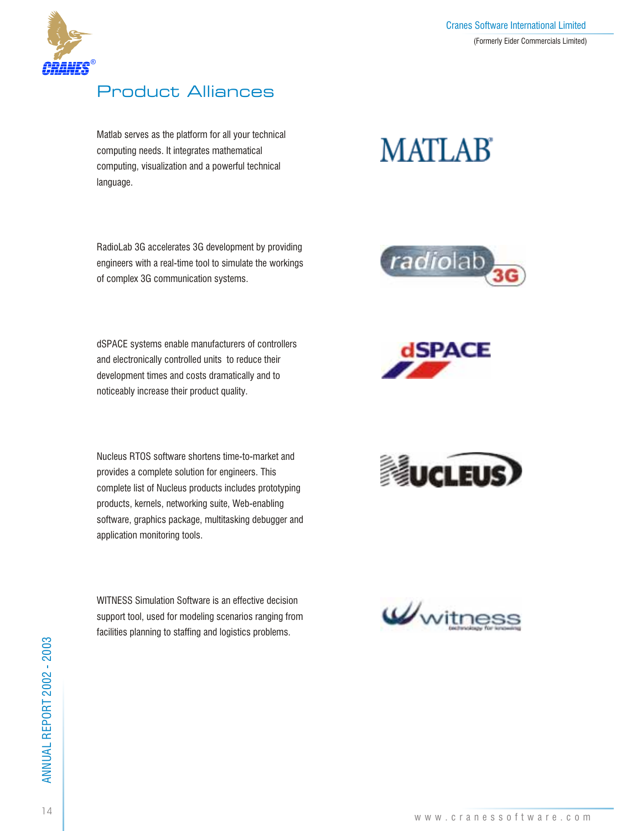

## Product Alliances

Matlab serves as the platform for all your technical computing needs. It integrates mathematical computing, visualization and a powerful technical language.

RadioLab 3G accelerates 3G development by providing engineers with a real-time tool to simulate the workings of complex 3G communication systems.

dSPACE systems enable manufacturers of controllers and electronically controlled units to reduce their development times and costs dramatically and to noticeably increase their product quality.

Nucleus RTOS software shortens time-to-market and provides a complete solution for engineers. This complete list of Nucleus products includes prototyping products, kernels, networking suite, Web-enabling software, graphics package, multitasking debugger and application monitoring tools.

WITNESS Simulation Software is an effective decision support tool, used for modeling scenarios ranging from facilities planning to staffing and logistics problems.

# **MATLAB**







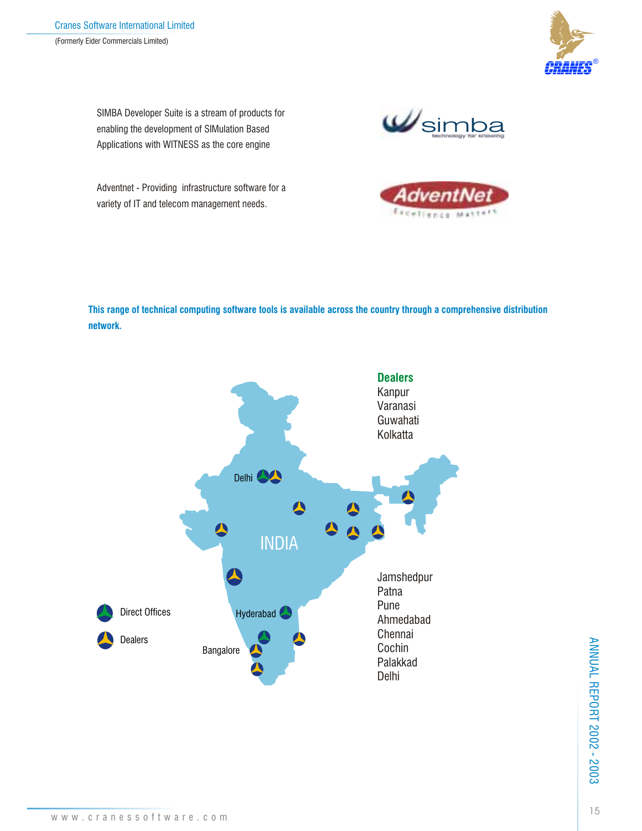

SIMBA Developer Suite is a stream of products for enabling the development of SIMulation Based Applications with WITNESS as the core engine

Wsimba

Adventnet - Providing infrastructure software for a variety of IT and telecom management needs.



**This range of technical computing software tools is available across the country through a comprehensive distribution network.**



ANNUAL REPORT 2002 - 2003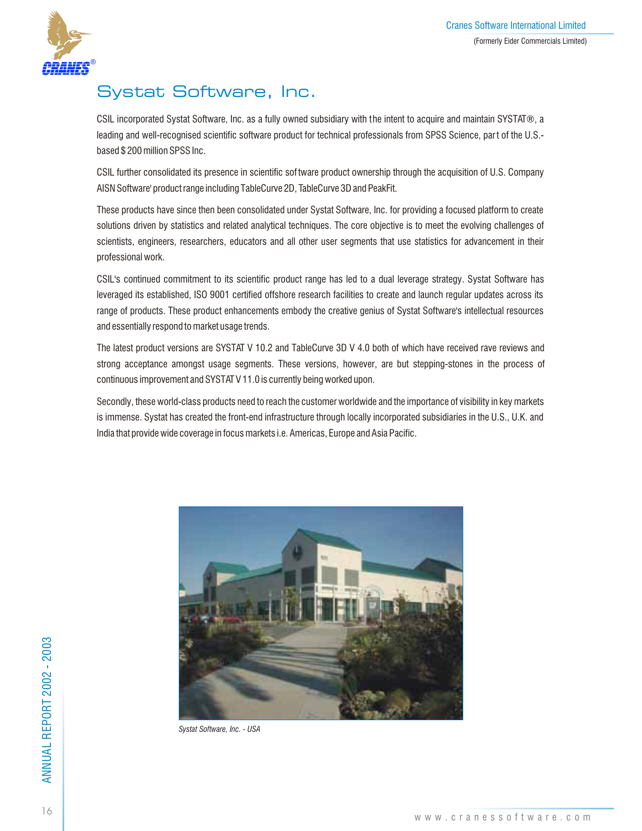

## Systat Software, Inc.

CSIL incorporated Systat Software, Inc. as a fully owned subsidiary with the intent to acquire and maintain SYSTAT®, a leading and well-recognised scientific software product for technical professionals from SPSS Science, part of the U.S.based \$ 200 million SPSS Inc.

CSIL further consolidated its presence in scientific sof tware product ownership through the acquisition of U.S. Company AISN Software' product range including TableCurve 2D, TableCurve 3D and PeakFit.

These products have since then been consolidated under Systat Software, Inc. for providing a focused platform to create solutions driven by statistics and related analytical techniques. The core objective is to meet the evolving challenges of scientists, engineers, researchers, educators and all other user segments that use statistics for advancement in their professional work.

CSIL's continued commitment to its scientific product range has led to a dual leverage strategy. Systat Software has leveraged its established, ISO 9001 certified offshore research facilities to create and launch regular updates across its range of products. These product enhancements embody the creative genius of Systat Software's intellectual resources and essentially respond to market usage trends.

The latest product versions are SYSTAT V 10.2 and TableCurve 3D V 4.0 both of which have received rave reviews and strong acceptance amongst usage segments. These versions, however, are but stepping-stones in the process of continuous improvement and SYSTAT V 11.0 is currently being worked upon.

Secondly, these world-class products need to reach the customer worldwide and the importance of visibility in key markets is immense. Systat has created the front-end infrastructure through locally incorporated subsidiaries in the U.S., U.K. and India that provide wide coverage in focus markets i.e. Americas, Europe and Asia Pacific.



*Systat Software, Inc. - USA*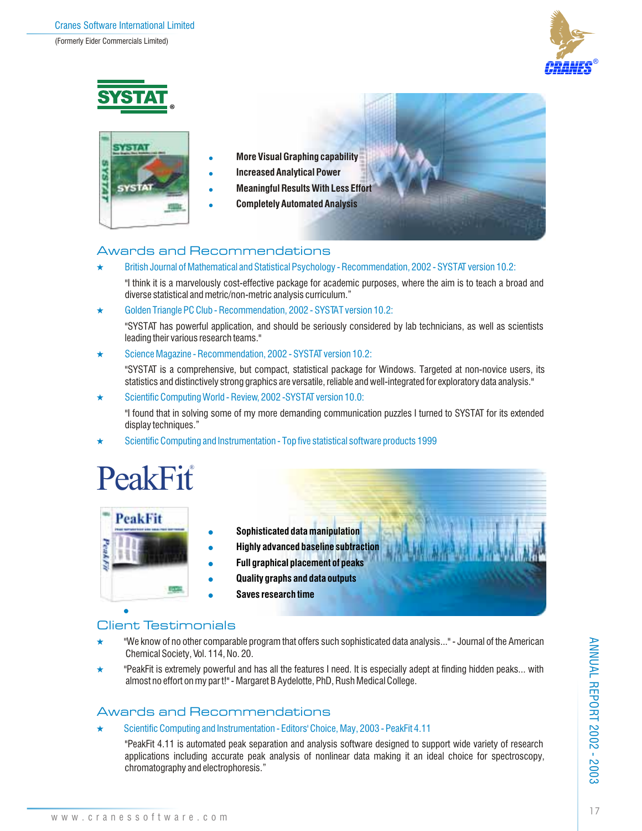



## Awards and Recommendations

British Journal of Mathematical and Statistical Psychology - Recommendation, 2002 - SYSTAT version 10.2:

"I think it is a marvelously cost-effective package for academic purposes, where the aim is to teach a broad and diverse statistical and metric/non-metric analysis curriculum."

Golden Triangle PC Club - Recommendation, 2002 - SYSTAT version 10.2:

"SYSTAT has powerful application, and should be seriously considered by lab technicians, as well as scientists leading their various research teams."

 $\star$  Science Magazine - Recommendation, 2002 - SYSTAT version 10.2:

"SYSTAT is a comprehensive, but compact, statistical package for Windows. Targeted at non-novice users, its statistics and distinctively strong graphics are versatile, reliable and well-integrated for exploratory data analysis."

Scientific Computing World - Review, 2002 -SYSTAT version 10.0:

"I found that in solving some of my more demanding communication puzzles I turned to SYSTAT for its extended display techniques."

Scientific Computing and Instrumentation - Top five statistical software products 1999

# **PeakFit®**

| <b>PeakFit</b> |                                             |  |
|----------------|---------------------------------------------|--|
|                | Sophisticated data manipulation             |  |
|                | <b>Highly advanced baseline subtraction</b> |  |
|                | <b>Full graphical placement of peaks</b>    |  |
|                | <b>Quality graphs and data outputs</b>      |  |
|                | Saves research time                         |  |

## Client Testimonials

- $\star$ "We know of no other comparable program that offers such sophisticated data analysis..." - Journal of the American Chemical Society, Vol. 114, No. 20.
- $\star$ "PeakFit is extremely powerful and has all the features I need. It is especially adept at finding hidden peaks... with almost no effort on my par t!" - Margaret B Aydelotte, PhD, Rush Medical College.

## Awards and Recommendations

Scientific Computing and Instrumentation - Editors' Choice, May, 2003 - PeakFit 4.11

"PeakFit 4.11 is automated peak separation and analysis software designed to support wide variety of research applications including accurate peak analysis of nonlinear data making it an ideal choice for spectroscopy, chromatography and electrophoresis."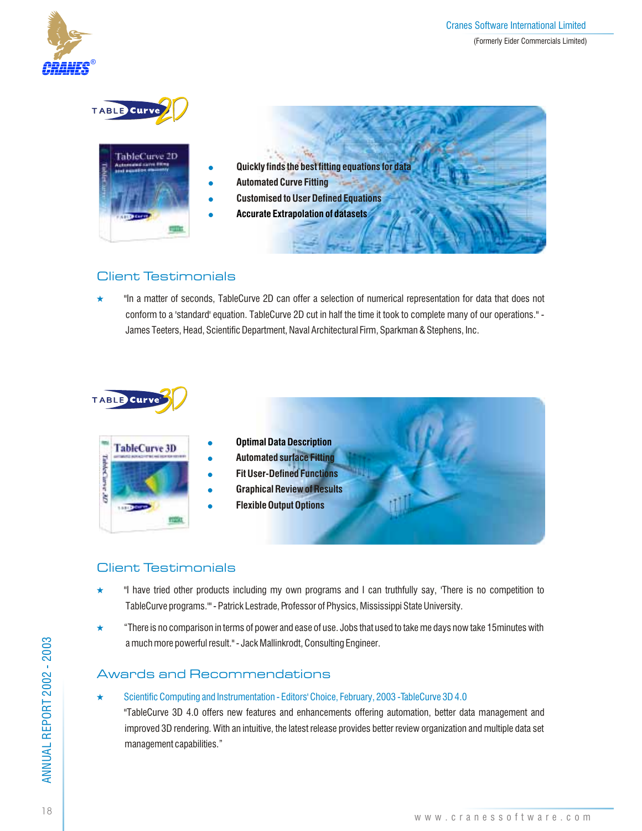



- **Quickly finds the best fitting equations for data**
- **Automated Curve Fitting**
- **Customised to User Defined Equations**
- **Accurate Extrapolation of datasets**

## Client Testimonials

 $\star$ "In a matter of seconds, TableCurve 2D can offer a selection of numerical representation for data that does not conform to a 'standard' equation. TableCurve 2D cut in half the time it took to complete many of our operations." - James Teeters, Head, Scientific Department, Naval Architectural Firm, Sparkman & Stephens, Inc.

## TABLE Curve

| <b>TableCurve 3D</b> |
|----------------------|
|                      |
|                      |
|                      |

- **Optimal Data Description**
- $\bullet$ **Automated surface Fitting**
- **Fit User-Defined Functions**
- **Graphical Review of Results**
- **Flexible Output Options**

## Client Testimonials

- $\star$ "I have tried other products including my own programs and I can truthfully say, 'There is no competition to TableCurve programs.'" - Patrick Lestrade, Professor of Physics, Mississippi State University.
- ÷ "There is no comparison in terms of power and ease of use. Jobs that used to take me days now take 15minutes with a much more powerful result." - Jack Mallinkrodt, Consulting Engineer.

## Awards and Recommendations

 $\bullet$ 

 $\bullet$  $\bullet$  $\bullet$ 

## Scientific Computing and Instrumentation - Editors' Choice, February, 2003 -TableCurve 3D 4.0

"TableCurve 3D 4.0 offers new features and enhancements offering automation, better data management and improved 3D rendering. With an intuitive, the latest release provides better review organization and multiple data set management capabilities."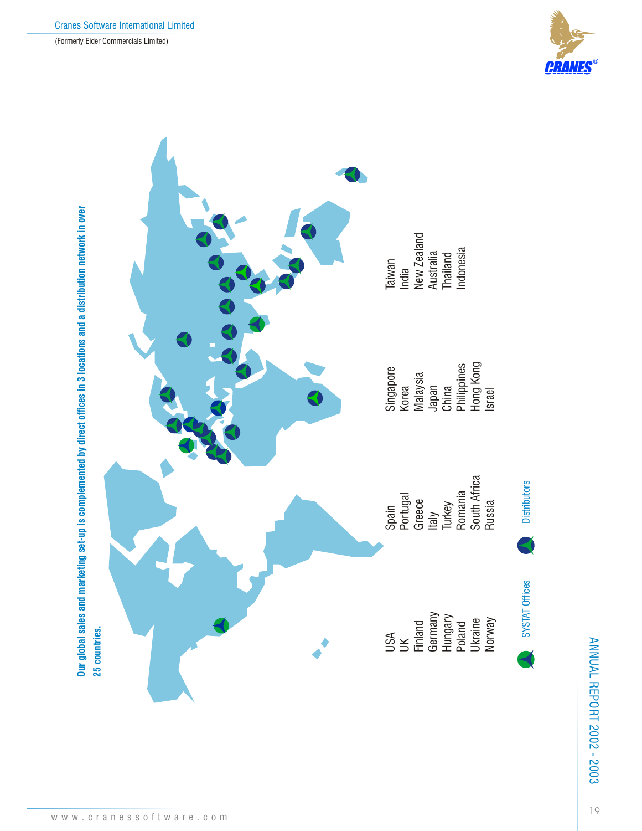



ANNUAL REPORT 2002 - 2003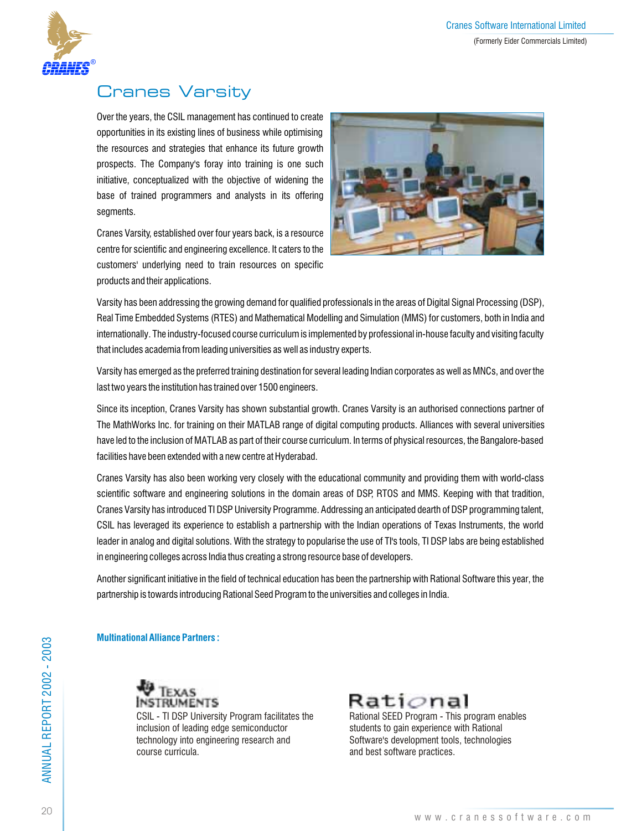

## Cranes Varsity

Over the years, the CSIL management has continued to create opportunities in its existing lines of business while optimising the resources and strategies that enhance its future growth prospects. The Company's foray into training is one such initiative, conceptualized with the objective of widening the base of trained programmers and analysts in its offering segments.

Cranes Varsity, established over four years back, is a resource centre for scientific and engineering excellence. It caters to the customers' underlying need to train resources on specific products and their applications.



Varsity has been addressing the growing demand for qualified professionals in the areas of Digital Signal Processing (DSP), Real Time Embedded Systems (RTES) and Mathematical Modelling and Simulation (MMS) for customers, both in India and internationally. The industry-focused course curriculum is implemented by professional in-house faculty and visiting faculty that includes academia from leading universities as well as industry experts.

Varsity has emerged as the preferred training destination for several leading Indian corporates as well as MNCs, and over the last two years the institution has trained over 1500 engineers.

Since its inception, Cranes Varsity has shown substantial growth. Cranes Varsity is an authorised connections partner of The MathWorks Inc. for training on their MATLAB range of digital computing products. Alliances with several universities have led to the inclusion of MATLAB as part of their course curriculum. In terms of physical resources, the Bangalore-based facilities have been extended with a new centre at Hyderabad.

Cranes Varsity has also been working very closely with the educational community and providing them with world-class scientific software and engineering solutions in the domain areas of DSP, RTOS and MMS. Keeping with that tradition, Cranes Varsity has introduced TI DSP University Programme. Addressing an anticipated dearth of DSP programming talent, CSIL has leveraged its experience to establish a partnership with the Indian operations of Texas Instruments, the world leader in analog and digital solutions. With the strategy to popularise the use of TI's tools, TI DSP labs are being established in engineering colleges across India thus creating a strong resource base of developers.

Another significant initiative in the field of technical education has been the partnership with Rational Software this year, the partnership is towards introducing Rational Seed Program to the universities and colleges in India.

## **Multinational Alliance Partners :**



CSIL - TI DSP University Program facilitates the inclusion of leading edge semiconductor technology into engineering research and course curricula.



Rational SEED Program - This program enables students to gain experience with Rational Software's development tools, technologies and best software practices.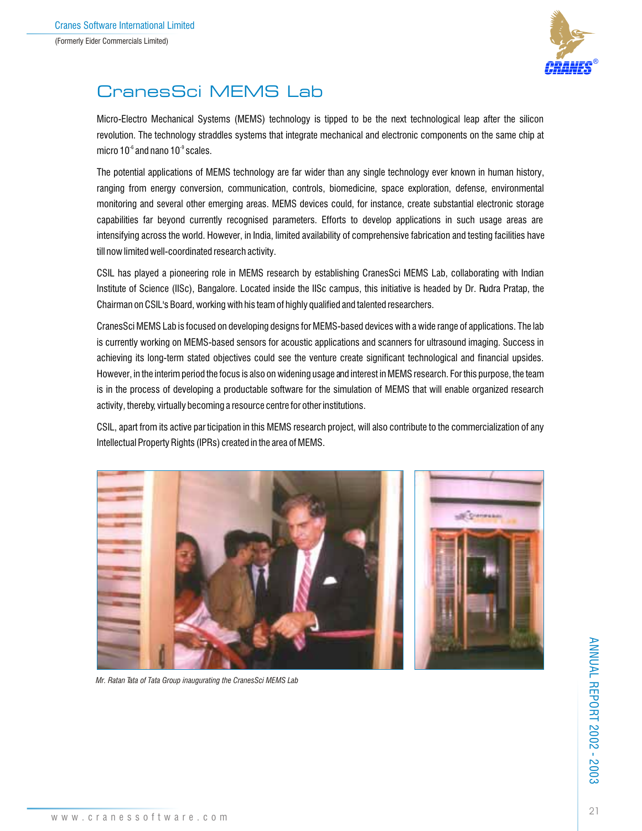

## CranesSci MEMS Lab

Micro-Electro Mechanical Systems (MEMS) technology is tipped to be the next technological leap after the silicon revolution. The technology straddles systems that integrate mechanical and electronic components on the same chip at micro  $10<sup>-6</sup>$  and nano  $10<sup>-9</sup>$  scales.

The potential applications of MEMS technology are far wider than any single technology ever known in human history, ranging from energy conversion, communication, controls, biomedicine, space exploration, defense, environmental monitoring and several other emerging areas. MEMS devices could, for instance, create substantial electronic storage capabilities far beyond currently recognised parameters. Efforts to develop applications in such usage areas are intensifying across the world. However, in India, limited availability of comprehensive fabrication and testing facilities have till now limited well-coordinated research activity.

CSIL has played a pioneering role in MEMS research by establishing CranesSci MEMS Lab, collaborating with Indian Institute of Science (IISc), Bangalore. Located inside the IISc campus, this initiative is headed by Dr. Rudra Pratap, the Chairman on CSIL's Board, working with his team of highly qualified and talented researchers.

CranesSci MEMS Lab is focused on developing designs for MEMS-based devices with a wide range of applications. The lab is currently working on MEMS-based sensors for acoustic applications and scanners for ultrasound imaging. Success in achieving its long-term stated objectives could see the venture create significant technological and financial upsides. However, in the interim period the focus is also on widening usage and interest in MEMS research. For this purpose, the team is in the process of developing a productable software for the simulation of MEMS that will enable organized research activity, thereby, virtually becoming a resource centre for other institutions.

CSIL, apart from its active par ticipation in this MEMS research project, will also contribute to the commercialization of any Intellectual Property Rights (IPRs) created in the area of MEMS.





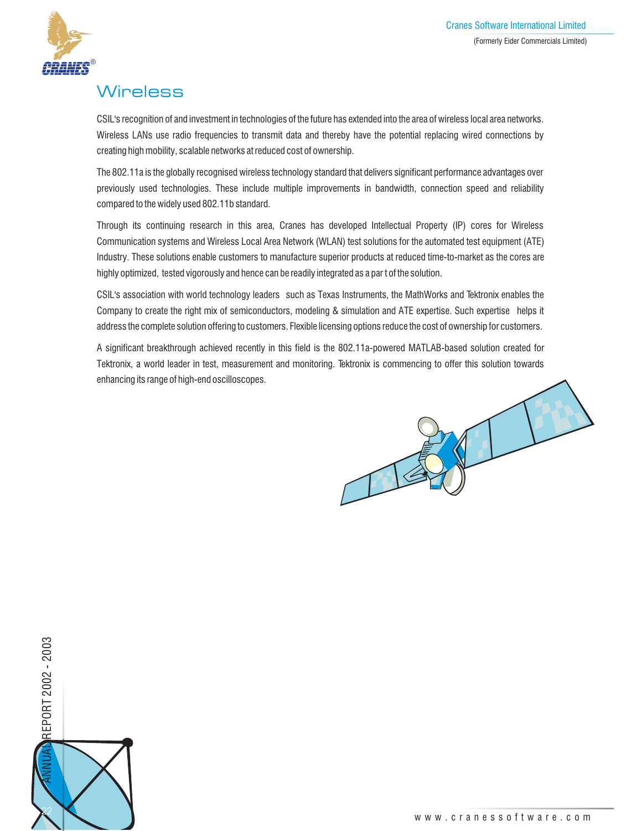

## **Wireless**

CSIL's recognition of and investment in technologies of the future has extended into the area of wireless local area networks. Wireless LANs use radio frequencies to transmit data and thereby have the potential replacing wired connections by creating high mobility, scalable networks at reduced cost of ownership.

The 802.11a is the globally recognised wireless technology standard that delivers significant performance advantages over previously used technologies. These include multiple improvements in bandwidth, connection speed and reliability compared to the widely used 802.11b standard.

Through its continuing research in this area, Cranes has developed Intellectual Property (IP) cores for Wireless Communication systems and Wireless Local Area Network (WLAN) test solutions for the automated test equipment (ATE) Industry. These solutions enable customers to manufacture superior products at reduced time-to-market as the cores are highly optimized, tested vigorously and hence can be readily integrated as a par t of the solution.

CSIL's association with world technology leaders such as Texas Instruments, the MathWorks and Tektronix enables the Company to create the right mix of semiconductors, modeling & simulation and ATE expertise. Such expertise helps it address the complete solution offering to customers. Flexible licensing options reduce the cost of ownership for customers.

A significant breakthrough achieved recently in this field is the 802.11a-powered MATLAB-based solution created for Tektronix, a world leader in test, measurement and monitoring. Tektronix is commencing to offer this solution towards enhancing its range of high-end oscilloscopes.



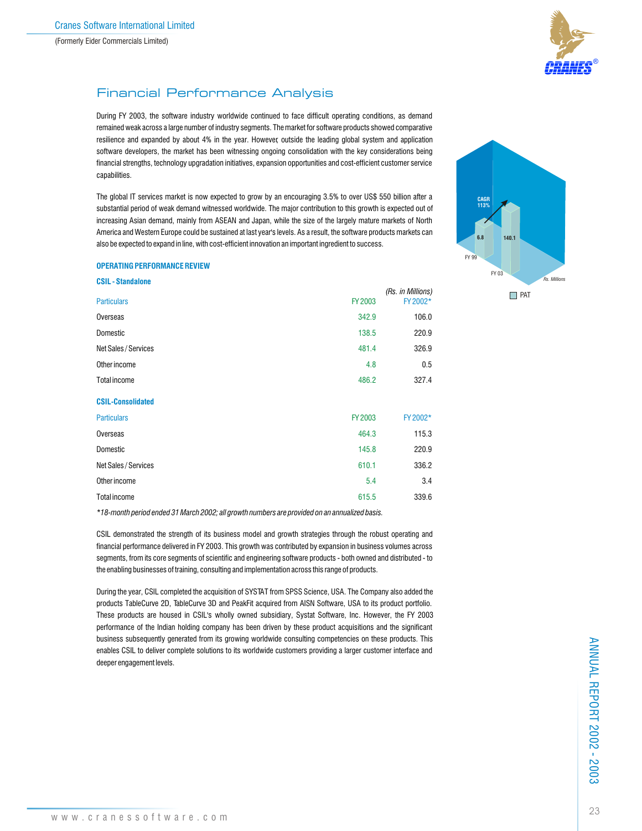

## Financial Performance Analysis

During FY 2003, the software industry worldwide continued to face difficult operating conditions, as demand remained weak across a large number of industry segments. The market for software products showed comparative resilience and expanded by about 4% in the year. However, outside the leading global system and application software developers, the market has been witnessing ongoing consolidation with the key considerations being financial strengths, technology upgradation initiatives, expansion opportunities and cost-efficient customer service capabilities.

The global IT services market is now expected to grow by an encouraging 3.5% to over US\$ 550 billion after a substantial period of weak demand witnessed worldwide. The major contribution to this growth is expected out of increasing Asian demand, mainly from ASEAN and Japan, while the size of the largely mature markets of North America and Western Europe could be sustained at last year's levels. As a result, the software products markets can also be expected to expand in line, with cost-efficient innovation an important ingredient to success.

#### **OPERATING PERFORMANCE REVIEW**

**CSIL - Standalone**

| <b>USIL-Standalone</b>   |                |                               |
|--------------------------|----------------|-------------------------------|
| <b>Particulars</b>       | <b>FY 2003</b> | (Rs. in Millions)<br>FY 2002* |
| Overseas                 | 342.9          | 106.0                         |
| Domestic                 | 138.5          | 220.9                         |
| Net Sales / Services     | 481.4          | 326.9                         |
| Other income             | 4.8            | 0.5                           |
| <b>Total income</b>      | 486.2          | 327.4                         |
| <b>CSIL-Consolidated</b> |                |                               |
| <b>Particulars</b>       | <b>FY 2003</b> | FY 2002*                      |
| Overseas                 | 464.3          | 115.3                         |
| Domestic                 | 145.8          | 220.9                         |
| Net Sales / Services     | 610.1          | 336.2                         |
| Other income             | 5.4            | 3.4                           |
| <b>Total income</b>      | 615.5          | 339.6                         |
|                          |                |                               |

*\*18-month period ended 31 March 2002; all growth numbers are provided on an annualized basis.*

CSIL demonstrated the strength of its business model and growth strategies through the robust operating and financial performance delivered in FY 2003. This growth was contributed by expansion in business volumes across segments, from its core segments of scientific and engineering software products - both owned and distributed - to the enabling businesses of training, consulting and implementation across this range of products.

During the year, CSIL completed the acquisition of SYSTAT from SPSS Science, USA. The Company also added the products TableCurve 2D, TableCurve 3D and PeakFit acquired from AISN Software, USA to its product portfolio. These products are housed in CSIL's wholly owned subsidiary, Systat Software, Inc. However, the FY 2003 performance of the Indian holding company has been driven by these product acquisitions and the significant business subsequently generated from its growing worldwide consulting competencies on these products. This enables CSIL to deliver complete solutions to its worldwide customers providing a larger customer interface and deeper engagement levels.



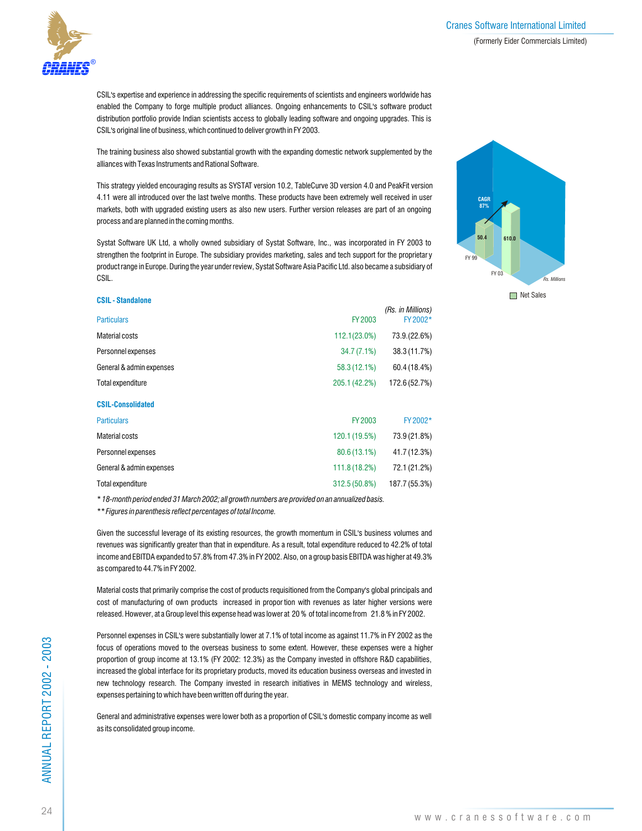

CSIL's expertise and experience in addressing the specific requirements of scientists and engineers worldwide has enabled the Company to forge multiple product alliances. Ongoing enhancements to CSIL's software product distribution portfolio provide Indian scientists access to globally leading software and ongoing upgrades. This is CSIL's original line of business, which continued to deliver growth in FY 2003.

The training business also showed substantial growth with the expanding domestic network supplemented by the alliances with Texas Instruments and Rational Software.

This strategy yielded encouraging results as SYSTAT version 10.2, TableCurve 3D version 4.0 and PeakFit version 4.11 were all introduced over the last twelve months. These products have been extremely well received in user markets, both with upgraded existing users as also new users. Further version releases are part of an ongoing process and are planned in the coming months.

Systat Software UK Ltd, a wholly owned subsidiary of Systat Software, Inc., was incorporated in FY 2003 to strengthen the footprint in Europe. The subsidiary provides marketing, sales and tech support for the proprietar y product range in Europe. During the year under review, Systat Software Asia Pacific Ltd. also became a subsidiary of CSIL.

#### **CSIL - Standalone**

|               | (Rs. in Millions)<br>FY 2002* |
|---------------|-------------------------------|
|               |                               |
| 112.1(23.0%)  | 73.9.(22.6%)                  |
| 34.7(7.1%)    | 38.3 (11.7%)                  |
| 58.3 (12.1%)  | 60.4 (18.4%)                  |
| 205.1 (42.2%) | 172.6 (52.7%)                 |
|               |                               |
| FY 2003       | FY 2002*                      |
| 120.1 (19.5%) | 73.9 (21.8%)                  |
| 80.6 (13.1%)  | 41.7 (12.3%)                  |
| 111.8 (18.2%) | 72.1 (21.2%)                  |
| 312.5 (50.8%) | 187.7 (55.3%)                 |
|               | FY 2003                       |

*\* 18-month period ended 31 March 2002; all growth numbers are provided on an annualized basis.*

*\*\* Figures in parenthesis reflect percentages of total Income.*

Given the successful leverage of its existing resources, the growth momentum in CSIL's business volumes and revenues was significantly greater than that in expenditure. As a result, total expenditure reduced to 42.2% of total income and EBITDA expanded to 57.8% from 47.3% in FY 2002. Also, on a group basis EBITDA was higher at 49.3% as compared to 44.7% in FY 2002.

Material costs that primarily comprise the cost of products requisitioned from the Company's global principals and cost of manufacturing of own products increased in propor tion with revenues as later higher versions were released. However, at a Group level this expense head was lower at 20 % of total income from 21.8 % in FY 2002.

Personnel expenses in CSIL's were substantially lower at 7.1% of total income as against 11.7% in FY 2002 as the focus of operations moved to the overseas business to some extent. However, these expenses were a higher proportion of group income at 13.1% (FY 2002: 12.3%) as the Company invested in offshore R&D capabilities, increased the global interface for its proprietary products, moved its education business overseas and invested in new technology research. The Company invested in research initiatives in MEMS technology and wireless, expenses pertaining to which have been written off during the year.

General and administrative expenses were lower both as a proportion of CSIL's domestic company income as well as its consolidated group income.



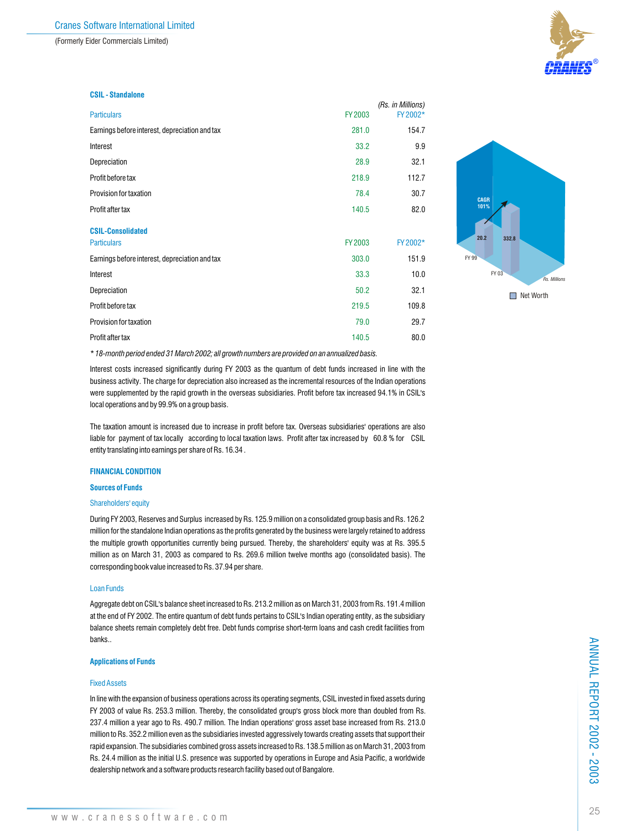(Formerly Eider Commercials Limited)



#### **CSIL - Standalone**

| <b>Particulars</b>                             | <b>FY 2003</b> | (FS. III WIIIIUIIS)<br>FY 2002* |
|------------------------------------------------|----------------|---------------------------------|
| Earnings before interest, depreciation and tax | 281.0          | 154.7                           |
| Interest                                       | 33.2           | 9.9                             |
| Depreciation                                   | 28.9           | 32.1                            |
| Profit before tax                              | 218.9          | 112.7                           |
| Provision for taxation                         | 78.4           | 30.7                            |
| Profit after tax                               | 140.5          | 82.0                            |
| <b>CSIL-Consolidated</b>                       |                |                                 |
| <b>Particulars</b>                             | <b>FY2003</b>  | FY 2002*                        |
| Earnings before interest, depreciation and tax | 303.0          | 151.9                           |
| Interest                                       | 33.3           | 10.0                            |
| Depreciation                                   | 50.2           | 32.1                            |
| Profit before tax                              | 219.5          | 109.8                           |
| Provision for taxation                         | 79.0           | 29.7                            |
| Profit after tax                               | 140.5          | 80.0                            |

*\* 18-month period ended 31 March 2002; all growth numbers are provided on an annualized basis.*

Interest costs increased significantly during FY 2003 as the quantum of debt funds increased in line with the business activity. The charge for depreciation also increased as the incremental resources of the Indian operations were supplemented by the rapid growth in the overseas subsidiaries. Profit before tax increased 94.1% in CSIL's local operations and by 99.9% on a group basis.

The taxation amount is increased due to increase in profit before tax. Overseas subsidiaries' operations are also liable for payment of tax locally according to local taxation laws. Profit after tax increased by 60.8 % for CSIL entity translating into earnings per share of Rs. 16.34 .

#### **FINANCIAL CONDITION**

#### **Sources of Funds**

#### Shareholders' equity

During FY 2003, Reserves and Surplus increased by Rs. 125.9 million on a consolidated group basis and Rs. 126.2 million for the standalone Indian operations as the profits generated by the business were largely retained to address the multiple growth opportunities currently being pursued. Thereby, the shareholders' equity was at Rs. 395.5 million as on March 31, 2003 as compared to Rs. 269.6 million twelve months ago (consolidated basis). The corresponding book value increased to Rs. 37.94 per share.

#### Loan Funds

Aggregate debt on CSIL's balance sheet increased to Rs. 213.2 million as on March 31, 2003 from Rs. 191.4 million at the end of FY 2002. The entire quantum of debt funds pertains to CSIL's Indian operating entity, as the subsidiary balance sheets remain completely debt free. Debt funds comprise short-term loans and cash credit facilities from banks..

#### **Applications of Funds**

#### Fixed Assets

In line with the expansion of business operations across its operating segments, CSIL invested in fixed assets during FY 2003 of value Rs. 253.3 million. Thereby, the consolidated group's gross block more than doubled from Rs. 237.4 million a year ago to Rs. 490.7 million. The Indian operations' gross asset base increased from Rs. 213.0 million to Rs. 352.2 million even as the subsidiaries invested aggressively towards creating assets that support their rapid expansion. The subsidiaries combined gross assets increased to Rs. 138.5 million as on March 31, 2003 from Rs. 24.4 million as the initial U.S. presence was supported by operations in Europe and Asia Pacific, a worldwide dealership network and a software products research facility based out of Bangalore.



*(Rs. in Millions)*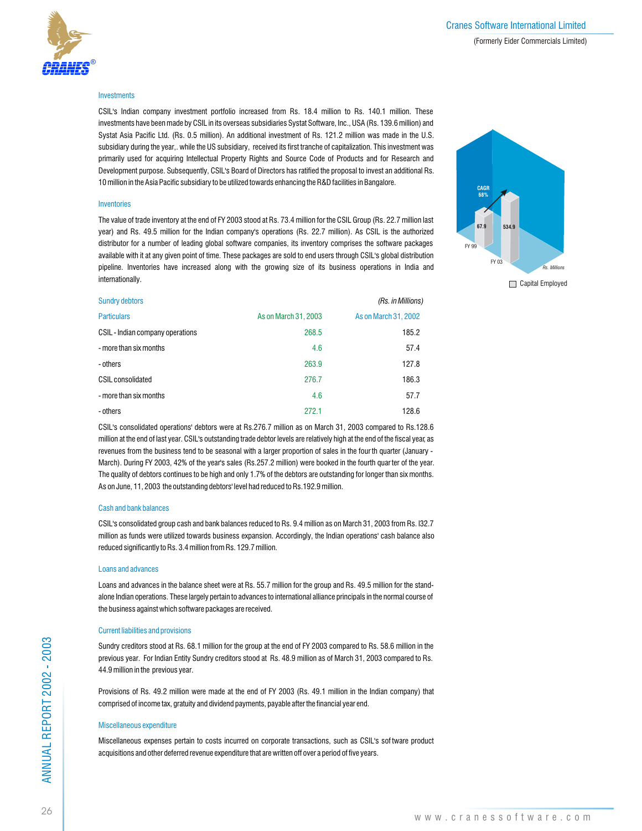

#### **Investments**

CSIL's Indian company investment portfolio increased from Rs. 18.4 million to Rs. 140.1 million. These investments have been made by CSIL in its overseas subsidiaries Systat Software, Inc., USA (Rs. 139.6 million) and Systat Asia Pacific Ltd. (Rs. 0.5 million). An additional investment of Rs. 121.2 million was made in the U.S. subsidiary during the year,. while the US subsidiary, received its first tranche of capitalization. This investment was primarily used for acquiring Intellectual Property Rights and Source Code of Products and for Research and Development purpose. Subsequently, CSIL's Board of Directors has ratified the proposal to invest an additional Rs. 10 million in the Asia Pacific subsidiary to be utilized towards enhancing the R&D facilities in Bangalore.

#### **Inventories**

The value of trade inventory at the end of FY 2003 stood at Rs. 73.4 million for the CSIL Group (Rs. 22.7 million last year) and Rs. 49.5 million for the Indian company's operations (Rs. 22.7 million). As CSIL is the authorized distributor for a number of leading global software companies, its inventory comprises the software packages available with it at any given point of time. These packages are sold to end users through CSIL's global distribution pipeline. Inventories have increased along with the growing size of its business operations in India and internationally.



| <b>Sundry debtors</b>            |                      | (Rs. in Millions)    |
|----------------------------------|----------------------|----------------------|
| <b>Particulars</b>               | As on March 31, 2003 | As on March 31, 2002 |
| CSIL - Indian company operations | 268.5                | 185.2                |
| - more than six months           | 4.6                  | 57.4                 |
| - others                         | 263.9                | 127.8                |
| <b>CSIL consolidated</b>         | 276.7                | 186.3                |
| - more than six months           | 4.6                  | 57.7                 |
| - others                         | 272.1                | 128.6                |

CSIL's consolidated operations' debtors were at Rs.276.7 million as on March 31, 2003 compared to Rs.128.6 million at the end of last year. CSIL's outstanding trade debtor levels are relatively high at the end of the fiscal year, as revenues from the business tend to be seasonal with a larger proportion of sales in the four th quarter (January - March). During FY 2003, 42% of the year's sales (Rs.257.2 million) were booked in the fourth quar ter of the year. The quality of debtors continues to be high and only 1.7% of the debtors are outstanding for longer than six months. As on June, 11, 2003 the outstanding debtors' level had reduced to Rs.192.9 million.

#### Cash and bank balances

CSIL's consolidated group cash and bank balances reduced to Rs. 9.4 million as on March 31, 2003 from Rs. l32.7 million as funds were utilized towards business expansion. Accordingly, the Indian operations' cash balance also reduced significantly to Rs. 3.4 million from Rs. 129.7 million.

#### Loans and advances

Loans and advances in the balance sheet were at Rs. 55.7 million for the group and Rs. 49.5 million for the standalone Indian operations. These largely pertain to advances to international alliance principals in the normal course of the business against which software packages are received.

#### Current liabilities and provisions

Sundry creditors stood at Rs. 68.1 million for the group at the end of FY 2003 compared to Rs. 58.6 million in the previous year. For Indian Entity Sundry creditors stood at Rs. 48.9 million as of March 31, 2003 compared to Rs. 44.9 million in the previous year.

Provisions of Rs. 49.2 million were made at the end of FY 2003 (Rs. 49.1 million in the Indian company) that comprised of income tax, gratuity and dividend payments, payable after the financial year end.

#### Miscellaneous expenditure

Miscellaneous expenses pertain to costs incurred on corporate transactions, such as CSIL's sof tware product acquisitions and other deferred revenue expenditure that are written off over a period of five years.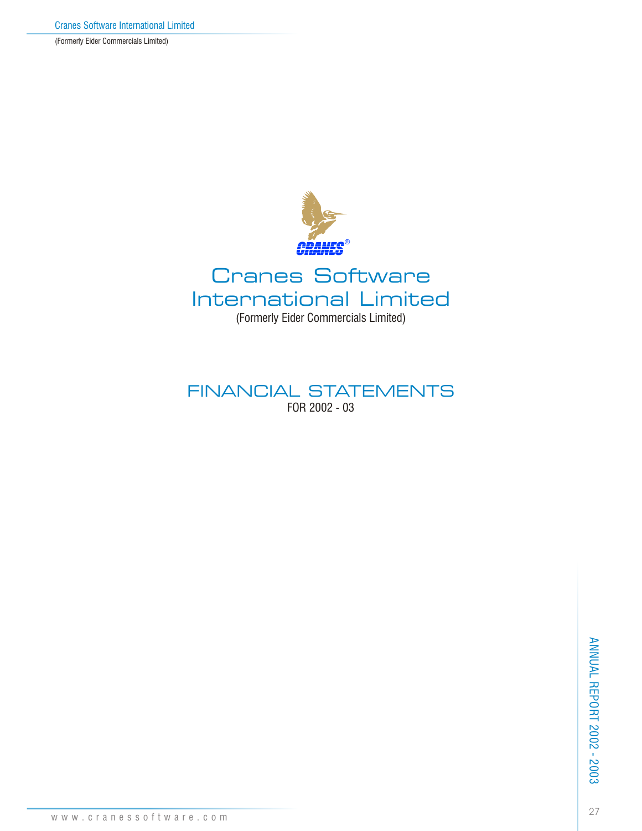(Formerly Eider Commercials Limited)



## FINANCIAL STATEMENTS FOR 2002 - 03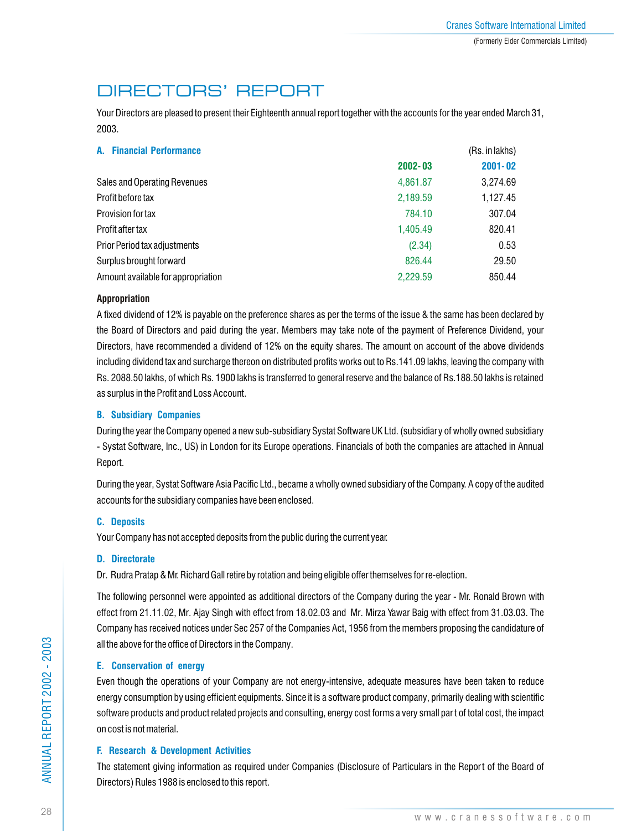## DIRECTORS' REPORT

Your Directors are pleased to present their Eighteenth annual report together with the accounts for the year ended March 31, 2003.

| A. Financial Performance           | (Rs. in lakhs) |             |  |
|------------------------------------|----------------|-------------|--|
|                                    | $2002 - 03$    | $2001 - 02$ |  |
| Sales and Operating Revenues       | 4,861.87       | 3,274.69    |  |
| Profit before tax                  | 2,189.59       | 1,127.45    |  |
| Provision for tax                  | 784.10         | 307.04      |  |
| Profit after tax                   | 1.405.49       | 820.41      |  |
| Prior Period tax adjustments       | (2.34)         | 0.53        |  |
| Surplus brought forward            | 826.44         | 29.50       |  |
| Amount available for appropriation | 2,229.59       | 850.44      |  |

## **Appropriation**

A fixed dividend of 12% is payable on the preference shares as per the terms of the issue & the same has been declared by the Board of Directors and paid during the year. Members may take note of the payment of Preference Dividend, your Directors, have recommended a dividend of 12% on the equity shares. The amount on account of the above dividends including dividend tax and surcharge thereon on distributed profits works out to Rs.141.09 lakhs, leaving the company with Rs. 2088.50 lakhs, of which Rs. 1900 lakhs is transferred to general reserve and the balance of Rs.188.50 lakhs is retained as surplus in the Profit and Loss Account.

## **B. Subsidiary Companies**

During the year the Company opened a new sub-subsidiary Systat Software UK Ltd. (subsidiary of wholly owned subsidiary - Systat Software, Inc., US) in London for its Europe operations. Financials of both the companies are attached in Annual Report.

During the year, Systat Software Asia Pacific Ltd., became a wholly owned subsidiary of the Company. A copy of the audited accounts for the subsidiary companies have been enclosed.

## **C. Deposits**

Your Company has not accepted deposits from the public during the current year.

## **D. Directorate**

Dr. Rudra Pratap & Mr. Richard Gall retire by rotation and being eligible offer themselves for re-election.

The following personnel were appointed as additional directors of the Company during the year - Mr. Ronald Brown with effect from 21.11.02, Mr. Ajay Singh with effect from 18.02.03 and Mr. Mirza Yawar Baig with effect from 31.03.03. The Company has received notices under Sec 257 of the Companies Act, 1956 from the members proposing the candidature of all the above for the office of Directors in the Company.

## **E. Conservation of energy**

Even though the operations of your Company are not energy-intensive, adequate measures have been taken to reduce energy consumption by using efficient equipments. Since it is a software product company, primarily dealing with scientific software products and product related projects and consulting, energy cost forms a very small part of total cost, the impact on cost is not material.

## **F. Research & Development Activities**

The statement giving information as required under Companies (Disclosure of Particulars in the Report of the Board of Directors) Rules 1988 is enclosed to this report.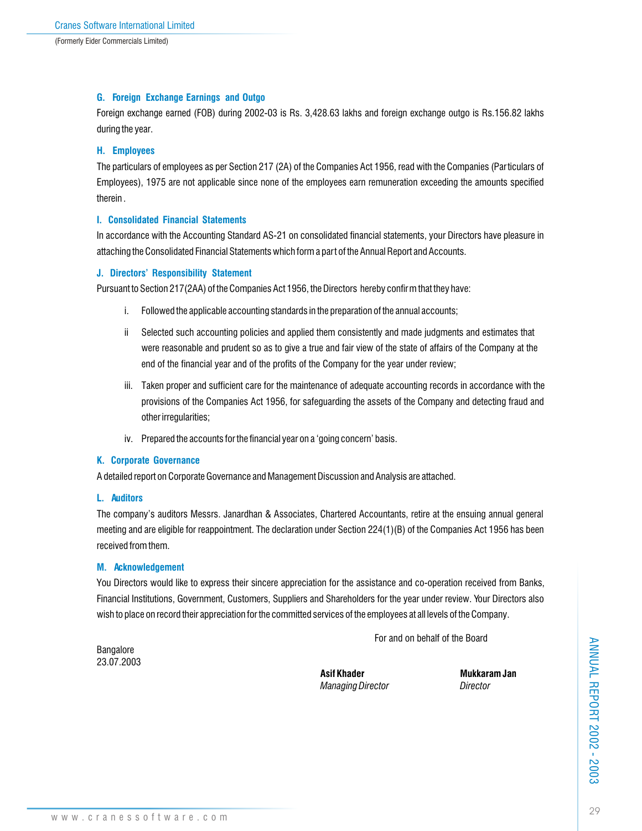## **G. Foreign Exchange Earnings and Outgo**

Foreign exchange earned (FOB) during 2002-03 is Rs. 3,428.63 lakhs and foreign exchange outgo is Rs.156.82 lakhs during the year.

### **H. Employees**

The particulars of employees as per Section 217 (2A) of the Companies Act 1956, read with the Companies (Particulars of Employees), 1975 are not applicable since none of the employees earn remuneration exceeding the amounts specified therein .

## **I. Consolidated Financial Statements**

In accordance with the Accounting Standard AS-21 on consolidated financial statements, your Directors have pleasure in attaching the Consolidated Financial Statements which form a part of the Annual Report and Accounts.

## **J. Directors' Responsibility Statement**

Pursuant to Section 217(2AA) of the Companies Act 1956, the Directors hereby confirm that they have:

- i. Followed the applicable accounting standards in the preparation of the annual accounts;
- ii Selected such accounting policies and applied them consistently and made judgments and estimates that were reasonable and prudent so as to give a true and fair view of the state of affairs of the Company at the end of the financial year and of the profits of the Company for the year under review;
- iii. Taken proper and sufficient care for the maintenance of adequate accounting records in accordance with the provisions of the Companies Act 1956, for safeguarding the assets of the Company and detecting fraud and other irregularities;
- iv. Prepared the accounts for the financial year on a 'going concern' basis.

## **K. Corporate Governance**

A detailed report on Corporate Governance and Management Discussion and Analysis are attached.

#### **L. Auditors**

The company's auditors Messrs. Janardhan & Associates, Chartered Accountants, retire at the ensuing annual general meeting and are eligible for reappointment. The declaration under Section 224(1)(B) of the Companies Act 1956 has been received from them.

#### **M. Acknowledgement**

You Directors would like to express their sincere appreciation for the assistance and co-operation received from Banks, Financial Institutions, Government, Customers, Suppliers and Shareholders for the year under review. Your Directors also wish to place on record their appreciation for the committed services of the employees at all levels of the Company.

For and on behalf of the Board

Bangalore 23.07.2003

> Asif Khader **Mukkaram Jan** *Managing Director Director*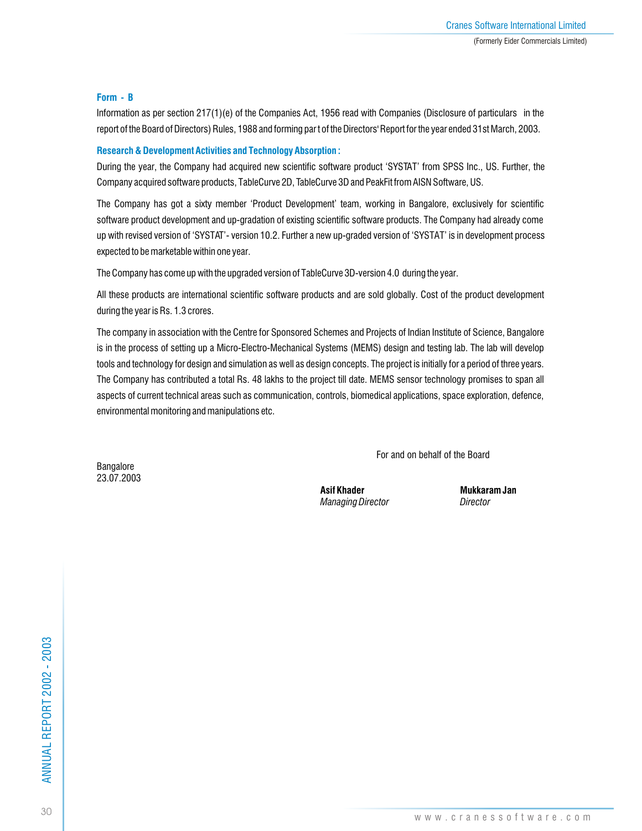## **Form - B**

Information as per section 217(1)(e) of the Companies Act, 1956 read with Companies (Disclosure of particulars in the report of the Board of Directors) Rules, 1988 and forming par t of the Directors' Report for the year ended 31st March, 2003.

## **Research & Development Activities and Technology Absorption :**

During the year, the Company had acquired new scientific software product 'SYSTAT' from SPSS Inc., US. Further, the Company acquired software products, TableCurve 2D, TableCurve 3D and PeakFit from AISN Software, US.

The Company has got a sixty member 'Product Development' team, working in Bangalore, exclusively for scientific software product development and up-gradation of existing scientific software products. The Company had already come up with revised version of 'SYSTAT'- version 10.2. Further a new up-graded version of 'SYSTAT' is in development process expected to be marketable within one year.

The Company has come up with the upgraded version of TableCurve 3D-version 4.0 during the year.

All these products are international scientific software products and are sold globally. Cost of the product development during the year is Rs. 1.3 crores.

The company in association with the Centre for Sponsored Schemes and Projects of Indian Institute of Science, Bangalore is in the process of setting up a Micro-Electro-Mechanical Systems (MEMS) design and testing lab. The lab will develop tools and technology for design and simulation as well as design concepts. The project is initially for a period of three years. The Company has contributed a total Rs. 48 lakhs to the project till date. MEMS sensor technology promises to span all aspects of current technical areas such as communication, controls, biomedical applications, space exploration, defence, environmental monitoring and manipulations etc.

For and on behalf of the Board

Bangalore 23.07.2003

> Asif Khader **Mukkaram Jan** *Managing Director Director*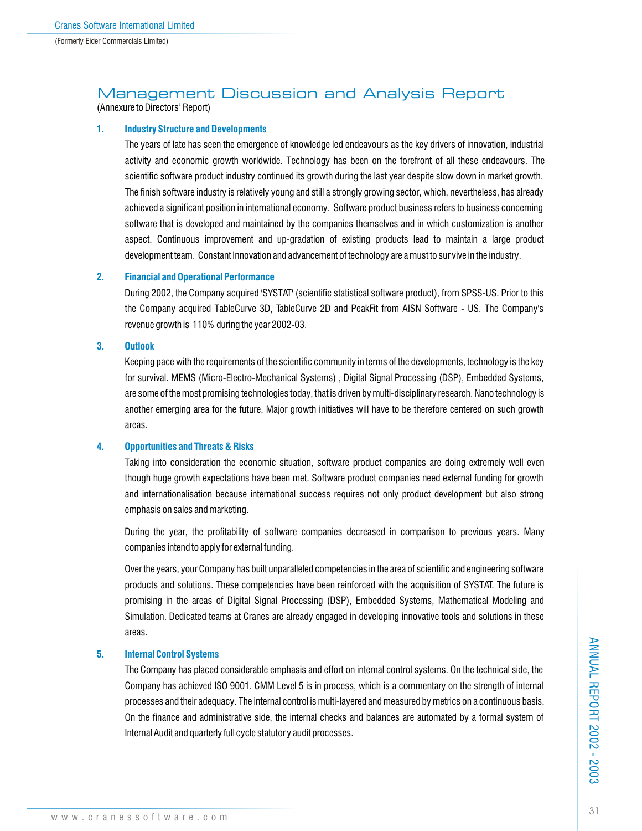## Management Discussion and Analysis Report

(Annexure to Directors' Report)

### **1. Industry Structure and Developments**

The years of late has seen the emergence of knowledge led endeavours as the key drivers of innovation, industrial activity and economic growth worldwide. Technology has been on the forefront of all these endeavours. The scientific software product industry continued its growth during the last year despite slow down in market growth. The finish software industry is relatively young and still a strongly growing sector, which, nevertheless, has already achieved a significant position in international economy. Software product business refers to business concerning software that is developed and maintained by the companies themselves and in which customization is another aspect. Continuous improvement and up-gradation of existing products lead to maintain a large product development team. Constant Innovation and advancement of technology are a must to sur vive in the industry.

### **2. Financial and Operational Performance**

During 2002, the Company acquired 'SYSTAT' (scientific statistical software product), from SPSS-US. Prior to this the Company acquired TableCurve 3D, TableCurve 2D and PeakFit from AISN Software - US. The Company's revenue growth is 110% during the year 2002-03.

**3. Outlook**

Keeping pace with the requirements of the scientific community in terms of the developments, technology is the key for survival. MEMS (Micro-Electro-Mechanical Systems) , Digital Signal Processing (DSP), Embedded Systems, are some of the most promising technologies today, that is driven by multi-disciplinary research. Nano technology is another emerging area for the future. Major growth initiatives will have to be therefore centered on such growth areas.

## **4. Opportunities and Threats & Risks**

Taking into consideration the economic situation, software product companies are doing extremely well even though huge growth expectations have been met. Software product companies need external funding for growth and internationalisation because international success requires not only product development but also strong emphasis on sales and marketing.

During the year, the profitability of software companies decreased in comparison to previous years. Many companies intend to apply for external funding.

Over the years, your Company has built unparalleled competencies in the area of scientific and engineering software products and solutions. These competencies have been reinforced with the acquisition of SYSTAT. The future is promising in the areas of Digital Signal Processing (DSP), Embedded Systems, Mathematical Modeling and Simulation. Dedicated teams at Cranes are already engaged in developing innovative tools and solutions in these areas.

## **5. Internal Control Systems**

The Company has placed considerable emphasis and effort on internal control systems. On the technical side, the Company has achieved ISO 9001. CMM Level 5 is in process, which is a commentary on the strength of internal processes and their adequacy. The internal control is multi-layered and measured by metrics on a continuous basis. On the finance and administrative side, the internal checks and balances are automated by a formal system of Internal Audit and quarterly full cycle statutor y audit processes.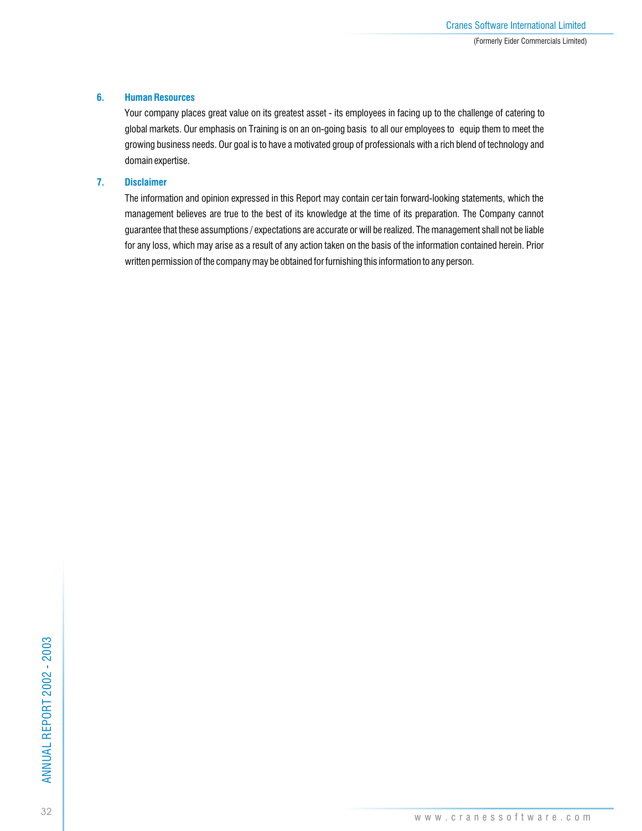## **6. Human Resources**

Your company places great value on its greatest asset - its employees in facing up to the challenge of catering to global markets. Our emphasis on Training is on an on-going basis to all our employees to equip them to meet the growing business needs. Our goal is to have a motivated group of professionals with a rich blend of technology and domain expertise.

## **7. Disclaimer**

The information and opinion expressed in this Report may contain cer tain forward-looking statements, which the management believes are true to the best of its knowledge at the time of its preparation. The Company cannot guarantee that these assumptions / expectations are accurate or will be realized. The management shall not be liable for any loss, which may arise as a result of any action taken on the basis of the information contained herein. Prior written permission of the company may be obtained for furnishing this information to any person.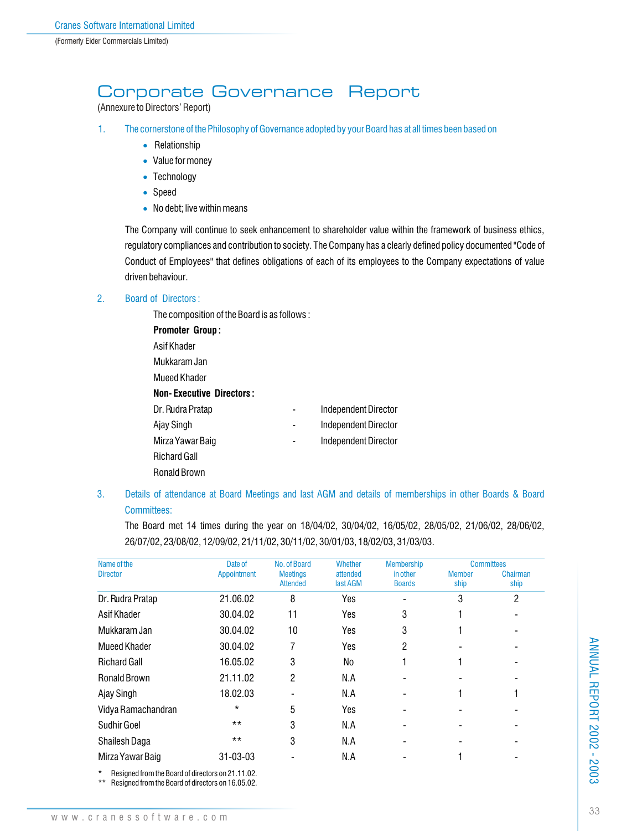## Corporate Governance Report

(Annexure to Directors' Report)

- 1. The cornerstone of the Philosophy of Governance adopted by your Board has at all times been based on
	- Relationship
	- Value for money
	- Technology
	- Speed
	- No debt; live within means

The Company will continue to seek enhancement to shareholder value within the framework of business ethics, regulatory compliances and contribution to society. The Company has a clearly defined policy documented "Code of Conduct of Employees" that defines obligations of each of its employees to the Company expectations of value driven behaviour.

## 2. Board of Directors :

The composition of the Board is as follows : **Promoter Group :** Asif Khader Mukkaram Jan Mueed Khader **Non- Executive Directors :** Dr. Rudra Pratap **Calculation Contract Contract Pressure Contract Pressure Contract Pressure Contract Pressure** Ajay Singh **Allection** Christian Age of the Independent Director Mirza Yawar Baig **Mirza Yawar Baig Accord Parameter Accord Parameter Accord Parameter Accord Parameter Accord Parameter Accord Parameter Accord Parameter Accord Parameter Accord Parameter Accord Parameter Accord Paramete** Richard Gall Ronald Brown

## 3. Details of attendance at Board Meetings and last AGM and details of memberships in other Boards & Board Committees:

The Board met 14 times during the year on 18/04/02, 30/04/02, 16/05/02, 28/05/02, 21/06/02, 28/06/02, 26/07/02, 23/08/02, 12/09/02, 21/11/02, 30/11/02, 30/01/03, 18/02/03, 31/03/03.

| Name of the         | Date of        | No. of Board                       | Whether              | <b>Membership</b>         |                       | <b>Committees</b> |
|---------------------|----------------|------------------------------------|----------------------|---------------------------|-----------------------|-------------------|
| <b>Director</b>     | Appointment    | <b>Meetings</b><br><b>Attended</b> | attended<br>last AGM | in other<br><b>Boards</b> | <b>Member</b><br>ship | Chairman<br>ship  |
| Dr. Rudra Pratap    | 21.06.02       | 8                                  | Yes                  |                           | 3                     | $\overline{c}$    |
| Asif Khader         | 30.04.02       | 11                                 | Yes                  | 3                         |                       |                   |
| Mukkaram Jan        | 30.04.02       | 10                                 | Yes                  | 3                         |                       |                   |
| Mueed Khader        | 30.04.02       | 7                                  | Yes                  | 2                         |                       |                   |
| <b>Richard Gall</b> | 16.05.02       | 3                                  | No                   |                           |                       |                   |
| <b>Ronald Brown</b> | 21.11.02       | 2                                  | N.A                  |                           |                       |                   |
| Ajay Singh          | 18.02.03       |                                    | N.A                  |                           |                       |                   |
| Vidya Ramachandran  | $^\star$       | 5                                  | Yes                  |                           |                       |                   |
| <b>Sudhir Goel</b>  | $***$          | 3                                  | N.A                  |                           |                       |                   |
| Shailesh Daga       | $***$          | 3                                  | N.A                  |                           |                       |                   |
| Mirza Yawar Baig    | $31 - 03 - 03$ |                                    | N.A                  |                           |                       |                   |
|                     |                |                                    |                      |                           |                       |                   |

Resigned from the Board of directors on 21.11.02.

\*\* Resigned from the Board of directors on 16.05.02.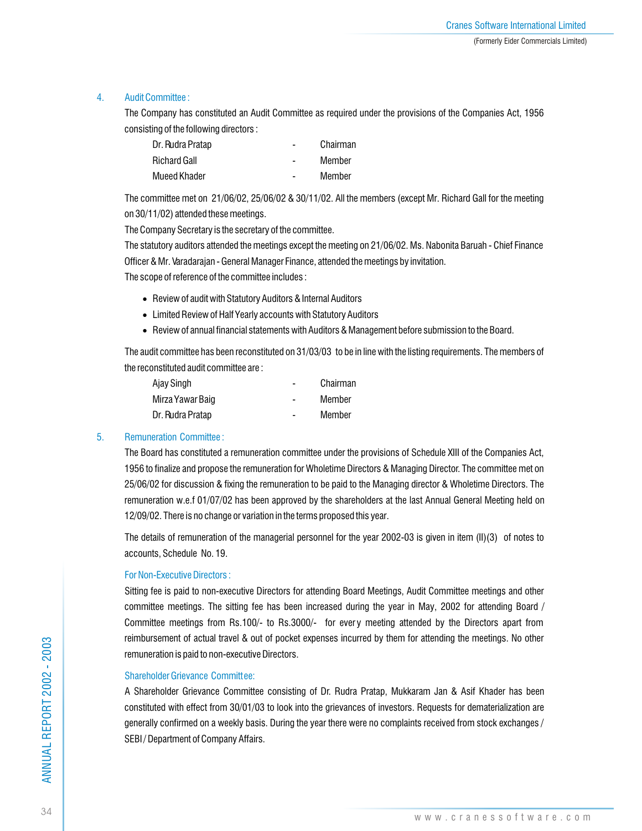## 4. Audit Committee :

The Company has constituted an Audit Committee as required under the provisions of the Companies Act, 1956 consisting of the following directors :

| Dr. Rudra Pratap    | $\blacksquare$ | Chairman |
|---------------------|----------------|----------|
| <b>Richard Gall</b> | $\blacksquare$ | Member   |
| Mueed Khader        |                | Member   |

The committee met on 21/06/02, 25/06/02 & 30/11/02. All the members (except Mr. Richard Gall for the meeting on 30/11/02) attended these meetings.

The Company Secretary is the secretary of the committee.

The statutory auditors attended the meetings except the meeting on 21/06/02. Ms. Nabonita Baruah - Chief Finance Officer & Mr. Varadarajan - General Manager Finance, attended the meetings by invitation.

The scope of reference of the committee includes :

- Review of audit with Statutory Auditors & Internal Auditors
- Limited Review of Half Yearly accounts with Statutory Auditors
- Review of annual financial statements with Auditors & Management before submission to the Board.

The audit committee has been reconstituted on 31/03/03 to be in line with the listing requirements. The members of the reconstituted audit committee are :

| Ajay Singh       |   | Chairman |
|------------------|---|----------|
| Mirza Yawar Baig | - | Member   |
| Dr. Rudra Pratap |   | Member   |

## 5. Remuneration Committee :

The Board has constituted a remuneration committee under the provisions of Schedule XIII of the Companies Act, 1956 to finalize and propose the remuneration for Wholetime Directors & Managing Director. The committee met on 25/06/02 for discussion & fixing the remuneration to be paid to the Managing director & Wholetime Directors. The remuneration w.e.f 01/07/02 has been approved by the shareholders at the last Annual General Meeting held on 12/09/02. There is no change or variation in the terms proposed this year.

The details of remuneration of the managerial personnel for the year 2002-03 is given in item (II)(3) of notes to accounts, Schedule No. 19.

## For Non-Executive Directors :

Sitting fee is paid to non-executive Directors for attending Board Meetings, Audit Committee meetings and other committee meetings. The sitting fee has been increased during the year in May, 2002 for attending Board / Committee meetings from Rs.100/- to Rs.3000/- for every meeting attended by the Directors apart from reimbursement of actual travel & out of pocket expenses incurred by them for attending the meetings. No other remuneration is paid to non-executive Directors.

## Shareholder Grievance Committee:

A Shareholder Grievance Committee consisting of Dr. Rudra Pratap, Mukkaram Jan & Asif Khader has been constituted with effect from 30/01/03 to look into the grievances of investors. Requests for dematerialization are generally confirmed on a weekly basis. During the year there were no complaints received from stock exchanges / SEBI / Department of Company Affairs.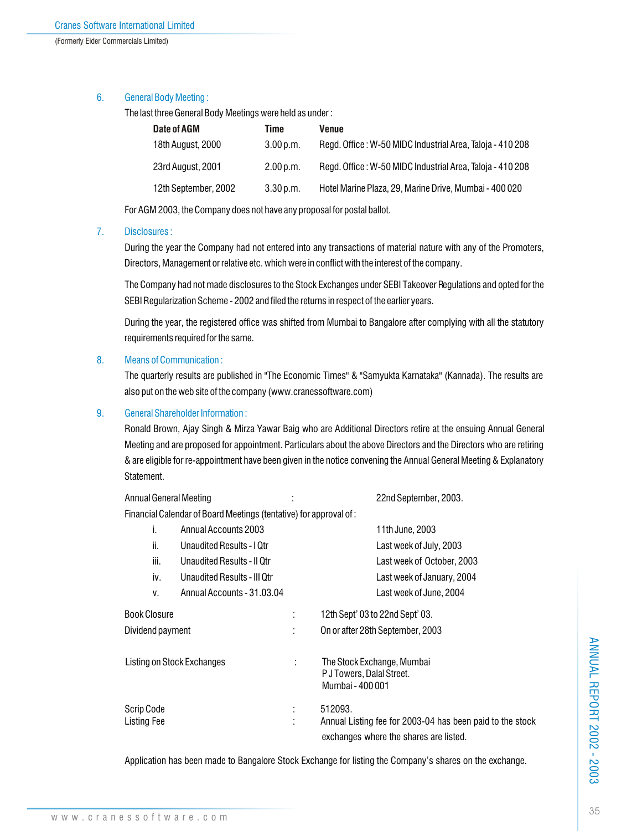## 6. General Body Meeting :

The last three General Body Meetings were held as under :

| Date of AGM          | Time      | Venue                                                     |
|----------------------|-----------|-----------------------------------------------------------|
| 18th August, 2000    | 3.00 p.m. | Regd. Office: W-50 MIDC Industrial Area, Taloja - 410 208 |
| 23rd August, 2001    | 2.00 p.m. | Regd. Office: W-50 MIDC Industrial Area, Taloja - 410 208 |
| 12th September, 2002 | 3.30 p.m. | Hotel Marine Plaza, 29, Marine Drive, Mumbai - 400 020    |

For AGM 2003, the Company does not have any proposal for postal ballot.

## 7. Disclosures :

During the year the Company had not entered into any transactions of material nature with any of the Promoters, Directors, Management or relative etc. which were in conflict with the interest of the company.

The Company had not made disclosures to the Stock Exchanges under SEBI Takeover Regulations and opted for the SEBI Regularization Scheme - 2002 and filed the returns in respect of the earlier years.

During the year, the registered office was shifted from Mumbai to Bangalore after complying with all the statutory requirements required for the same.

## 8. Means of Communication :

The quarterly results are published in "The Economic Times" & "Samyukta Karnataka" (Kannada). The results are also put on the web site of the company (www.cranessoftware.com)

## 9. General Shareholder Information :

Ronald Brown, Ajay Singh & Mirza Yawar Baig who are Additional Directors retire at the ensuing Annual General Meeting and are proposed for appointment. Particulars about the above Directors and the Directors who are retiring & are eligible for re-appointment have been given in the notice convening the Annual General Meeting & Explanatory Statement.

Annual General Meeting : 22nd September, 2003. Financial Calendar of Board Meetings (tentative) for approval of : i. Annual Accounts 2003 11th June, 2003 ii. Unaudited Results - I Qtr Last week of July, 2003 iii. Unaudited Results - II Qtr Last week of October, 2003 iv. Unaudited Results - III Qtr Last week of January, 2004 v. Annual Accounts - 31.03.04 Last week of June, 2004 Book Closure : 12th Sept' 03 to 22nd Sept' 03. Dividend payment : On or after 28th September, 2003 Listing on Stock Exchanges : The Stock Exchange, Mumbai P J Towers, Dalal Street. Mumbai - 400 001 Scrip Code : 512093. Listing Fee : Annual Listing fee for 2003-04 has been paid to the stock exchanges where the shares are listed.

Application has been made to Bangalore Stock Exchange for listing the Company's shares on the exchange.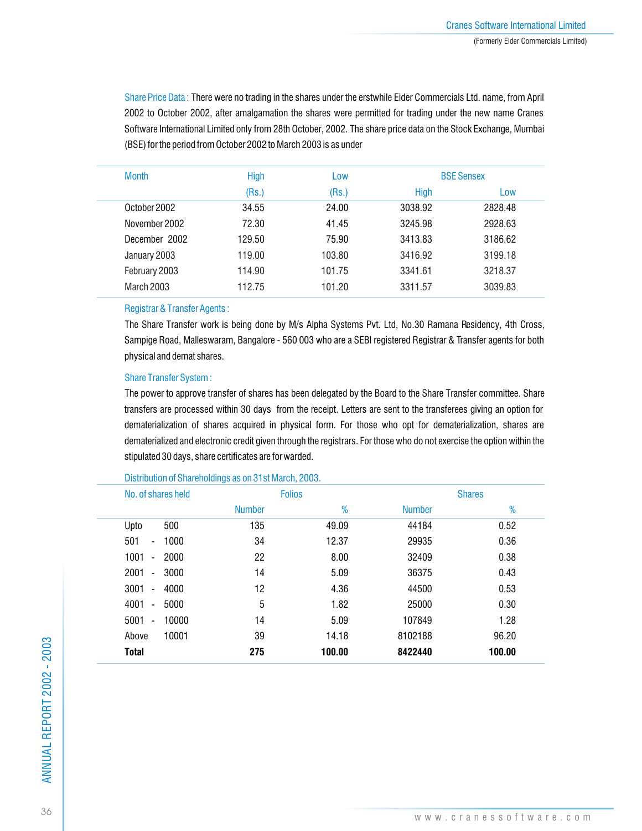Share Price Data : There were no trading in the shares under the erstwhile Eider Commercials Ltd. name, from April 2002 to October 2002, after amalgamation the shares were permitted for trading under the new name Cranes Software International Limited only from 28th October, 2002. The share price data on the Stock Exchange, Mumbai (BSE) for the period from October 2002 to March 2003 is as under

| <b>Month</b>  | <b>High</b> | Low    |             | <b>BSE Sensex</b> |
|---------------|-------------|--------|-------------|-------------------|
|               | (Rs.)       | (Rs.)  | <b>High</b> | Low               |
| October 2002  | 34.55       | 24.00  | 3038.92     | 2828.48           |
| November 2002 | 72.30       | 41.45  | 3245.98     | 2928.63           |
| December 2002 | 129.50      | 75.90  | 3413.83     | 3186.62           |
| January 2003  | 119.00      | 103.80 | 3416.92     | 3199.18           |
| February 2003 | 114.90      | 101.75 | 3341.61     | 3218.37           |
| March 2003    | 112.75      | 101.20 | 3311.57     | 3039.83           |
|               |             |        |             |                   |

### Registrar & Transfer Agents :

The Share Transfer work is being done by M/s Alpha Systems Pvt. Ltd, No.30 Ramana Residency, 4th Cross, Sampige Road, Malleswaram, Bangalore - 560 003 who are a SEBI registered Registrar & Transfer agents for both physical and demat shares.

## Share Transfer System :

The power to approve transfer of shares has been delegated by the Board to the Share Transfer committee. Share transfers are processed within 30 days from the receipt. Letters are sent to the transferees giving an option for dematerialization of shares acquired in physical form. For those who opt for dematerialization, shares are dematerialized and electronic credit given through the registrars. For those who do not exercise the option within the stipulated 30 days, share certificates are forwarded.

| No. of shares held                           |               | <b>Folios</b> |               | <b>Shares</b> |  |  |
|----------------------------------------------|---------------|---------------|---------------|---------------|--|--|
|                                              | <b>Number</b> | %             | <b>Number</b> | %             |  |  |
| 500<br>Upto                                  | 135           | 49.09         | 44184         | 0.52          |  |  |
| 501<br>1000<br>$\overline{\phantom{a}}$      | 34            | 12.37         | 29935         | 0.36          |  |  |
| 1001<br>2000<br>$\overline{\phantom{a}}$     | 22            | 8.00          | 32409         | 0.38          |  |  |
| 2001<br>3000<br>$\qquad \qquad \blacksquare$ | 14            | 5.09          | 36375         | 0.43          |  |  |
| 3001<br>4000<br>$\overline{\phantom{a}}$     | 12            | 4.36          | 44500         | 0.53          |  |  |
| 4001<br>5000<br>$\overline{\phantom{a}}$     | 5             | 1.82          | 25000         | 0.30          |  |  |
| 5001<br>10000<br>$\overline{\phantom{a}}$    | 14            | 5.09          | 107849        | 1.28          |  |  |
| 10001<br>Above                               | 39            | 14.18         | 8102188       | 96.20         |  |  |
| <b>Total</b>                                 | 275           | 100.00        | 8422440       | 100.00        |  |  |
|                                              |               |               |               |               |  |  |

#### Distribution of Shareholdings as on 31st March, 2003.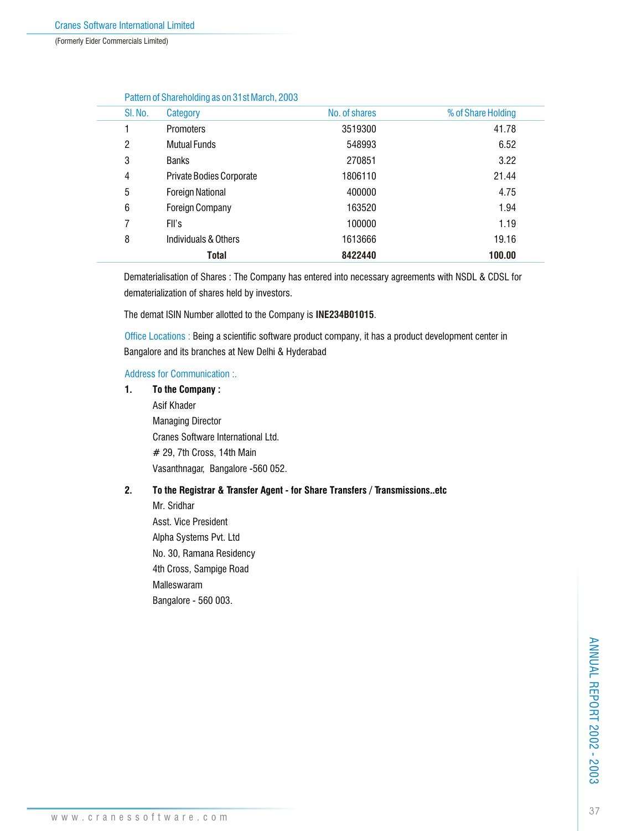(Formerly Eider Commercials Limited)

|         | Pattern of Shareholding as 011 51 St March, 2005 |               |                    |
|---------|--------------------------------------------------|---------------|--------------------|
| SI. No. | Category                                         | No. of shares | % of Share Holding |
|         | Promoters                                        | 3519300       | 41.78              |
| 2       | <b>Mutual Funds</b>                              | 548993        | 6.52               |
| 3       | <b>Banks</b>                                     | 270851        | 3.22               |
| 4       | <b>Private Bodies Corporate</b>                  | 1806110       | 21.44              |
| 5       | <b>Foreign National</b>                          | 400000        | 4.75               |
| 6       | <b>Foreign Company</b>                           | 163520        | 1.94               |
| 7       | FII's                                            | 100000        | 1.19               |
| 8       | Individuals & Others                             | 1613666       | 19.16              |
|         | Total                                            | 8422440       | 100.00             |
|         |                                                  |               |                    |

## Pattern of Shareholding as on 31st March, 2003

Dematerialisation of Shares : The Company has entered into necessary agreements with NSDL & CDSL for dematerialization of shares held by investors.

The demat ISIN Number allotted to the Company is **INE234B01015**.

Office Locations : Being a scientific software product company, it has a product development center in Bangalore and its branches at New Delhi & Hyderabad

#### Address for Communication :.

#### **1. To the Company :**

Asif Khader Managing Director Cranes Software International Ltd. # 29, 7th Cross, 14th Main Vasanthnagar, Bangalore -560 052.

## **2. To the Registrar & Transfer Agent - for Share Transfers / Transmissions..etc**

Mr. Sridhar Asst. Vice President Alpha Systems Pvt. Ltd No. 30, Ramana Residency 4th Cross, Sampige Road Malleswaram Bangalore - 560 003.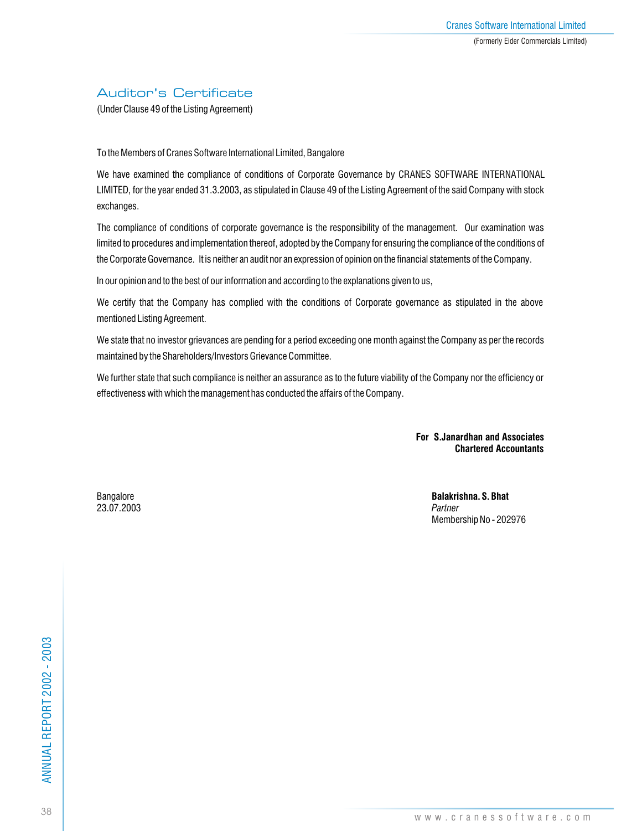## Auditor's Certificate

(Under Clause 49 of the Listing Agreement)

To the Members of Cranes Software International Limited, Bangalore

We have examined the compliance of conditions of Corporate Governance by CRANES SOFTWARE INTERNATIONAL LIMITED, for the year ended 31.3.2003, as stipulated in Clause 49 of the Listing Agreement of the said Company with stock exchanges.

The compliance of conditions of corporate governance is the responsibility of the management. Our examination was limited to procedures and implementation thereof, adopted by the Company for ensuring the compliance of the conditions of the Corporate Governance. It is neither an audit nor an expression of opinion on the financial statements of the Company.

In our opinion and to the best of our information and according to the explanations given to us,

We certify that the Company has complied with the conditions of Corporate governance as stipulated in the above mentioned Listing Agreement.

We state that no investor grievances are pending for a period exceeding one month against the Company as per the records maintained by the Shareholders/Investors Grievance Committee.

We further state that such compliance is neither an assurance as to the future viability of the Company nor the efficiency or effectiveness with which the management has conducted the affairs of the Company.

> **For S.Janardhan and Associates Chartered Accountants**

23.07.2003 *Partner*

Bangalore **Balakrishna. S. Bhat** Membership No - 202976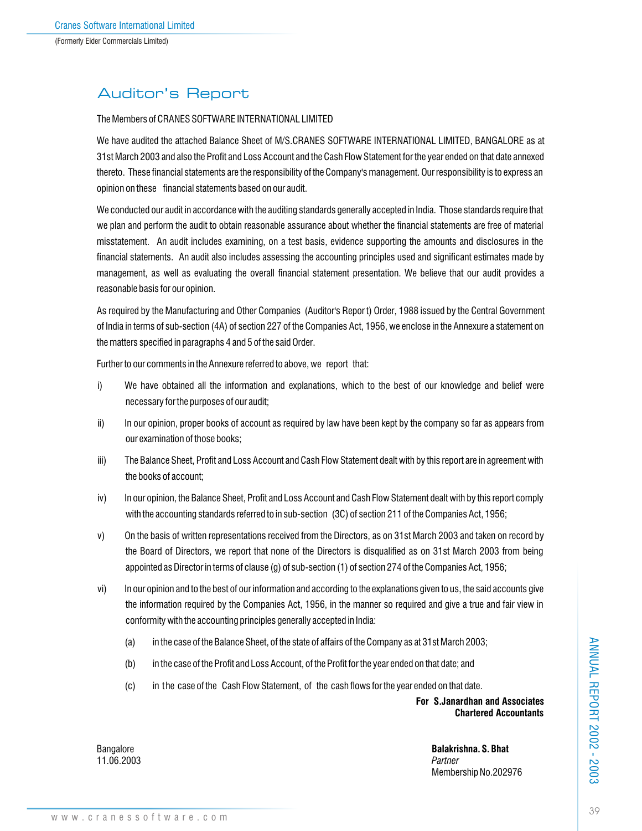# Auditor's Report

### The Members of CRANES SOFTWARE INTERNATIONAL LIMITED

We have audited the attached Balance Sheet of M/S.CRANES SOFTWARE INTERNATIONAL LIMITED, BANGALORE as at 31st March 2003 and also the Profit and Loss Account and the Cash Flow Statement for the year ended on that date annexed thereto. These financial statements are the responsibility of the Company's management. Our responsibility is to express an opinion on these financial statements based on our audit.

We conducted our audit in accordance with the auditing standards generally accepted in India. Those standards require that we plan and perform the audit to obtain reasonable assurance about whether the financial statements are free of material misstatement. An audit includes examining, on a test basis, evidence supporting the amounts and disclosures in the financial statements. An audit also includes assessing the accounting principles used and significant estimates made by management, as well as evaluating the overall financial statement presentation. We believe that our audit provides a reasonable basis for our opinion.

As required by the Manufacturing and Other Companies (Auditor's Repor t) Order, 1988 issued by the Central Government of India in terms of sub-section (4A) of section 227 of the Companies Act, 1956, we enclose in the Annexure a statement on the matters specified in paragraphs 4 and 5 of the said Order.

Further to our comments in the Annexure referred to above, we report that:

- i) We have obtained all the information and explanations, which to the best of our knowledge and belief were necessary for the purposes of our audit;
- ii) In our opinion, proper books of account as required by law have been kept by the company so far as appears from our examination of those books;
- iii) The Balance Sheet, Profit and Loss Account and Cash Flow Statement dealt with by this report are in agreement with the books of account;
- iv) In our opinion, the Balance Sheet, Profit and Loss Account and Cash Flow Statement dealt with by this report comply with the accounting standards referred to in sub-section (3C) of section 211 of the Companies Act, 1956;
- v) On the basis of written representations received from the Directors, as on 31st March 2003 and taken on record by the Board of Directors, we report that none of the Directors is disqualified as on 31st March 2003 from being appointed as Director in terms of clause (g) of sub-section (1) of section 274 of the Companies Act, 1956;
- vi) In our opinion and to the best of our information and according to the explanations given to us, the said accounts give the information required by the Companies Act, 1956, in the manner so required and give a true and fair view in conformity with the accounting principles generally accepted in India:
	- (a) in the case of the Balance Sheet, of the state of affairs of the Company as at 31st March 2003;
	- (b) in the case of the Profit and Loss Account, of the Profit for the year ended on that date; and
	- (c) in the case of the Cash Flow Statement, of the cash flows for the year ended on that date.

**For S.Janardhan and Associates Chartered Accountants**

Bangalore **Balakrishna. S. Bhat** Membership No.202976

11.06.2003 *Partner*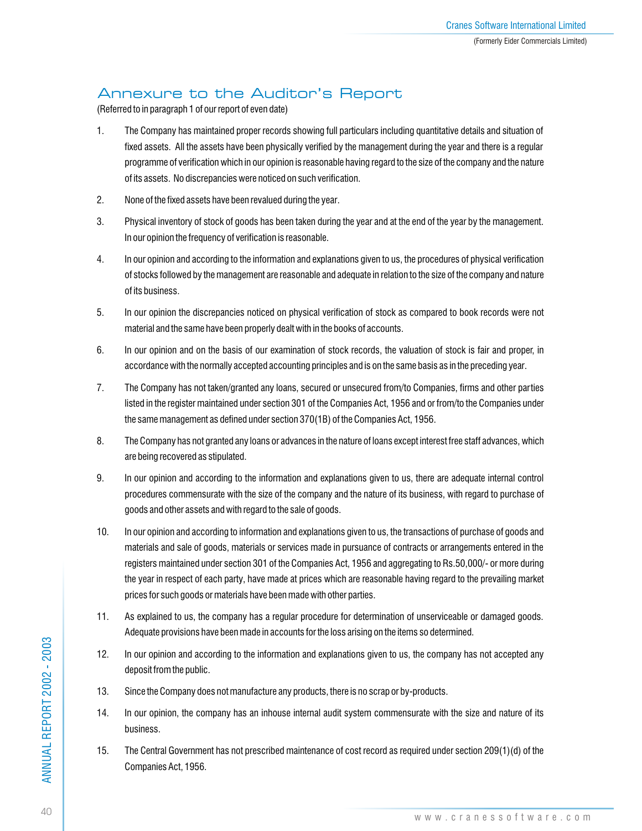# Annexure to the Auditor's Report

(Referred to in paragraph 1 of our report of even date)

- 1. The Company has maintained proper records showing full particulars including quantitative details and situation of fixed assets. All the assets have been physically verified by the management during the year and there is a regular programme of verification which in our opinion is reasonable having regard to the size of the company and the nature of its assets. No discrepancies were noticed on such verification.
- 2. None of the fixed assets have been revalued during the year.
- 3. Physical inventory of stock of goods has been taken during the year and at the end of the year by the management. In our opinion the frequency of verification is reasonable.
- 4. In our opinion and according to the information and explanations given to us, the procedures of physical verification of stocks followed by the management are reasonable and adequate in relation to the size of the company and nature of its business.
- 5. In our opinion the discrepancies noticed on physical verification of stock as compared to book records were not material and the same have been properly dealt with in the books of accounts.
- 6. In our opinion and on the basis of our examination of stock records, the valuation of stock is fair and proper, in accordance with the normally accepted accounting principles and is on the same basis as in the preceding year.
- 7. The Company has not taken/granted any loans, secured or unsecured from/to Companies, firms and other parties listed in the register maintained under section 301 of the Companies Act, 1956 and or from/to the Companies under the same management as defined under section 370(1B) of the Companies Act, 1956.
- 8. The Company has not granted any loans or advances in the nature of loans except interest free staff advances, which are being recovered as stipulated.
- 9. In our opinion and according to the information and explanations given to us, there are adequate internal control procedures commensurate with the size of the company and the nature of its business, with regard to purchase of goods and other assets and with regard to the sale of goods.
- 10. In our opinion and according to information and explanations given to us, the transactions of purchase of goods and materials and sale of goods, materials or services made in pursuance of contracts or arrangements entered in the registers maintained under section 301 of the Companies Act, 1956 and aggregating to Rs.50,000/- or more during the year in respect of each party, have made at prices which are reasonable having regard to the prevailing market prices for such goods or materials have been made with other parties.
- 11. As explained to us, the company has a regular procedure for determination of unserviceable or damaged goods. Adequate provisions have been made in accounts for the loss arising on the items so determined.
- 12. In our opinion and according to the information and explanations given to us, the company has not accepted any deposit from the public.
- 13. Since the Company does not manufacture any products, there is no scrap or by-products.
- 14. In our opinion, the company has an inhouse internal audit system commensurate with the size and nature of its business.
- 15. The Central Government has not prescribed maintenance of cost record as required under section 209(1)(d) of the Companies Act, 1956.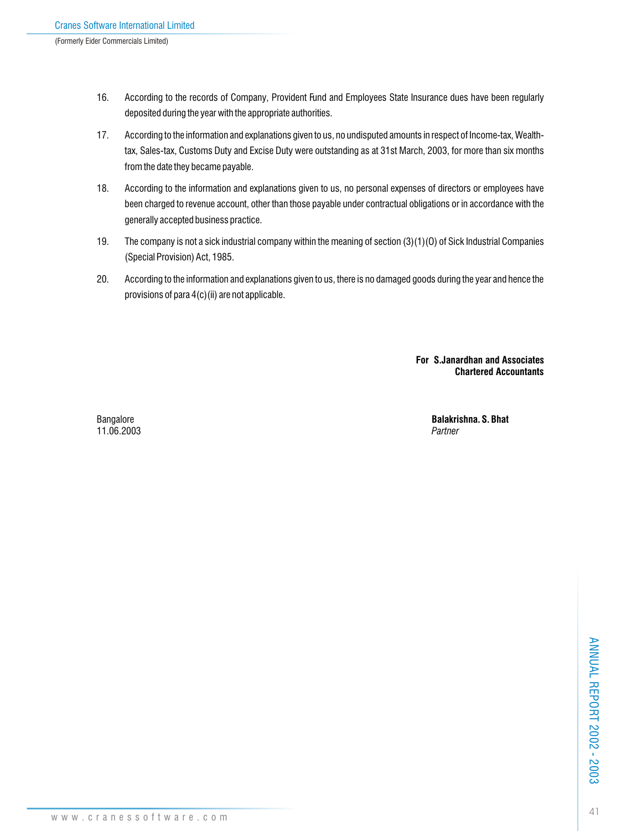- 16. According to the records of Company, Provident Fund and Employees State Insurance dues have been regularly deposited during the year with the appropriate authorities.
- 17. According to the information and explanations given to us, no undisputed amounts in respect of Income-tax, Wealthtax, Sales-tax, Customs Duty and Excise Duty were outstanding as at 31st March, 2003, for more than six months from the date they became payable.
- 18. According to the information and explanations given to us, no personal expenses of directors or employees have been charged to revenue account, other than those payable under contractual obligations or in accordance with the generally accepted business practice.
- 19. The company is not a sick industrial company within the meaning of section (3)(1)(O) of Sick Industrial Companies (Special Provision) Act, 1985.
- 20. According to the information and explanations given to us, there is no damaged goods during the year and hence the provisions of para 4(c)(ii) are not applicable.

**For S.Janardhan and Associates Chartered Accountants**

11.06.2003 *Partner*

Bangalore **Balakrishna. S. Bhat**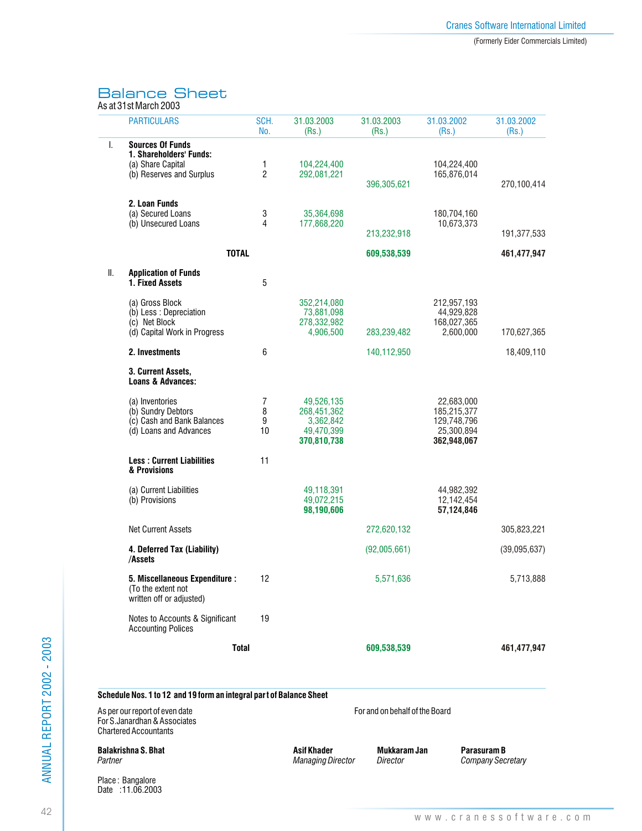# Balance Sheet

|         | As at 31st March 2003                                                                                 |                |                                         |                                |                           |                     |
|---------|-------------------------------------------------------------------------------------------------------|----------------|-----------------------------------------|--------------------------------|---------------------------|---------------------|
|         | <b>PARTICULARS</b>                                                                                    | SCH.<br>No.    | 31.03.2003<br>(Rs.)                     | 31.03.2003<br>(Rs.)            | 31.03.2002<br>(Rs.)       | 31.03.2002<br>(Rs.) |
| I.      | <b>Sources Of Funds</b>                                                                               |                |                                         |                                |                           |                     |
|         | 1. Shareholders' Funds:<br>(a) Share Capital                                                          | 1              | 104,224,400                             |                                | 104,224,400               |                     |
|         | (b) Reserves and Surplus                                                                              | $\overline{2}$ | 292,081,221                             |                                | 165,876,014               |                     |
|         |                                                                                                       |                |                                         | 396,305,621                    |                           | 270,100,414         |
|         | 2. Loan Funds                                                                                         |                |                                         |                                |                           |                     |
|         | (a) Secured Loans                                                                                     | 3              | 35,364,698                              |                                | 180,704,160               |                     |
|         | (b) Unsecured Loans                                                                                   | 4              | 177,868,220                             | 213,232,918                    | 10,673,373                | 191,377,533         |
|         | <b>TOTAL</b>                                                                                          |                |                                         | 609,538,539                    |                           | 461,477,947         |
|         |                                                                                                       |                |                                         |                                |                           |                     |
| Ⅱ.      | <b>Application of Funds</b><br>1. Fixed Assets                                                        | 5              |                                         |                                |                           |                     |
|         | (a) Gross Block                                                                                       |                | 352,214,080                             |                                | 212,957,193               |                     |
|         | (b) Less : Depreciation                                                                               |                | 73,881,098                              |                                | 44,929,828                |                     |
|         | (c) Net Block<br>(d) Capital Work in Progress                                                         |                | 278,332,982<br>4,906,500                | 283,239,482                    | 168,027,365<br>2,600,000  | 170,627,365         |
|         |                                                                                                       |                |                                         |                                |                           |                     |
|         | 2. Investments                                                                                        | 6              |                                         | 140,112,950                    |                           | 18,409,110          |
|         | 3. Current Assets,<br><b>Loans &amp; Advances:</b>                                                    |                |                                         |                                |                           |                     |
|         | (a) Inventories                                                                                       | 7              | 49,526,135                              |                                | 22,683,000                |                     |
|         | (b) Sundry Debtors                                                                                    | 8              | 268,451,362                             |                                | 185,215,377               |                     |
|         | (c) Cash and Bank Balances<br>(d) Loans and Advances                                                  | 9<br>10        | 3,362,842                               |                                | 129,748,796               |                     |
|         |                                                                                                       |                | 49,470,399<br>370,810,738               |                                | 25,300,894<br>362,948,067 |                     |
|         | <b>Less: Current Liabilities</b><br>& Provisions                                                      | 11             |                                         |                                |                           |                     |
|         | (a) Current Liabilities                                                                               |                | 49,118,391                              |                                | 44,982,392                |                     |
|         | (b) Provisions                                                                                        |                | 49,072,215<br>98,190,606                |                                | 12,142,454<br>57,124,846  |                     |
|         | <b>Net Current Assets</b>                                                                             |                |                                         | 272,620,132                    |                           | 305,823,221         |
|         | 4. Deferred Tax (Liability)<br>/Assets                                                                |                |                                         | (92,005,661)                   |                           | (39,095,637)        |
|         | 5. Miscellaneous Expenditure :<br>(To the extent not<br>written off or adjusted)                      | 12             |                                         | 5,571,636                      |                           | 5,713,888           |
|         | Notes to Accounts & Significant<br><b>Accounting Polices</b>                                          | 19             |                                         |                                |                           |                     |
|         | Total                                                                                                 |                |                                         | 609,538,539                    |                           | 461,477,947         |
|         | Schedule Nos. 1 to 12 and 19 form an integral part of Balance Sheet<br>As per our report of even date |                |                                         | For and on behalf of the Board |                           |                     |
|         | For S.Janardhan & Associates<br><b>Chartered Accountants</b>                                          |                |                                         |                                |                           |                     |
| Partner | Balakrishna S. Bhat                                                                                   |                | Asif Khader<br><b>Managing Director</b> | Mukkaram Jan<br>Director       | Parasuram B               | Company Secretary   |
|         | Place: Bangalore                                                                                      |                |                                         |                                |                           |                     |

Date : 11.06.2003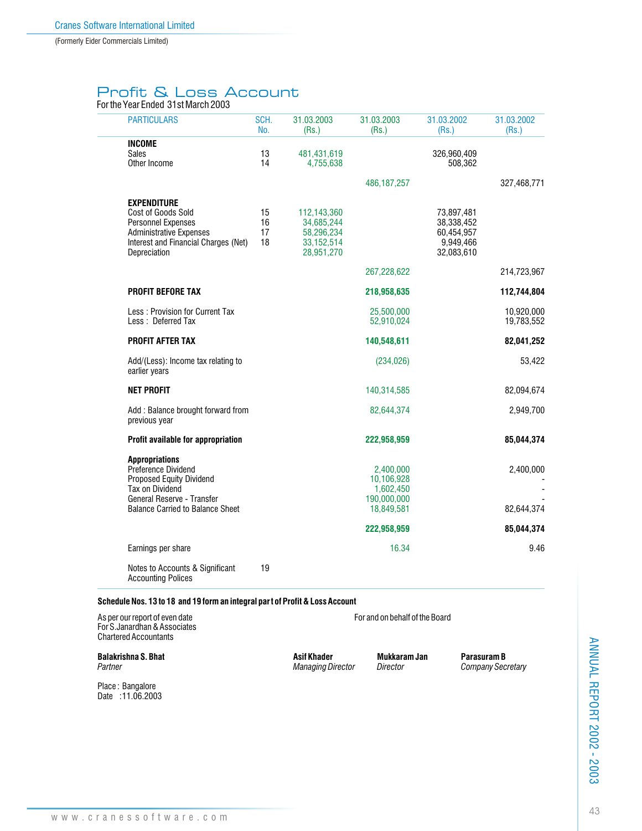(Formerly Eider Commercials Limited)

# Profit & Loss Account

For the Year Ended 31st March 2003

| <b>PARTICULARS</b>                                                    | SCH.<br>No. | 31.03.2003<br>(Rs.)        | 31.03.2003<br>(Rs.) | 31.03.2002<br>(Rs.)     | 31.03.2002<br>(Rs.) |
|-----------------------------------------------------------------------|-------------|----------------------------|---------------------|-------------------------|---------------------|
| <b>INCOME</b>                                                         |             |                            |                     |                         |                     |
| <b>Sales</b>                                                          | 13          | 481,431,619                |                     | 326,960,409             |                     |
| Other Income                                                          | 14          | 4,755,638                  |                     | 508,362                 |                     |
|                                                                       |             |                            | 486, 187, 257       |                         | 327,468,771         |
| <b>EXPENDITURE</b>                                                    |             |                            |                     |                         |                     |
| Cost of Goods Sold                                                    | 15          | 112,143,360                |                     | 73,897,481              |                     |
| <b>Personnel Expenses</b>                                             | 16          | 34,685,244                 |                     | 38,338,452              |                     |
| <b>Administrative Expenses</b>                                        | 17<br>18    | 58,296,234                 |                     | 60,454,957              |                     |
| Interest and Financial Charges (Net)<br>Depreciation                  |             | 33, 152, 514<br>28,951,270 |                     | 9,949,466<br>32,083,610 |                     |
|                                                                       |             |                            | 267,228,622         |                         | 214,723,967         |
| <b>PROFIT BEFORE TAX</b>                                              |             |                            | 218,958,635         |                         | 112,744,804         |
| Less: Provision for Current Tax                                       |             |                            | 25,500,000          |                         | 10,920,000          |
| Less: Deferred Tax                                                    |             |                            | 52,910,024          |                         | 19,783,552          |
| <b>PROFIT AFTER TAX</b>                                               |             |                            | 140,548,611         |                         | 82,041,252          |
| Add/(Less): Income tax relating to<br>earlier years                   |             |                            | (234, 026)          |                         | 53,422              |
| <b>NET PROFIT</b>                                                     |             |                            | 140,314,585         |                         | 82,094,674          |
| Add: Balance brought forward from<br>previous year                    |             |                            | 82,644,374          |                         | 2,949,700           |
| Profit available for appropriation                                    |             |                            | 222,958,959         |                         | 85,044,374          |
| <b>Appropriations</b>                                                 |             |                            |                     |                         |                     |
| Preference Dividend                                                   |             |                            | 2,400,000           |                         | 2,400,000           |
| <b>Proposed Equity Dividend</b>                                       |             |                            | 10,106,928          |                         |                     |
| Tax on Dividend                                                       |             |                            | 1,602,450           |                         |                     |
| General Reserve - Transfer<br><b>Balance Carried to Balance Sheet</b> |             |                            | 190,000,000         |                         |                     |
|                                                                       |             |                            | 18,849,581          |                         | 82,644,374          |
|                                                                       |             |                            | 222,958,959         |                         | 85,044,374          |
| Earnings per share                                                    |             |                            | 16.34               |                         | 9.46                |
| Notes to Accounts & Significant<br><b>Accounting Polices</b>          | 19          |                            |                     |                         |                     |

#### **Schedule Nos. 13 to 18 and 19 form an integral part of Profit & Loss Account**

As per our report of even date  $\blacksquare$  For and on behalf of the Board For S.Janardhan & Associates Chartered Accountants

**Balakrishna S. Bhat Character States Asif Khader States Asif Khader Mukkaram Jan Parasuram B**<br>Partner Company Sec.

Place : Bangalore Date : 11.06.2003

*Partner Managing Director Director Company Secretary*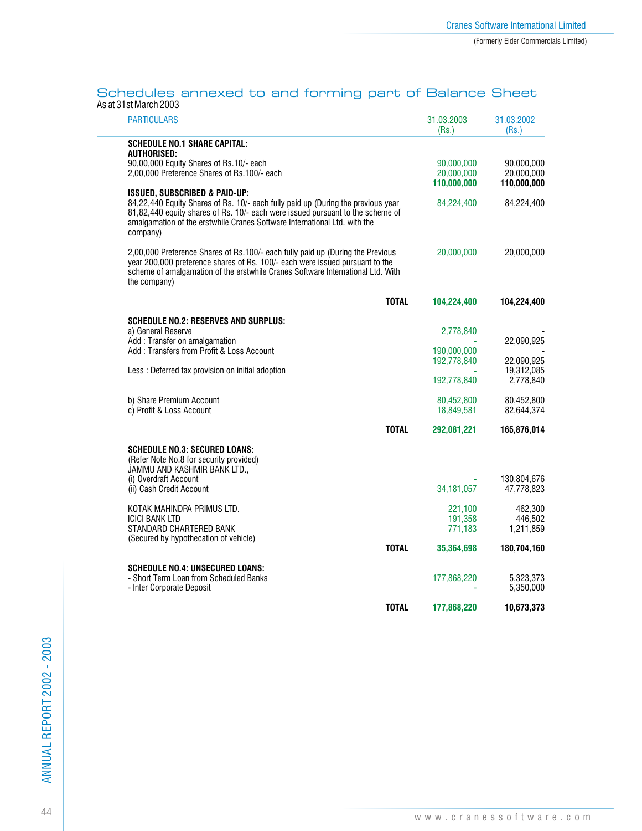#### Schedules annexed to and forming part of Balance Sheet As at 31st March 2003

| 31.03.2003<br>(Rs.) | 31.03.2002<br>(Rs.)                                                                                            |
|---------------------|----------------------------------------------------------------------------------------------------------------|
|                     |                                                                                                                |
|                     |                                                                                                                |
|                     |                                                                                                                |
|                     | 90,000,000<br>20,000,000                                                                                       |
|                     | 110,000,000                                                                                                    |
|                     |                                                                                                                |
| 84,224,400          | 84,224,400                                                                                                     |
| 20,000,000          | 20,000,000                                                                                                     |
| 104,224,400         | 104,224,400                                                                                                    |
|                     |                                                                                                                |
| 2,778,840           |                                                                                                                |
|                     | 22,090,925                                                                                                     |
|                     |                                                                                                                |
|                     | 22,090,925<br>19,312,085                                                                                       |
| 192,778,840         | 2,778,840                                                                                                      |
|                     | 80.452.800                                                                                                     |
| 18,849,581          | 82,644,374                                                                                                     |
| 292,081,221         | 165,876,014                                                                                                    |
|                     |                                                                                                                |
|                     | 130,804,676                                                                                                    |
|                     | 47,778,823                                                                                                     |
|                     | 462.300                                                                                                        |
| 191,358             | 446.502                                                                                                        |
| 771,183             | 1,211,859                                                                                                      |
| 35,364,698          | 180,704,160                                                                                                    |
|                     |                                                                                                                |
| 177,868,220         | 5,323,373                                                                                                      |
|                     | 5,350,000                                                                                                      |
| 177,868,220         | 10,673,373                                                                                                     |
|                     | 90,000,000<br>20,000,000<br>110,000,000<br>190,000,000<br>192,778,840<br>80,452,800<br>34, 181, 057<br>221,100 |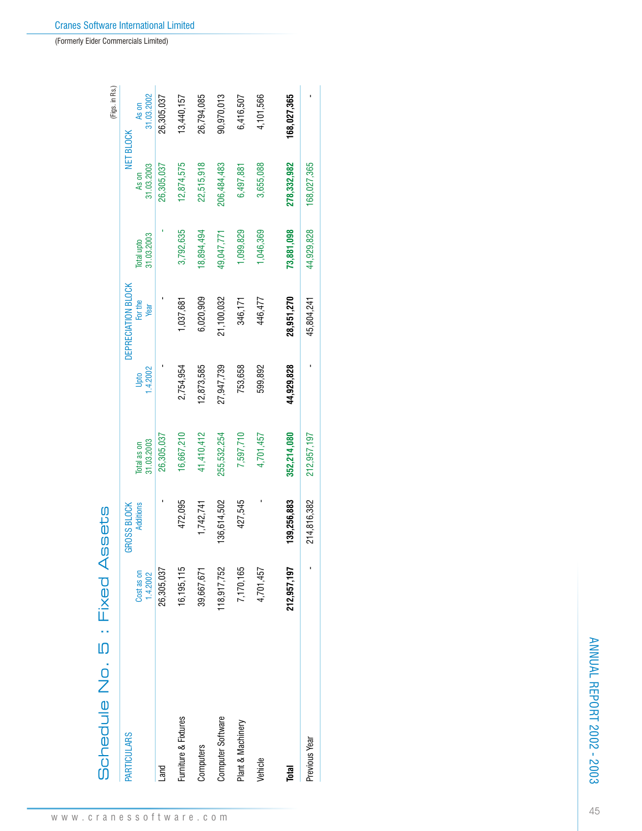| <b>PARTICULARS</b>   |              |                    |             |            |                    |            |             |             |
|----------------------|--------------|--------------------|-------------|------------|--------------------|------------|-------------|-------------|
|                      |              | <b>GROSS BLOCK</b> |             |            | DEPRECIATION BLOCK |            |             | NET BLOCK   |
|                      | Cost as on   | <b>Additions</b>   | Total as on | Upto       | For the            | Total upto | As on       | As on       |
|                      | 1.4.2002     |                    | 31.03.2003  | 4.2002     | Year               | 31.03.2003 | 31.03.2003  | 31.03.2002  |
| Land                 | 26,305,037   |                    | 26,305,037  |            |                    |            | 26,305,037  | 26,305,037  |
| Furniture & Fixtures | 16, 195, 115 | 472,095            | 16,667,210  | 2,754,954  | 1,037,681          | 3,792,635  | 12,874,575  | 13,440,157  |
| Computers            | 39,667,671   | 1,742,741          | 41,410,412  | 12,873,585 | 6,020,909          | 18,894,494 | 22,515,918  | 26,794,085  |
| Computer Software    | 18,917,752   | 136,614,502        | 255,532,254 | 27,947,739 | 21,100,032         | 49,047,771 | 206,484,483 | 90,970,013  |
| Plant & Machinery    | 7,170,165    | 427,545            | 7,597,710   | 753,658    | 346,171            | 1,099,829  | 6,497,881   | 6,416,507   |
| Vehicle              | 4,701,457    |                    | 4,701,457   | 599,892    | 446,477            | 1,046,369  | 3,655,088   | 4,101,566   |
| Total                | 212,957,197  | 139,256,883        | 352,214,080 | 44,929,828 | 28,951,270         | 73,881,098 | 278,332,982 | 168,027,365 |
| Previous Year        |              | 214,816,382        | 212,957,197 |            | 45,804,241         | 44,929,828 | 168,027,365 |             |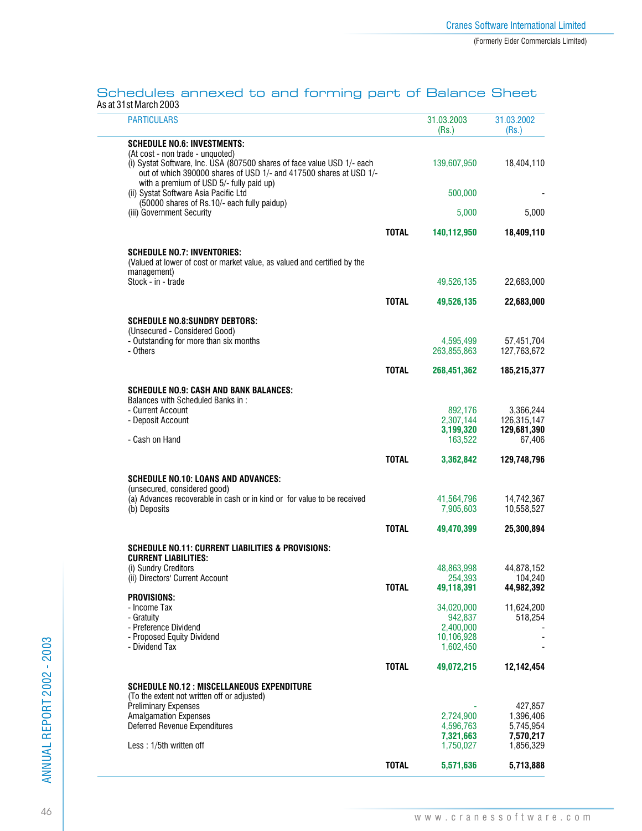#### Schedules annexed to and forming part of Balance Sheet As at 31st March 2003

| <b>PARTICULARS</b>                                                                                                                                                                                                            |              | 31.03.2003<br>(Rs.)     | 31.03.2002<br>(Rs.)      |
|-------------------------------------------------------------------------------------------------------------------------------------------------------------------------------------------------------------------------------|--------------|-------------------------|--------------------------|
| Schedule No.6: Investments:                                                                                                                                                                                                   |              |                         |                          |
| (At cost - non trade - unquoted)<br>(i) Systat Software, Inc. USA (807500 shares of face value USD 1/- each<br>out of which 390000 shares of USD 1/- and 417500 shares at USD 1/-<br>with a premium of USD 5/- fully paid up) |              | 139,607,950             | 18,404,110               |
| (ii) Systat Software Asia Pacific Ltd                                                                                                                                                                                         |              | 500,000                 |                          |
| (50000 shares of Rs.10/- each fully paidup)<br>(iii) Government Security                                                                                                                                                      |              | 5,000                   | 5,000                    |
|                                                                                                                                                                                                                               |              |                         |                          |
|                                                                                                                                                                                                                               | <b>TOTAL</b> | 140,112,950             | 18,409,110               |
| <b>SCHEDULE NO.7: INVENTORIES:</b><br>(Valued at lower of cost or market value, as valued and certified by the<br>management)                                                                                                 |              |                         |                          |
| Stock - in - trade                                                                                                                                                                                                            |              | 49,526,135              | 22,683,000               |
|                                                                                                                                                                                                                               | <b>TOTAL</b> | 49,526,135              | 22,683,000               |
|                                                                                                                                                                                                                               |              |                         |                          |
| Schedule No.8:Sundry Debtors:<br>(Unsecured - Considered Good)                                                                                                                                                                |              |                         |                          |
| - Outstanding for more than six months                                                                                                                                                                                        |              | 4,595,499               | 57,451,704               |
| - Others                                                                                                                                                                                                                      |              | 263,855,863             | 127,763,672              |
|                                                                                                                                                                                                                               | <b>TOTAL</b> | 268,451,362             | 185,215,377              |
| <b>SCHEDULE NO.9: CASH AND BANK BALANCES:</b>                                                                                                                                                                                 |              |                         |                          |
| Balances with Scheduled Banks in:                                                                                                                                                                                             |              |                         |                          |
| - Current Account<br>- Deposit Account                                                                                                                                                                                        |              | 892.176<br>2,307,144    | 3.366.244<br>126,315,147 |
|                                                                                                                                                                                                                               |              | 3,199,320               | 129,681,390              |
| - Cash on Hand                                                                                                                                                                                                                |              | 163,522                 | 67,406                   |
|                                                                                                                                                                                                                               | <b>TOTAL</b> | 3,362,842               | 129,748,796              |
| <b>SCHEDULE NO.10: LOANS AND ADVANCES:</b>                                                                                                                                                                                    |              |                         |                          |
| (unsecured, considered good)                                                                                                                                                                                                  |              |                         |                          |
| (a) Advances recoverable in cash or in kind or for value to be received<br>(b) Deposits                                                                                                                                       |              | 41,564,796<br>7,905,603 | 14,742,367<br>10,558,527 |
|                                                                                                                                                                                                                               |              |                         |                          |
|                                                                                                                                                                                                                               | <b>TOTAL</b> | 49,470,399              | 25,300,894               |
| <b>SCHEDULE NO.11: CURRENT LIABILITIES &amp; PROVISIONS:</b>                                                                                                                                                                  |              |                         |                          |
| <b>CURRENT LIABILITIES:</b><br>(i) Sundry Creditors                                                                                                                                                                           |              | 48,863,998              | 44,878,152               |
| (ii) Directors' Current Account                                                                                                                                                                                               |              | 254,393                 | 104.240                  |
| <b>PROVISIONS:</b>                                                                                                                                                                                                            | <b>TOTAL</b> | 49,118,391              | 44,982,392               |
| - Income Tax                                                                                                                                                                                                                  |              | 34,020,000              | 11,624,200               |
| - Gratuity                                                                                                                                                                                                                    |              | 942,837                 | 518,254                  |
| - Preference Dividend<br>- Proposed Equity Dividend                                                                                                                                                                           |              | 2,400,000<br>10,106,928 |                          |
| - Dividend Tax                                                                                                                                                                                                                |              | 1,602,450               |                          |
|                                                                                                                                                                                                                               | <b>TOTAL</b> | 49,072,215              | 12,142,454               |
| <b>SCHEDULE NO.12: MISCELLANEOUS EXPENDITURE</b>                                                                                                                                                                              |              |                         |                          |
| (To the extent not written off or adjusted)                                                                                                                                                                                   |              |                         |                          |
| <b>Preliminary Expenses</b>                                                                                                                                                                                                   |              |                         | 427,857                  |
| <b>Amalgamation Expenses</b><br>Deferred Revenue Expenditures                                                                                                                                                                 |              | 2,724,900<br>4,596,763  | 1,396,406<br>5,745,954   |
|                                                                                                                                                                                                                               |              | 7,321,663               | 7,570,217                |
| Less: 1/5th written off                                                                                                                                                                                                       |              | 1,750,027               | 1,856,329                |
|                                                                                                                                                                                                                               | <b>TOTAL</b> | 5,571,636               | 5,713,888                |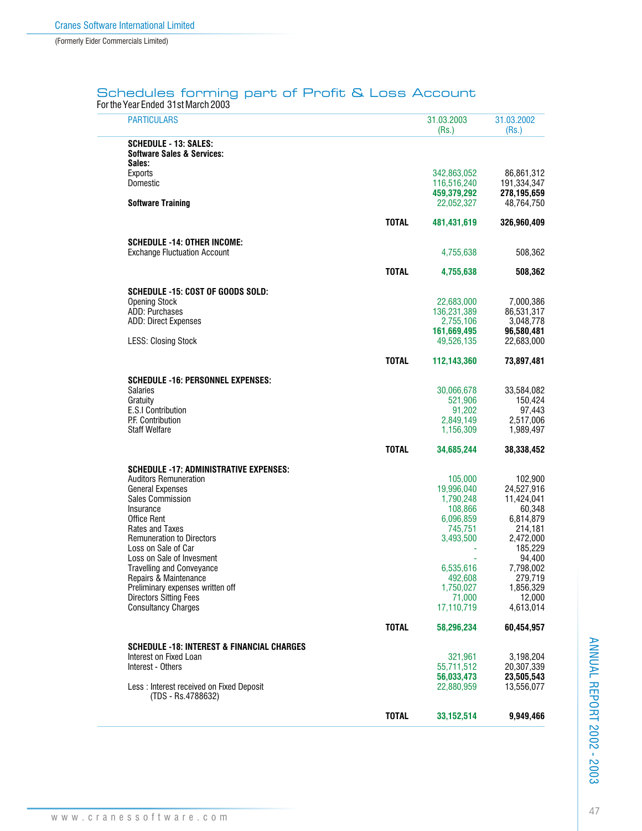## Schedules forming part of Profit & Loss Account

For the Year Ended 31st March 2003

| <b>PARTICULARS</b>                                             |              | 31.03.2003<br>(Rs.)       | 31.03.2002<br>(Rs.)      |
|----------------------------------------------------------------|--------------|---------------------------|--------------------------|
| <b>SCHEDULE - 13: SALES:</b>                                   |              |                           |                          |
| <b>Software Sales &amp; Services:</b>                          |              |                           |                          |
| Sales:<br><b>Exports</b>                                       |              | 342,863,052               | 86,861,312               |
| Domestic                                                       |              | 116,516,240               | 191,334,347              |
|                                                                |              | 459,379,292               | 278,195,659              |
| <b>Software Training</b>                                       |              | 22,052,327                | 48,764,750               |
|                                                                | <b>TOTAL</b> | 481,431,619               | 326,960,409              |
| <b>SCHEDULE -14: OTHER INCOME:</b>                             |              |                           |                          |
| <b>Exchange Fluctuation Account</b>                            |              | 4,755,638                 | 508,362                  |
|                                                                |              |                           |                          |
|                                                                | <b>TOTAL</b> | 4,755,638                 | 508,362                  |
| SCHEDULE -15: COST OF GOODS SOLD:                              |              |                           |                          |
| <b>Opening Stock</b>                                           |              | 22,683,000                | 7,000,386                |
| ADD: Purchases                                                 |              | 136,231,389               | 86,531,317               |
| <b>ADD: Direct Expenses</b>                                    |              | 2,755,106                 | 3,048,778                |
| <b>LESS: Closing Stock</b>                                     |              | 161,669,495<br>49,526,135 | 96,580,481<br>22,683,000 |
|                                                                |              |                           |                          |
|                                                                | <b>TOTAL</b> | 112,143,360               | 73,897,481               |
| <b>SCHEDULE -16: PERSONNEL EXPENSES:</b>                       |              |                           |                          |
| <b>Salaries</b>                                                |              | 30,066,678                | 33,584,082               |
| Gratuity                                                       |              | 521,906                   | 150,424                  |
| E.S.I Contribution<br>P.F. Contribution                        |              | 91,202<br>2,849,149       | 97,443<br>2,517,006      |
| <b>Staff Welfare</b>                                           |              | 1,156,309                 | 1,989,497                |
|                                                                | <b>TOTAL</b> | 34,685,244                | 38,338,452               |
|                                                                |              |                           |                          |
| <b>SCHEDULE -17: ADMINISTRATIVE EXPENSES:</b>                  |              |                           |                          |
| <b>Auditors Remuneration</b>                                   |              | 105,000                   | 102,900                  |
| <b>General Expenses</b><br><b>Sales Commission</b>             |              | 19,996,040<br>1,790,248   | 24,527,916<br>11,424,041 |
| Insurance                                                      |              | 108,866                   | 60,348                   |
| Office Rent                                                    |              | 6,096,859                 | 6,814,879                |
| <b>Rates and Taxes</b>                                         |              | 745,751                   | 214,181                  |
| <b>Remuneration to Directors</b>                               |              | 3,493,500                 | 2,472,000                |
| Loss on Sale of Car<br>Loss on Sale of Invesment               |              |                           | 185,229<br>94,400        |
| <b>Travelling and Conveyance</b>                               |              | 6,535,616                 | 7,798,002                |
| Repairs & Maintenance                                          |              | 492,608                   | 279,719                  |
| Preliminary expenses written off                               |              | 1,750,027                 | 1,856,329                |
| <b>Directors Sitting Fees</b>                                  |              | 71.000                    | 12,000                   |
| <b>Consultancy Charges</b>                                     |              | 17,110,719                | 4,613,014                |
|                                                                | <b>TOTAL</b> | 58,296,234                | 60,454,957               |
| <b>SCHEDULE -18: INTEREST &amp; FINANCIAL CHARGES</b>          |              |                           |                          |
| Interest on Fixed Loan                                         |              | 321.961                   | 3,198,204                |
| Interest - Others                                              |              | 55,711,512                | 20,307,339               |
|                                                                |              | 56,033,473                | 23.505.543               |
| Less: Interest received on Fixed Deposit<br>(TDS - Rs.4788632) |              | 22,880,959                | 13,556,077               |
|                                                                |              |                           |                          |
|                                                                | <b>TOTAL</b> | 33, 152, 514              | 9,949,466                |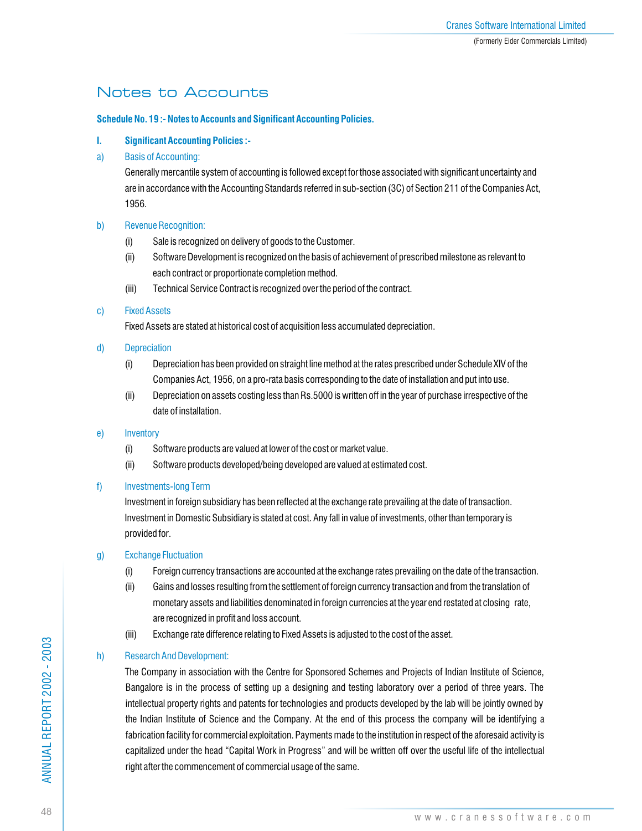## Notes to Accounts

## **Schedule No. 19 :- Notes to Accounts and Significant Accounting Policies.**

- **I. Significant Accounting Policies :-**
- a) Basis of Accounting:

Generally mercantile system of accounting is followed except for those associated with significant uncertainty and are in accordance with the Accounting Standards referred in sub-section (3C) of Section 211 of the Companies Act, 1956.

## b) Revenue Recognition:

- (i) Sale is recognized on delivery of goods to the Customer.
- (ii) Software Development is recognized on the basis of achievement of prescribed milestone as relevant to each contract or proportionate completion method.
- (iii) Technical Service Contract is recognized over the period of the contract.

## c) Fixed Assets

Fixed Assets are stated at historical cost of acquisition less accumulated depreciation.

- d) Depreciation
	- (i) Depreciation has been provided on straight line method at the rates prescribed under Schedule XIV of the Companies Act, 1956, on a pro-rata basis corresponding to the date of installation and put into use.
	- (ii) Depreciation on assets costing less than Rs.5000 is written off in the year of purchase irrespective of the date of installation.

### e) Inventory

- (i) Software products are valued at lower of the cost or market value.
- (ii) Software products developed/being developed are valued at estimated cost.

## f) Investments-long Term

Investment in foreign subsidiary has been reflected at the exchange rate prevailing at the date of transaction. Investment in Domestic Subsidiary is stated at cost. Any fall in value of investments, other than temporary is provided for.

## g) Exchange Fluctuation

- (i) Foreign currency transactions are accounted at the exchange rates prevailing on the date of the transaction.
- (ii) Gains and losses resulting from the settlement of foreign currency transaction and from the translation of monetary assets and liabilities denominated in foreign currencies at the year end restated at closing rate, are recognized in profit and loss account.
- (iii) Exchange rate difference relating to Fixed Assets is adjusted to the cost of the asset.

## h) Research And Development:

The Company in association with the Centre for Sponsored Schemes and Projects of Indian Institute of Science, Bangalore is in the process of setting up a designing and testing laboratory over a period of three years. The intellectual property rights and patents for technologies and products developed by the lab will be jointly owned by the Indian Institute of Science and the Company. At the end of this process the company will be identifying a fabrication facility for commercial exploitation. Payments made to the institution in respect of the aforesaid activity is capitalized under the head "Capital Work in Progress" and will be written off over the useful life of the intellectual right after the commencement of commercial usage of the same.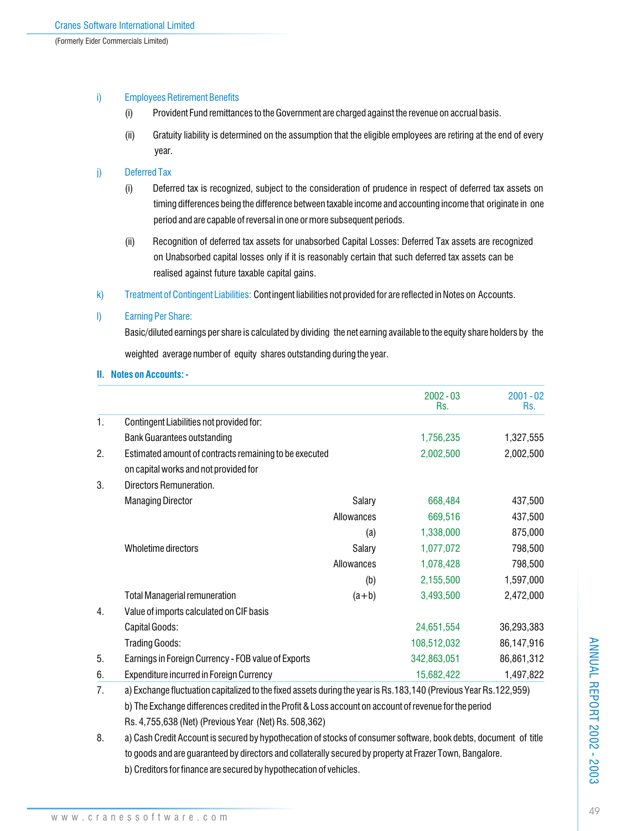## i) Employees Retirement Benefits

- (i) Provident Fund remittances to the Government are charged against the revenue on accrual basis.
- (ii) Gratuity liability is determined on the assumption that the eligible employees are retiring at the end of every year.

## j) Deferred Tax

- (i) Deferred tax is recognized, subject to the consideration of prudence in respect of deferred tax assets on timing differences being the difference between taxable income and accounting income that originate in one period and are capable of reversal in one or more subsequent periods.
- (ii) Recognition of deferred tax assets for unabsorbed Capital Losses: Deferred Tax assets are recognized on Unabsorbed capital losses only if it is reasonably certain that such deferred tax assets can be realised against future taxable capital gains.
- k) Freatment of Contingent Liabilities: **Contingent liabilities not provided for are reflected in Notes on Accounts.**

## l) Earning Per Share:

Basic/diluted earnings per share is calculated by dividing the net earning available to the equity share holders by the weighted average number of equity shares outstanding during the year.

## **II. Notes on Accounts: -**

|                |                                                                                                                  |            | $2002 - 03$<br>Rs. | $2001 - 02$<br>Rs. |
|----------------|------------------------------------------------------------------------------------------------------------------|------------|--------------------|--------------------|
| $\mathbf{1}$ . | Contingent Liabilities not provided for:                                                                         |            |                    |                    |
|                | <b>Bank Guarantees outstanding</b>                                                                               |            | 1,756,235          | 1,327,555          |
| 2.             | Estimated amount of contracts remaining to be executed                                                           |            | 2,002,500          | 2,002,500          |
|                | on capital works and not provided for                                                                            |            |                    |                    |
| 3.             | Directors Remuneration.                                                                                          |            |                    |                    |
|                | <b>Managing Director</b>                                                                                         | Salary     | 668,484            | 437,500            |
|                |                                                                                                                  | Allowances | 669,516            | 437,500            |
|                |                                                                                                                  | (a)        | 1,338,000          | 875,000            |
|                | Wholetime directors                                                                                              | Salary     | 1,077,072          | 798,500            |
|                |                                                                                                                  | Allowances | 1,078,428          | 798,500            |
|                |                                                                                                                  | (b)        | 2,155,500          | 1,597,000          |
|                | <b>Total Managerial remuneration</b>                                                                             | $(a+b)$    | 3,493,500          | 2,472,000          |
| 4.             | Value of imports calculated on CIF basis                                                                         |            |                    |                    |
|                | Capital Goods:                                                                                                   |            | 24,651,554         | 36,293,383         |
|                | <b>Trading Goods:</b>                                                                                            |            | 108,512,032        | 86,147,916         |
| 5.             | Earnings in Foreign Currency - FOB value of Exports                                                              |            | 342,863,051        | 86,861,312         |
| 6.             | <b>Expenditure incurred in Foreign Currency</b>                                                                  |            | 15,682,422         | 1,497,822          |
| 7              | a) Exchange fluctuation capitalized to the fixed accets during the vear is Rs 188 140 (Previous Vear Rs 199 050) |            |                    |                    |

7. a) Exchange fluctuation capitalized to the fixed assets during the year is Rs.183,140 (Previous Year Rs.122,959) b) The Exchange differences credited in the Profit & Loss account on account of revenue for the period Rs. 4,755,638 (Net) (Previous Year (Net) Rs. 508,362)

8. a) Cash Credit Account is secured by hypothecation of stocks of consumer software, book debts, document of title to goods and are guaranteed by directors and collaterally secured by property at Frazer Town, Bangalore. b) Creditors for finance are secured by hypothecation of vehicles.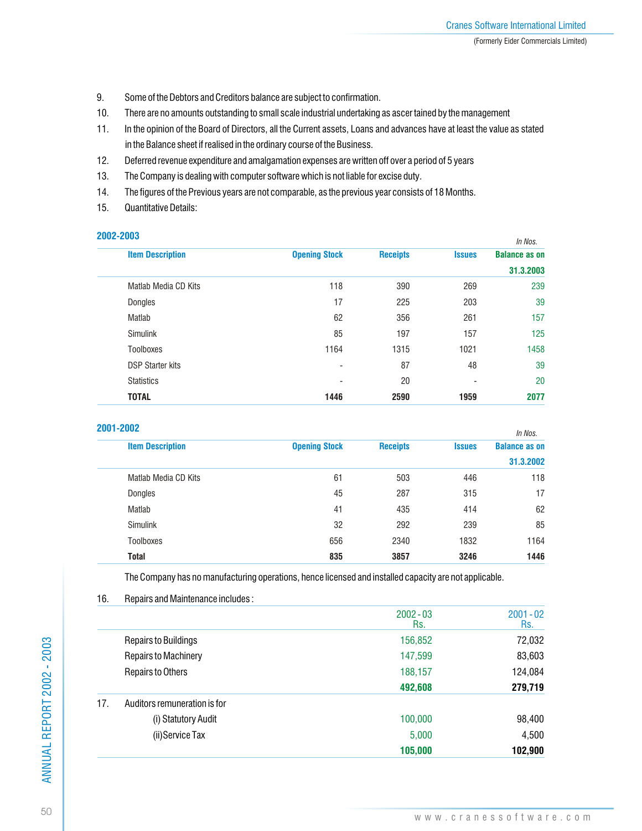- 9. Some of the Debtors and Creditors balance are subject to confirmation.
- 10. There are no amounts outstanding to small scale industrial undertaking as ascer tained by the management
- 11. In the opinion of the Board of Directors, all the Current assets, Loans and advances have at least the value as stated in the Balance sheet if realised in the ordinary course of the Business.
- 12. Deferred revenue expenditure and amalgamation expenses are written off over a period of 5 years
- 13. The Company is dealing with computer software which is not liable for excise duty.
- 14. The figures of the Previous years are not comparable, as the previous year consists of 18 Months.
- 15. Quantitative Details:

| 2002-2003               |                          |                 |               | In Nos.              |
|-------------------------|--------------------------|-----------------|---------------|----------------------|
| <b>Item Description</b> | <b>Opening Stock</b>     | <b>Receipts</b> | <b>Issues</b> | <b>Balance as on</b> |
|                         |                          |                 |               | 31.3.2003            |
| Matlab Media CD Kits    | 118                      | 390             | 269           | 239                  |
| Dongles                 | 17                       | 225             | 203           | 39                   |
| Matlab                  | 62                       | 356             | 261           | 157                  |
| <b>Simulink</b>         | 85                       | 197             | 157           | 125                  |
| <b>Toolboxes</b>        | 1164                     | 1315            | 1021          | 1458                 |
| <b>DSP Starter kits</b> | $\overline{\phantom{a}}$ | 87              | 48            | 39                   |
| <b>Statistics</b>       | $\blacksquare$           | 20              | ۰             | 20                   |
| <b>TOTAL</b>            | 1446                     | 2590            | 1959          | 2077                 |

| Ir |  |  |
|----|--|--|
|    |  |  |
|    |  |  |

| .                       |                      |                 |               | In Nos.              |
|-------------------------|----------------------|-----------------|---------------|----------------------|
| <b>Item Description</b> | <b>Opening Stock</b> | <b>Receipts</b> | <b>Issues</b> | <b>Balance as on</b> |
|                         |                      |                 |               | 31.3.2002            |
| Matlab Media CD Kits    | 61                   | 503             | 446           | 118                  |
| Dongles                 | 45                   | 287             | 315           | 17                   |
| Matlab                  | 41                   | 435             | 414           | 62                   |
| <b>Simulink</b>         | 32                   | 292             | 239           | 85                   |
| <b>Toolboxes</b>        | 656                  | 2340            | 1832          | 1164                 |
| <b>Total</b>            | 835                  | 3857            | 3246          | 1446                 |

The Company has no manufacturing operations, hence licensed and installed capacity are not applicable.

| 1 U. | <u>Hepails allu Mailliteilahtee illuluues.</u> |                    |                    |
|------|------------------------------------------------|--------------------|--------------------|
|      |                                                | $2002 - 03$<br>Rs. | $2001 - 02$<br>Rs. |
|      | <b>Repairs to Buildings</b>                    | 156,852            | 72,032             |
|      | <b>Repairs to Machinery</b>                    | 147,599            | 83,603             |
|      | Repairs to Others                              | 188,157            | 124,084            |
|      |                                                | 492,608            | 279,719            |
| 17.  | Auditors remuneration is for                   |                    |                    |
|      | (i) Statutory Audit                            | 100,000            | 98,400             |
|      | (ii)Service Tax                                | 5,000              | 4,500              |
|      |                                                | 105,000            | 102,900            |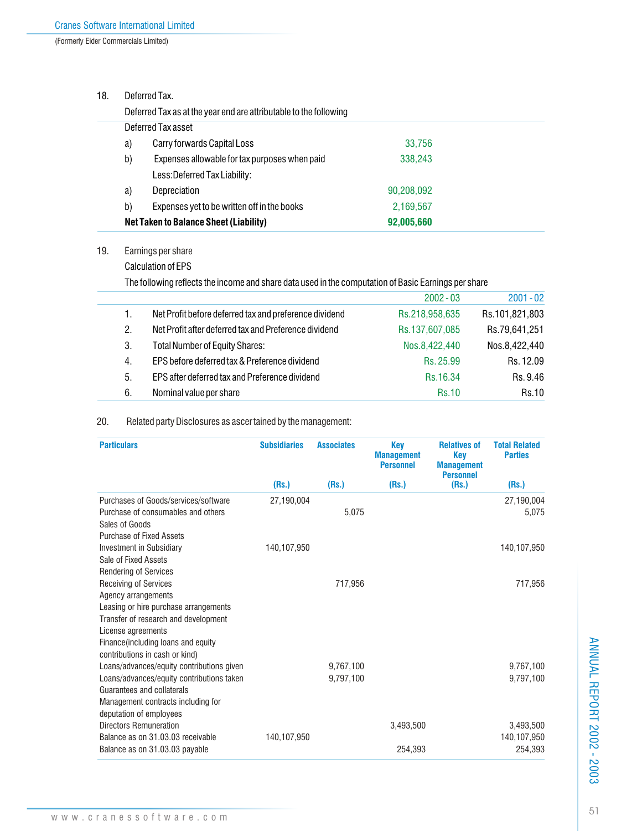(Formerly Eider Commercials Limited)

## 18. Deferred Tax.

|                                             | Deferred Tax as at the year end are attributable to the following |            |  |  |  |  |  |
|---------------------------------------------|-------------------------------------------------------------------|------------|--|--|--|--|--|
|                                             | Deferred Tax asset                                                |            |  |  |  |  |  |
| Carry forwards Capital Loss<br>33,756<br>a) |                                                                   |            |  |  |  |  |  |
| b)                                          | Expenses allowable for tax purposes when paid                     | 338,243    |  |  |  |  |  |
|                                             | Less: Deferred Tax Liability:                                     |            |  |  |  |  |  |
| a)                                          | Depreciation                                                      | 90,208,092 |  |  |  |  |  |
| b)                                          | Expenses yet to be written off in the books                       | 2,169,567  |  |  |  |  |  |
|                                             | Net Taken to Balance Sheet (Liability)<br>92,005,660              |            |  |  |  |  |  |

19. Earnings per share

Calculation of EPS

The following reflects the income and share data used in the computation of Basic Earnings per share

|    |                                                        | $2002 - 03$    | $2001 - 02$    |
|----|--------------------------------------------------------|----------------|----------------|
| 1. | Net Profit before deferred tax and preference dividend | Rs.218,958,635 | Rs.101,821,803 |
| 2. | Net Profit after deferred tax and Preference dividend  | Rs.137,607,085 | Rs.79,641,251  |
| 3. | <b>Total Number of Equity Shares:</b>                  | Nos.8,422,440  | Nos.8,422,440  |
| 4. | EPS before deferred tax & Preference dividend          | Rs. 25.99      | Rs. 12.09      |
| 5. | EPS after deferred tax and Preference dividend         | Rs.16.34       | Rs. 9.46       |
| 6. | Nominal value per share                                | <b>Rs.10</b>   | <b>Rs.10</b>   |

## 20. Related party Disclosures as ascer tained by the management:

| <b>Subsidiaries</b> | <b>Associates</b>      | <b>Key</b><br><b>Management</b><br><b>Personnel</b> | <b>Relatives of</b><br><b>Key</b><br><b>Management</b> | <b>Total Related</b><br><b>Parties</b> |
|---------------------|------------------------|-----------------------------------------------------|--------------------------------------------------------|----------------------------------------|
| (Rs.)               | (Rs.)                  | (Rs.)                                               | (Rs.)                                                  | (Rs.)                                  |
| 27,190,004          | 5,075                  |                                                     |                                                        | 27,190,004<br>5,075                    |
| 140,107,950         |                        |                                                     |                                                        | 140,107,950                            |
|                     | 717,956                |                                                     |                                                        | 717,956                                |
|                     | 9.767.100<br>9,797,100 |                                                     |                                                        | 9,767,100<br>9,797,100                 |
| 140,107,950         |                        | 3.493.500                                           |                                                        | 3,493,500<br>140,107,950<br>254,393    |
|                     |                        |                                                     | 254,393                                                | <b>Personnel</b>                       |

ANNUAL REPORT 2002 - 2003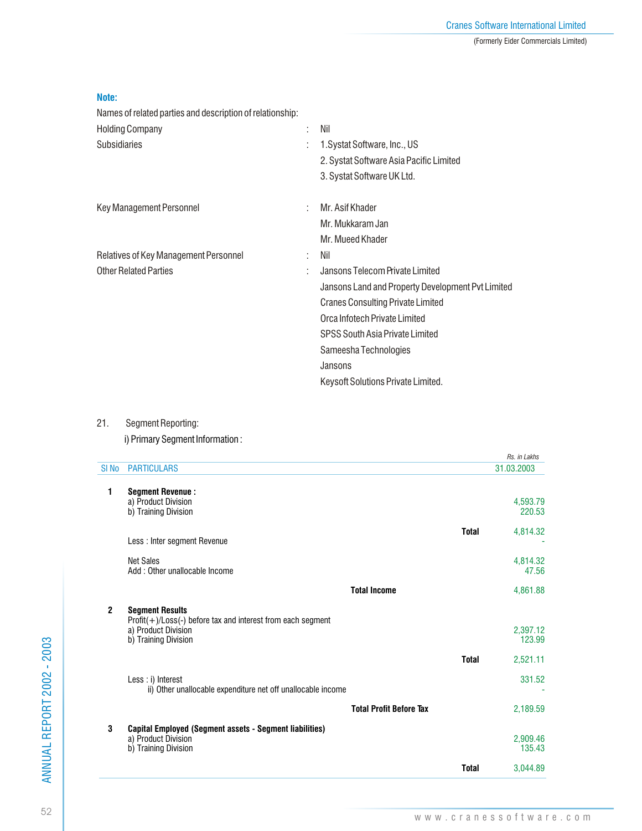| _____ |  |
|-------|--|

Names of related parties and description of relationship:

| <b>Holding Company</b>                | . Nil<br>t.                                       |
|---------------------------------------|---------------------------------------------------|
| <b>Subsidiaries</b>                   | 1. Systat Software, Inc., US                      |
|                                       | 2. Systat Software Asia Pacific Limited           |
|                                       | 3. Systat Software UK Ltd.                        |
| <b>Key Management Personnel</b>       | Mr. Asif Khader<br>÷                              |
|                                       | Mr. Mukkaram Jan                                  |
|                                       | Mr. Mueed Khader                                  |
| Relatives of Key Management Personnel | Nil                                               |
| <b>Other Related Parties</b>          | Jansons Telecom Private Limited                   |
|                                       | Jansons Land and Property Development Pvt Limited |
|                                       | <b>Cranes Consulting Private Limited</b>          |
|                                       | Orca Infotech Private Limited                     |
|                                       | SPSS South Asia Private Limited                   |
|                                       | Sameesha Technologies                             |
|                                       | Jansons                                           |
|                                       | Keysoft Solutions Private Limited.                |

## 21. Segment Reporting:

i) Primary Segment Information :

|                  |                                                                                                                                          |              | Rs. in Lakhs                   |
|------------------|------------------------------------------------------------------------------------------------------------------------------------------|--------------|--------------------------------|
| SI <sub>No</sub> | <b>PARTICULARS</b>                                                                                                                       |              | 31.03.2003                     |
| $\mathbf{1}$     | <b>Segment Revenue:</b><br>a) Product Division<br>b) Training Division                                                                   |              | 4,593.79<br>220.53             |
|                  | Less: Inter segment Revenue                                                                                                              | <b>Total</b> | 4,814.32                       |
|                  | <b>Net Sales</b><br>Add: Other unallocable Income                                                                                        |              | 4,814.32<br>47.56              |
|                  | <b>Total Income</b>                                                                                                                      |              | 4,861.88                       |
| $\mathbf{2}$     | <b>Segment Results</b><br>$Profit(+) / Loss(-)$ before tax and interest from each segment<br>a) Product Division<br>b) Training Division | <b>Total</b> | 2,397.12<br>123.99<br>2,521.11 |
|                  | Less : i) Interest<br>ii) Other unallocable expenditure net off unallocable income                                                       |              | 331.52                         |
|                  | <b>Total Profit Before Tax</b>                                                                                                           |              | 2,189.59                       |
| 3                | Capital Employed (Segment assets - Segment liabilities)<br>a) Product Division<br>b) Training Division                                   |              | 2,909.46<br>135.43             |
|                  |                                                                                                                                          | <b>Total</b> | 3,044.89                       |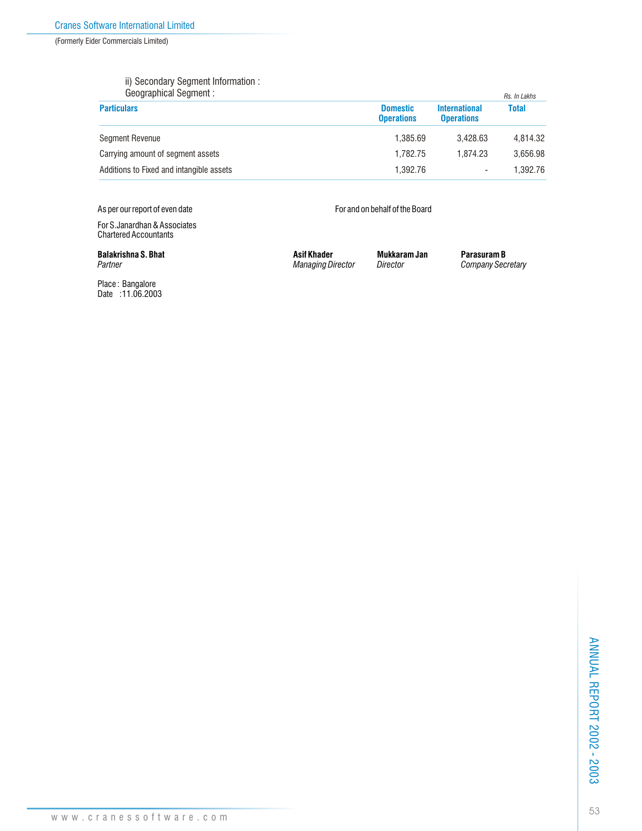(Formerly Eider Commercials Limited)

### ii) Secondary Segment Information :

| Geographical Segment :                   |                                      |                                           | Rs. In Lakhs |
|------------------------------------------|--------------------------------------|-------------------------------------------|--------------|
| <b>Particulars</b>                       | <b>Domestic</b><br><b>Operations</b> | <b>International</b><br><b>Operations</b> | <b>Total</b> |
| <b>Segment Revenue</b>                   | 1.385.69                             | 3.428.63                                  | 4.814.32     |
| Carrying amount of segment assets        | 1.782.75                             | 1.874.23                                  | 3.656.98     |
| Additions to Fixed and intangible assets | 1.392.76                             |                                           | 1.392.76     |

As per our report of even date **For and on behalf of the Board** 

For S.Janardhan & Associates Chartered Accountants

Place : Bangalore Date :11.06.2003

**Balakrishna S. Bhat Asif Khader Mukkaram Jan Parasuram B**<br>Partner Maraging Director Director Company Sec.

*Partner Managing Director Director Company Secretary*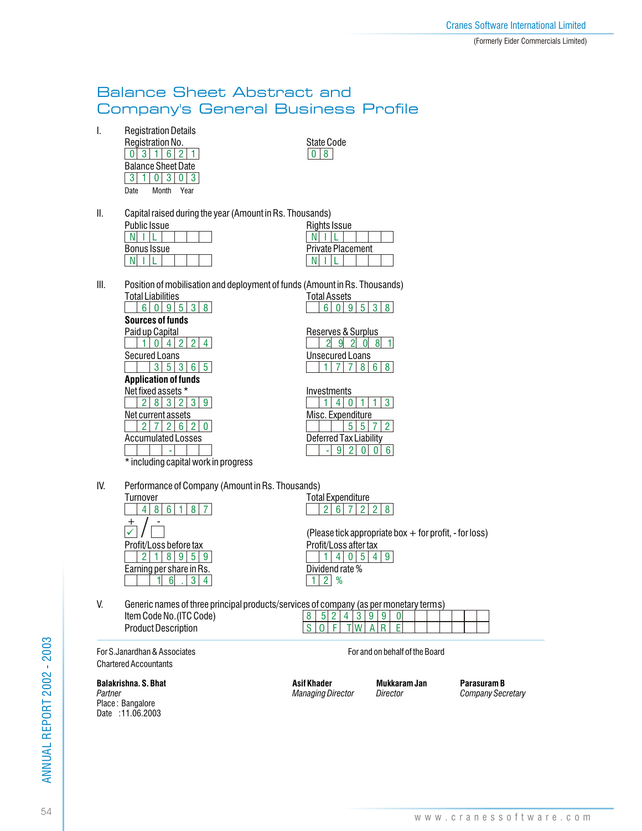## Balance Sheet Abstract and Company's General Business Profile

I. Registration Details

| Registration No.          | State ( |
|---------------------------|---------|
| 3 1 6 2 1                 |         |
| <b>Balance Sheet Date</b> |         |
| 3 1 0 3 0 3               |         |
| Month<br>Date<br>Year     |         |

State Code<br> $\boxed{0|8}$ 

II. Capital raised during the year (Amount in Rs. Thousands)

| Public Issue       | Rights Issue             |  |  |  |
|--------------------|--------------------------|--|--|--|
|                    |                          |  |  |  |
| <b>Bonus Issue</b> | <b>Private Placement</b> |  |  |  |
|                    |                          |  |  |  |

|                          | usanus)             |  |  |  |  |  |  |  |
|--------------------------|---------------------|--|--|--|--|--|--|--|
|                          | <b>Rights Issue</b> |  |  |  |  |  |  |  |
|                          |                     |  |  |  |  |  |  |  |
| <b>Private Placement</b> |                     |  |  |  |  |  |  |  |
|                          |                     |  |  |  |  |  |  |  |
|                          |                     |  |  |  |  |  |  |  |

III. Position of mobilisation and deployment of funds (Amount in Rs. Thousands) **Total Assets** 

|                                            | .                      |
|--------------------------------------------|------------------------|
| ჩ                                          | Բ                      |
| <b>Sources of funds</b>                    |                        |
| Paid up Capital                            | Reserves & Surplus     |
|                                            | 9                      |
| Secured Loans                              | <b>Unsecured Loans</b> |
|                                            | 8                      |
| <b>Application of funds</b>                |                        |
| Net fixed assets *                         | Investments            |
| 9                                          | 3                      |
| Net current assets                         | Misc. Expenditure      |
|                                            |                        |
| <b>Accumulated Losses</b>                  | Deferred Tax Liability |
|                                            | 6                      |
| $\star$ inoluding conital work in programs |                        |

| Reserves & Surplus | q | 2 |      |  |
|--------------------|---|---|------|--|
| Unsecured Loans    |   |   |      |  |
|                    |   |   | 7868 |  |
| Investments        |   |   |      |  |
|                    |   |   |      |  |
|                    |   |   |      |  |

including capital work in progress

IV. Performance of Company (Amount in Rs. Thousands)

| Turnover                 |  |       |     |                |  |
|--------------------------|--|-------|-----|----------------|--|
|                          |  | 8 6 1 |     | $\overline{8}$ |  |
| Profit/Loss before tax   |  |       |     |                |  |
| 2 <sup>1</sup>           |  |       | 895 |                |  |
| Earning per share in Rs. |  |       |     |                |  |
|                          |  |       |     |                |  |

Total Expenditure  $|2|6|7|2|28$ 

(Please tick appropriate box + for profit, - for loss) Profit/Loss after tax Dividend rate %  $|1|4|0|5|4|9|$ 12 %

V. Generic names of three principal products/services of company (as per monetary terms) Item Code No.(ITC Code) 8 | 5 | 2 | 4 | 3 | 9 | 9 | 0

Product Description For S.Janardhan & Associates For and on behalf of the Board

|  | S O FTWAR |  |  |  |  |  |
|--|-----------|--|--|--|--|--|
|  |           |  |  |  |  |  |
|  |           |  |  |  |  |  |

Chartered Accountants

Place : Bangalore Date : 11.06.2003

**Balakrishna. S. Bhat Asif Khader Mukkaram Jan Parasuram B**<br>Partner Maraging Director Director Company Sec.

*Partner Managing Director Director Company Secretary*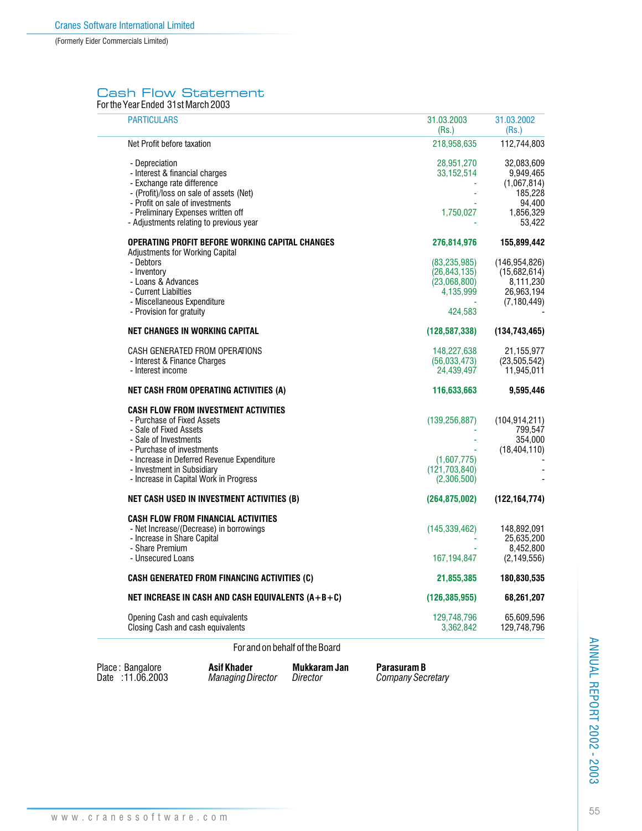## Cash Flow Statement

For the Year Ended 31st March 2003

| <b>PARTICULARS</b>                                                                                                                                                                                                                                                              | 31.03.2003<br>(Rs.)                                                      | 31.03.2002<br>(Rs.)                                                                |
|---------------------------------------------------------------------------------------------------------------------------------------------------------------------------------------------------------------------------------------------------------------------------------|--------------------------------------------------------------------------|------------------------------------------------------------------------------------|
| Net Profit before taxation                                                                                                                                                                                                                                                      | 218,958,635                                                              | 112,744,803                                                                        |
| - Depreciation<br>- Interest & financial charges<br>- Exchange rate difference<br>- (Profit)/loss on sale of assets (Net)<br>- Profit on sale of investments<br>- Preliminary Expenses written off<br>- Adjustments relating to previous year                                   | 28,951,270<br>33, 152, 514<br>1,750,027                                  | 32,083,609<br>9,949,465<br>(1,067,814)<br>185,228<br>94,400<br>1,856,329<br>53,422 |
| OPERATING PROFIT BEFORE WORKING CAPITAL CHANGES                                                                                                                                                                                                                                 | 276,814,976                                                              | 155,899,442                                                                        |
| <b>Adjustments for Working Capital</b><br>- Debtors<br>- Inventory<br>- Loans & Advances<br>- Current Liabilties<br>- Miscellaneous Expenditure<br>- Provision for gratuity                                                                                                     | (83, 235, 985)<br>(26, 843, 135)<br>(23,068,800)<br>4,135,999<br>424.583 | (146, 954, 826)<br>(15,682,614)<br>8,111,230<br>26,963,194<br>(7, 180, 449)        |
| <b>NET CHANGES IN WORKING CAPITAL</b>                                                                                                                                                                                                                                           | (128, 587, 338)                                                          | (134, 743, 465)                                                                    |
| CASH GENERATED FROM OPERATIONS<br>- Interest & Finance Charges<br>- Interest income                                                                                                                                                                                             | 148,227,638<br>(56,033,473)<br>24,439,497                                | 21,155,977<br>(23,505,542)<br>11,945,011                                           |
| NET CASH FROM OPERATING ACTIVITIES (A)                                                                                                                                                                                                                                          | 116,633,663                                                              | 9,595,446                                                                          |
| <b>CASH FLOW FROM INVESTMENT ACTIVITIES</b><br>- Purchase of Fixed Assets<br>- Sale of Fixed Assets<br>- Sale of Investments<br>- Purchase of investments<br>- Increase in Deferred Revenue Expenditure<br>- Investment in Subsidiary<br>- Increase in Capital Work in Progress | (139, 256, 887)<br>(1,607,775)<br>(121,703,840)<br>(2,306,500)           | (104, 914, 211)<br>799,547<br>354,000<br>(18, 404, 110)                            |
| NET CASH USED IN INVESTMENT ACTIVITIES (B)                                                                                                                                                                                                                                      | (264, 875, 002)                                                          | (122, 164, 774)                                                                    |
| <b>CASH FLOW FROM FINANCIAL ACTIVITIES</b><br>- Net Increase/(Decrease) in borrowings<br>- Increase in Share Capital<br>- Share Premium<br>- Unsecured Loans                                                                                                                    | (145, 339, 462)<br>167,194,847                                           | 148,892,091<br>25,635,200<br>8,452,800<br>(2, 149, 556)                            |
| <b>CASH GENERATED FROM FINANCING ACTIVITIES (C)</b>                                                                                                                                                                                                                             | 21,855,385                                                               | 180,830,535                                                                        |
| NET INCREASE IN CASH AND CASH EQUIVALENTS (A+B+C)                                                                                                                                                                                                                               | (126, 385, 955)                                                          | 68,261,207                                                                         |
| Opening Cash and cash equivalents<br>Closing Cash and cash equivalents                                                                                                                                                                                                          | 129,748,796<br>3,362,842                                                 | 65,609,596<br>129,748,796                                                          |

## For and on behalf of the Board

Place: Bangalore **Asif Khader Mukkaram Jan** Date : 11.06.2003 Managing Director Director

**Parasuram B**<br>*Company Secretary*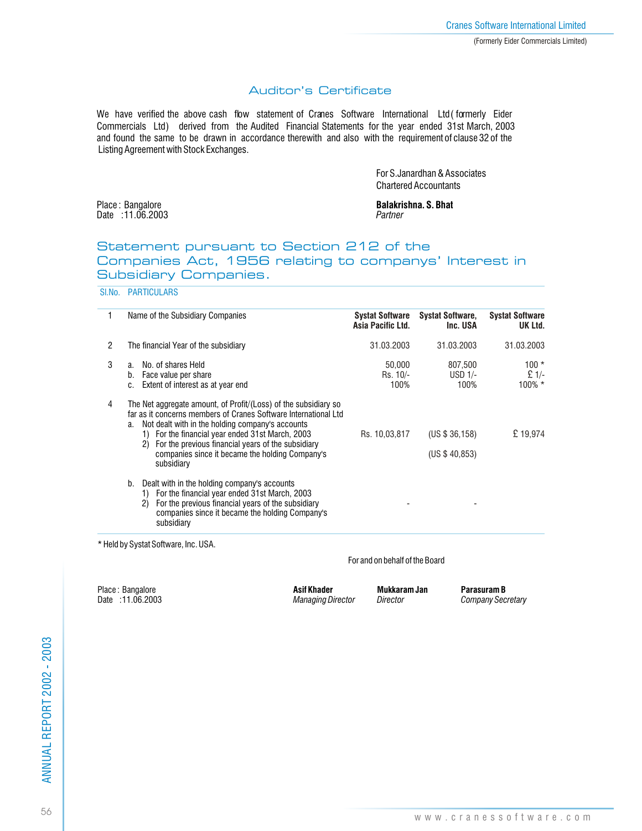## Auditor's Certificate

We have verified the above cash flow statement of Cranes Software International Ltd (formerly Eider Commercials Ltd) derived from the Audited Financial Statements for the year ended 31st March, 2003 and found the same to be drawn in accordance therewith and also with the requirement of clause 32 of the Listing Agreement with Stock Exchanges.

> For S.Janardhan & Associates Chartered Accountants

Date : 11.06.2003 *Partner*

Place : Bangalore **Balakrishna. S. Bhat Balakrishna. S. Bhat Balakrishna. S. Bhat Date : 11.06.2003** 

## Statement pursuant to Section 212 of the Companies Act, 1956 relating to companys' Interest in Subsidiary Companies.

Sl.No. PARTICULARS

| 1              | Name of the Subsidiary Companies                                                                                                                                                                                                                                                                                                                                              | <b>Systat Software</b><br>Asia Pacific Ltd. | <b>Systat Software,</b><br>Inc. USA | <b>Systat Software</b><br>UK Ltd. |
|----------------|-------------------------------------------------------------------------------------------------------------------------------------------------------------------------------------------------------------------------------------------------------------------------------------------------------------------------------------------------------------------------------|---------------------------------------------|-------------------------------------|-----------------------------------|
| $\overline{2}$ | The financial Year of the subsidiary                                                                                                                                                                                                                                                                                                                                          | 31.03.2003                                  | 31.03.2003                          | 31.03.2003                        |
| 3              | No. of shares Held<br>a.<br>Face value per share<br>b.<br>Extent of interest as at year end<br>C.                                                                                                                                                                                                                                                                             | 50.000<br>Rs. 10/-<br>100%                  | 807,500<br>$USD$ 1/-<br>100%        | $100 *$<br>$£ 1/-$<br>$100\%$ *   |
| 4              | The Net aggregate amount, of Profit/(Loss) of the subsidiary so<br>far as it concerns members of Cranes Software International Ltd<br>Not dealt with in the holding company's accounts<br>a.<br>1) For the financial year ended 31st March, 2003<br>For the previous financial years of the subsidiary<br>2)<br>companies since it became the holding Company's<br>subsidiary | Rs. 10.03.817                               | (US \$36,158)<br>(US \$40,853)      | £19.974                           |
|                | Dealt with in the holding company's accounts<br>b.<br>1) For the financial year ended 31st March, 2003<br>For the previous financial years of the subsidiary<br>2)<br>companies since it became the holding Company's<br>subsidiary                                                                                                                                           |                                             |                                     |                                   |

\* Held by Systat Software, Inc. USA.

#### For and on behalf of the Board

Place : Bangalore **Asif Khader Mukkaram Jan Parasuram B**<br>
Date :11.06.2003 **Asif Khader Managing Director** Director Company Sec.

 $Company$  Secretary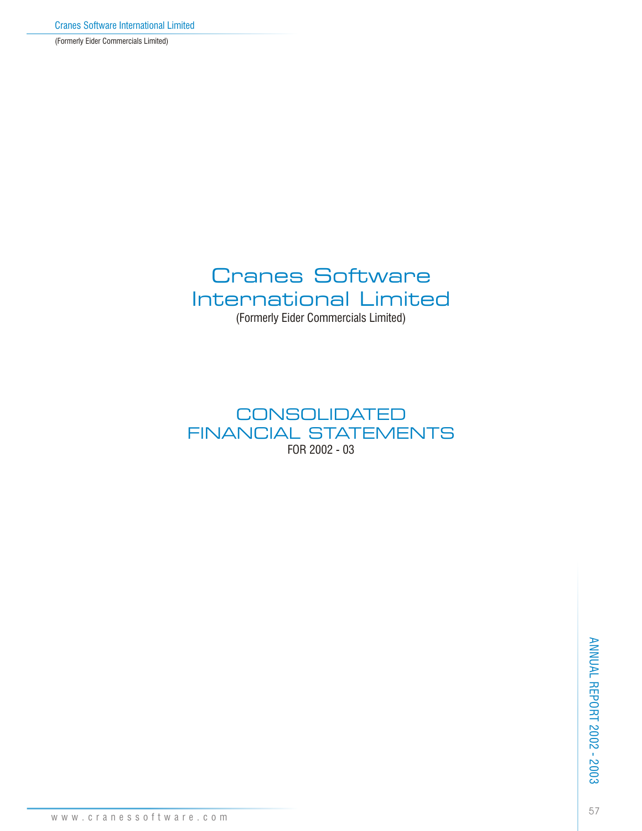(Formerly Eider Commercials Limited)

# Cranes Software International Limited (Formerly Eider Commercials Limited)

# **CONSOLIDATED** FINANCIAL STATEMENTS FOR 2002 - 03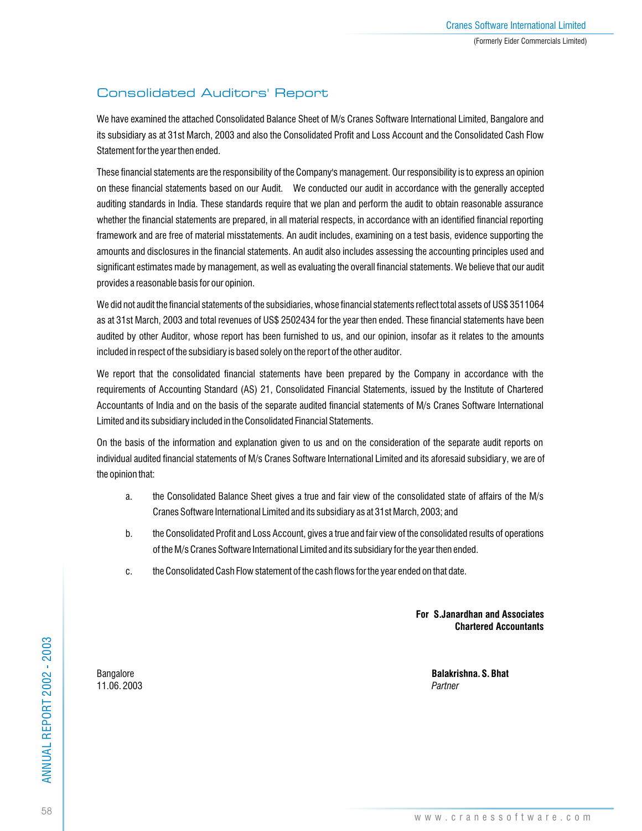## Consolidated Auditors' Report

We have examined the attached Consolidated Balance Sheet of M/s Cranes Software International Limited, Bangalore and its subsidiary as at 31st March, 2003 and also the Consolidated Profit and Loss Account and the Consolidated Cash Flow Statement for the year then ended.

These financial statements are the responsibility of the Company's management. Our responsibility is to express an opinion on these financial statements based on our Audit. We conducted our audit in accordance with the generally accepted auditing standards in India. These standards require that we plan and perform the audit to obtain reasonable assurance whether the financial statements are prepared, in all material respects, in accordance with an identified financial reporting framework and are free of material misstatements. An audit includes, examining on a test basis, evidence supporting the amounts and disclosures in the financial statements. An audit also includes assessing the accounting principles used and significant estimates made by management, as well as evaluating the overall financial statements. We believe that our audit provides a reasonable basis for our opinion.

We did not audit the financial statements of the subsidiaries, whose financial statements reflect total assets of US\$ 3511064 as at 31st March, 2003 and total revenues of US\$ 2502434 for the year then ended. These financial statements have been audited by other Auditor, whose report has been furnished to us, and our opinion, insofar as it relates to the amounts included in respect of the subsidiary is based solely on the report of the other auditor.

We report that the consolidated financial statements have been prepared by the Company in accordance with the requirements of Accounting Standard (AS) 21, Consolidated Financial Statements, issued by the Institute of Chartered Accountants of India and on the basis of the separate audited financial statements of M/s Cranes Software International Limited and its subsidiary included in the Consolidated Financial Statements.

On the basis of the information and explanation given to us and on the consideration of the separate audit reports on individual audited financial statements of M/s Cranes Software International Limited and its aforesaid subsidiary, we are of the opinion that:

- a. the Consolidated Balance Sheet gives a true and fair view of the consolidated state of affairs of the M/s Cranes Software International Limited and its subsidiary as at 31st March, 2003; and
- b. the Consolidated Profit and Loss Account, gives a true and fair view of the consolidated results of operations of the M/s Cranes Software International Limited and its subsidiary for the year then ended.
- c. the Consolidated Cash Flow statement of the cash flows for the year ended on that date.

**For S.Janardhan and Associates Chartered Accountants**

11.06. 2003 *Partner*

Bangalore **Balakrishna. S. Bhat**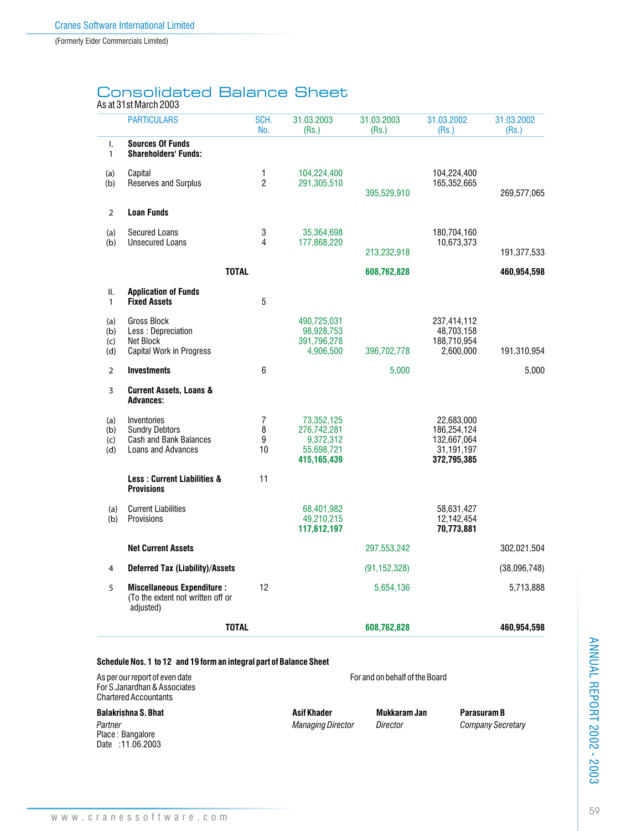# Consolidated Balance Sheet

## As at 31st March 2003

|                          | <b>PARTICULARS</b>                                                                                    | SCH.<br>No.         | 31.03.2003<br>(Rs.)                                                 | 31.03.2003<br>(Rs.)            | 31.03.2002<br>(Rs.)                                                   | 31.03.2002<br>(Rs.) |
|--------------------------|-------------------------------------------------------------------------------------------------------|---------------------|---------------------------------------------------------------------|--------------------------------|-----------------------------------------------------------------------|---------------------|
| I.<br>$\mathbf{1}$       | <b>Sources Of Funds</b><br><b>Shareholders' Funds:</b>                                                |                     |                                                                     |                                |                                                                       |                     |
| (a)<br>(b)               | Capital<br>Reserves and Surplus                                                                       | 1<br>$\overline{2}$ | 104,224,400<br>291,305,510                                          | 395,529,910                    | 104,224,400<br>165,352,665                                            | 269,577,065         |
| $\overline{2}$           | <b>Loan Funds</b>                                                                                     |                     |                                                                     |                                |                                                                       |                     |
| (a)<br>(b)               | <b>Secured Loans</b><br><b>Unsecured Loans</b>                                                        | 3<br>$\overline{4}$ | 35,364,698<br>177,868,220                                           | 213,232,918                    | 180,704,160<br>10,673,373                                             | 191,377,533         |
|                          | <b>TOTAL</b>                                                                                          |                     |                                                                     | 608,762,828                    |                                                                       | 460,954,598         |
| ΙΙ.<br>$\mathbf{1}$      | <b>Application of Funds</b><br><b>Fixed Assets</b>                                                    | 5                   |                                                                     |                                |                                                                       |                     |
| (a)<br>(b)<br>(c)<br>(d) | Gross Block<br>Less : Depreciation<br>Net Block<br>Capital Work in Progress                           |                     | 490,725,031<br>98,928,753<br>391,796,278<br>4,906,500               | 396,702,778                    | 237,414,112<br>48,703,158<br>188,710,954<br>2,600,000                 | 191,310,954         |
| $\overline{2}$           | <b>Investments</b>                                                                                    | 6                   |                                                                     | 5,000                          |                                                                       | 5,000               |
| 3                        | <b>Current Assets, Loans &amp;</b><br><b>Advances:</b>                                                |                     |                                                                     |                                |                                                                       |                     |
| (a)<br>(b)<br>(c)<br>(d) | Inventories<br><b>Sundry Debtors</b><br><b>Cash and Bank Balances</b><br>Loans and Advances           | 7<br>8<br>9<br>10   | 73,352,125<br>276,742,281<br>9,372,312<br>55,698,721<br>415,165,439 |                                | 22,683,000<br>186,254,124<br>132,667,064<br>31,191,197<br>372,795,385 |                     |
|                          | <b>Less: Current Liabilities &amp;</b><br><b>Provisions</b>                                           | 11                  |                                                                     |                                |                                                                       |                     |
| (a)<br>(b)               | <b>Current Liabilities</b><br>Provisions                                                              |                     | 68,401,982<br>49,210,215<br>117,612,197                             |                                | 58,631,427<br>12,142,454<br>70,773,881                                |                     |
|                          | <b>Net Current Assets</b>                                                                             |                     |                                                                     | 297,553,242                    |                                                                       | 302,021,504         |
| 4                        | <b>Deferred Tax (Liability)/Assets</b>                                                                |                     |                                                                     | (91, 152, 328)                 |                                                                       | (38,096,748)        |
| 5                        | <b>Miscellaneous Expenditure:</b><br>(To the extent not written off or<br>adjusted)                   | 12                  |                                                                     | 5,654,136                      |                                                                       | 5,713,888           |
|                          | <b>TOTAL</b>                                                                                          |                     |                                                                     | 608,762,828                    |                                                                       | 460.954.598         |
|                          | Schedule Nos. 1 to 12 and 19 form an integral part of Balance Sheet<br>As per our report of even date |                     |                                                                     | For and on behalf of the Board |                                                                       |                     |

#### **Schedule Nos. 1 to 12 and 19 form an integral part of Balance Sheet**

| As per our report of even date |  |
|--------------------------------|--|
| For S. Janardhan & Associates  |  |
| <b>Chartered Accountants</b>   |  |

*Partner Managing Director Director Company Secretary* Place : Bangalore Date : 11.06.2003

**Balakrishna S. Bhat Asif Khader Mukkaram Jan Parasuram B**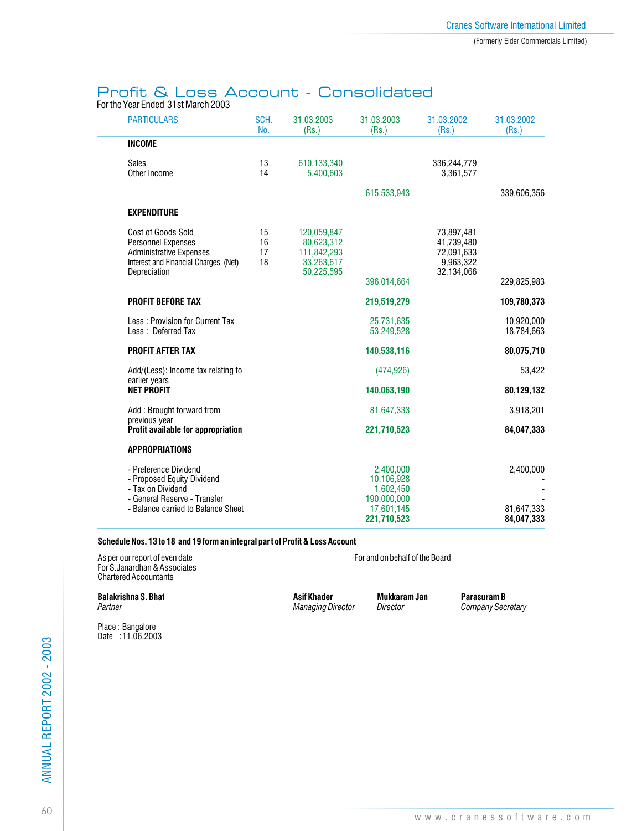## Profit & Loss Account - Consolidated

For the Year Ended 31st March 2003

| <b>PARTICULARS</b>                                                                                                                             | SCH.<br>No.          | 31.03.2003<br>(Rs.)                                                  | 31.03.2003<br>(Rs.)                                                              | 31.03.2002<br>(Rs.)                                               | 31.03.2002<br>(Rs.)                   |
|------------------------------------------------------------------------------------------------------------------------------------------------|----------------------|----------------------------------------------------------------------|----------------------------------------------------------------------------------|-------------------------------------------------------------------|---------------------------------------|
| <b>INCOME</b>                                                                                                                                  |                      |                                                                      |                                                                                  |                                                                   |                                       |
| <b>Sales</b><br>Other Income                                                                                                                   | 13<br>14             | 610,133,340<br>5.400.603                                             |                                                                                  | 336,244,779<br>3.361.577                                          |                                       |
|                                                                                                                                                |                      |                                                                      | 615,533,943                                                                      |                                                                   | 339,606,356                           |
| <b>EXPENDITURE</b>                                                                                                                             |                      |                                                                      |                                                                                  |                                                                   |                                       |
| Cost of Goods Sold<br><b>Personnel Expenses</b><br><b>Administrative Expenses</b><br>Interest and Financial Charges (Net)<br>Depreciation      | 15<br>16<br>17<br>18 | 120,059,847<br>80,623,312<br>111,842,293<br>33.263.617<br>50,225,595 | 396,014,664                                                                      | 73,897,481<br>41,739,480<br>72,091,633<br>9.963.322<br>32,134,066 | 229,825,983                           |
| <b>PROFIT BEFORE TAX</b>                                                                                                                       |                      |                                                                      | 219,519,279                                                                      |                                                                   | 109,780,373                           |
| Less: Provision for Current Tax<br>Less: Deferred Tax                                                                                          |                      |                                                                      | 25,731,635<br>53,249,528                                                         |                                                                   | 10,920,000<br>18.784.663              |
| <b>PROFIT AFTER TAX</b>                                                                                                                        |                      |                                                                      | 140,538,116                                                                      |                                                                   | 80,075,710                            |
| Add/(Less): Income tax relating to                                                                                                             |                      |                                                                      | (474, 926)                                                                       |                                                                   | 53,422                                |
| earlier years<br><b>NET PROFIT</b>                                                                                                             |                      |                                                                      | 140,063,190                                                                      |                                                                   | 80,129,132                            |
| Add: Brought forward from                                                                                                                      |                      |                                                                      | 81,647,333                                                                       |                                                                   | 3,918,201                             |
| previous year<br>Profit available for appropriation                                                                                            |                      |                                                                      | 221,710,523                                                                      |                                                                   | 84,047,333                            |
| <b>APPROPRIATIONS</b>                                                                                                                          |                      |                                                                      |                                                                                  |                                                                   |                                       |
| - Preference Dividend<br>- Proposed Equity Dividend<br>- Tax on Dividend<br>- General Reserve - Transfer<br>- Balance carried to Balance Sheet |                      |                                                                      | 2,400,000<br>10,106,928<br>1,602,450<br>190,000,000<br>17,601,145<br>221,710,523 |                                                                   | 2,400,000<br>81,647,333<br>84,047,333 |

#### **Schedule Nos. 13 to 18 and 19 form an integral part of Profit & Loss Account**

As per our report of even date For and on behalf of the Board For S.Janardhan & Associates Chartered Accountants

**Balakrishna S. Bhat Character States Asif Khader States Asif Khader Mukkaram Jan Parasuram B**<br>Partner Company Sec.

*Partner Managing Director Director Company Secretary*

Place : Bangalore Date : 11.06.2003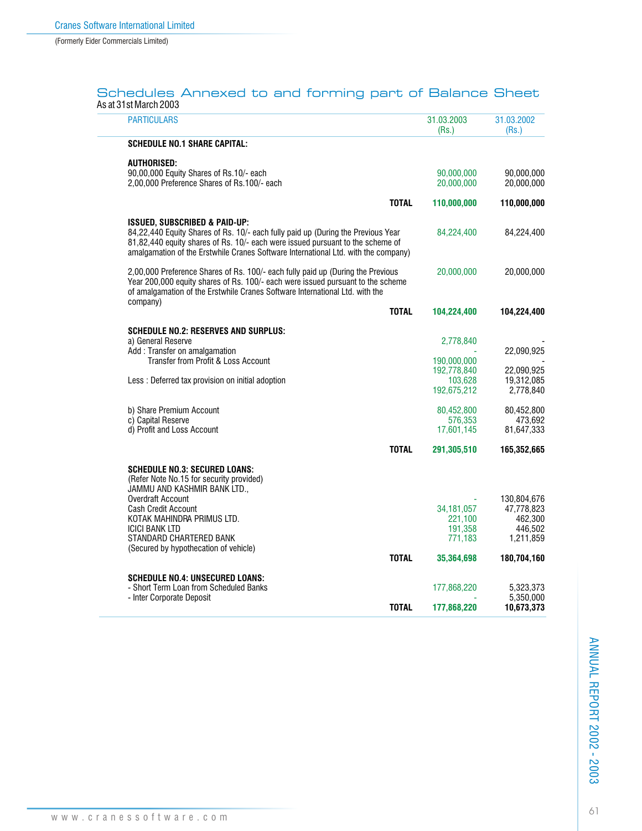| Schedules Annexed to and forming part of Balance Sheet |  |  |  |
|--------------------------------------------------------|--|--|--|
| As at 31st March 2003                                  |  |  |  |

| <b>PARTICULARS</b>                                                                                                                                                                                                                                                                                             | 31.03.2003<br>(Rs.)                                         | 31.03.2002<br>(Rs.)                                                         |
|----------------------------------------------------------------------------------------------------------------------------------------------------------------------------------------------------------------------------------------------------------------------------------------------------------------|-------------------------------------------------------------|-----------------------------------------------------------------------------|
| <b>SCHEDULE NO.1 SHARE CAPITAL:</b>                                                                                                                                                                                                                                                                            |                                                             |                                                                             |
| <b>AUTHORISED:</b><br>90,00,000 Equity Shares of Rs.10/- each<br>2,00,000 Preference Shares of Rs.100/- each                                                                                                                                                                                                   | 90,000,000<br>20,000,000                                    | 90,000,000<br>20,000,000                                                    |
| <b>TOTAL</b>                                                                                                                                                                                                                                                                                                   | 110,000,000                                                 | 110,000,000                                                                 |
| <b>ISSUED, SUBSCRIBED &amp; PAID-UP:</b><br>84,22,440 Equity Shares of Rs. 10/- each fully paid up (During the Previous Year<br>81,82,440 equity shares of Rs. 10/- each were issued pursuant to the scheme of<br>amalgamation of the Erstwhile Cranes Software International Ltd. with the company)           | 84,224,400                                                  | 84,224,400                                                                  |
| 2,00,000 Preference Shares of Rs. 100/- each fully paid up (During the Previous<br>Year 200,000 equity shares of Rs. 100/- each were issued pursuant to the scheme<br>of amalgamation of the Erstwhile Cranes Software International Ltd. with the<br>company)                                                 | 20,000,000                                                  | 20,000,000                                                                  |
| <b>TOTAL</b>                                                                                                                                                                                                                                                                                                   | 104,224,400                                                 | 104,224,400                                                                 |
| <b>SCHEDULE NO.2: RESERVES AND SURPLUS:</b><br>a) General Reserve<br>Add: Transfer on amalgamation<br>Transfer from Profit & Loss Account                                                                                                                                                                      | 2,778,840<br>190,000,000                                    | 22,090,925                                                                  |
| Less : Deferred tax provision on initial adoption                                                                                                                                                                                                                                                              | 192,778,840<br>103.628<br>192,675,212                       | 22,090,925<br>19,312,085<br>2,778,840                                       |
| b) Share Premium Account<br>c) Capital Reserve<br>d) Profit and Loss Account                                                                                                                                                                                                                                   | 80,452,800<br>576,353<br>17,601,145                         | 80,452,800<br>473,692<br>81,647,333                                         |
| <b>TOTAL</b>                                                                                                                                                                                                                                                                                                   | 291,305,510                                                 | 165,352,665                                                                 |
| <b>SCHEDULE NO.3: SECURED LOANS:</b><br>(Refer Note No.15 for security provided)<br>JAMMU AND KASHMIR BANK LTD.,<br>Overdraft Account<br><b>Cash Credit Account</b><br>KOTAK MAHINDRA PRIMUS LTD.<br><b>ICICI BANK LTD</b><br>STANDARD CHARTERED BANK<br>(Secured by hypothecation of vehicle)<br><b>TOTAL</b> | 34, 181, 057<br>221,100<br>191,358<br>771,183<br>35,364,698 | 130,804,676<br>47,778,823<br>462,300<br>446.502<br>1,211,859<br>180,704,160 |
| <b>SCHEDULE NO.4: UNSECURED LOANS:</b><br>- Short Term Loan from Scheduled Banks<br>- Inter Corporate Deposit<br><b>TOTAL</b>                                                                                                                                                                                  | 177,868,220<br>177,868,220                                  | 5,323,373<br>5,350,000<br>10,673,373                                        |
|                                                                                                                                                                                                                                                                                                                |                                                             |                                                                             |

ANNUAL REPORT 2002 - 2003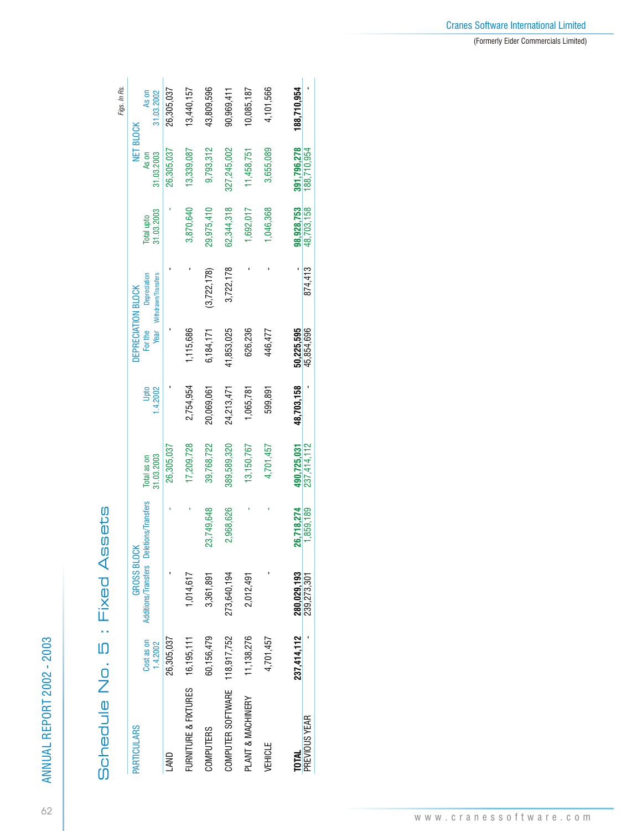| c         |
|-----------|
| ہ<br>ہ    |
|           |
| I         |
| ı         |
| ť         |
| i         |
| $\mathbf$ |
| ť         |
|           |
|           |
| ť<br>Ξ    |
| Ó         |
|           |
| с<br>r    |
|           |
|           |
|           |
|           |
|           |
|           |
|           |
| ¢         |
|           |

62

| ļ |
|---|
|   |
|   |
|   |
|   |

|                      |                        |                                                               |            |                           |            |                                       |                                     |                          |                                  | Figs. In Rs.        |
|----------------------|------------------------|---------------------------------------------------------------|------------|---------------------------|------------|---------------------------------------|-------------------------------------|--------------------------|----------------------------------|---------------------|
| PARTICULARS          | Cost as on<br>1.4.2002 | Additions/Transfers Deletions/Transfers<br><b>GROSS BLOCK</b> |            | 31.03.2003<br>Total as on | 1.4.2002   | DEPRECIATION BLOCK<br>For the<br>Year | Withdrawn/Transfers<br>Depreciation | 31.03.2003<br>Total upto | NET BLOCK<br>As on<br>31.03.2003 | As on<br>31.03.2002 |
| <b>AND</b>           | 26,305,037             |                                                               |            | 26,305,037                |            |                                       |                                     |                          | 26,305,037                       | 26,305,037          |
| FURNITURE & FIXTURES | 16,195,111             | 1,014,617                                                     |            | 17,209,728                | 2,754,954  | 1,115,686                             |                                     | 3,870,640                | 13,339,087                       | 13,440,157          |
| <b>COMPUTERS</b>     | 60,156,479             | 3,361,891                                                     | 23,749,648 | 39,768,722                | 20,069,061 | 6,184,171                             | (3,722,178)                         | 29,975,410               | 9,793,312                        | 43,809,596          |
| COMPUTER SOFTWARE    | 118,917,752            | 273,640,194                                                   | 2,968,626  | 389,589,320               | 24,213,471 | 41,853,025                            | 3,722,178                           | 62,344,318               | 327,245,002                      | 90,969,411          |
| PLANT & MACHINERY    | 11,138,276             | 2,012,491                                                     |            | 13,150,767                | 1,065,781  | 626,236                               |                                     | 1,692,017                | 11,458,751                       | 10,085,187          |
| <b>VEHICLE</b>       | 4,701,457              |                                                               |            | 4,701,457                 | 599,891    | 446,477                               |                                     | 1,046,368                | 3,655,089                        | 4,101,566           |
| <b>TOTAL</b>         | 237,414,112            | 280,029,193                                                   | 26,718,274 | 490,725,031               | 48,703,158 | 50,225,595                            |                                     | 98,928,753               | 391.796.278                      | 188,710,954         |
| PREVIOUS YEAR        |                        | 239,273,301                                                   | 1,859,189  | 237,414,112               |            | 45,854,696                            | 874,413                             | 48.703.158               | 188,710,954                      |                     |
|                      |                        |                                                               |            |                           |            |                                       |                                     |                          |                                  |                     |

## Cranes Software International Limited (Formerly Eider Commercials Limited)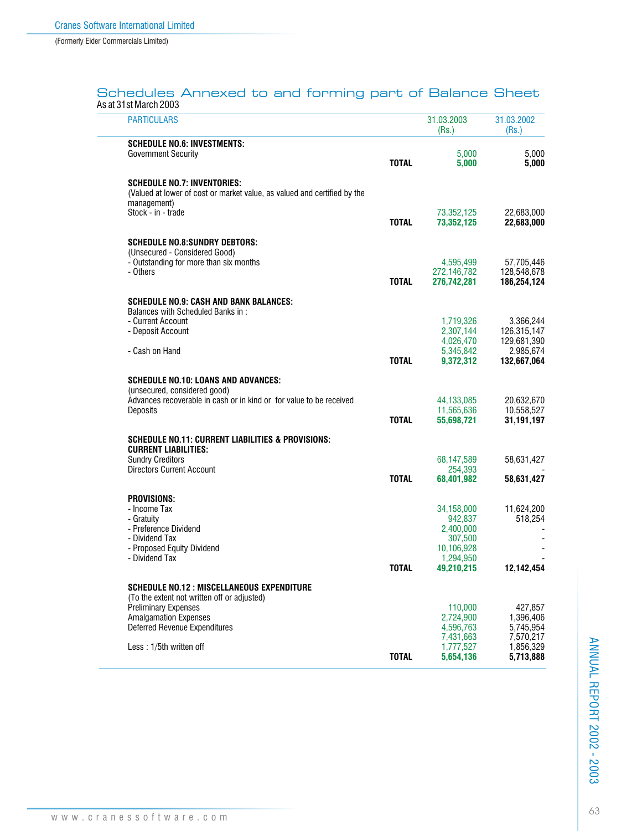## Schedules Annexed to and forming part of Balance Sheet As at 31st March 2003

| <b>PARTICULARS</b>                                                                          |              | 31.03.2003<br>(Rs.)      | 31.03.2002<br>(Rs.)        |
|---------------------------------------------------------------------------------------------|--------------|--------------------------|----------------------------|
| <b>SCHEDULE NO.6: INVESTMENTS:</b>                                                          |              |                          |                            |
| <b>Government Security</b>                                                                  | <b>TOTAL</b> | 5,000<br>5,000           | 5,000<br>5,000             |
| <b>SCHEDULE NO.7: INVENTORIES:</b>                                                          |              |                          |                            |
| (Valued at lower of cost or market value, as valued and certified by the<br>management)     |              |                          |                            |
| Stock - in - trade                                                                          | <b>TOTAL</b> | 73,352,125<br>73.352.125 | 22,683,000<br>22,683,000   |
|                                                                                             |              |                          |                            |
| <b>SCHEDULE NO.8:SUNDRY DEBTORS:</b><br>(Unsecured - Considered Good)                       |              |                          |                            |
| - Outstanding for more than six months<br>- Others                                          |              | 4,595,499<br>272,146,782 | 57,705,446<br>128,548,678  |
|                                                                                             | <b>TOTAL</b> | 276,742,281              | 186,254,124                |
| <b>SCHEDULE NO.9: CASH AND BANK BALANCES:</b>                                               |              |                          |                            |
| Balances with Scheduled Banks in:<br>- Current Account                                      |              | 1.719.326                | 3,366,244                  |
| - Deposit Account                                                                           |              | 2,307,144<br>4,026,470   | 126,315,147<br>129,681,390 |
| - Cash on Hand                                                                              | <b>TOTAL</b> | 5,345,842<br>9,372,312   | 2,985,674<br>132.667.064   |
| SCHEDULE NO.10: LOANS AND ADVANCES:                                                         |              |                          |                            |
| (unsecured, considered good)                                                                |              |                          |                            |
| Advances recoverable in cash or in kind or for value to be received<br>Deposits             |              | 44,133,085<br>11,565,636 | 20,632,670<br>10,558,527   |
|                                                                                             | <b>TOTAL</b> | 55,698,721               | 31,191,197                 |
| <b>SCHEDULE NO.11: CURRENT LIABILITIES &amp; PROVISIONS:</b><br><b>CURRENT LIABILITIES:</b> |              |                          |                            |
| <b>Sundry Creditors</b>                                                                     |              | 68,147,589               | 58,631,427                 |
| <b>Directors Current Account</b>                                                            | <b>TOTAL</b> | 254,393<br>68,401,982    | 58,631,427                 |
| <b>PROVISIONS:</b>                                                                          |              |                          |                            |
| - Income Tax<br>- Gratuity                                                                  |              | 34,158,000<br>942,837    | 11,624,200<br>518,254      |
| - Preference Dividend<br>- Dividend Tax                                                     |              | 2.400.000                |                            |
| - Proposed Equity Dividend                                                                  |              | 307,500<br>10,106,928    |                            |
| - Dividend Tax                                                                              | <b>TOTAL</b> | 1,294,950<br>49,210,215  | 12,142,454                 |
| <b>SCHEDULE NO.12: MISCELLANEOUS EXPENDITURE</b>                                            |              |                          |                            |
| (To the extent not written off or adjusted)<br><b>Preliminary Expenses</b>                  |              | 110,000                  | 427,857                    |
| <b>Amalgamation Expenses</b>                                                                |              | 2,724,900                | 1,396,406                  |
| <b>Deferred Revenue Expenditures</b>                                                        |              | 4,596,763<br>7,431,663   | 5,745,954<br>7,570,217     |
| Less: 1/5th written off                                                                     | <b>TOTAL</b> | 1,777,527<br>5,654,136   | 1,856,329<br>5,713,888     |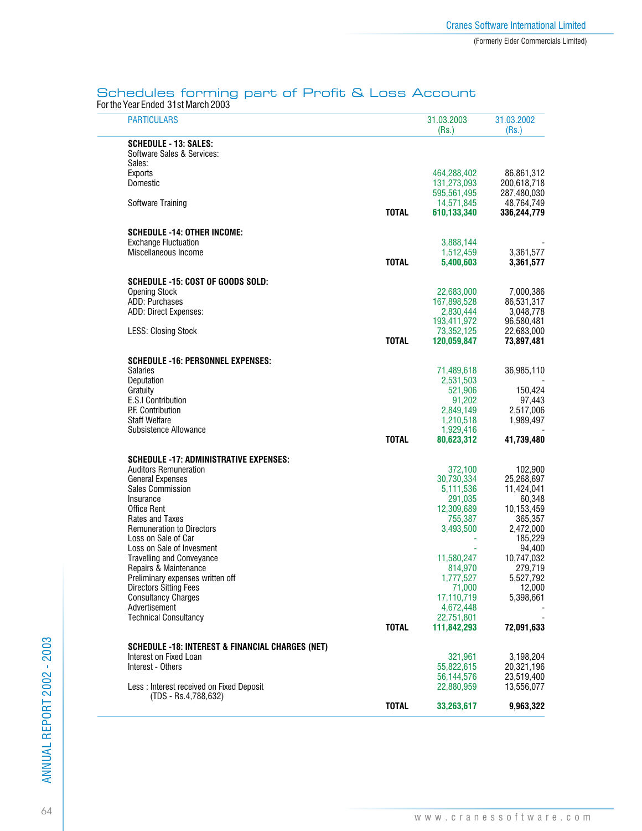# Schedules forming part of Profit & Loss Account

For the Year Ended 31st March 2003

| <b>PARTICULARS</b>                                          |              | 31.03.2003<br>(Rs.)       | 31.03.2002<br>(Rs.)       |
|-------------------------------------------------------------|--------------|---------------------------|---------------------------|
| <b>SCHEDULE - 13: SALES:</b><br>Software Sales & Services:  |              |                           |                           |
| Sales:<br>Exports                                           |              | 464,288,402               | 86,861,312                |
| Domestic                                                    |              | 131,273,093               | 200,618,718               |
|                                                             |              | 595,561,495               | 287,480,030               |
| Software Training                                           | <b>TOTAL</b> | 14,571,845<br>610,133,340 | 48,764,749<br>336,244,779 |
|                                                             |              |                           |                           |
| <b>SCHEDULE -14: OTHER INCOME:</b>                          |              |                           |                           |
| <b>Exchange Fluctuation</b><br>Miscellaneous Income         |              | 3,888,144<br>1,512,459    | 3,361,577                 |
|                                                             | <b>TOTAL</b> | 5,400,603                 | 3,361,577                 |
| SCHEDULE -15: COST OF GOODS SOLD:                           |              |                           |                           |
| <b>Opening Stock</b>                                        |              | 22,683,000                | 7,000,386                 |
| ADD: Purchases                                              |              | 167,898,528               | 86,531,317                |
| ADD: Direct Expenses:                                       |              | 2,830,444<br>193,411,972  | 3,048,778                 |
| <b>LESS: Closing Stock</b>                                  |              | 73,352,125                | 96,580,481<br>22,683,000  |
|                                                             | <b>TOTAL</b> | 120,059,847               | 73,897,481                |
| <b>SCHEDULE -16: PERSONNEL EXPENSES:</b>                    |              |                           |                           |
| Salaries                                                    |              | 71,489,618                | 36,985,110                |
| Deputation                                                  |              | 2,531,503                 |                           |
| Gratuity<br>E.S.I Contribution                              |              | 521,906<br>91,202         | 150,424                   |
| P.F. Contribution                                           |              | 2,849,149                 | 97,443<br>2,517,006       |
| <b>Staff Welfare</b>                                        |              | 1,210,518                 | 1,989,497                 |
| Subsistence Allowance                                       |              | 1,929,416                 |                           |
|                                                             | <b>TOTAL</b> | 80,623,312                | 41,739,480                |
| SCHEDULE -17: ADMINISTRATIVE EXPENSES:                      |              |                           |                           |
| <b>Auditors Remuneration</b>                                |              | 372,100                   | 102,900                   |
| <b>General Expenses</b><br><b>Sales Commission</b>          |              | 30,730,334<br>5,111,536   | 25,268,697<br>11,424,041  |
| Insurance                                                   |              | 291,035                   | 60,348                    |
| <b>Office Rent</b>                                          |              | 12,309,689                | 10,153,459                |
| Rates and Taxes                                             |              | 755,387                   | 365,357                   |
| <b>Remuneration to Directors</b>                            |              | 3,493,500                 | 2,472,000                 |
| Loss on Sale of Car<br>Loss on Sale of Invesment            |              |                           | 185,229<br>94,400         |
| <b>Travelling and Conveyance</b>                            |              | 11,580,247                | 10,747,032                |
| Repairs & Maintenance                                       |              | 814,970                   | 279,719                   |
| Preliminary expenses written off                            |              | 1,777,527                 | 5,527,792                 |
| <b>Directors Sitting Fees</b><br><b>Consultancy Charges</b> |              | 71,000<br>17,110,719      | 12,000<br>5,398,661       |
| Advertisement                                               |              | 4,672,448                 |                           |
| <b>Technical Consultancy</b>                                |              | 22,751,801                |                           |
|                                                             | <b>TOTAL</b> | 111,842,293               | 72,091,633                |
| <b>SCHEDULE -18: INTEREST &amp; FINANCIAL CHARGES (NET)</b> |              |                           |                           |
| Interest on Fixed Loan                                      |              | 321,961                   | 3,198,204                 |
| Interest - Others                                           |              | 55,822,615                | 20,321,196                |
| Less: Interest received on Fixed Deposit                    |              | 56,144,576<br>22,880,959  | 23,519,400<br>13,556,077  |
| (TDS - Rs.4,788,632)                                        |              |                           |                           |
|                                                             | <b>TOTAL</b> | 33,263,617                | 9,963,322                 |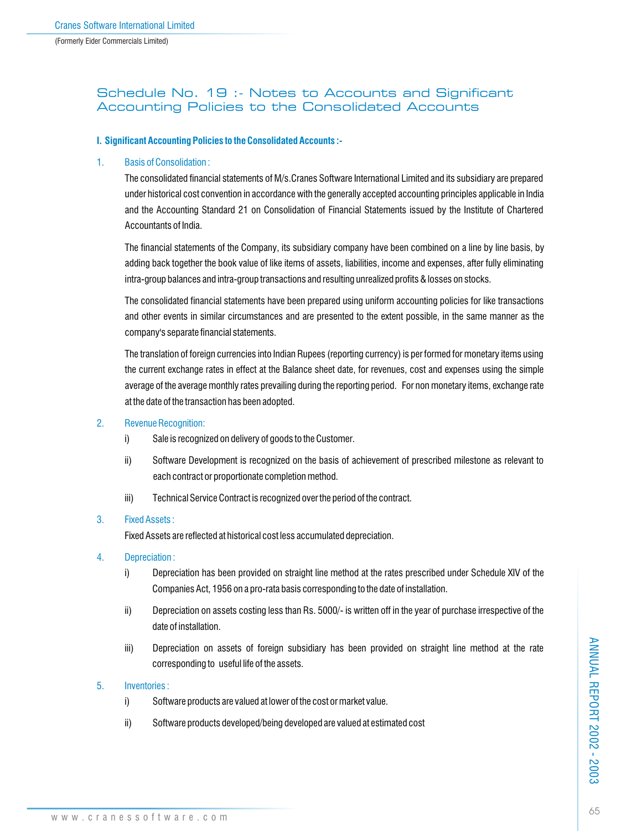## Schedule No. 19 :- Notes to Accounts and Significant Accounting Policies to the Consolidated Accounts

### **I. Significant Accounting Policies to the Consolidated Accounts :-**

## 1. Basis of Consolidation :

The consolidated financial statements of M/s.Cranes Software International Limited and its subsidiary are prepared under historical cost convention in accordance with the generally accepted accounting principles applicable in India and the Accounting Standard 21 on Consolidation of Financial Statements issued by the Institute of Chartered Accountants of India.

The financial statements of the Company, its subsidiary company have been combined on a line by line basis, by adding back together the book value of like items of assets, liabilities, income and expenses, after fully eliminating intra-group balances and intra-group transactions and resulting unrealized profits & losses on stocks.

The consolidated financial statements have been prepared using uniform accounting policies for like transactions and other events in similar circumstances and are presented to the extent possible, in the same manner as the company's separate financial statements.

The translation of foreign currencies into Indian Rupees (reporting currency) is per formed for monetary items using the current exchange rates in effect at the Balance sheet date, for revenues, cost and expenses using the simple average of the average monthly rates prevailing during the reporting period. For non monetary items, exchange rate at the date of the transaction has been adopted.

### 2. Revenue Recognition:

- i) Sale is recognized on delivery of goods to the Customer.
- ii) Software Development is recognized on the basis of achievement of prescribed milestone as relevant to each contract or proportionate completion method.
- iii) Technical Service Contract is recognized over the period of the contract.

### 3. Fixed Assets :

Fixed Assets are reflected at historical cost less accumulated depreciation.

- 4. Depreciation :
	- i) Depreciation has been provided on straight line method at the rates prescribed under Schedule XIV of the Companies Act, 1956 on a pro-rata basis corresponding to the date of installation.
	- ii) Depreciation on assets costing less than Rs. 5000/- is written off in the year of purchase irrespective of the date of installation.
	- iii) Depreciation on assets of foreign subsidiary has been provided on straight line method at the rate corresponding to useful life of the assets.

### 5. Inventories :

- i) Software products are valued at lower of the cost or market value.
- ii) Software products developed/being developed are valued at estimated cost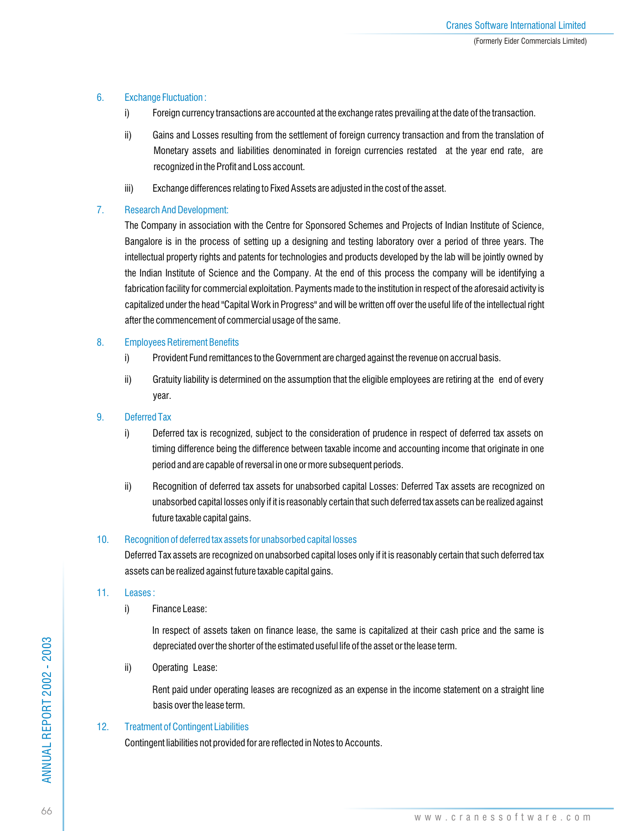## 6. Exchange Fluctuation :

- i) Foreign currency transactions are accounted at the exchange rates prevailing at the date of the transaction.
- ii) Gains and Losses resulting from the settlement of foreign currency transaction and from the translation of Monetary assets and liabilities denominated in foreign currencies restated at the year end rate, are recognized in the Profit and Loss account.
- iii) Exchange differences relating to Fixed Assets are adjusted in the cost of the asset.

## 7. Research And Development:

The Company in association with the Centre for Sponsored Schemes and Projects of Indian Institute of Science, Bangalore is in the process of setting up a designing and testing laboratory over a period of three years. The intellectual property rights and patents for technologies and products developed by the lab will be jointly owned by the Indian Institute of Science and the Company. At the end of this process the company will be identifying a fabrication facility for commercial exploitation. Payments made to the institution in respect of the aforesaid activity is capitalized under the head "Capital Work in Progress" and will be written off over the useful life of the intellectual right after the commencement of commercial usage of the same.

## 8. Employees Retirement Benefits

- i) Provident Fund remittances to the Government are charged against the revenue on accrual basis.
- ii) Gratuity liability is determined on the assumption that the eligible employees are retiring at the end of every year.

## 9. Deferred Tax

- i) Deferred tax is recognized, subject to the consideration of prudence in respect of deferred tax assets on timing difference being the difference between taxable income and accounting income that originate in one period and are capable of reversal in one or more subsequent periods.
- ii) Recognition of deferred tax assets for unabsorbed capital Losses: Deferred Tax assets are recognized on unabsorbed capital losses only if it is reasonably certain that such deferred tax assets can be realized against future taxable capital gains.

## 10. Recognition of deferred tax assets for unabsorbed capital losses

Deferred Tax assets are recognized on unabsorbed capital loses only if it is reasonably certain that such deferred tax assets can be realized against future taxable capital gains.

## 11. Leases :

i) Finance Lease:

In respect of assets taken on finance lease, the same is capitalized at their cash price and the same is depreciated over the shorter of the estimated useful life of the asset or the lease term.

ii) Operating Lease:

Rent paid under operating leases are recognized as an expense in the income statement on a straight line basis over the lease term.

## 12. Treatment of Contingent Liabilities

Contingent liabilities not provided for are reflected in Notes to Accounts.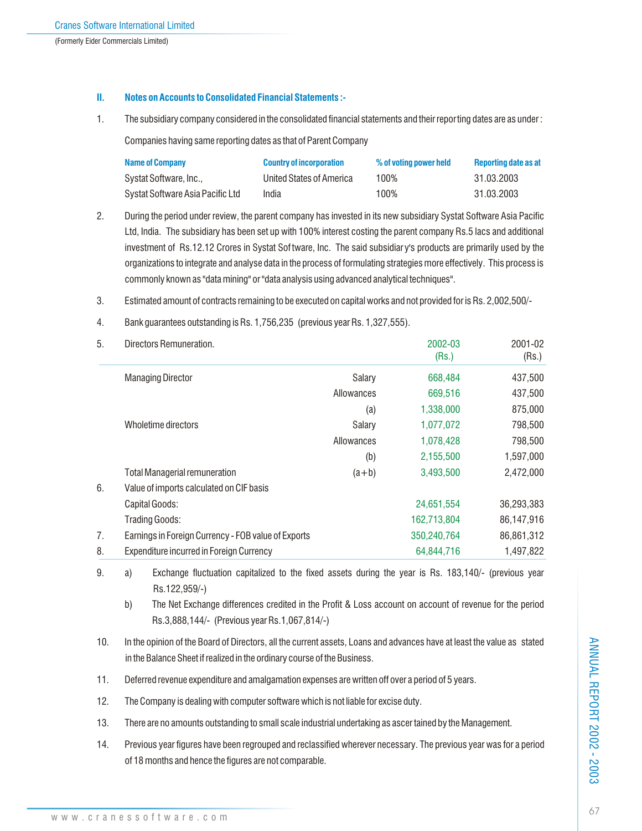## **II. Notes on Accounts to Consolidated Financial Statements :-**

1. The subsidiary company considered in the consolidated financial statements and their reporting dates are as under :

Companies having same reporting dates as that of Parent Company

| <b>Name of Company</b>           | <b>Country of incorporation</b> | % of voting power held | Reporting date as at |
|----------------------------------|---------------------------------|------------------------|----------------------|
| Systat Software, Inc.,           | United States of America        | 100%                   | 31.03.2003           |
| Systat Software Asia Pacific Ltd | India                           | 100%                   | 31.03.2003           |

- 2. During the period under review, the parent company has invested in its new subsidiary Systat Software Asia Pacific Ltd, India. The subsidiary has been set up with 100% interest costing the parent company Rs.5 lacs and additional investment of Rs.12.12 Crores in Systat Sof tware, Inc. The said subsidiar y's products are primarily used by the organizations to integrate and analyse data in the process of formulating strategies more effectively. This process is commonly known as "data mining" or "data analysis using advanced analytical techniques".
- 3. Estimated amount of contracts remaining to be executed on capital works and not provided for is Rs. 2,002,500/-
- 4. Bank guarantees outstanding is Rs. 1,756,235 (previous year Rs. 1,327,555).

| 5. | Directors Remuneration.                             |            | 2002-03<br>(Rs.) | 2001-02<br>(Rs.) |
|----|-----------------------------------------------------|------------|------------------|------------------|
|    | <b>Managing Director</b>                            | Salary     | 668,484          | 437,500          |
|    |                                                     | Allowances | 669,516          | 437,500          |
|    |                                                     | (a)        | 1,338,000        | 875,000          |
|    | Wholetime directors                                 | Salary     | 1,077,072        | 798,500          |
|    |                                                     | Allowances | 1,078,428        | 798,500          |
|    |                                                     | (b)        | 2,155,500        | 1,597,000        |
|    | <b>Total Managerial remuneration</b>                | $(a+b)$    | 3,493,500        | 2,472,000        |
| 6. | Value of imports calculated on CIF basis            |            |                  |                  |
|    | Capital Goods:                                      |            | 24,651,554       | 36,293,383       |
|    | <b>Trading Goods:</b>                               |            | 162,713,804      | 86,147,916       |
| 7. | Earnings in Foreign Currency - FOB value of Exports |            | 350,240,764      | 86,861,312       |
| 8. | <b>Expenditure incurred in Foreign Currency</b>     |            | 64,844,716       | 1,497,822        |

9. a) Exchange fluctuation capitalized to the fixed assets during the year is Rs. 183,140/- (previous year Rs.122,959/-)

- b) The Net Exchange differences credited in the Profit & Loss account on account of revenue for the period Rs.3,888,144/- (Previous year Rs.1,067,814/-)
- 10. In the opinion of the Board of Directors, all the current assets, Loans and advances have at least the value as stated in the Balance Sheet if realized in the ordinary course of the Business.
- 11. Deferred revenue expenditure and amalgamation expenses are written off over a period of 5 years.
- 12. The Company is dealing with computer software which is not liable for excise duty.
- 13. There are no amounts outstanding to small scale industrial undertaking as ascer tained by the Management.
- 14. Previous year figures have been regrouped and reclassified wherever necessary. The previous year was for a period of 18 months and hence the figures are not comparable.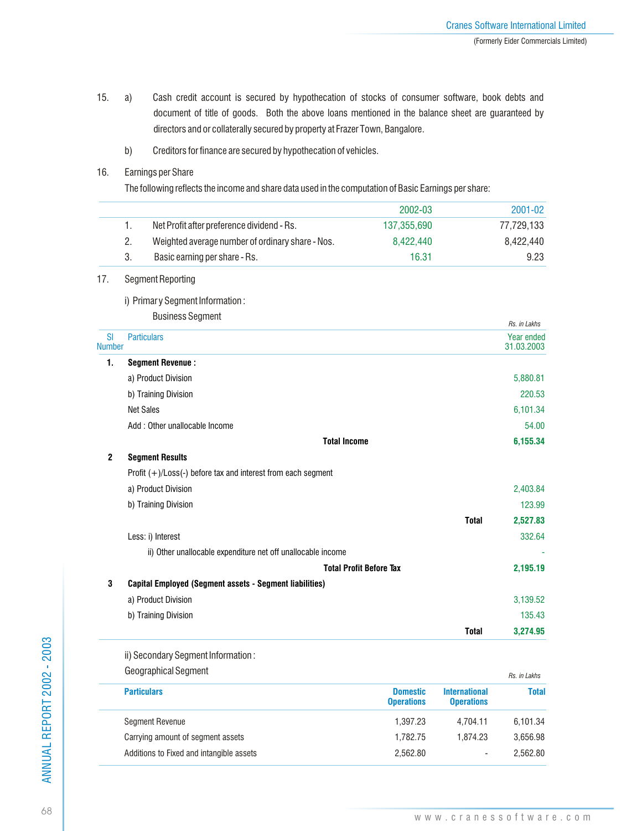- 15. a) Cash credit account is secured by hypothecation of stocks of consumer software, book debts and document of title of goods. Both the above loans mentioned in the balance sheet are guaranteed by directors and or collaterally secured by property at Frazer Town, Bangalore.
	- b) Creditors for finance are secured by hypothecation of vehicles.

## 16. Earnings per Share

The following reflects the income and share data used in the computation of Basic Earnings per share:

|                            |                    |                                                                 | 2002-03                              |                                           | 2001-02                                         |
|----------------------------|--------------------|-----------------------------------------------------------------|--------------------------------------|-------------------------------------------|-------------------------------------------------|
|                            | 1.                 | Net Profit after preference dividend - Rs.                      | 137,355,690                          |                                           | 77,729,133                                      |
|                            | 2.                 | Weighted average number of ordinary share - Nos.                | 8,422,440                            |                                           | 8,422,440                                       |
|                            | 3.                 | Basic earning per share - Rs.                                   | 16.31                                |                                           | 9.23                                            |
| 17.                        |                    | <b>Segment Reporting</b>                                        |                                      |                                           |                                                 |
|                            |                    | i) Primary Segment Information:                                 |                                      |                                           |                                                 |
|                            |                    | <b>Business Segment</b>                                         |                                      |                                           |                                                 |
| <b>SI</b><br><b>Number</b> |                    | <b>Particulars</b>                                              |                                      |                                           | Rs. in Lakhs<br><b>Year ended</b><br>31.03.2003 |
| 1.                         |                    | <b>Segment Revenue:</b>                                         |                                      |                                           |                                                 |
|                            |                    | a) Product Division                                             |                                      |                                           | 5,880.81                                        |
|                            |                    | b) Training Division                                            |                                      |                                           | 220.53                                          |
|                            | <b>Net Sales</b>   |                                                                 |                                      |                                           | 6,101.34                                        |
|                            |                    | Add : Other unallocable Income                                  |                                      |                                           | 54.00                                           |
|                            |                    | <b>Total Income</b>                                             |                                      |                                           | 6,155.34                                        |
| $\mathbf{2}$               |                    | <b>Segment Results</b>                                          |                                      |                                           |                                                 |
|                            |                    | Profit $(+)/$ Loss(-) before tax and interest from each segment |                                      |                                           |                                                 |
|                            |                    | a) Product Division                                             |                                      |                                           | 2,403.84                                        |
|                            |                    | b) Training Division                                            |                                      |                                           | 123.99                                          |
|                            |                    |                                                                 |                                      | <b>Total</b>                              | 2,527.83                                        |
|                            |                    | Less: i) Interest                                               |                                      |                                           | 332.64                                          |
|                            |                    | ii) Other unallocable expenditure net off unallocable income    |                                      |                                           |                                                 |
|                            |                    |                                                                 | <b>Total Profit Before Tax</b>       |                                           | 2,195.19                                        |
| $\mathbf 3$                |                    | <b>Capital Employed (Segment assets - Segment liabilities)</b>  |                                      |                                           |                                                 |
|                            |                    | a) Product Division                                             |                                      |                                           | 3,139.52                                        |
|                            |                    | b) Training Division                                            |                                      |                                           | 135.43                                          |
|                            |                    |                                                                 |                                      | <b>Total</b>                              | 3,274.95                                        |
|                            |                    | ii) Secondary Segment Information:                              |                                      |                                           |                                                 |
|                            |                    | Geographical Segment                                            |                                      |                                           | Rs. in Lakhs                                    |
|                            | <b>Particulars</b> |                                                                 | <b>Domestic</b><br><b>Operations</b> | <b>International</b><br><b>Operations</b> | <b>Total</b>                                    |
|                            |                    | Segment Revenue                                                 | 1,397.23                             | 4,704.11                                  | 6,101.34                                        |
|                            |                    | Carrying amount of segment assets                               | 1,782.75                             | 1,874.23                                  | 3,656.98                                        |

Additions to Fixed and intangible assets

2,562.80

-

2,562.80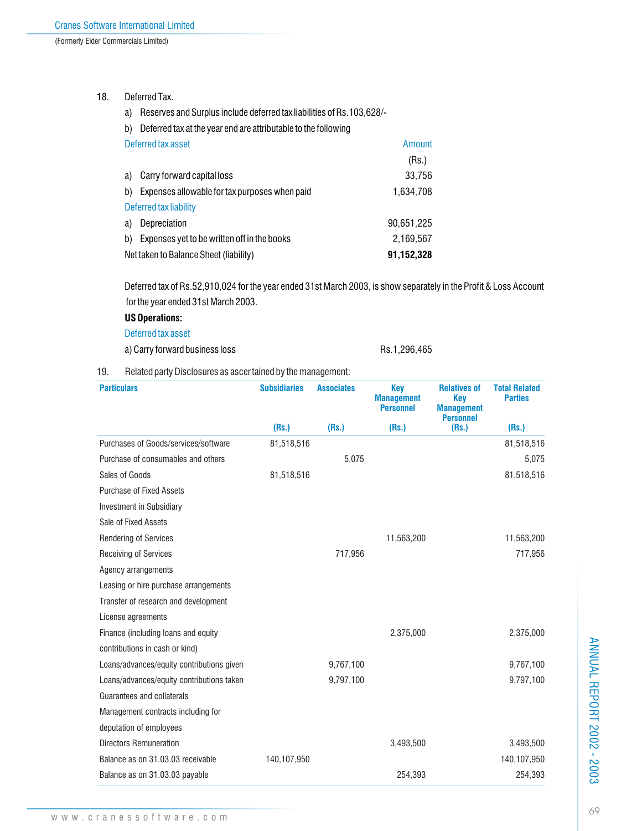## 18. Deferred Tax.

- a) Reserves and Surplus include deferred tax liabilities of Rs.103,628/-
- b) Deferred tax at the year end are attributable to the following

| Deferred tax asset                                  | Amount     |
|-----------------------------------------------------|------------|
|                                                     | (Rs.)      |
| Carry forward capital loss<br>a)                    | 33,756     |
| Expenses allowable for tax purposes when paid<br>b) | 1,634,708  |
| Deferred tax liability                              |            |
| Depreciation<br>a)                                  | 90,651,225 |
| Expenses yet to be written off in the books<br>b)   | 2.169.567  |
| Net taken to Balance Sheet (liability)              | 91,152,328 |

Deferred tax of Rs.52,910,024 for the year ended 31st March 2003, is show separately in the Profit & Loss Account for the year ended 31st March 2003.

## **US Operations:**

Deferred tax asset

a) Carry forward business loss Rs.1,296,465

19. Related party Disclosures as ascer tained by the management:

| <b>Particulars</b>                        | <b>Subsidiaries</b> | <b>Associates</b> | <b>Key</b><br><b>Management</b><br><b>Personnel</b> | <b>Relatives of</b><br><b>Key</b><br><b>Management</b><br><b>Personnel</b> | <b>Total Related</b><br><b>Parties</b> |
|-------------------------------------------|---------------------|-------------------|-----------------------------------------------------|----------------------------------------------------------------------------|----------------------------------------|
|                                           | (Rs.)               | (Rs.)             | (Rs.)                                               | (Rs.)                                                                      | (Rs.)                                  |
| Purchases of Goods/services/software      | 81,518,516          |                   |                                                     |                                                                            | 81,518,516                             |
| Purchase of consumables and others        |                     | 5,075             |                                                     |                                                                            | 5,075                                  |
| Sales of Goods                            | 81,518,516          |                   |                                                     |                                                                            | 81,518,516                             |
| <b>Purchase of Fixed Assets</b>           |                     |                   |                                                     |                                                                            |                                        |
| Investment in Subsidiary                  |                     |                   |                                                     |                                                                            |                                        |
| Sale of Fixed Assets                      |                     |                   |                                                     |                                                                            |                                        |
| Rendering of Services                     |                     |                   | 11,563,200                                          |                                                                            | 11,563,200                             |
| <b>Receiving of Services</b>              |                     | 717,956           |                                                     |                                                                            | 717,956                                |
| Agency arrangements                       |                     |                   |                                                     |                                                                            |                                        |
| Leasing or hire purchase arrangements     |                     |                   |                                                     |                                                                            |                                        |
| Transfer of research and development      |                     |                   |                                                     |                                                                            |                                        |
| License agreements                        |                     |                   |                                                     |                                                                            |                                        |
| Finance (including loans and equity       |                     |                   | 2,375,000                                           |                                                                            | 2,375,000                              |
| contributions in cash or kind)            |                     |                   |                                                     |                                                                            |                                        |
| Loans/advances/equity contributions given |                     | 9,767,100         |                                                     |                                                                            | 9,767,100                              |
| Loans/advances/equity contributions taken |                     | 9,797,100         |                                                     |                                                                            | 9,797,100                              |
| Guarantees and collaterals                |                     |                   |                                                     |                                                                            |                                        |
| Management contracts including for        |                     |                   |                                                     |                                                                            |                                        |
| deputation of employees                   |                     |                   |                                                     |                                                                            |                                        |
| <b>Directors Remuneration</b>             |                     |                   | 3,493,500                                           |                                                                            | 3,493,500                              |
| Balance as on 31,03,03 receivable         | 140,107,950         |                   |                                                     |                                                                            | 140,107,950                            |
| Balance as on 31.03.03 payable            |                     |                   | 254,393                                             |                                                                            | 254,393                                |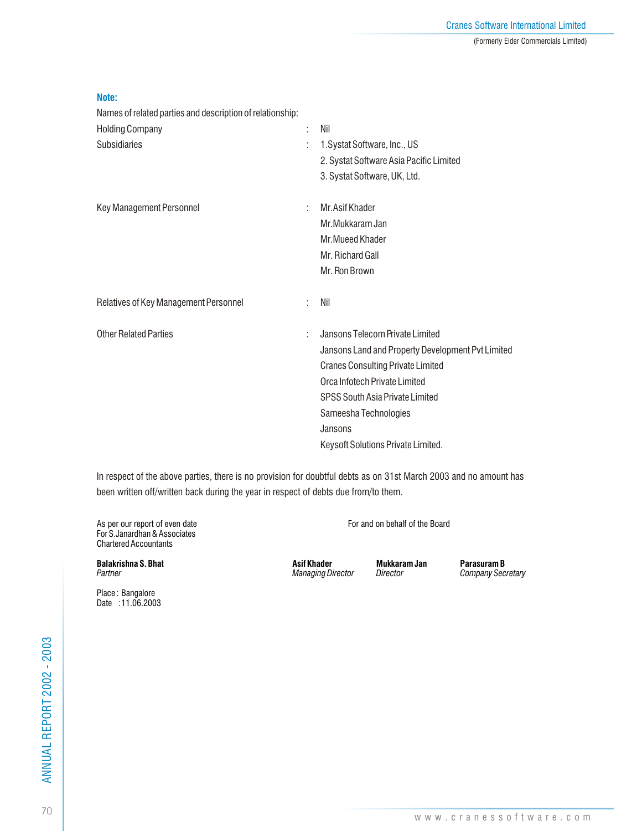| _____ |
|-------|

Names of related parties and description of relationship:

| <b>Holding Company</b>                | Nil                                               |
|---------------------------------------|---------------------------------------------------|
| <b>Subsidiaries</b>                   | 1. Systat Software, Inc., US                      |
|                                       | 2. Systat Software Asia Pacific Limited           |
|                                       | 3. Systat Software, UK, Ltd.                      |
| Key Management Personnel              | Mr. Asif Khader                                   |
|                                       | Mr. Mukkaram Jan                                  |
|                                       | Mr. Mueed Khader                                  |
|                                       | Mr. Richard Gall                                  |
|                                       | Mr. Ron Brown                                     |
| Relatives of Key Management Personnel | Nil                                               |
| <b>Other Related Parties</b>          | Jansons Telecom Private Limited                   |
|                                       | Jansons Land and Property Development Pvt Limited |
|                                       | <b>Cranes Consulting Private Limited</b>          |
|                                       | Orca Infotech Private Limited                     |
|                                       | <b>SPSS South Asia Private Limited</b>            |
|                                       | Sameesha Technologies                             |
|                                       | Jansons                                           |
|                                       | Keysoft Solutions Private Limited.                |

In respect of the above parties, there is no provision for doubtful debts as on 31st March 2003 and no amount has been written off/written back during the year in respect of debts due from/to them.

As per our report of even date For and on behalf of the Board For S.Janardhan & Associates Chartered Accountants

**Balakrishna S. Bhat Asif Khader Mukkaram Jan Parasuram B**<br>Partner Maraging Director Director Company Secretion

*Partner Managing Director Director Company Secretary*

Place : Bangalore Date : 11.06.2003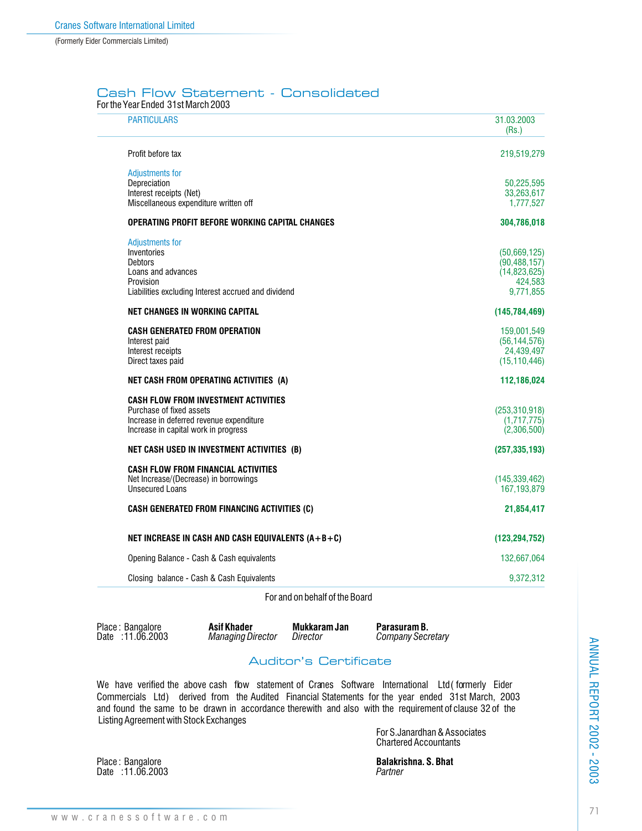## Cash Flow Statement - Consolidated

| <b>PARTICULARS</b>                                  | 31.03.2003<br>(Rs.) |
|-----------------------------------------------------|---------------------|
| Profit before tax                                   | 219,519,279         |
| <b>Adjustments for</b>                              |                     |
| Depreciation                                        | 50,225,595          |
| Interest receipts (Net)                             | 33,263,617          |
| Miscellaneous expenditure written off               | 1,777,527           |
| OPERATING PROFIT BEFORE WORKING CAPITAL CHANGES     | 304,786,018         |
| Adjustments for                                     |                     |
| Inventories                                         | (50,669,125)        |
| <b>Debtors</b>                                      | (90, 488, 157)      |
| Loans and advances                                  | (14,823,625)        |
| Provision                                           | 424,583             |
| Liabilities excluding Interest accrued and dividend | 9,771,855           |
| <b>NET CHANGES IN WORKING CAPITAL</b>               | (145, 784, 469)     |
| <b>CASH GENERATED FROM OPERATION</b>                | 159,001,549         |
| Interest paid                                       | (56, 144, 576)      |
| Interest receipts                                   | 24,439,497          |
| Direct taxes paid                                   | (15, 110, 446)      |
| NET CASH FROM OPERATING ACTIVITIES (A)              | 112,186,024         |
| <b>CASH FLOW FROM INVESTMENT ACTIVITIES</b>         |                     |
| Purchase of fixed assets                            | (253, 310, 918)     |
| Increase in deferred revenue expenditure            | (1,717,775)         |
| Increase in capital work in progress                | (2,306,500)         |
| NET CASH USED IN INVESTMENT ACTIVITIES (B)          | (257, 335, 193)     |
| <b>CASH FLOW FROM FINANCIAL ACTIVITIES</b>          |                     |
| Net Increase/(Decrease) in borrowings               | (145, 339, 462)     |
| <b>Unsecured Loans</b>                              | 167, 193, 879       |
| <b>CASH GENERATED FROM FINANCING ACTIVITIES (C)</b> | 21,854,417          |
| NET INCREASE IN CASH AND CASH EQUIVALENTS (A+B+C)   | (123, 294, 752)     |
| Opening Balance - Cash & Cash equivalents           | 132,667,064         |
| Closing balance - Cash & Cash Equivalents           | 9,372,312           |

For and on behalf of the Board

|      | Place: Bangalore |
|------|------------------|
| Date | :11.06.2003      |

**Asif Khader Mukkaram Jan Parasuram B.**<br>Managing Director Director Company Secretion

 $Company$  Secretary

## Auditor's Certificate

We have verified the above cash flow statement of Cranes Software International Ltd (formerly Eider Commercials Ltd) derived from the Audited Financial Statements for the year ended 31st March, 2003 and found the same to be drawn in accordance therewith and also with the requirement of clause 32 of the Listing Agreement with Stock Exchanges

For S.Janardhan & Associates Chartered Accountants

Place : Bangalore **Balakrishna. S. Bhat** Date : 11.06.2003 *Partner*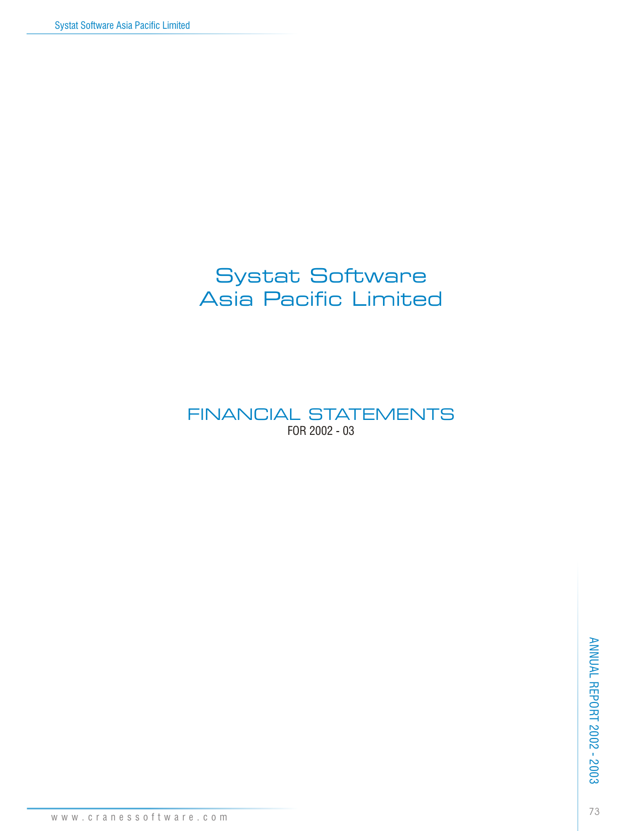# Systat Software Asia Pacific Limited

FINANCIAL STATEMENTS FOR 2002 - 03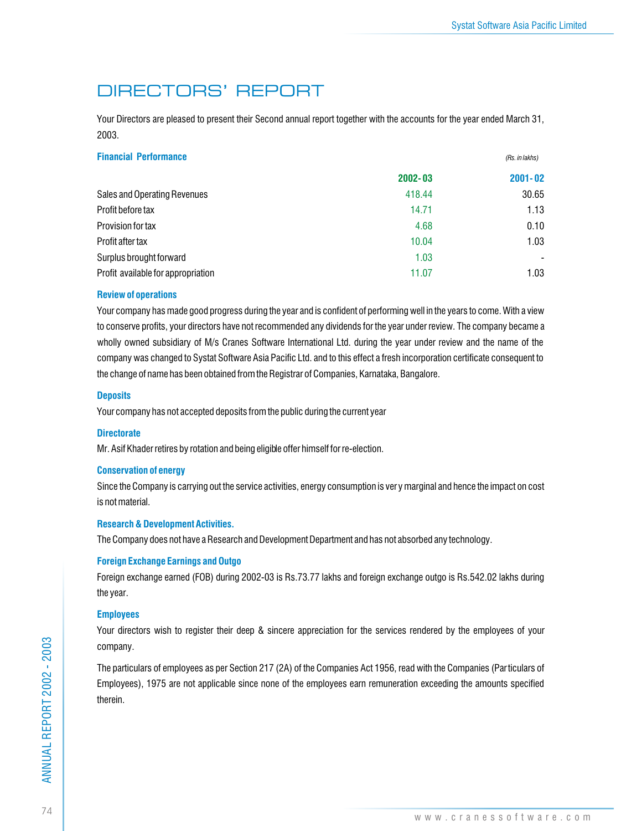*(Rs. in lakhs)*

# DIRECTORS' REPORT

Your Directors are pleased to present their Second annual report together with the accounts for the year ended March 31, 2003.

| <b>Financial Performance</b> |
|------------------------------|
|                              |

|                                    | 2002-03 | $2001 - 02$ |
|------------------------------------|---------|-------------|
| Sales and Operating Revenues       | 418.44  | 30.65       |
| Profit before tax                  | 14.71   | 1.13        |
| Provision for tax                  | 4.68    | 0.10        |
| Profit after tax                   | 10.04   | 1.03        |
| Surplus brought forward            | 1.03    |             |
| Profit available for appropriation | 11.07   | 1.03        |

### **Review of operations**

Your company has made good progress during the year and is confident of performing well in the years to come. With a view to conserve profits, your directors have not recommended any dividends for the year under review. The company became a wholly owned subsidiary of M/s Cranes Software International Ltd. during the year under review and the name of the company was changed to Systat Software Asia Pacific Ltd. and to this effect a fresh incorporation certificate consequent to the change of name has been obtained from the Registrar of Companies, Karnataka, Bangalore.

### **Deposits**

Your company has not accepted deposits from the public during the current year

### **Directorate**

Mr. Asif Khader retires by rotation and being eligible offer himself for re-election.

### **Conservation of energy**

Since the Company is carrying out the service activities, energy consumption is ver y marginal and hence the impact on cost is not material.

### **Research & Development Activities.**

The Company does not have a Research and Development Department and has not absorbed any technology.

### **Foreign Exchange Earnings and Outgo**

Foreign exchange earned (FOB) during 2002-03 is Rs.73.77 lakhs and foreign exchange outgo is Rs.542.02 lakhs during the year.

### **Employees**

Your directors wish to register their deep & sincere appreciation for the services rendered by the employees of your company.

The particulars of employees as per Section 217 (2A) of the Companies Act 1956, read with the Companies (Particulars of Employees), 1975 are not applicable since none of the employees earn remuneration exceeding the amounts specified therein.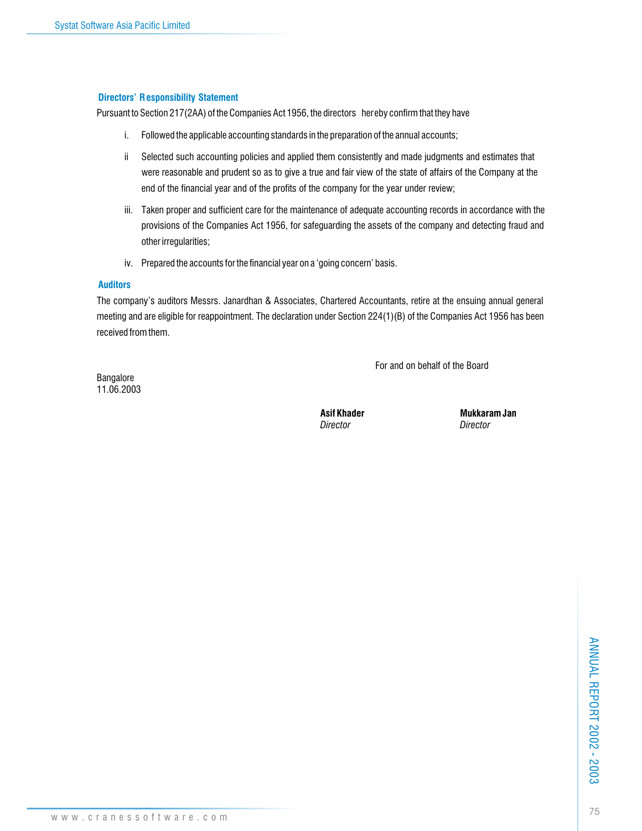### **Directors' Responsibility Statement**

Pursuant to Section 217(2AA) of the Companies Act 1956, the directors hereby confirm that they have

- i. Followed the applicable accounting standards in the preparation of the annual accounts;
- ii Selected such accounting policies and applied them consistently and made judgments and estimates that were reasonable and prudent so as to give a true and fair view of the state of affairs of the Company at the end of the financial year and of the profits of the company for the year under review;
- iii. Taken proper and sufficient care for the maintenance of adequate accounting records in accordance with the provisions of the Companies Act 1956, for safeguarding the assets of the company and detecting fraud and other irregularities;
- iv. Prepared the accounts for the financial year on a 'going concern' basis.

### **Auditors**

The company's auditors Messrs. Janardhan & Associates, Chartered Accountants, retire at the ensuing annual general meeting and are eligible for reappointment. The declaration under Section 224(1)(B) of the Companies Act 1956 has been received from them.

For and on behalf of the Board

Bangalore 11.06.2003

*Director Director*

Asif Khader **Mukkaram Jan**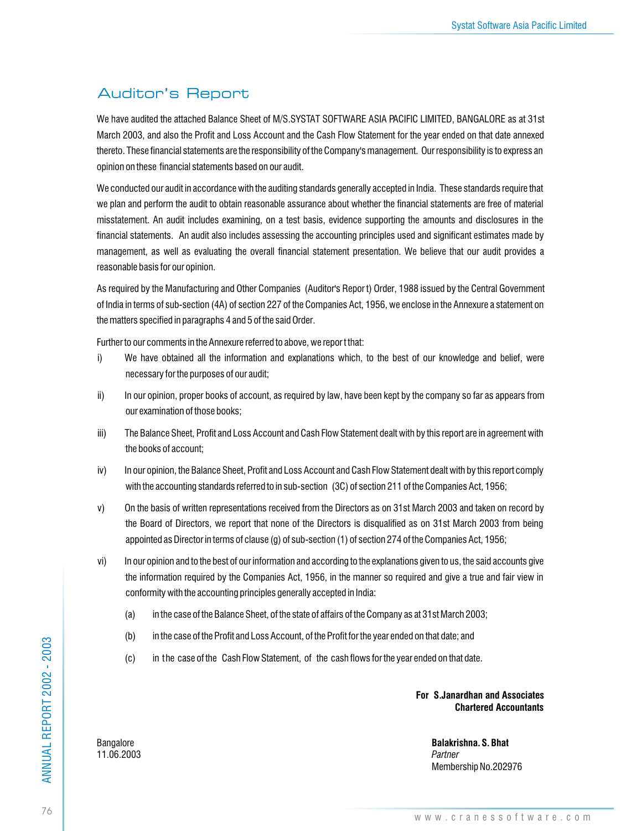### Auditor's Report

We have audited the attached Balance Sheet of M/S.SYSTAT SOFTWARE ASIA PACIFIC LIMITED, BANGALORE as at 31st March 2003, and also the Profit and Loss Account and the Cash Flow Statement for the year ended on that date annexed thereto. These financial statements are the responsibility of the Company's management. Our responsibility is to express an opinion on these financial statements based on our audit.

We conducted our audit in accordance with the auditing standards generally accepted in India. These standards require that we plan and perform the audit to obtain reasonable assurance about whether the financial statements are free of material misstatement. An audit includes examining, on a test basis, evidence supporting the amounts and disclosures in the financial statements. An audit also includes assessing the accounting principles used and significant estimates made by management, as well as evaluating the overall financial statement presentation. We believe that our audit provides a reasonable basis for our opinion.

As required by the Manufacturing and Other Companies (Auditor's Repor t) Order, 1988 issued by the Central Government of India in terms of sub-section (4A) of section 227 of the Companies Act, 1956, we enclose in the Annexure a statement on the matters specified in paragraphs 4 and 5 of the said Order.

Further to our comments in the Annexure referred to above, we repor t that:

- i) We have obtained all the information and explanations which, to the best of our knowledge and belief, were necessary for the purposes of our audit;
- ii) In our opinion, proper books of account, as required by law, have been kept by the company so far as appears from our examination of those books;
- iii) The Balance Sheet, Profit and Loss Account and Cash Flow Statement dealt with by this report are in agreement with the books of account;
- iv) In our opinion, the Balance Sheet, Profit and Loss Account and Cash Flow Statement dealt with by this report comply with the accounting standards referred to in sub-section (3C) of section 211 of the Companies Act, 1956;
- v) On the basis of written representations received from the Directors as on 31st March 2003 and taken on record by the Board of Directors, we report that none of the Directors is disqualified as on 31st March 2003 from being appointed as Director in terms of clause (g) of sub-section (1) of section 274 of the Companies Act, 1956;
- vi) In our opinion and to the best of our information and according to the explanations given to us, the said accounts give the information required by the Companies Act, 1956, in the manner so required and give a true and fair view in conformity with the accounting principles generally accepted in India:
	- (a) in the case of the Balance Sheet, of the state of affairs of the Company as at 31st March 2003;
	- (b) in the case of the Profit and Loss Account, of the Profit for the year ended on that date; and
	- (c) in the case of the Cash Flow Statement, of the cash flows for the year ended on that date.

**For S.Janardhan and Associates Chartered Accountants**

Bangalore **Balakrishna. S. Bhat** Membership No.202976

11.06.2003 *Partner*

ANNUAL REPORT 2002 - 2003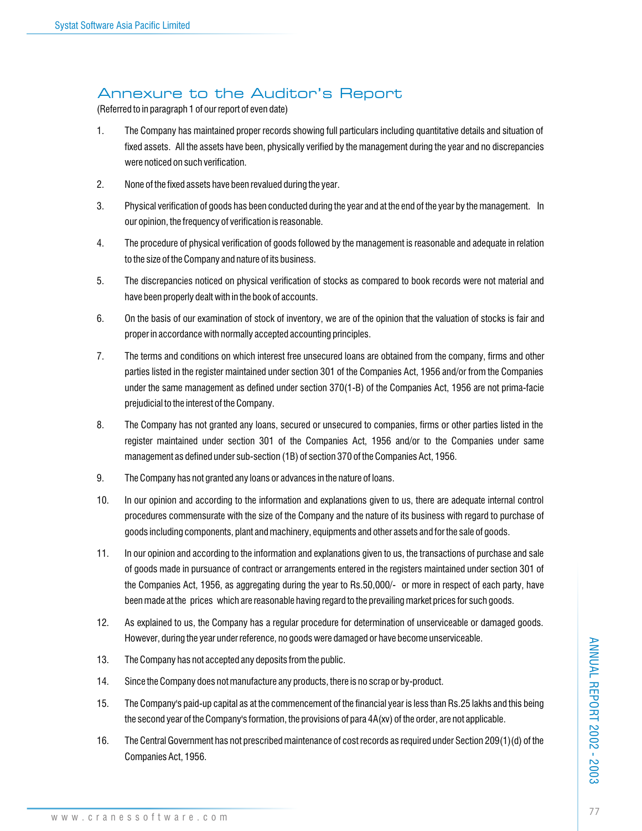### Annexure to the Auditor's Report

(Referred to in paragraph 1 of our report of even date)

- 1. The Company has maintained proper records showing full particulars including quantitative details and situation of fixed assets. All the assets have been, physically verified by the management during the year and no discrepancies were noticed on such verification.
- 2. None of the fixed assets have been revalued during the year.
- 3. Physical verification of goods has been conducted during the year and at the end of the year by the management. In our opinion, the frequency of verification is reasonable.
- 4. The procedure of physical verification of goods followed by the management is reasonable and adequate in relation to the size of the Company and nature of its business.
- 5. The discrepancies noticed on physical verification of stocks as compared to book records were not material and have been properly dealt with in the book of accounts.
- 6. On the basis of our examination of stock of inventory, we are of the opinion that the valuation of stocks is fair and proper in accordance with normally accepted accounting principles.
- 7. The terms and conditions on which interest free unsecured loans are obtained from the company, firms and other parties listed in the register maintained under section 301 of the Companies Act, 1956 and/or from the Companies under the same management as defined under section 370(1-B) of the Companies Act, 1956 are not prima-facie prejudicial to the interest of the Company.
- 8. The Company has not granted any loans, secured or unsecured to companies, firms or other parties listed in the register maintained under section 301 of the Companies Act, 1956 and/or to the Companies under same management as defined under sub-section (1B) of section 370 of the Companies Act, 1956.
- 9. The Company has not granted any loans or advances in the nature of loans.
- 10. In our opinion and according to the information and explanations given to us, there are adequate internal control procedures commensurate with the size of the Company and the nature of its business with regard to purchase of goods including components, plant and machinery, equipments and other assets and for the sale of goods.
- 11. In our opinion and according to the information and explanations given to us, the transactions of purchase and sale of goods made in pursuance of contract or arrangements entered in the registers maintained under section 301 of the Companies Act, 1956, as aggregating during the year to Rs.50,000/- or more in respect of each party, have been made at the prices which are reasonable having regard to the prevailing market prices for such goods.
- 12. As explained to us, the Company has a regular procedure for determination of unserviceable or damaged goods. However, during the year under reference, no goods were damaged or have become unserviceable.
- 13. The Company has not accepted any deposits from the public.
- 14. Since the Company does not manufacture any products, there is no scrap or by-product.
- 15. The Company's paid-up capital as at the commencement of the financial year is less than Rs.25 lakhs and this being the second year of the Company's formation, the provisions of para 4A(xv) of the order, are not applicable.
- 16. The Central Government has not prescribed maintenance of cost records as required under Section 209(1)(d) of the Companies Act, 1956.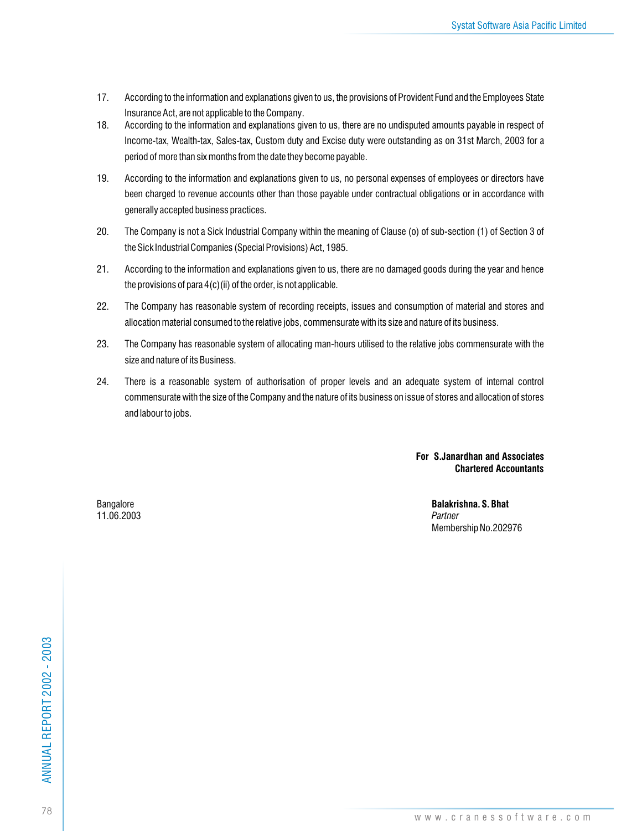- 17. According to the information and explanations given to us, the provisions of Provident Fund and the Employees State Insurance Act, are not applicable to the Company.
- 18. According to the information and explanations given to us, there are no undisputed amounts payable in respect of Income-tax, Wealth-tax, Sales-tax, Custom duty and Excise duty were outstanding as on 31st March, 2003 for a period of more than six months from the date they become payable.
- 19. According to the information and explanations given to us, no personal expenses of employees or directors have been charged to revenue accounts other than those payable under contractual obligations or in accordance with generally accepted business practices.
- 20. The Company is not a Sick Industrial Company within the meaning of Clause (o) of sub-section (1) of Section 3 of the Sick Industrial Companies (Special Provisions) Act, 1985.
- 21. According to the information and explanations given to us, there are no damaged goods during the year and hence the provisions of para  $4(c)$ (ii) of the order, is not applicable.
- 22. The Company has reasonable system of recording receipts, issues and consumption of material and stores and allocation material consumed to the relative jobs, commensurate with its size and nature of its business.
- 23. The Company has reasonable system of allocating man-hours utilised to the relative jobs commensurate with the size and nature of its Business.
- 24. There is a reasonable system of authorisation of proper levels and an adequate system of internal control commensurate with the size of the Company and the nature of its business on issue of stores and allocation of stores and labour to jobs.

### **For S.Janardhan and Associates Chartered Accountants**

11.06.2003 *Partner*

Bangalore **Balakrishna. S. Bhat** Membership No.202976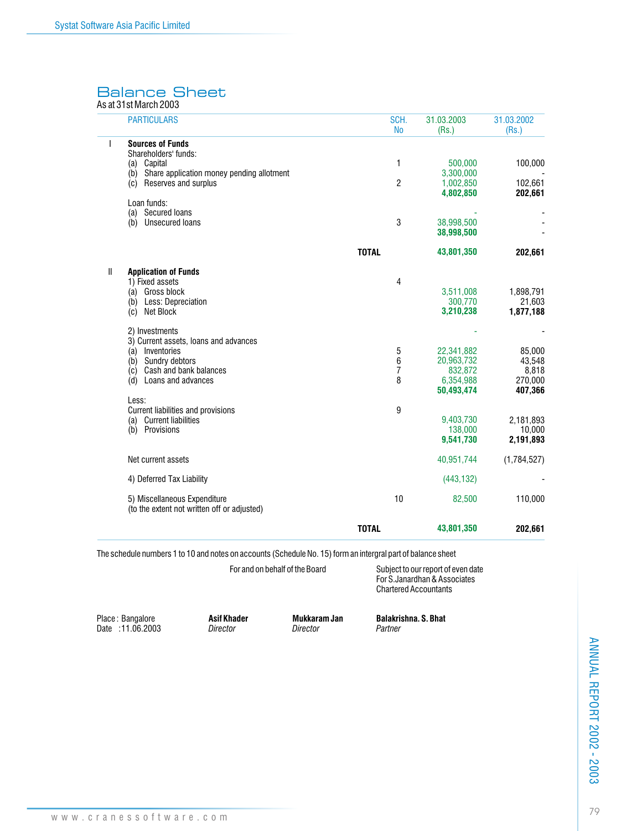### Balance Sheet

As at 31st March 2003

|   | <b>PARTICULARS</b>                                                              | SCH.<br><b>No</b>                  | 31.03.2003<br>(Rs.)    | 31.03.2002<br>(Rs.) |
|---|---------------------------------------------------------------------------------|------------------------------------|------------------------|---------------------|
| I | <b>Sources of Funds</b>                                                         |                                    |                        |                     |
|   | Shareholders' funds:                                                            |                                    |                        |                     |
|   | Capital<br>(a)                                                                  | 1                                  | 500,000                | 100,000             |
|   | Share application money pending allotment<br>(b)<br>Reserves and surplus<br>(c) | $\overline{c}$                     | 3,300,000<br>1,002,850 | 102,661             |
|   |                                                                                 |                                    | 4,802,850              | 202,661             |
|   | Loan funds:                                                                     |                                    |                        |                     |
|   | (a) Secured loans                                                               |                                    |                        |                     |
|   | <b>Unsecured loans</b><br>(b)                                                   | 3                                  | 38,998,500             |                     |
|   |                                                                                 |                                    | 38,998,500             |                     |
|   |                                                                                 | <b>TOTAL</b>                       | 43,801,350             | 202,661             |
| Ш | <b>Application of Funds</b>                                                     |                                    |                        |                     |
|   | 1) Fixed assets                                                                 | 4                                  |                        |                     |
|   | (a) Gross block                                                                 |                                    | 3,511,008              | 1,898,791           |
|   | (b) Less: Depreciation                                                          |                                    | 300,770                | 21,603              |
|   | Net Block<br>(c)                                                                |                                    | 3,210,238              | 1,877,188           |
|   | 2) Investments                                                                  |                                    |                        |                     |
|   | 3) Current assets, loans and advances                                           |                                    |                        |                     |
|   | (a) Inventories                                                                 | 5                                  | 22,341,882             | 85,000              |
|   | Sundry debtors<br>(b)                                                           | $\boldsymbol{6}$<br>$\overline{7}$ | 20,963,732             | 43,548              |
|   | (c) Cash and bank balances<br>Loans and advances<br>(d)                         | 8                                  | 832,872<br>6,354,988   | 8,818<br>270,000    |
|   |                                                                                 |                                    | 50,493,474             | 407,366             |
|   | Less:                                                                           |                                    |                        |                     |
|   | Current liabilities and provisions                                              | 9                                  |                        |                     |
|   | (a) Current liabilities                                                         |                                    | 9,403,730              | 2,181,893           |
|   | (b) Provisions                                                                  |                                    | 138,000<br>9,541,730   | 10,000<br>2,191,893 |
|   |                                                                                 |                                    |                        |                     |
|   | Net current assets                                                              |                                    | 40,951,744             | (1,784,527)         |
|   | 4) Deferred Tax Liability                                                       |                                    | (443, 132)             |                     |
|   | 5) Miscellaneous Expenditure                                                    | 10                                 | 82,500                 | 110,000             |
|   | (to the extent not written off or adjusted)                                     |                                    |                        |                     |
|   |                                                                                 | <b>TOTAL</b>                       | 43,801,350             | 202,661             |

The schedule numbers 1 to 10 and notes on accounts (Schedule No. 15) form an intergral part of balance sheet

For and on behalf of the Board  $\qquad \qquad$  Subject to our report of even date For S.Janardhan & Associates Chartered Accountants

Place : Bangalore **Asif Khader Mukkaram Jan Balakrishna. S. Bhat** Date : 11.06.2003 *Director Director Partner*

**ANNUAL REPORT 2002 - 2003** 79ANNUAL REPORT 2002 - 2003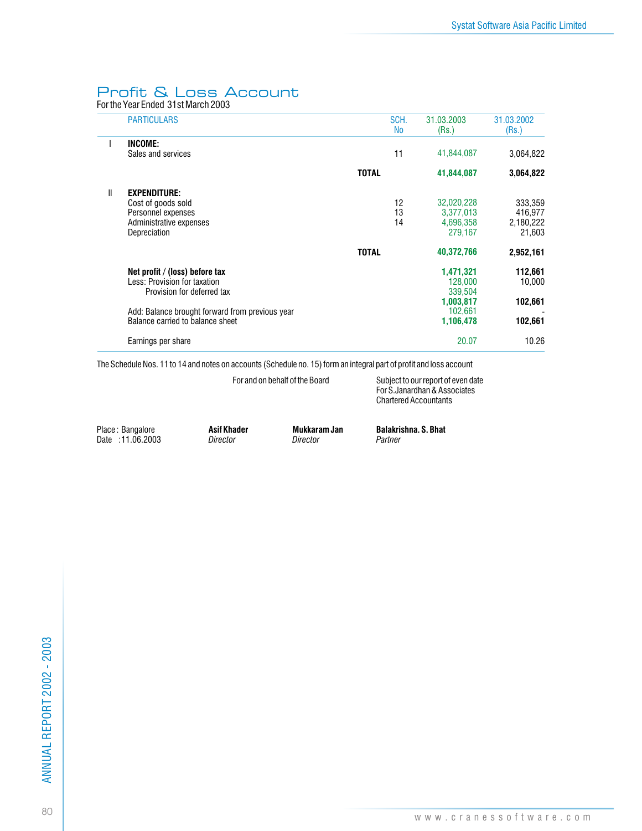### Profit & Loss Account

For the Year Ended 31st March 2003

|   | <b>PARTICULARS</b>                                                                                         |              | SCH.<br><b>No</b> | 31.03.2003<br>(Rs.)                                           | 31.03.2002<br>(Rs.)                                    |
|---|------------------------------------------------------------------------------------------------------------|--------------|-------------------|---------------------------------------------------------------|--------------------------------------------------------|
|   | INCOME:<br>Sales and services                                                                              |              | 11                | 41,844,087                                                    | 3,064,822                                              |
|   |                                                                                                            | <b>TOTAL</b> |                   | 41,844,087                                                    | 3,064,822                                              |
| Ш | <b>EXPENDITURE:</b><br>Cost of goods sold<br>Personnel expenses<br>Administrative expenses<br>Depreciation | <b>TOTAL</b> | 12<br>13<br>14    | 32,020,228<br>3,377,013<br>4,696,358<br>279,167<br>40,372,766 | 333,359<br>416,977<br>2,180,222<br>21,603<br>2,952,161 |
|   | Net profit / (loss) before tax<br>Less: Provision for taxation<br>Provision for deferred tax               |              |                   | 1,471,321<br>128,000<br>339,504<br>1,003,817                  | 112,661<br>10.000<br>102,661                           |
|   | Add: Balance brought forward from previous year<br>Balance carried to balance sheet                        |              |                   | 102.661<br>1,106,478                                          | 102,661                                                |
|   | Earnings per share                                                                                         |              |                   | 20.07                                                         | 10.26                                                  |

The Schedule Nos. 11 to 14 and notes on accounts (Schedule no. 15) form an integral part of profit and loss account

For and on behalf of the Board Subject to our report of even date For S.Janardhan & Associates Chartered Accountants

Place: Bangalore **Asif Khader Mukkaram Jan Balakrishna. S. Bhat Date** : 11.06.2003 *Director Director Director Partner* Date : 11.06.2003 *Director Director Partner*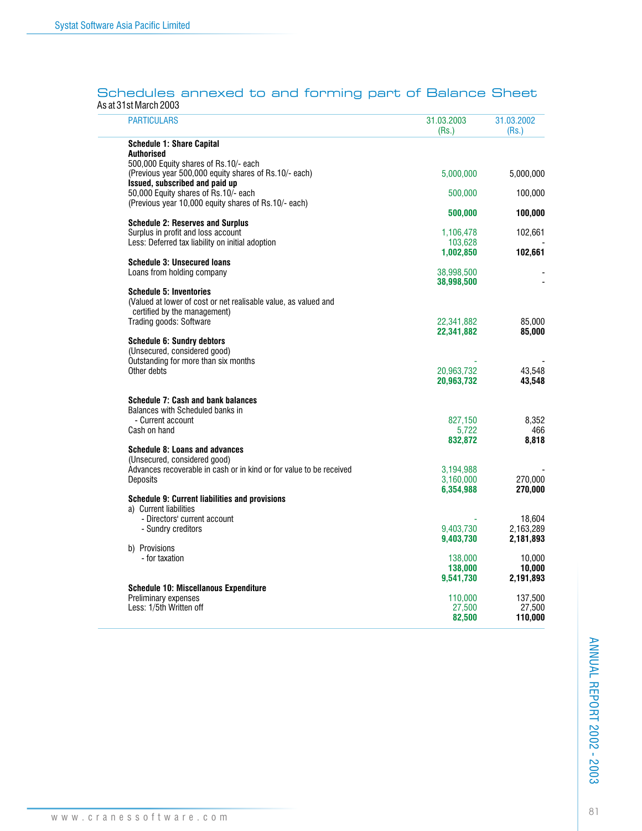### Schedules annexed to and forming part of Balance Sheet As at 31st March 2003

| <b>PARTICULARS</b>                                                                             | 31.03.2003<br>(Rs.) | 31.03.2002<br>(Rs.) |
|------------------------------------------------------------------------------------------------|---------------------|---------------------|
| <b>Schedule 1: Share Capital</b>                                                               |                     |                     |
| <b>Authorised</b>                                                                              |                     |                     |
| 500,000 Equity shares of Rs.10/- each<br>(Previous year 500,000 equity shares of Rs.10/- each) |                     | 5,000,000           |
| Issued, subscribed and paid up                                                                 | 5,000,000           |                     |
| 50,000 Equity shares of Rs.10/- each                                                           | 500,000             | 100,000             |
| (Previous year 10,000 equity shares of Rs.10/- each)                                           |                     |                     |
|                                                                                                | 500,000             | 100,000             |
| <b>Schedule 2: Reserves and Surplus</b>                                                        |                     |                     |
| Surplus in profit and loss account                                                             | 1,106,478           | 102,661             |
| Less: Deferred tax liability on initial adoption                                               | 103.628             |                     |
| <b>Schedule 3: Unsecured loans</b>                                                             | 1,002,850           | 102,661             |
| Loans from holding company                                                                     | 38,998,500          |                     |
|                                                                                                | 38,998,500          |                     |
| <b>Schedule 5: Inventories</b>                                                                 |                     |                     |
| (Valued at lower of cost or net realisable value, as valued and                                |                     |                     |
| certified by the management)                                                                   |                     |                     |
| Trading goods: Software                                                                        | 22,341,882          | 85,000              |
|                                                                                                | 22,341,882          | 85,000              |
| <b>Schedule 6: Sundry debtors</b>                                                              |                     |                     |
| (Unsecured, considered good)<br>Outstanding for more than six months                           |                     |                     |
| Other debts                                                                                    | 20,963,732          | 43,548              |
|                                                                                                | 20,963,732          | 43,548              |
| <b>Schedule 7: Cash and bank balances</b>                                                      |                     |                     |
| Balances with Scheduled banks in                                                               |                     |                     |
| - Current account                                                                              | 827.150             | 8.352               |
| Cash on hand                                                                                   | 5,722<br>832,872    | 466<br>8,818        |
| Schedule 8: Loans and advances                                                                 |                     |                     |
| (Unsecured, considered good)                                                                   |                     |                     |
| Advances recoverable in cash or in kind or for value to be received                            | 3,194,988           |                     |
| Deposits                                                                                       | 3,160,000           | 270,000             |
|                                                                                                | 6,354,988           | 270,000             |
| Schedule 9: Current liabilities and provisions                                                 |                     |                     |
| a) Current liabilities                                                                         |                     |                     |
| - Directors' current account<br>- Sundry creditors                                             | 9,403,730           | 18,604<br>2,163,289 |
|                                                                                                | 9,403,730           | 2,181,893           |
| b) Provisions                                                                                  |                     |                     |
| - for taxation                                                                                 | 138,000             | 10,000              |
|                                                                                                | 138,000             | 10,000              |
|                                                                                                | 9,541,730           | 2,191,893           |
| <b>Schedule 10: Miscellanous Expenditure</b>                                                   |                     |                     |
| Preliminary expenses                                                                           | 110,000             | 137,500             |
| Less: 1/5th Written off                                                                        | 27,500<br>82,500    | 27,500<br>110,000   |
|                                                                                                |                     |                     |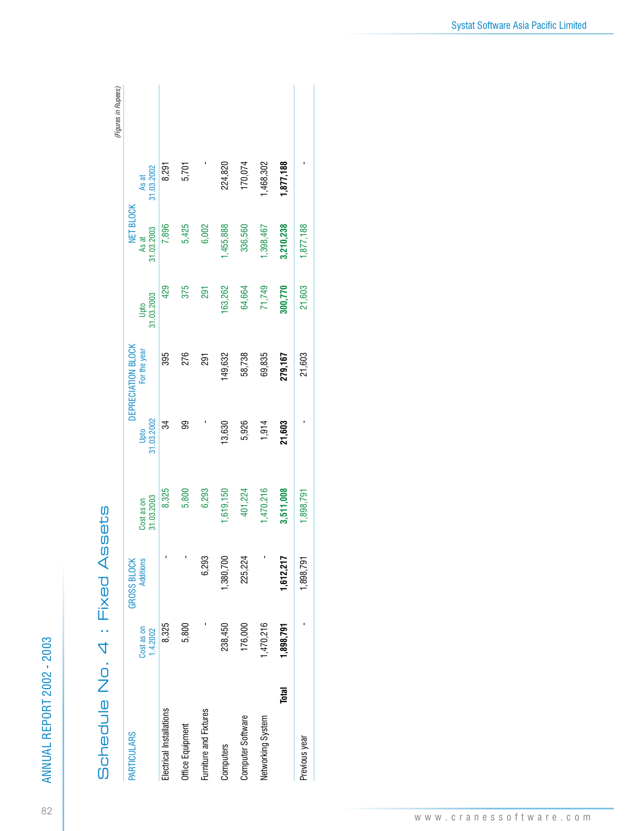| <b>PARTICULARS</b>       |                        | <b>GROSS BLOCK</b> |                          |                    | DEPRECIATION BLOCK |                    | NET BLOCK           |                     |  |
|--------------------------|------------------------|--------------------|--------------------------|--------------------|--------------------|--------------------|---------------------|---------------------|--|
|                          | Cost as on<br>1.4.2002 | <b>Additions</b>   | 31.03.2003<br>Cost as on | 31.03.2002<br>Upto | For the year       | 31.03.2003<br>Upto | 31.03.2003<br>As at | 31.03.2002<br>As at |  |
| Electrical Installations | 8,325                  |                    | 8,325                    | 34                 | 395                | 429                | 7,896               | 8,291               |  |
| Office Equipment         | 5,800                  |                    | 5,800                    | 99                 | 276                | 375                | 5,425               | 5,701               |  |
| Furniture and Fixtures   |                        | 6,293              | 6,293                    |                    | <b>Fac</b>         | 291                | 6,002               |                     |  |
| Computers                | 238,450                | 1,380,700          | ,619,150                 | 13,630             | 49,632             | 63,262             | ,455,888            | 224,820             |  |
| Computer Software        | 176,000                | 225,224            | 401,224                  | 5,926              | 58,738             | 64,664             | 336,560             | 170,074             |  |
| Networking System        | 1,470,216              |                    | ,470,216                 | 1,914              | 69,835             | 71,749             | ,398,467            | 1,468,302           |  |
| Total                    | 1,898,791              | 1,612,217          | 3,511,008                | 21,603             | 279,167            | 300,770            | 3,210,238           | 1,877,188           |  |
| Previous year            |                        | 1,898,791          | ,898,791                 |                    | 21,603             | 21,603             | ,877,188            |                     |  |

4 : Fixed Assets Schedule No. 4 : Fixed Assets Schedule No. Systat Software Asia Pacific Limited

ANNUAL REPORT 2002 - 2003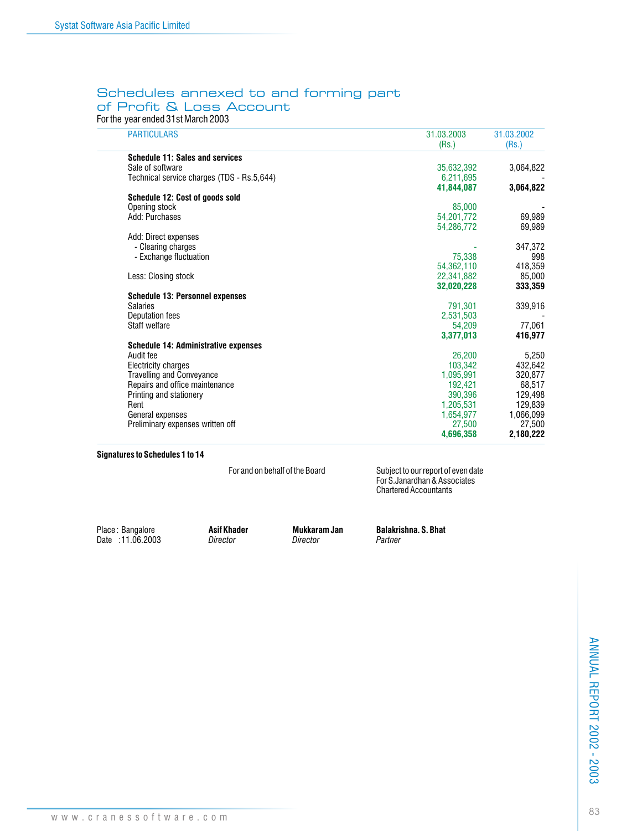### Schedules annexed to and forming part of Profit & Loss Account

For the year ended 31st March 2003

| <b>PARTICULARS</b>                          | 31.03.2003<br>(Rs.) | 31.03.2002<br>(Rs.) |
|---------------------------------------------|---------------------|---------------------|
| <b>Schedule 11: Sales and services</b>      |                     |                     |
| Sale of software                            | 35,632,392          | 3,064,822           |
| Technical service charges (TDS - Rs.5,644)  | 6,211,695           |                     |
|                                             | 41.844.087          | 3,064,822           |
| Schedule 12: Cost of goods sold             |                     |                     |
| Opening stock                               | 85.000              |                     |
| Add: Purchases                              | 54,201,772          | 69,989              |
|                                             | 54,286,772          | 69,989              |
| Add: Direct expenses                        |                     |                     |
| - Clearing charges                          |                     | 347,372             |
| - Exchange fluctuation                      | 75.338              | 998                 |
|                                             | 54,362,110          | 418,359             |
| Less: Closing stock                         | 22,341,882          | 85,000              |
|                                             | 32.020.228          | 333,359             |
| <b>Schedule 13: Personnel expenses</b>      |                     |                     |
| <b>Salaries</b>                             | 791.301             | 339,916             |
| Deputation fees                             | 2,531,503           |                     |
| Staff welfare                               | 54.209              | 77,061              |
|                                             | 3,377,013           | 416.977             |
| <b>Schedule 14: Administrative expenses</b> |                     |                     |
| Audit fee                                   | 26,200              | 5,250               |
| Electricity charges                         | 103,342             | 432,642             |
| <b>Travelling and Conveyance</b>            | 1,095,991           | 320,877             |
| Repairs and office maintenance              | 192.421             | 68,517              |
| Printing and stationery                     | 390.396             | 129,498             |
| Rent                                        | 1,205,531           | 129,839             |
| General expenses                            | 1,654,977           | 1,066,099           |
| Preliminary expenses written off            | 27,500              | 27,500              |
|                                             | 4,696,358           | 2,180,222           |

#### **Signatures to Schedules 1 to 14**

For and on behalf of the Board Subject to our report of even date For S.Janardhan & Associates Chartered Accountants

Place : Bangalore **Asif Khader Mukkaram Jan Balakrishna. S. Bhat** Date : 11.06.2003 *Director Director Partner*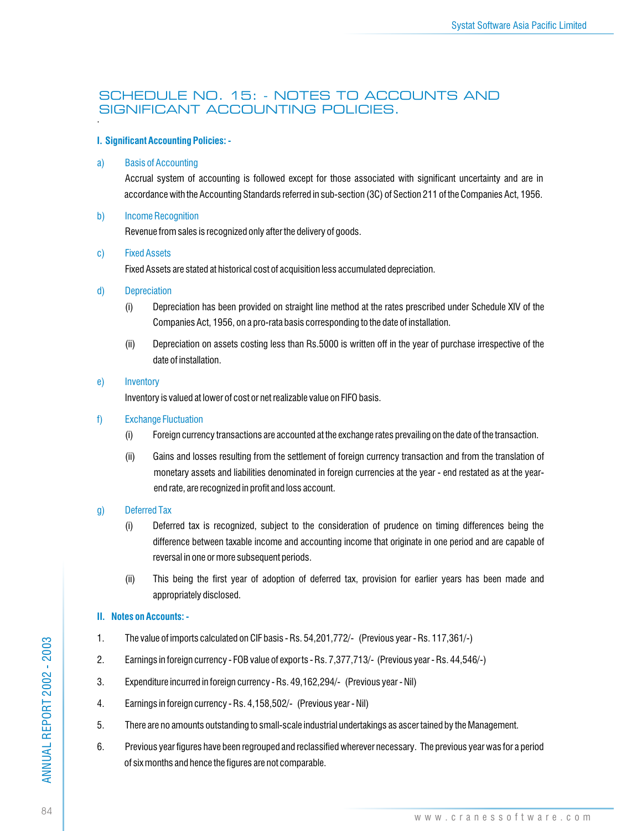### SCHEDULE NO. 15: - NOTES TO ACCOUNTS AND SIGNIFICANT ACCOUNTING POLICIES. .

### **I. Significant Accounting Policies: -**

### a) Basis of Accounting

Accrual system of accounting is followed except for those associated with significant uncertainty and are in accordance with the Accounting Standards referred in sub-section (3C) of Section 211 of the Companies Act, 1956.

b) Income Recognition

Revenue from sales is recognized only after the delivery of goods.

c) Fixed Assets

Fixed Assets are stated at historical cost of acquisition less accumulated depreciation.

- d) Depreciation
	- (i) Depreciation has been provided on straight line method at the rates prescribed under Schedule XIV of the Companies Act, 1956, on a pro-rata basis corresponding to the date of installation.
	- (ii) Depreciation on assets costing less than Rs.5000 is written off in the year of purchase irrespective of the date of installation.
- e) Inventory

Inventory is valued at lower of cost or net realizable value on FIFO basis.

- f) Exchange Fluctuation
	- (i) Foreign currency transactions are accounted at the exchange rates prevailing on the date of the transaction.
	- (ii) Gains and losses resulting from the settlement of foreign currency transaction and from the translation of monetary assets and liabilities denominated in foreign currencies at the year - end restated as at the yearend rate, are recognized in profit and loss account.

### g) Deferred Tax

- (i) Deferred tax is recognized, subject to the consideration of prudence on timing differences being the difference between taxable income and accounting income that originate in one period and are capable of reversal in one or more subsequent periods.
- (ii) This being the first year of adoption of deferred tax, provision for earlier years has been made and appropriately disclosed.

### **II. Notes on Accounts: -**

- 1. The value of imports calculated on CIF basis Rs. 54,201,772/- (Previous year Rs. 117,361/-)
- 2. Earnings in foreign currency FOB value of exports Rs. 7,377,713/- (Previous year Rs. 44,546/-)
- 3. Expenditure incurred in foreign currency Rs. 49,162,294/- (Previous year Nil)
- 4. Earnings in foreign currency Rs. 4,158,502/- (Previous year Nil)
- 5. There are no amounts outstanding to small-scale industrial undertakings as ascer tained by the Management.
- 6. Previous year figures have been regrouped and reclassified wherever necessary. The previous year was for a period of six months and hence the figures are not comparable.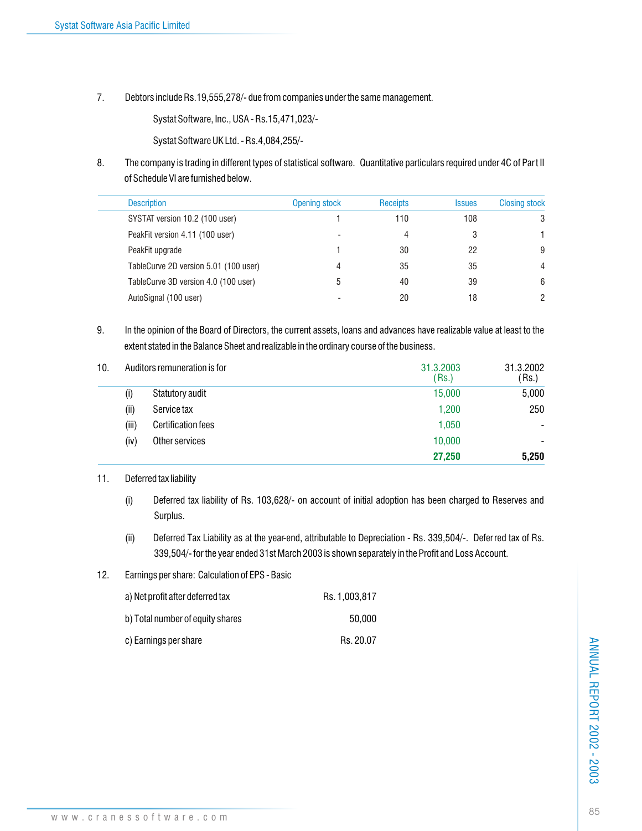7. Debtors include Rs.19,555,278/- due from companies under the same management.

Systat Software, Inc., USA - Rs.15,471,023/-

Systat Software UK Ltd. - Rs.4,084,255/-

8. The company is trading in different types of statistical software. Quantitative particulars required under 4C of Part II of Schedule VI are furnished below.

| <b>Description</b>                    | <b>Opening stock</b> | <b>Receipts</b> | <b>Issues</b> | <b>Closing stock</b> |
|---------------------------------------|----------------------|-----------------|---------------|----------------------|
| SYSTAT version 10.2 (100 user)        |                      | 110             | 108           | 3                    |
| PeakFit version 4.11 (100 user)       | -                    | 4               | 3             |                      |
| PeakFit upgrade                       |                      | 30              | 22            | 9                    |
| TableCurve 2D version 5.01 (100 user) | 4                    | 35              | 35            | 4                    |
| TableCurve 3D version 4.0 (100 user)  | ხ                    | 40              | 39            | 6                    |
| AutoSignal (100 user)                 |                      | 20              | 18            |                      |
|                                       |                      |                 |               |                      |

9. In the opinion of the Board of Directors, the current assets, loans and advances have realizable value at least to the extent stated in the Balance Sheet and realizable in the ordinary course of the business.

| 10. |       | Auditors remuneration is for | 31.3.2003<br>(Rs.) | 31.3.2002<br>$\mathsf{Rs}$ |
|-----|-------|------------------------------|--------------------|----------------------------|
|     | (i)   | Statutory audit              | 15,000             | 5,000                      |
|     | (ii)  | Service tax                  | 1,200              | 250                        |
|     | (iii) | <b>Certification fees</b>    | 1,050              |                            |
|     | (iv)  | Other services               | 10,000             |                            |
|     |       |                              | 27,250             | 5,250                      |

### 11. Deferred tax liability

- (i) Deferred tax liability of Rs. 103,628/- on account of initial adoption has been charged to Reserves and Surplus.
- (ii) Deferred Tax Liability as at the year-end, attributable to Depreciation Rs. 339,504/-. Deferred tax of Rs. 339,504/- for the year ended 31st March 2003 is shown separately in the Profit and Loss Account.
- 12. Earnings per share: Calculation of EPS Basic

| a) Net profit after deferred tax | Rs. 1.003.817 |
|----------------------------------|---------------|
| b) Total number of equity shares | 50.000        |
| c) Earnings per share            | Rs. 20.07     |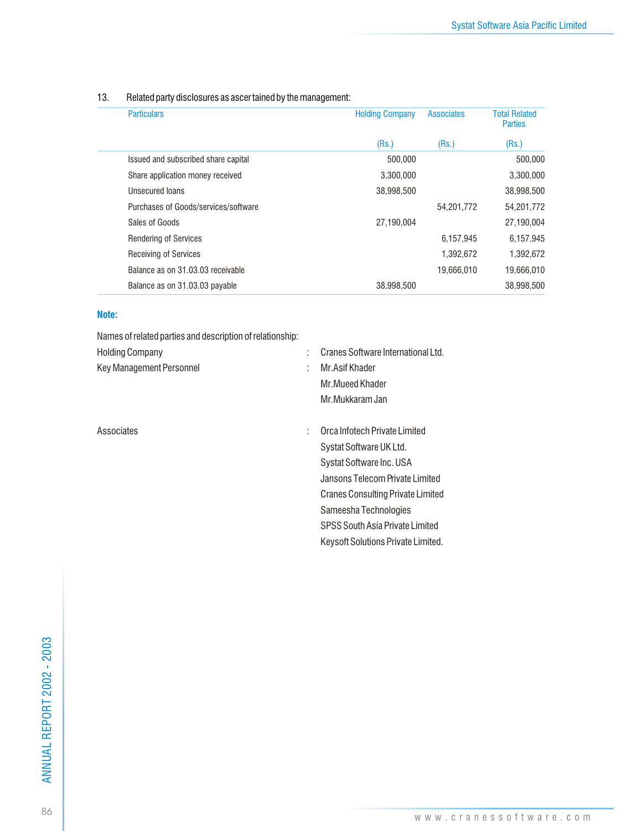| <b>Particulars</b>                   | <b>Holding Company</b> | <b>Associates</b> | <b>Total Related</b><br><b>Parties</b> |
|--------------------------------------|------------------------|-------------------|----------------------------------------|
|                                      | (Rs.)                  | (Rs.)             | (Rs.)                                  |
| Issued and subscribed share capital  | 500.000                |                   | 500.000                                |
| Share application money received     | 3.300.000              |                   | 3,300,000                              |
| Unsecured loans                      | 38,998,500             |                   | 38,998,500                             |
| Purchases of Goods/services/software |                        | 54,201,772        | 54,201,772                             |
| Sales of Goods                       | 27.190.004             |                   | 27,190,004                             |
| <b>Rendering of Services</b>         |                        | 6.157.945         | 6,157,945                              |
| <b>Receiving of Services</b>         |                        | 1,392,672         | 1,392,672                              |
| Balance as on 31,03,03 receivable    |                        | 19.666.010        | 19,666,010                             |
| Balance as on 31.03.03 payable       | 38.998.500             |                   | 38.998.500                             |

### 13. Related party disclosures as ascer tained by the management:

### **Note:**

Names of related parties and description of relationship:

| <b>Holding Company</b>   |    | Cranes Software International Ltd. |
|--------------------------|----|------------------------------------|
| Key Management Personnel | ÷. | Mr.Asif Khader                     |
|                          |    | Mr.Mueed Khader                    |
|                          |    | Mr.Mukkaram Jan                    |
|                          |    |                                    |
|                          |    |                                    |

Associates : Orca Infotech Private Limited Systat Software UK Ltd. Systat Software Inc. USA Jansons Telecom Private Limited Cranes Consulting Private Limited Sameesha Technologies SPSS South Asia Private Limited Keysoft Solutions Private Limited.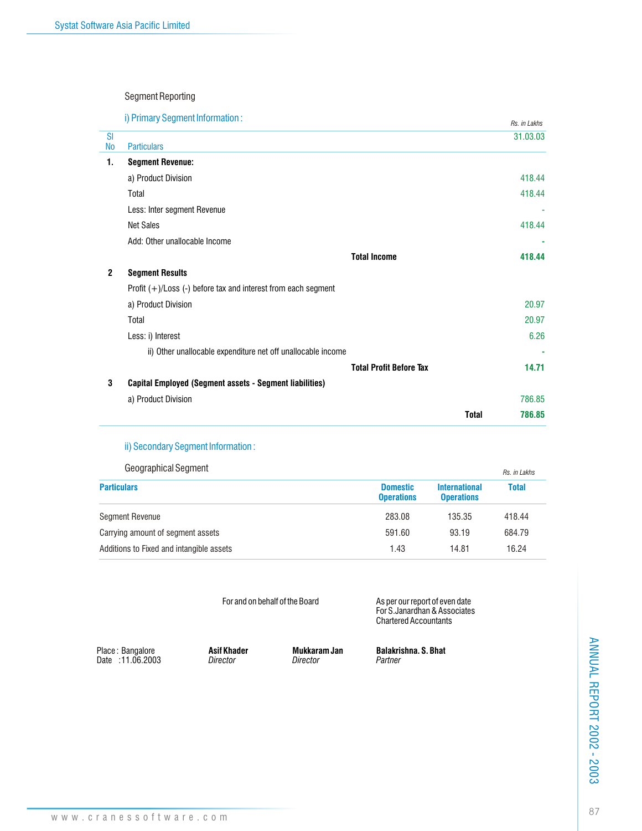### Segment Reporting

i) Primary Segment Information :

|                        | I) Primary Segment Information:                                    |              | Rs. in Lakhs |
|------------------------|--------------------------------------------------------------------|--------------|--------------|
| <b>SI</b><br><b>No</b> | <b>Particulars</b>                                                 |              | 31.03.03     |
| 1.                     | <b>Segment Revenue:</b>                                            |              |              |
|                        | a) Product Division                                                |              | 418.44       |
|                        | Total                                                              |              | 418.44       |
|                        | Less: Inter segment Revenue                                        |              | ٠            |
|                        | <b>Net Sales</b>                                                   |              | 418.44       |
|                        | Add: Other unallocable Income                                      |              |              |
|                        | <b>Total Income</b>                                                |              | 418.44       |
| $\mathbf{2}$           | <b>Segment Results</b>                                             |              |              |
|                        | Profit $(+)/$ Loss $(-)$ before tax and interest from each segment |              |              |
|                        | a) Product Division                                                |              | 20.97        |
|                        | Total                                                              |              | 20.97        |
|                        | Less: i) Interest                                                  |              | 6.26         |
|                        | ii) Other unallocable expenditure net off unallocable income       |              |              |
|                        | <b>Total Profit Before Tax</b>                                     |              | 14.71        |
| 3                      | Capital Employed (Segment assets - Segment liabilities)            |              |              |
|                        | a) Product Division                                                |              | 786.85       |
|                        |                                                                    | <b>Total</b> | 786.85       |

### ii) Secondary Segment Information :

| <b>Geographical Segment</b>              |                                      |                                           | Rs. in Lakhs |
|------------------------------------------|--------------------------------------|-------------------------------------------|--------------|
| <b>Particulars</b>                       | <b>Domestic</b><br><b>Operations</b> | <b>International</b><br><b>Operations</b> | <b>Total</b> |
| <b>Segment Revenue</b>                   | 283.08                               | 135.35                                    | 418.44       |
| Carrying amount of segment assets        | 591.60                               | 93.19                                     | 684.79       |
| Additions to Fixed and intangible assets | 1.43                                 | 14.81                                     | 16.24        |

| For and on behalf of the Board |  |  |
|--------------------------------|--|--|
|                                |  |  |

For and on behalf of the Board **As per our report of even date** For S.Janardhan & Associates Chartered Accountants

Place: Bangalore<br>Date: 11.06.2003

Place : Bangalore **Asif Khader Mukkaram Jan Balakrishna. S. Bhat**

**ANNUAL REPORT 2002 - 2003** 87ANNUAL REPORT 2002 - 2003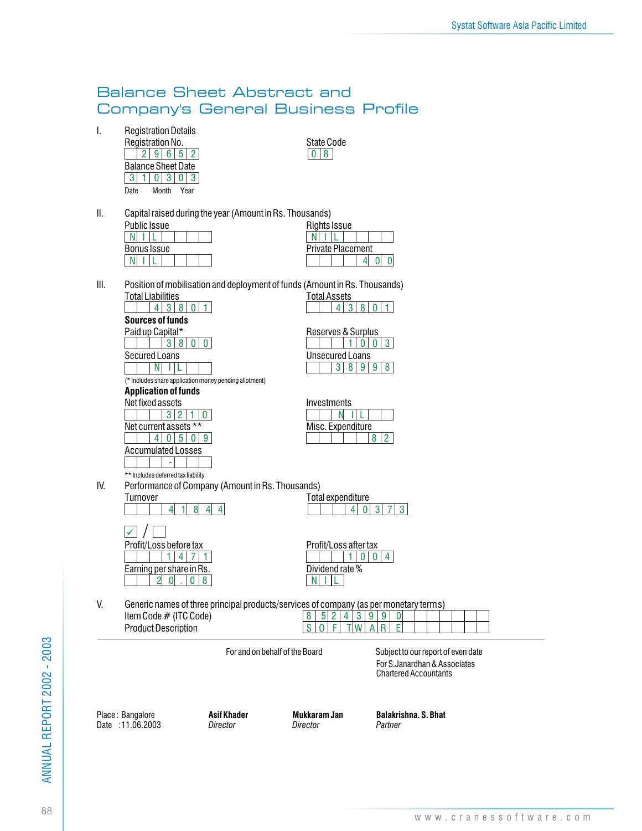### Balance Sheet Abstract and Company's General Business Profile

I. Registration Details

| Registration No.      |                           |  |  |  |  |  |  |  |  |  |  |
|-----------------------|---------------------------|--|--|--|--|--|--|--|--|--|--|
| 2 9 6 5 2             |                           |  |  |  |  |  |  |  |  |  |  |
|                       | <b>Balance Sheet Date</b> |  |  |  |  |  |  |  |  |  |  |
|                       |                           |  |  |  |  |  |  |  |  |  |  |
| Month<br>Date<br>Year |                           |  |  |  |  |  |  |  |  |  |  |

State Code  $\boxed{0}$  8

II. Capital raised during the year (Amount in Rs. Thousands)

| <b>Public Issue</b> |  | Rights Issue             |
|---------------------|--|--------------------------|
|                     |  |                          |
| Bonus Issue         |  | <b>Private Placement</b> |
|                     |  |                          |

| Public Issue |  |  |  | Rights Issue             |
|--------------|--|--|--|--------------------------|
|              |  |  |  |                          |
| Bonus Issue  |  |  |  | <b>Private Placement</b> |
|              |  |  |  |                          |
|              |  |  |  |                          |

Reserves & Surplus

 $\frac{360}{1000}$ 

8 3 9 9 8

4 3 8 0 1

**Unsecured Loans** 

III. Position of mobilisation and deployment of funds (Amount in Rs. Thousands) **Total Assets** 

|                         |                  | 4 <sup>1</sup> |  | 380   |  |  |  |  |  |  |  |  |
|-------------------------|------------------|----------------|--|-------|--|--|--|--|--|--|--|--|
| <b>Sources of funds</b> |                  |                |  |       |  |  |  |  |  |  |  |  |
|                         | Paid up Capital* |                |  |       |  |  |  |  |  |  |  |  |
|                         |                  |                |  | 38000 |  |  |  |  |  |  |  |  |
| Secured Loans           |                  |                |  |       |  |  |  |  |  |  |  |  |
|                         |                  |                |  |       |  |  |  |  |  |  |  |  |

(\* Includes share application money pending allotment)



|                   |  | Investments |  |  |  |  |  |  |  |  |  |  |
|-------------------|--|-------------|--|--|--|--|--|--|--|--|--|--|
|                   |  |             |  |  |  |  |  |  |  |  |  |  |
| Misc. Expenditure |  |             |  |  |  |  |  |  |  |  |  |  |
|                   |  |             |  |  |  |  |  |  |  |  |  |  |

\*\* Includes deferred tax liability IV. Performance of Company (Amount in Rs. Thousands)

| Turnover                | Total expenditure     |  |  |  |  |  |  |  |
|-------------------------|-----------------------|--|--|--|--|--|--|--|
|                         |                       |  |  |  |  |  |  |  |
| Profit/Loss before tax  | Profit/Loss after tax |  |  |  |  |  |  |  |
|                         |                       |  |  |  |  |  |  |  |
| Earning nor charo in Re | Nividand rata %       |  |  |  |  |  |  |  |

|          | Performance of Company (Amount in RS. Thousands). |                   |
|----------|---------------------------------------------------|-------------------|
| Turnover |                                                   | Total expenditure |
|          | $4$ 1 8 4 4                                       | 40373             |

|  | Profit/Loss before tax   |  |  | Profit/Loss after tax |  |
|--|--------------------------|--|--|-----------------------|--|
|  |                          |  |  |                       |  |
|  | Earning per share in Rs. |  |  | Dividend rate %       |  |
|  |                          |  |  |                       |  |

V. Generic names of three principal products Item Code # (ITC Code)

Product Description

| cts/services of company (as per monetary terms) |  |  |  |  |  |  |  |  |  |  |  |  |  |  |
|-------------------------------------------------|--|--|--|--|--|--|--|--|--|--|--|--|--|--|
|                                                 |  |  |  |  |  |  |  |  |  |  |  |  |  |  |
|                                                 |  |  |  |  |  |  |  |  |  |  |  |  |  |  |
|                                                 |  |  |  |  |  |  |  |  |  |  |  |  |  |  |

For and on behalf of the Board Subject to our report of even date For S.Janardhan & Associates Chartered Accountants

Date : 11.06.2003 *Director Director Partner*

Place : Bangalore **Asif Khader Mukkaram Jan Balakrishna. S. Bhat**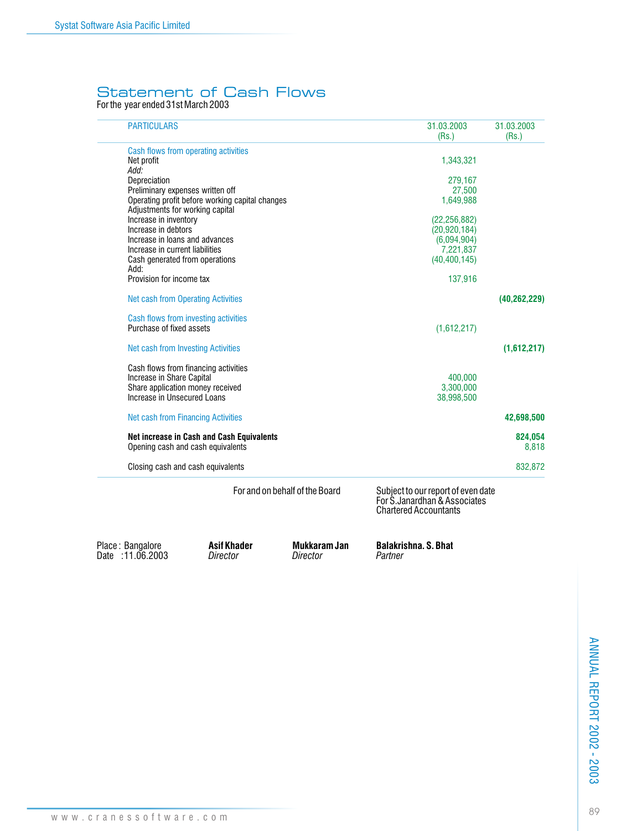### Statement of Cash Flows

For the year ended 31st March 2003

| <b>PARTICULARS</b>                        |                                                 | 31.03.2003<br>(Rs.)            | 31.03.2003<br>(Rs.)                                                                                 |                  |
|-------------------------------------------|-------------------------------------------------|--------------------------------|-----------------------------------------------------------------------------------------------------|------------------|
|                                           | Cash flows from operating activities            |                                |                                                                                                     |                  |
| Net profit                                |                                                 |                                | 1,343,321                                                                                           |                  |
| Add:                                      |                                                 |                                |                                                                                                     |                  |
| Depreciation                              |                                                 |                                | 279,167                                                                                             |                  |
| Preliminary expenses written off          |                                                 |                                | 27,500                                                                                              |                  |
|                                           | Operating profit before working capital changes |                                | 1,649,988                                                                                           |                  |
| Adjustments for working capital           |                                                 |                                |                                                                                                     |                  |
| Increase in inventory                     |                                                 |                                | (22, 256, 882)                                                                                      |                  |
| Increase in debtors                       |                                                 |                                | (20, 920, 184)                                                                                      |                  |
| Increase in loans and advances            |                                                 |                                | (6,094,904)                                                                                         |                  |
| Increase in current liabilities           |                                                 |                                | 7,221,837                                                                                           |                  |
| Cash generated from operations<br>Add:    |                                                 |                                | (40, 400, 145)                                                                                      |                  |
| Provision for income tax                  |                                                 |                                | 137,916                                                                                             |                  |
| <b>Net cash from Operating Activities</b> |                                                 |                                |                                                                                                     | (40, 262, 229)   |
|                                           | Cash flows from investing activities            |                                |                                                                                                     |                  |
| Purchase of fixed assets                  |                                                 |                                | (1,612,217)                                                                                         |                  |
| <b>Net cash from Investing Activities</b> |                                                 |                                |                                                                                                     | (1,612,217)      |
|                                           | Cash flows from financing activities            |                                |                                                                                                     |                  |
| Increase in Share Capital                 |                                                 |                                | 400,000                                                                                             |                  |
| Share application money received          |                                                 |                                | 3,300,000                                                                                           |                  |
| Increase in Unsecured Loans               |                                                 |                                | 38,998,500                                                                                          |                  |
| <b>Net cash from Financing Activities</b> |                                                 |                                |                                                                                                     | 42,698,500       |
| Opening cash and cash equivalents         | Net increase in Cash and Cash Equivalents       |                                |                                                                                                     | 824,054<br>8,818 |
| Closing cash and cash equivalents         |                                                 |                                |                                                                                                     | 832,872          |
|                                           |                                                 | For and on behalf of the Board | Subject to our report of even date<br>For S. Janardhan & Associates<br><b>Chartered Accountants</b> |                  |
| Place: Bangalore<br>Date: 11.06.2003      | <b>Asif Khader</b><br>Director                  | Mukkaram Jan<br>Director       | <b>Balakrishna, S. Bhat</b><br>Partner                                                              |                  |

**ANNUAL REPORT 2002 - 2003** 89ANNUAL REPORT 2002 - 2003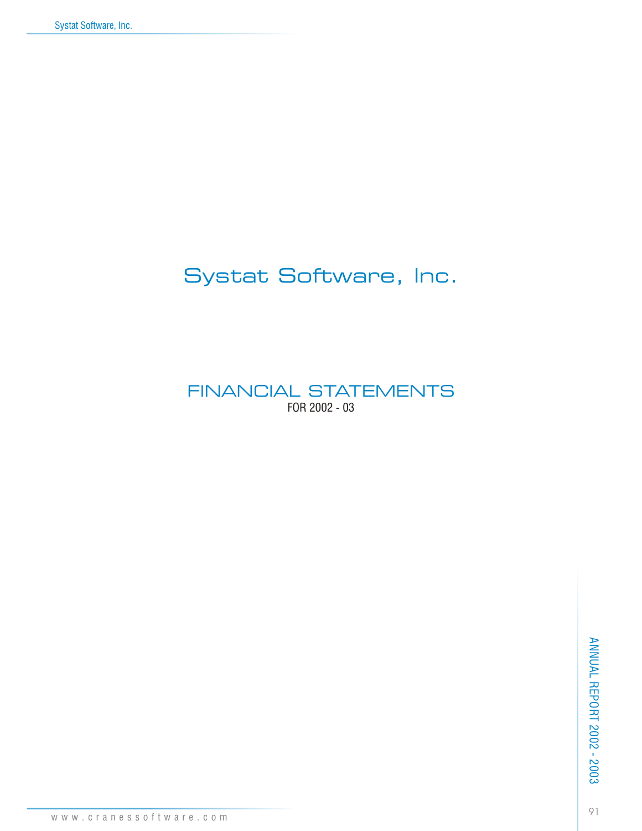# Systat Software, Inc.

FINANCIAL STATEMENTS FOR 2002 - 03

www.cranessoftware.com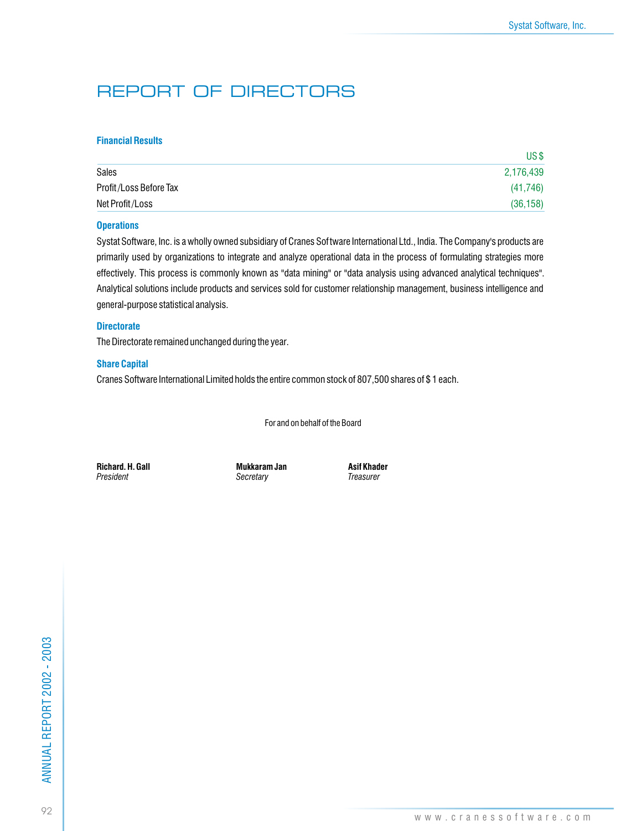# REPORT OF DIRECTORS

### **Financial Results**

|                        | US\$      |
|------------------------|-----------|
| Sales                  | 2,176,439 |
| Profit/Loss Before Tax | (41, 746) |
| Net Profit/Loss        | (36, 158) |

### **Operations**

Systat Software, Inc. is a wholly owned subsidiary of Cranes Software International Ltd., India. The Company's products are primarily used by organizations to integrate and analyze operational data in the process of formulating strategies more effectively. This process is commonly known as "data mining" or "data analysis using advanced analytical techniques". Analytical solutions include products and services sold for customer relationship management, business intelligence and general-purpose statistical analysis.

### **Directorate**

The Directorate remained unchanged during the year.

### **Share Capital**

Cranes Software International Limited holds the entire common stock of 807,500 shares of \$ 1 each.

For and on behalf of the Board

**Richard. H. Gall Mukkaram Jan Asif Khader**

**Secretary**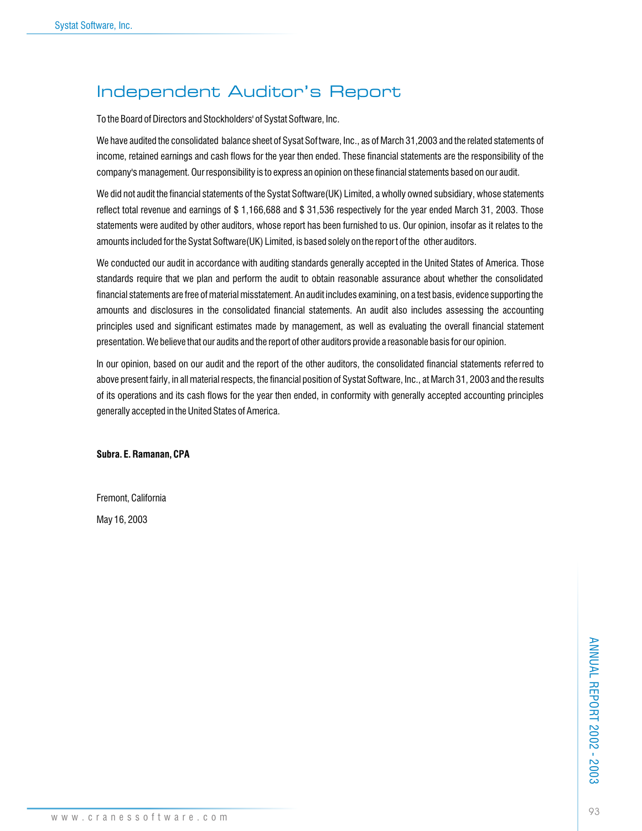# Independent Auditor's Report

To the Board of Directors and Stockholders' of Systat Software, Inc.

We have audited the consolidated balance sheet of Sysat Software, Inc., as of March 31,2003 and the related statements of income, retained earnings and cash flows for the year then ended. These financial statements are the responsibility of the company's management. Our responsibility is to express an opinion on these financial statements based on our audit.

We did not audit the financial statements of the Systat Software(UK) Limited, a wholly owned subsidiary, whose statements reflect total revenue and earnings of \$ 1,166,688 and \$ 31,536 respectively for the year ended March 31, 2003. Those statements were audited by other auditors, whose report has been furnished to us. Our opinion, insofar as it relates to the amounts included for the Systat Software(UK) Limited, is based solely on the report of the other auditors.

We conducted our audit in accordance with auditing standards generally accepted in the United States of America. Those standards require that we plan and perform the audit to obtain reasonable assurance about whether the consolidated financial statements are free of material misstatement. An audit includes examining, on a test basis, evidence supporting the amounts and disclosures in the consolidated financial statements. An audit also includes assessing the accounting principles used and significant estimates made by management, as well as evaluating the overall financial statement presentation. We believe that our audits and the report of other auditors provide a reasonable basis for our opinion.

In our opinion, based on our audit and the report of the other auditors, the consolidated financial statements referred to above present fairly, in all material respects, the financial position of Systat Software, Inc., at March 31, 2003 and the results of its operations and its cash flows for the year then ended, in conformity with generally accepted accounting principles generally accepted in the United States of America.

**Subra. E. Ramanan, CPA**

Fremont, California

May 16, 2003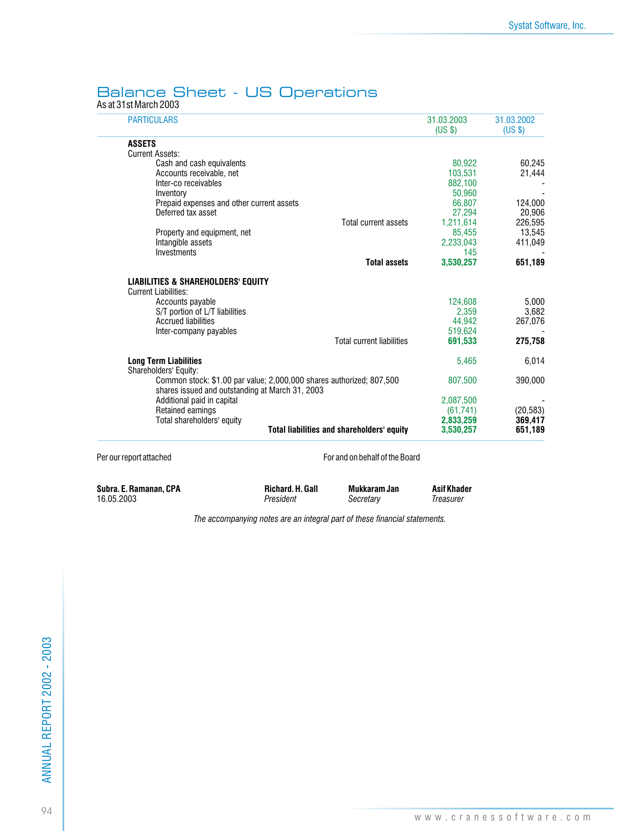### Balance Sheet - US Operations

As at 31st March 2003

| <b>PARTICULARS</b>                                                                                                      | 31.03.2003<br>(USS) | 31.03.2002<br>(USS) |
|-------------------------------------------------------------------------------------------------------------------------|---------------------|---------------------|
| <b>ASSETS</b>                                                                                                           |                     |                     |
| <b>Current Assets:</b>                                                                                                  |                     |                     |
| Cash and cash equivalents                                                                                               | 80.922              | 60.245              |
| Accounts receivable, net                                                                                                | 103,531             | 21,444              |
| Inter-co receivables                                                                                                    | 882,100             |                     |
| Inventory                                                                                                               | 50,960              |                     |
| Prepaid expenses and other current assets                                                                               | 66,807              | 124,000             |
| Deferred tax asset                                                                                                      | 27.294              | 20,906              |
| <b>Total current assets</b>                                                                                             | 1,211,614           | 226,595             |
| Property and equipment, net                                                                                             | 85,455              | 13,545              |
| Intangible assets                                                                                                       | 2,233,043           | 411,049             |
| Investments                                                                                                             | 145                 |                     |
| <b>Total assets</b>                                                                                                     | 3.530.257           | 651,189             |
| <b>LIABILITIES &amp; SHAREHOLDERS' EQUITY</b><br><b>Current Liabilities:</b>                                            |                     |                     |
| Accounts payable                                                                                                        | 124,608             | 5,000               |
| S/T portion of L/T liabilities                                                                                          | 2,359               | 3,682               |
| <b>Accrued liabilities</b>                                                                                              | 44.942              | 267,076             |
| Inter-company payables                                                                                                  | 519,624             |                     |
| <b>Total current liabilities</b>                                                                                        | 691.533             | 275,758             |
| <b>Long Term Liabilities</b><br>Shareholders' Equity:                                                                   | 5,465               | 6,014               |
| Common stock: \$1.00 par value; 2,000,000 shares authorized; 807,500<br>shares issued and outstanding at March 31, 2003 | 807,500             | 390,000             |
| Additional paid in capital                                                                                              | 2,087,500           |                     |
| Retained earnings                                                                                                       | (61, 741)           | (20, 583)           |
| Total shareholders' equity                                                                                              | 2,833,259           | 369,417             |
| <b>Total liabilities and shareholders' equity</b>                                                                       | 3,530,257           | 651,189             |

Per our report attached For and on behalf of the Board

**Subra. E. Ramanan, CPA Richard. H. Gall Mukkaram Jan Asif Khader** 16.05.2003 *President Secretary Treasurer*

*The accompanying notes are an integral part of these financial statements.*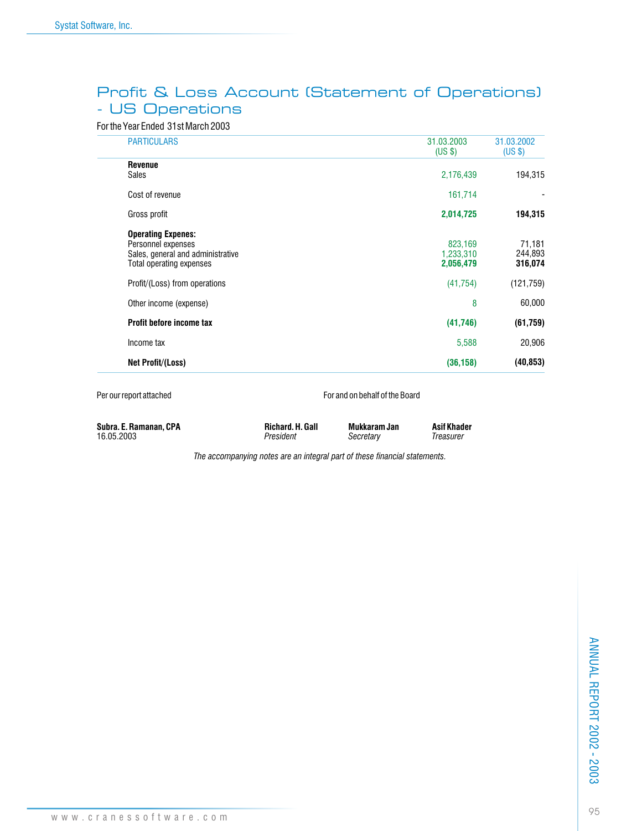### Profit & Loss Account (Statement of Operations) - US Operations

### For the Year Ended 31st March 2003

|                                | <b>PARTICULARS</b>                                                                                               | 31.03.2003<br>(US \$)             | 31.03.2002<br>(US \$)        |
|--------------------------------|------------------------------------------------------------------------------------------------------------------|-----------------------------------|------------------------------|
| <b>Revenue</b><br><b>Sales</b> |                                                                                                                  | 2,176,439                         | 194,315                      |
|                                | Cost of revenue                                                                                                  | 161,714                           |                              |
|                                | Gross profit                                                                                                     | 2,014,725                         | 194,315                      |
|                                | <b>Operating Expenes:</b><br>Personnel expenses<br>Sales, general and administrative<br>Total operating expenses | 823,169<br>1,233,310<br>2,056,479 | 71,181<br>244,893<br>316,074 |
|                                | Profit/(Loss) from operations                                                                                    | (41, 754)                         | (121, 759)                   |
|                                | Other income (expense)                                                                                           | 8                                 | 60,000                       |
|                                | Profit before income tax                                                                                         | (41,746)                          | (61, 759)                    |
|                                | Income tax                                                                                                       | 5,588                             | 20,906                       |
|                                | Net Profit/(Loss)                                                                                                | (36, 158)                         | (40, 853)                    |

Per our report attached For and on behalf of the Board

| Subra. E. Ramanan, CPA | Richard, H. Gall | Mukkaram Jan | <b>Asif Khad</b> |
|------------------------|------------------|--------------|------------------|
| 16.05.2003             | President        | Secretary    | Treasurer        |

**Richard. H. Gall Mukkaram Jan Asif Khader**<br>President Secretary Treasurer

*The accompanying notes are an integral part of these financial statements.*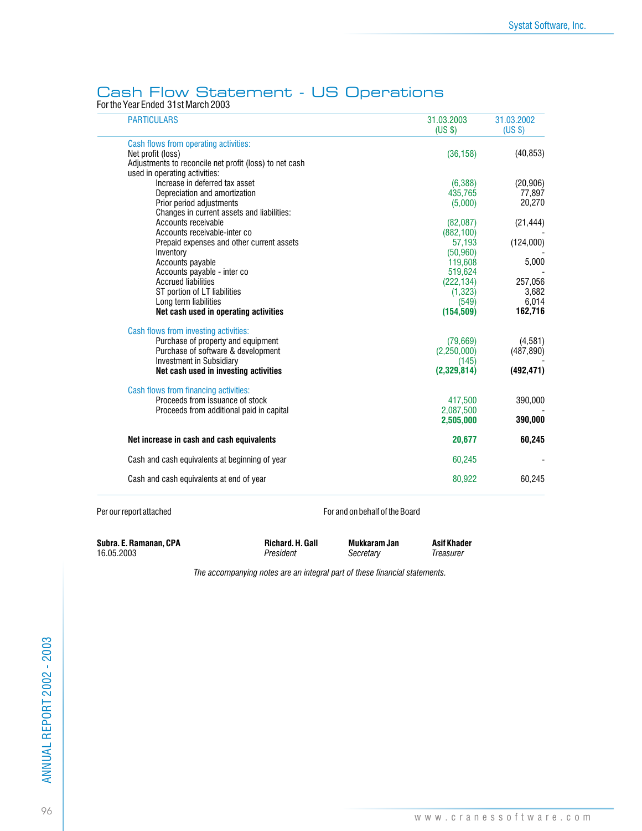### Cash Flow Statement - US Operations

For the Year Ended 31st March 2003

| <b>PARTICULARS</b>                                                                      | 31.03.2003<br>(US \$) | 31.03.2002<br>(US \$) |
|-----------------------------------------------------------------------------------------|-----------------------|-----------------------|
| Cash flows from operating activities:                                                   |                       |                       |
| Net profit (loss)                                                                       | (36, 158)             | (40, 853)             |
| Adjustments to reconcile net profit (loss) to net cash<br>used in operating activities: |                       |                       |
| Increase in deferred tax asset                                                          | (6,388)               | (20, 906)             |
| Depreciation and amortization                                                           | 435,765               | 77,897                |
| Prior period adjustments                                                                | (5,000)               | 20,270                |
| Changes in current assets and liabilities:                                              |                       |                       |
| Accounts receivable                                                                     | (82,087)              | (21, 444)             |
| Accounts receivable-inter co                                                            | (882, 100)            |                       |
| Prepaid expenses and other current assets                                               | 57,193                | (124,000)             |
| Inventory                                                                               | (50, 960)             |                       |
| Accounts payable                                                                        | 119,608               | 5,000                 |
| Accounts payable - inter co                                                             | 519,624               |                       |
| <b>Accrued liabilities</b>                                                              | (222, 134)            | 257,056               |
| ST portion of LT liabilities                                                            | (1,323)               | 3,682                 |
| Long term liabilities                                                                   | (549)                 | 6,014                 |
| Net cash used in operating activities                                                   | (154, 509)            | 162,716               |
| Cash flows from investing activities:                                                   |                       |                       |
| Purchase of property and equipment                                                      | (79,669)              | (4,581)               |
| Purchase of software & development                                                      | (2, 250, 000)         | (487, 890)            |
| <b>Investment in Subsidiary</b>                                                         | (145)                 |                       |
| Net cash used in investing activities                                                   | (2,329,814)           | (492, 471)            |
| Cash flows from financing activities:                                                   |                       |                       |
| Proceeds from issuance of stock                                                         | 417,500               | 390,000               |
| Proceeds from additional paid in capital                                                | 2,087,500             |                       |
|                                                                                         | 2.505.000             | 390,000               |
| Net increase in cash and cash equivalents                                               | 20,677                | 60,245                |
| Cash and cash equivalents at beginning of year                                          | 60,245                |                       |
| Cash and cash equivalents at end of year                                                | 80,922                | 60,245                |

Per our report attached For and on behalf of the Board

**Subra. E. Ramanan, CPA Richard. H. Gall Mukkaram Jan Asif Khader** 16.05.2003 **Richard Asif Khader** *President Secretary Treasurer* 16.05.2003 *President Secretary Treasurer*

*The accompanying notes are an integral part of these financial statements.*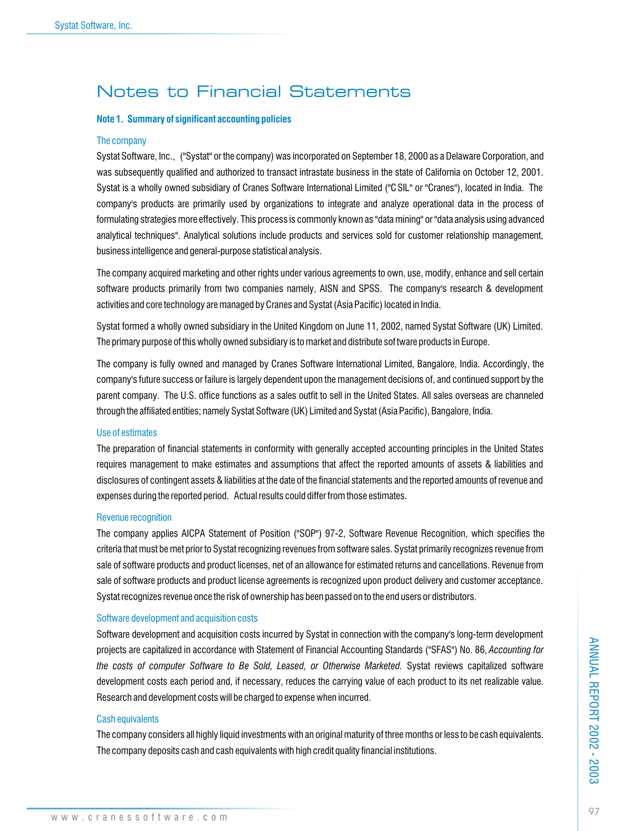## Notes to Financial Statements

#### **Note 1. Summary of significant accounting policies**

#### The company

Systat Software, Inc., ("Systat" or the company) was incorporated on September 18, 2000 as a Delaware Corporation, and was subsequently qualified and authorized to transact intrastate business in the state of California on October 12, 2001. Systat is a wholly owned subsidiary of Cranes Software International Limited ("CSIL" or "Cranes"), located in India. The company's products are primarily used by organizations to integrate and analyze operational data in the process of formulating strategies more effectively. This process is commonly known as "data mining" or "data analysis using advanced analytical techniques". Analytical solutions include products and services sold for customer relationship management, business intelligence and general-purpose statistical analysis.

The company acquired marketing and other rights under various agreements to own, use, modify, enhance and sell certain software products primarily from two companies namely, AISN and SPSS. The company's research & development activities and core technology are managed by Cranes and Systat (Asia Pacific) located in India.

Systat formed a wholly owned subsidiary in the United Kingdom on June 11, 2002, named Systat Software (UK) Limited. The primary purpose of this wholly owned subsidiary is to market and distribute software products in Europe.

The company is fully owned and managed by Cranes Software International Limited, Bangalore, India. Accordingly, the company's future success or failure is largely dependent upon the management decisions of, and continued support by the parent company. The U.S. office functions as a sales outfit to sell in the United States. All sales overseas are channeled through the affiliated entities; namely Systat Software (UK) Limited and Systat (Asia Pacific), Bangalore, India.

### Use of estimates

The preparation of financial statements in conformity with generally accepted accounting principles in the United States requires management to make estimates and assumptions that affect the reported amounts of assets & liabilities and disclosures of contingent assets & liabilities at the date of the financial statements and the reported amounts of revenue and expenses during the reported period. Actual results could differ from those estimates.

#### Revenue recognition

The company applies AICPA Statement of Position ("SOP") 97-2, Software Revenue Recognition, which specifies the criteria that must be met prior to Systat recognizing revenues from software sales. Systat primarily recognizes revenue from sale of software products and product licenses, net of an allowance for estimated returns and cancellations. Revenue from sale of software products and product license agreements is recognized upon product delivery and customer acceptance. Systat recognizes revenue once the risk of ownership has been passed on to the end users or distributors.

#### Software development and acquisition costs

Software development and acquisition costs incurred by Systat in connection with the company's long-term development projects are capitalized in accordance with Statement of Financial Accounting Standards ("SFAS") No. 86, *Accounting for the costs of computer Software to Be Sold, Leased, or Otherwise Marketed.* Systat reviews capitalized software development costs each period and, if necessary, reduces the carrying value of each product to its net realizable value. Research and development costs will be charged to expense when incurred.

#### Cash equivalents

The company considers all highly liquid investments with an original maturity of three months or less to be cash equivalents. The company deposits cash and cash equivalents with high credit quality financial institutions.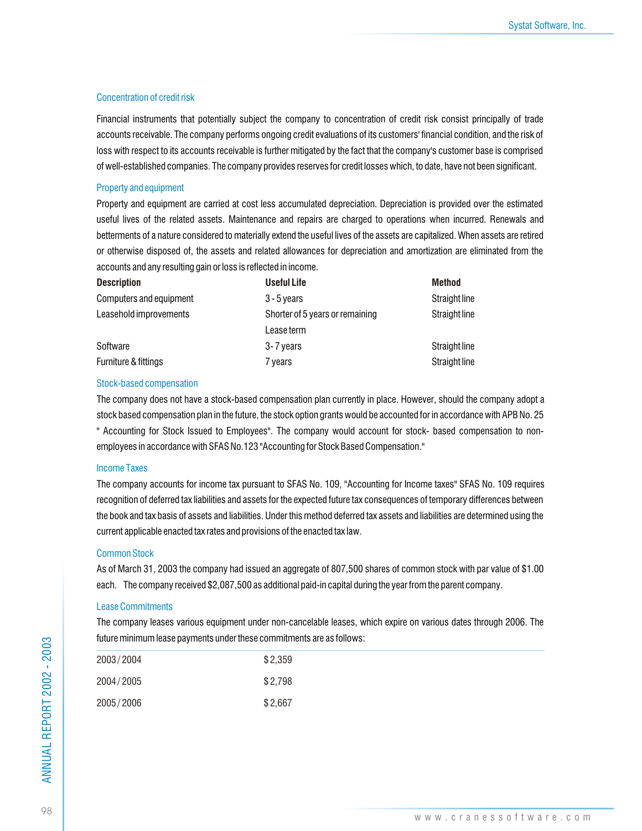### Concentration of credit risk

Financial instruments that potentially subject the company to concentration of credit risk consist principally of trade accounts receivable. The company performs ongoing credit evaluations of its customers' financial condition, and the risk of loss with respect to its accounts receivable is further mitigated by the fact that the company's customer base is comprised of well-established companies. The company provides reserves for credit losses which, to date, have not been significant.

### Property and equipment

Property and equipment are carried at cost less accumulated depreciation. Depreciation is provided over the estimated useful lives of the related assets. Maintenance and repairs are charged to operations when incurred. Renewals and betterments of a nature considered to materially extend the useful lives of the assets are capitalized. When assets are retired or otherwise disposed of, the assets and related allowances for depreciation and amortization are eliminated from the accounts and any resulting gain or loss is reflected in income.

| <b>Description</b>      | <b>Useful Life</b>              | <b>Method</b> |
|-------------------------|---------------------------------|---------------|
| Computers and equipment | $3 - 5$ years                   | Straight line |
| Leasehold improvements  | Shorter of 5 years or remaining | Straight line |
|                         | Lease term                      |               |
| Software                | 3-7 years                       | Straight line |
| Furniture & fittings    | 7 vears                         | Straight line |

### Stock-based compensation

The company does not have a stock-based compensation plan currently in place. However, should the company adopt a stock based compensation plan in the future, the stock option grants would be accounted for in accordance with APB No. 25 " Accounting for Stock Issued to Employees". The company would account for stock- based compensation to nonemployees in accordance with SFAS No.123 "Accounting for Stock Based Compensation."

### Income Taxes

The company accounts for income tax pursuant to SFAS No. 109, "Accounting for Income taxes" SFAS No. 109 requires recognition of deferred tax liabilities and assets for the expected future tax consequences of temporary differences between the book and tax basis of assets and liabilities. Under this method deferred tax assets and liabilities are determined using the current applicable enacted tax rates and provisions of the enacted tax law.

### Common Stock

As of March 31, 2003 the company had issued an aggregate of 807,500 shares of common stock with par value of \$1.00 each. The company received \$2,087,500 as additional paid-in capital during the year from the parent company.

### Lease Commitments

The company leases various equipment under non-cancelable leases, which expire on various dates through 2006. The future minimum lease payments under these commitments are as follows:

| 2003/2004 | \$2.359 |
|-----------|---------|
| 2004/2005 | \$2.798 |
| 2005/2006 | \$2,667 |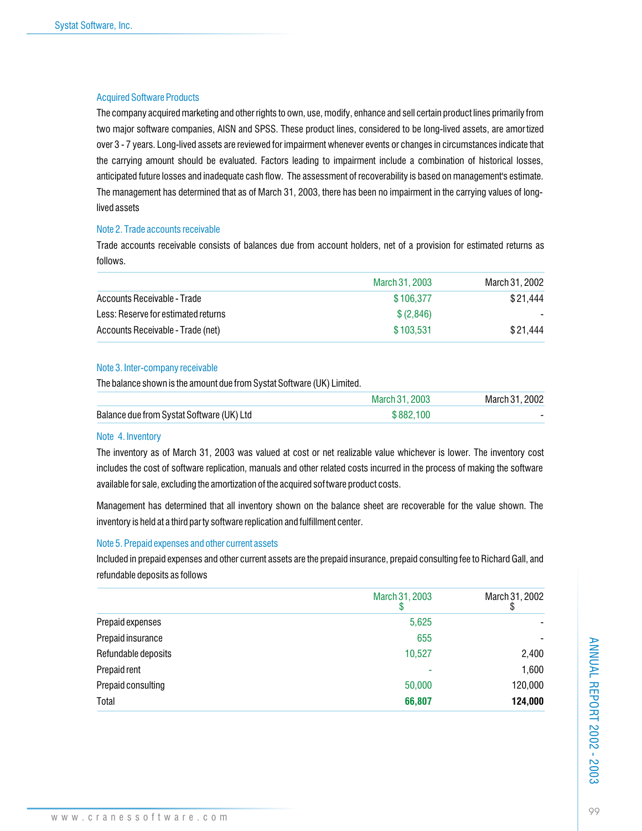### Acquired Software Products

The company acquired marketing and other rights to own, use, modify, enhance and sell certain product lines primarily from two major software companies, AISN and SPSS. These product lines, considered to be long-lived assets, are amor tized over 3 - 7 years. Long-lived assets are reviewed for impairment whenever events or changes in circumstances indicate that the carrying amount should be evaluated. Factors leading to impairment include a combination of historical losses, anticipated future losses and inadequate cash flow. The assessment of recoverability is based on management's estimate. The management has determined that as of March 31, 2003, there has been no impairment in the carrying values of longlived assets

### Note 2. Trade accounts receivable

Trade accounts receivable consists of balances due from account holders, net of a provision for estimated returns as follows.

|                                     | March 31, 2003 | March 31, 2002           |
|-------------------------------------|----------------|--------------------------|
| Accounts Receivable - Trade         | \$106.377      | \$21.444                 |
| Less: Reserve for estimated returns | \$ (2,846)     | $\overline{\phantom{0}}$ |
| Accounts Receivable - Trade (net)   | \$103.531      | \$21.444                 |

### Note 3. Inter-company receivable

The balance shown is the amount due from Systat Software (UK) Limited.

|                                           | March 31, 2003 | March 31, 2002 |
|-------------------------------------------|----------------|----------------|
| Balance due from Systat Software (UK) Ltd | \$882,100      |                |

### Note 4. Inventory

The inventory as of March 31, 2003 was valued at cost or net realizable value whichever is lower. The inventory cost includes the cost of software replication, manuals and other related costs incurred in the process of making the software available for sale, excluding the amortization of the acquired software product costs.

Management has determined that all inventory shown on the balance sheet are recoverable for the value shown. The inventory is held at a third party software replication and fulfillment center.

### Note 5. Prepaid expenses and other current assets

Included in prepaid expenses and other current assets are the prepaid insurance, prepaid consulting fee to Richard Gall, and refundable deposits as follows

|                     | March 31, 2003 | March 31, 2002 |
|---------------------|----------------|----------------|
| Prepaid expenses    | 5,625          |                |
| Prepaid insurance   | 655            |                |
| Refundable deposits | 10,527         | 2,400          |
| Prepaid rent        | ۰              | 1,600          |
| Prepaid consulting  | 50,000         | 120,000        |
| Total               | 66,807         | 124,000        |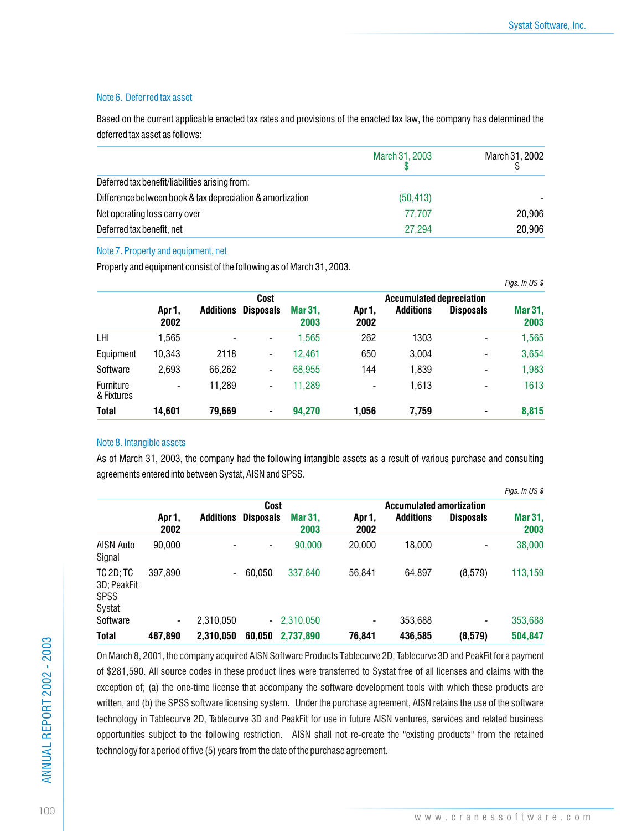### Note 6. Deferred tax asset

Based on the current applicable enacted tax rates and provisions of the enacted tax law, the company has determined the deferred tax asset as follows:

|                                                           | March 31, 2003 | March 31, 2002 |
|-----------------------------------------------------------|----------------|----------------|
| Deferred tax benefit/liabilities arising from:            |                |                |
| Difference between book & tax depreciation & amortization | (50, 413)      |                |
| Net operating loss carry over                             | 77.707         | 20.906         |
| Deferred tax benefit, net                                 | 27.294         | 20,906         |

### Note 7. Property and equipment, net

Property and equipment consist of the following as of March 31, 2003.

|                         |                |                |                          |                 |                |                                                     |                  | Figs. In US \$  |
|-------------------------|----------------|----------------|--------------------------|-----------------|----------------|-----------------------------------------------------|------------------|-----------------|
|                         | Apr 1,<br>2002 | Additions      | Cost<br><b>Disposals</b> | Mar 31.<br>2003 | Apr 1,<br>2002 | <b>Accumulated depreciation</b><br><b>Additions</b> | <b>Disposals</b> | Mar 31,<br>2003 |
| LHI                     | 1,565          | $\blacksquare$ | -                        | 1,565           | 262            | 1303                                                |                  | 1,565           |
| Equipment               | 10,343         | 2118           | -                        | 12,461          | 650            | 3,004                                               |                  | 3,654           |
| Software                | 2,693          | 66,262         | $\overline{\phantom{a}}$ | 68,955          | 144            | 1,839                                               | $\blacksquare$   | 1,983           |
| Furniture<br>& Fixtures | -              | 11.289         | -                        | 11.289          | $\blacksquare$ | 1,613                                               |                  | 1613            |
| <b>Total</b>            | 14.601         | 79,669         | ۰                        | 94,270          | 1,056          | 7,759                                               | ۰                | 8,815           |

### Note 8. Intangible assets

As of March 31, 2003, the company had the following intangible assets as a result of various purchase and consulting agreements entered into between Systat, AISN and SPSS.

|                                                          |                          |                          |                          |                 |                          |                                                     |                  | Figs. In US \$  |
|----------------------------------------------------------|--------------------------|--------------------------|--------------------------|-----------------|--------------------------|-----------------------------------------------------|------------------|-----------------|
|                                                          | Apr 1,<br>2002           | <b>Additions</b>         | Cost<br><b>Disposals</b> | Mar 31.<br>2003 | Apr 1,<br>2002           | <b>Accumulated amortization</b><br><b>Additions</b> | <b>Disposals</b> | Mar 31,<br>2003 |
| AISN Auto<br>Signal                                      | 90,000                   |                          | -                        | 90,000          | 20.000                   | 18,000                                              |                  | 38,000          |
| <b>TC 2D; TC</b><br>3D; PeakFit<br><b>SPSS</b><br>Systat | 397.890                  | $\overline{\phantom{0}}$ | 60.050                   | 337,840         | 56.841                   | 64,897                                              | (8,579)          | 113,159         |
| Software                                                 | $\overline{\phantom{0}}$ | 2,310,050                |                          | $-2,310,050$    | $\overline{\phantom{a}}$ | 353,688                                             | -                | 353,688         |
| <b>Total</b>                                             | 487,890                  | 2.310.050                | 60.050                   | 2.737.890       | 76,841                   | 436,585                                             | (8,579)          | 504,847         |

On March 8, 2001, the company acquired AISN Software Products Tablecurve 2D, Tablecurve 3D and PeakFit for a payment of \$281,590. All source codes in these product lines were transferred to Systat free of all licenses and claims with the exception of; (a) the one-time license that accompany the software development tools with which these products are written, and (b) the SPSS software licensing system. Under the purchase agreement, AISN retains the use of the software technology in Tablecurve 2D, Tablecurve 3D and PeakFit for use in future AISN ventures, services and related business opportunities subject to the following restriction. AISN shall not re-create the "existing products" from the retained technology for a period of five (5) years from the date of the purchase agreement.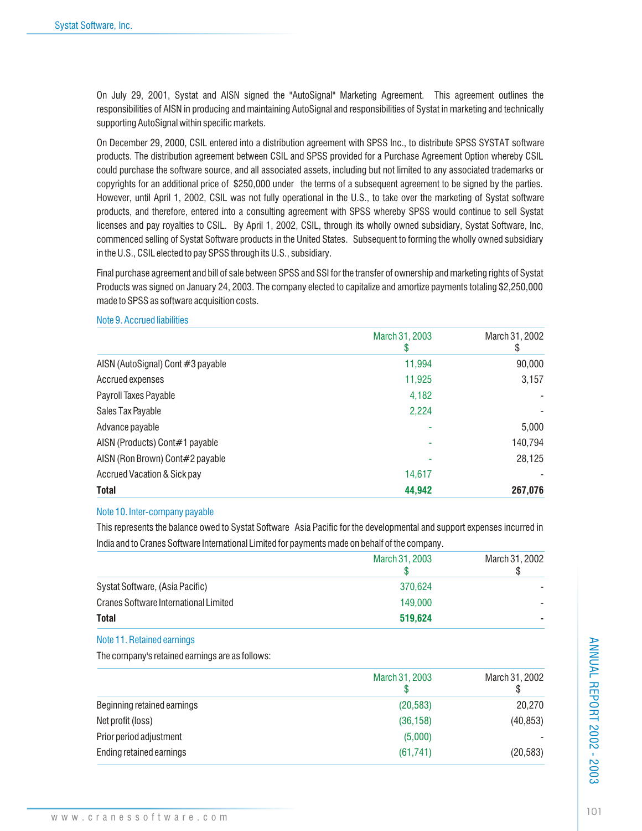On July 29, 2001, Systat and AISN signed the "AutoSignal" Marketing Agreement. This agreement outlines the responsibilities of AISN in producing and maintaining AutoSignal and responsibilities of Systat in marketing and technically supporting AutoSignal within specific markets.

On December 29, 2000, CSIL entered into a distribution agreement with SPSS Inc., to distribute SPSS SYSTAT software products. The distribution agreement between CSIL and SPSS provided for a Purchase Agreement Option whereby CSIL could purchase the software source, and all associated assets, including but not limited to any associated trademarks or copyrights for an additional price of \$250,000 under the terms of a subsequent agreement to be signed by the parties. However, until April 1, 2002, CSIL was not fully operational in the U.S., to take over the marketing of Systat software products, and therefore, entered into a consulting agreement with SPSS whereby SPSS would continue to sell Systat licenses and pay royalties to CSIL. By April 1, 2002, CSIL, through its wholly owned subsidiary, Systat Software, Inc, commenced selling of Systat Software products in the United States. Subsequent to forming the wholly owned subsidiary in the U.S., CSIL elected to pay SPSS through its U.S., subsidiary.

Final purchase agreement and bill of sale between SPSS and SSI for the transfer of ownership and marketing rights of Systat Products was signed on January 24, 2003. The company elected to capitalize and amortize payments totaling \$2,250,000 made to SPSS as software acquisition costs.

### Note 9. Accrued liabilities

|                                   | March 31, 2003<br>ა | March 31, 2002<br>\$ |
|-----------------------------------|---------------------|----------------------|
| AISN (AutoSignal) Cont #3 payable | 11,994              | 90,000               |
| Accrued expenses                  | 11,925              | 3,157                |
| Payroll Taxes Payable             | 4,182               |                      |
| Sales Tax Payable                 | 2,224               |                      |
| Advance payable                   |                     | 5,000                |
| AISN (Products) Cont#1 payable    |                     | 140,794              |
| AISN (Ron Brown) Cont#2 payable   |                     | 28,125               |
| Accrued Vacation & Sick pay       | 14,617              |                      |
| <b>Total</b>                      | 44,942              | 267,076              |

### Note 10. Inter-company payable

This represents the balance owed to Systat Software Asia Pacific for the developmental and support expenses incurred in India and to Cranes Software International Limited for payments made on behalf of the company.

|                                       | March 31, 2003 | March 31, 2002 |
|---------------------------------------|----------------|----------------|
| Systat Software, (Asia Pacific)       | 370.624        |                |
| Cranes Software International Limited | 149,000        |                |
| <b>Total</b>                          | 519,624        | -              |

Note 11. Retained earnings

The company's retained earnings are as follows:

|                             | March 31, 2003 | March 31, 2002 |
|-----------------------------|----------------|----------------|
| Beginning retained earnings | (20, 583)      | 20,270         |
| Net profit (loss)           | (36, 158)      | (40, 853)      |
| Prior period adjustment     | (5,000)        |                |
| Ending retained earnings    | (61, 741)      | (20, 583)      |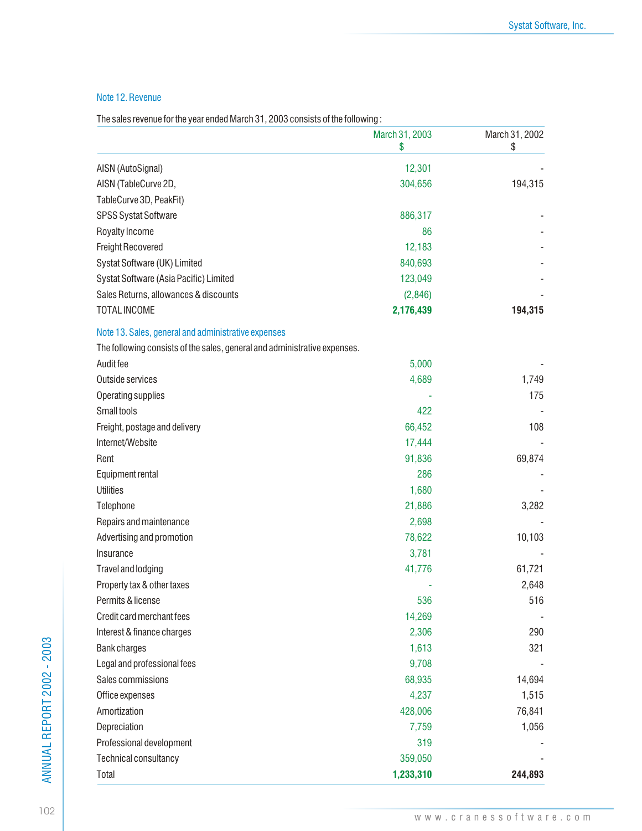### Note 12. Revenue

The sales revenue for the year ended March 31, 2003 consists of the following :

|                                                                           | March 31, 2003<br>\$ | March 31, 2002<br>\$ |
|---------------------------------------------------------------------------|----------------------|----------------------|
| AISN (AutoSignal)                                                         | 12,301               |                      |
| AISN (TableCurve 2D,                                                      | 304,656              | 194,315              |
| TableCurve 3D, PeakFit)                                                   |                      |                      |
| SPSS Systat Software                                                      | 886,317              |                      |
| Royalty Income                                                            | 86                   |                      |
| <b>Freight Recovered</b>                                                  | 12,183               |                      |
| Systat Software (UK) Limited                                              | 840,693              |                      |
| Systat Software (Asia Pacific) Limited                                    | 123,049              |                      |
| Sales Returns, allowances & discounts                                     | (2,846)              |                      |
| <b>TOTAL INCOME</b>                                                       | 2,176,439            | 194,315              |
| Note 13. Sales, general and administrative expenses                       |                      |                      |
| The following consists of the sales, general and administrative expenses. |                      |                      |
| Audit fee                                                                 | 5,000                |                      |
| Outside services                                                          | 4,689                | 1,749                |
| Operating supplies                                                        |                      | 175                  |
| Small tools                                                               | 422                  |                      |
| Freight, postage and delivery                                             | 66,452               | 108                  |
| Internet/Website                                                          | 17,444               |                      |
| Rent                                                                      | 91,836               | 69,874               |
| Equipment rental                                                          | 286                  |                      |
| <b>Utilities</b>                                                          | 1,680                |                      |
| Telephone                                                                 | 21,886               | 3,282                |
| Repairs and maintenance                                                   | 2,698                |                      |
| Advertising and promotion                                                 | 78,622               | 10,103               |
| Insurance                                                                 | 3,781                |                      |
| Travel and lodging                                                        | 41,776               | 61,721               |
| Property tax & other taxes                                                |                      | 2,648                |
| Permits & license                                                         | 536                  | 516                  |
| Credit card merchant fees                                                 | 14,269               |                      |
| Interest & finance charges                                                | 2,306                | 290                  |
| <b>Bank charges</b>                                                       | 1,613                | 321                  |
| Legal and professional fees                                               | 9,708                |                      |
| Sales commissions                                                         | 68,935               | 14,694               |
| Office expenses                                                           | 4,237                | 1,515                |
| Amortization                                                              | 428,006              | 76,841               |
| Depreciation                                                              | 7,759                | 1,056                |
| Professional development                                                  | 319                  |                      |
| Technical consultancy                                                     | 359,050              |                      |
| Total                                                                     | 1,233,310            | 244,893              |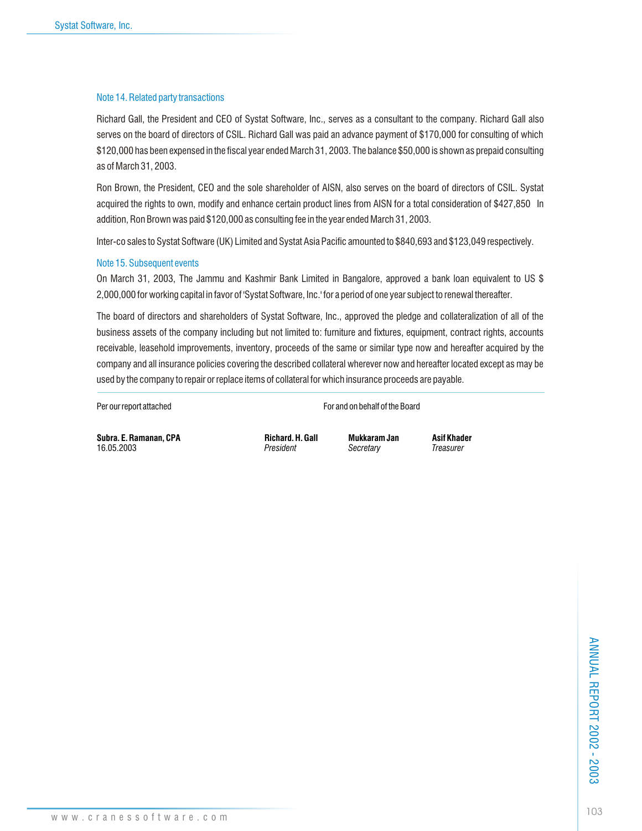### Note 14. Related party transactions

Richard Gall, the President and CEO of Systat Software, Inc., serves as a consultant to the company. Richard Gall also serves on the board of directors of CSIL. Richard Gall was paid an advance payment of \$170,000 for consulting of which \$120,000 has been expensed in the fiscal year ended March 31, 2003. The balance \$50,000 is shown as prepaid consulting as of March 31, 2003.

Ron Brown, the President, CEO and the sole shareholder of AISN, also serves on the board of directors of CSIL. Systat acquired the rights to own, modify and enhance certain product lines from AISN for a total consideration of \$427,850 In addition, Ron Brown was paid \$120,000 as consulting fee in the year ended March 31, 2003.

Inter-co sales to Systat Software (UK) Limited and Systat Asia Pacific amounted to \$840,693 and \$123,049 respectively.

### Note 15. Subsequent events

On March 31, 2003, The Jammu and Kashmir Bank Limited in Bangalore, approved a bank loan equivalent to US \$ 2,000,000 for working capital in favor of 'Systat Software, Inc.' for a period of one year subject to renewal thereafter.

The board of directors and shareholders of Systat Software, Inc., approved the pledge and collateralization of all of the business assets of the company including but not limited to: furniture and fixtures, equipment, contract rights, accounts receivable, leasehold improvements, inventory, proceeds of the same or similar type now and hereafter acquired by the company and all insurance policies covering the described collateral wherever now and hereafter located except as may be used by the company to repair or replace items of collateral for which insurance proceeds are payable.

Per our report attached For and on behalf of the Board

**Subra. E. Ramanan, CPA Richard. H. Gall Mukkaram Jan Asif Khader**<br>16.05.2003 *President President Secretary Treasurer* 16.05.2003 *President Secretary Treasurer*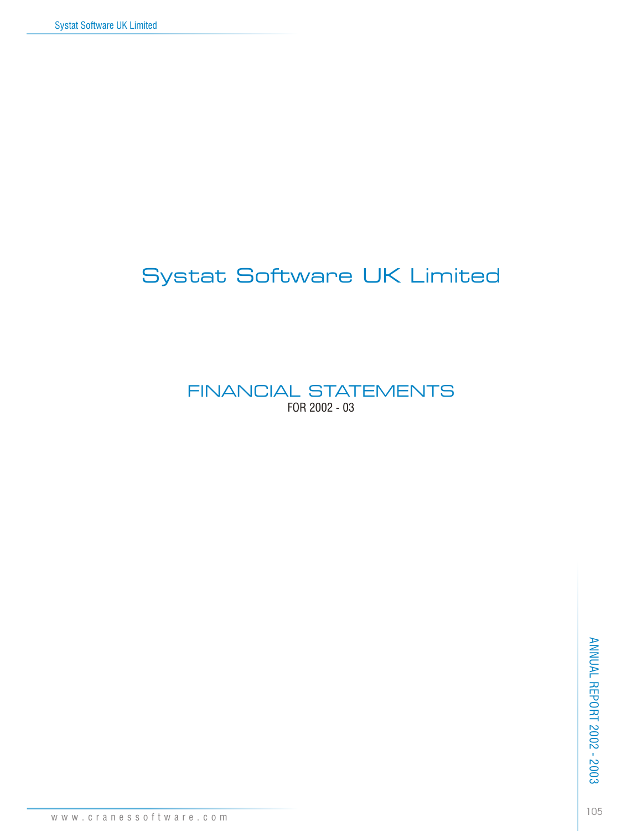# Systat Software UK Limited

FINANCIAL STATEMENTS FOR 2002 - 03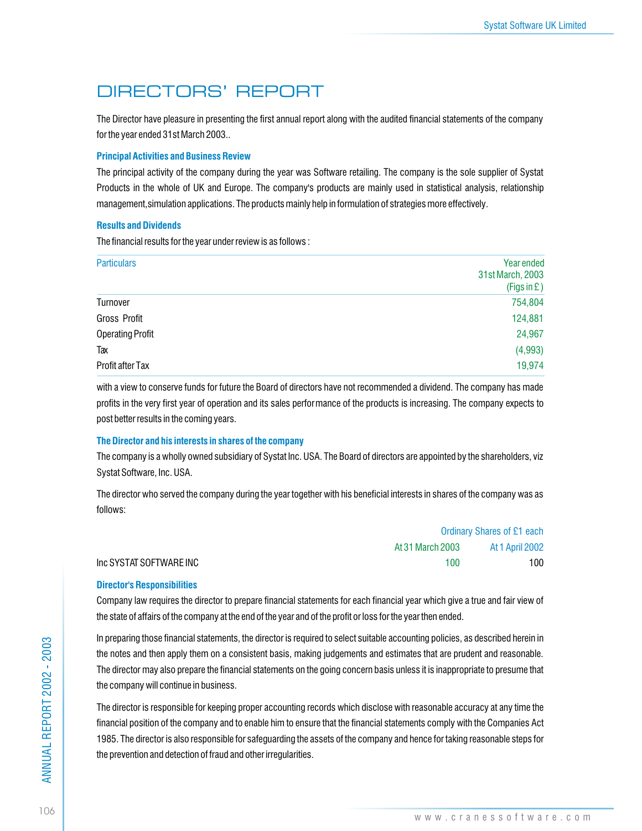# DIRECTORS' REPORT

The Director have pleasure in presenting the first annual report along with the audited financial statements of the company for the year ended 31st March 2003..

### **Principal Activities and Business Review**

The principal activity of the company during the year was Software retailing. The company is the sole supplier of Systat Products in the whole of UK and Europe. The company's products are mainly used in statistical analysis, relationship management,simulation applications. The products mainly help in formulation of strategies more effectively.

### **Results and Dividends**

The financial results for the year under review is as follows :

| <b>Particulars</b>      | Year ended<br>31st March, 2003<br>(Figs in E) |
|-------------------------|-----------------------------------------------|
| Turnover                | 754,804                                       |
| Gross Profit            | 124,881                                       |
| <b>Operating Profit</b> | 24,967                                        |
| Tax                     | (4,993)                                       |
| Profit after Tax        | 19,974                                        |

with a view to conserve funds for future the Board of directors have not recommended a dividend. The company has made profits in the very first year of operation and its sales performance of the products is increasing. The company expects to post better results in the coming years.

### **The Director and his interests in shares of the company**

The company is a wholly owned subsidiary of Systat Inc. USA. The Board of directors are appointed by the shareholders, viz Systat Software, Inc. USA.

The director who served the company during the year together with his beneficial interests in shares of the company was as follows:

|                         | <b>Ordinary Shares of £1 each</b> |                        |  |
|-------------------------|-----------------------------------|------------------------|--|
|                         | At 31 March 2003                  | <b>At 1 April 2002</b> |  |
| Inc SYSTAT SOFTWARE INC | 100                               | 100                    |  |

### **Director's Responsibilities**

Company law requires the director to prepare financial statements for each financial year which give a true and fair view of the state of affairs of the company at the end of the year and of the profit or loss for the year then ended.

In preparing those financial statements, the director is required to select suitable accounting policies, as described herein in the notes and then apply them on a consistent basis, making judgements and estimates that are prudent and reasonable. The director may also prepare the financial statements on the going concern basis unless it is inappropriate to presume that the company will continue in business.

The director is responsible for keeping proper accounting records which disclose with reasonable accuracy at any time the financial position of the company and to enable him to ensure that the financial statements comply with the Companies Act 1985. The director is also responsible for safeguarding the assets of the company and hence for taking reasonable steps for the prevention and detection of fraud and other irregularities.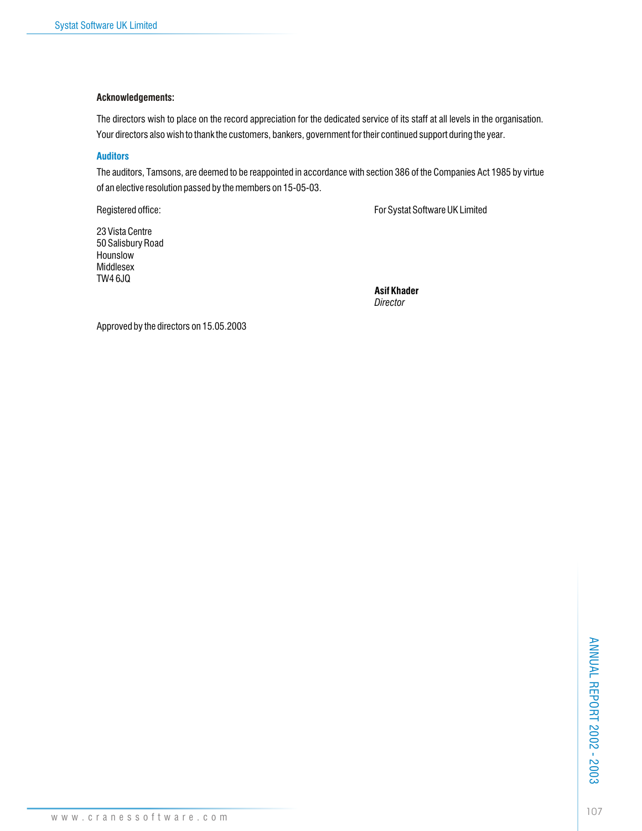### **Acknowledgements:**

The directors wish to place on the record appreciation for the dedicated service of its staff at all levels in the organisation. Your directors also wish to thank the customers, bankers, government for their continued support during the year.

### **Auditors**

The auditors, Tamsons, are deemed to be reappointed in accordance with section 386 of the Companies Act 1985 by virtue of an elective resolution passed by the members on 15-05-03.

Registered office: The Systat Software UK Limited

23 Vista Centre 50 Salisbury Road Hounslow Middlesex TW4 6JQ

**Asif Khader** *Director*

Approved by the directors on 15.05.2003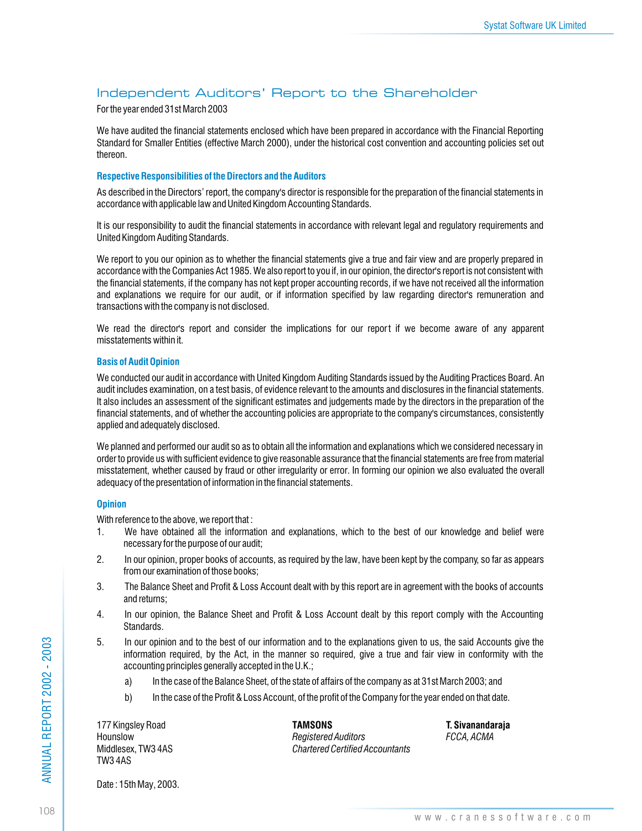## Independent Auditors' Report to the Shareholder

For the year ended 31st March 2003

We have audited the financial statements enclosed which have been prepared in accordance with the Financial Reporting Standard for Smaller Entities (effective March 2000), under the historical cost convention and accounting policies set out thereon.

### **Respective Responsibilities of the Directors and the Auditors**

As described in the Directors' report, the company's director is responsible for the preparation of the financial statements in accordance with applicable law and United Kingdom Accounting Standards.

It is our responsibility to audit the financial statements in accordance with relevant legal and regulatory requirements and United Kingdom Auditing Standards.

We report to you our opinion as to whether the financial statements give a true and fair view and are properly prepared in accordance with the Companies Act 1985. We also report to you if, in our opinion, the director's report is not consistent with the financial statements, if the company has not kept proper accounting records, if we have not received all the information and explanations we require for our audit, or if information specified by law regarding director's remuneration and transactions with the company is not disclosed.

We read the director's report and consider the implications for our report if we become aware of any apparent misstatements within it.

### **Basis of Audit Opinion**

We conducted our audit in accordance with United Kingdom Auditing Standards issued by the Auditing Practices Board. An audit includes examination, on a test basis, of evidence relevant to the amounts and disclosures in the financial statements. It also includes an assessment of the significant estimates and judgements made by the directors in the preparation of the financial statements, and of whether the accounting policies are appropriate to the company's circumstances, consistently applied and adequately disclosed.

We planned and performed our audit so as to obtain all the information and explanations which we considered necessary in order to provide us with sufficient evidence to give reasonable assurance that the financial statements are free from material misstatement, whether caused by fraud or other irregularity or error. In forming our opinion we also evaluated the overall adequacy of the presentation of information in the financial statements.

### **Opinion**

With reference to the above, we report that :

- 1. We have obtained all the information and explanations, which to the best of our knowledge and belief were necessary for the purpose of our audit;
- 2. In our opinion, proper books of accounts, as required by the law, have been kept by the company, so far as appears from our examination of those books;
- 3. The Balance Sheet and Profit & Loss Account dealt with by this report are in agreement with the books of accounts and returns;
- 4. In our opinion, the Balance Sheet and Profit & Loss Account dealt by this report comply with the Accounting Standards.
- 5. In our opinion and to the best of our information and to the explanations given to us, the said Accounts give the information required, by the Act, in the manner so required, give a true and fair view in conformity with the accounting principles generally accepted in the U.K.;
	- a) In the case of the Balance Sheet, of the state of affairs of the company as at 31st March 2003; and
	- b) In the case of the Profit & Loss Account, of the profit of the Company for the year ended on that date.

TW3 4AS

177 Kingsley Road **TAMSONS T. Sivanandaraja** Hounslow *Registered Auditors FCCA, ACMA* Middlesex, TW3 4AS *Chartered Certified Accountants*

Date : 15th May, 2003.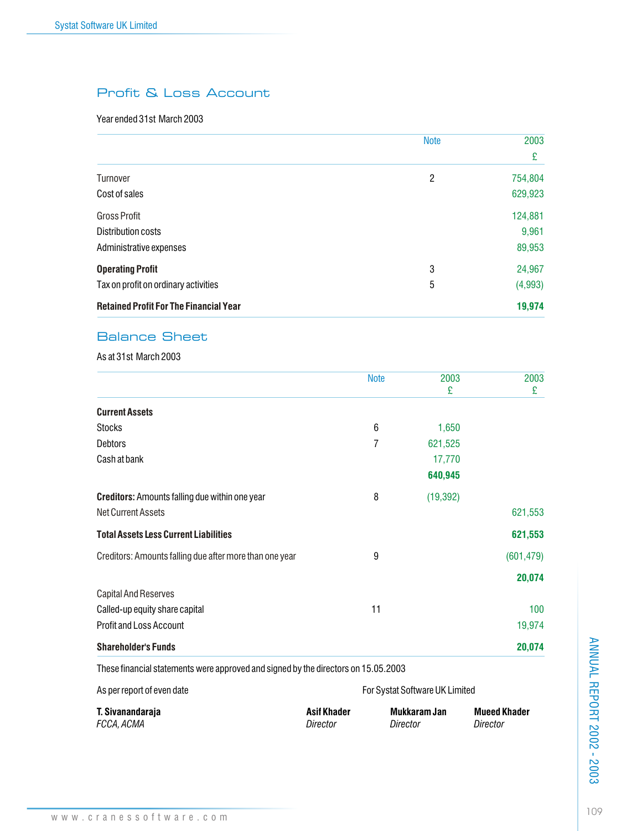# Profit & Loss Account

## Year ended 31st March 2003

|                                               | <b>Note</b> | 2003<br>£ |
|-----------------------------------------------|-------------|-----------|
|                                               |             |           |
| <b>Turnover</b>                               | 2           | 754,804   |
| Cost of sales                                 |             | 629,923   |
| <b>Gross Profit</b>                           |             | 124,881   |
| Distribution costs                            |             | 9,961     |
| Administrative expenses                       |             | 89,953    |
| <b>Operating Profit</b>                       | 3           | 24,967    |
| Tax on profit on ordinary activities          | 5           | (4,993)   |
| <b>Retained Profit For The Financial Year</b> |             | 19,974    |

# Balance Sheet

As at 31st March 2003

|                                                                                    |                                | <b>Note</b> | 2003<br>£    | 2003<br>£                       |
|------------------------------------------------------------------------------------|--------------------------------|-------------|--------------|---------------------------------|
| <b>Current Assets</b>                                                              |                                |             |              |                                 |
| <b>Stocks</b>                                                                      |                                | 6           | 1,650        |                                 |
| <b>Debtors</b>                                                                     |                                | 7           | 621,525      |                                 |
| Cash at bank                                                                       |                                |             | 17,770       |                                 |
|                                                                                    |                                |             | 640,945      |                                 |
| <b>Creditors:</b> Amounts falling due within one year                              |                                | 8           | (19, 392)    |                                 |
| <b>Net Current Assets</b>                                                          |                                |             |              | 621,553                         |
| <b>Total Assets Less Current Liabilities</b>                                       |                                |             |              | 621,553                         |
| Creditors: Amounts falling due after more than one year                            |                                | 9           |              | (601, 479)                      |
|                                                                                    |                                |             |              | 20,074                          |
| <b>Capital And Reserves</b>                                                        |                                |             |              |                                 |
| Called-up equity share capital                                                     |                                | 11          |              | 100 <sub>1</sub>                |
| <b>Profit and Loss Account</b>                                                     |                                |             |              | 19,974                          |
| <b>Shareholder's Funds</b>                                                         |                                |             |              | 20,074                          |
| These financial statements were approved and signed by the directors on 15.05.2003 |                                |             |              |                                 |
| As per report of even date                                                         | For Systat Software UK Limited |             |              |                                 |
| T. Sivanandaraja<br>FCCA, ACMA                                                     | <b>Asif Khader</b><br>Director | Director    | Mukkaram Jan | <b>Mueed Khader</b><br>Director |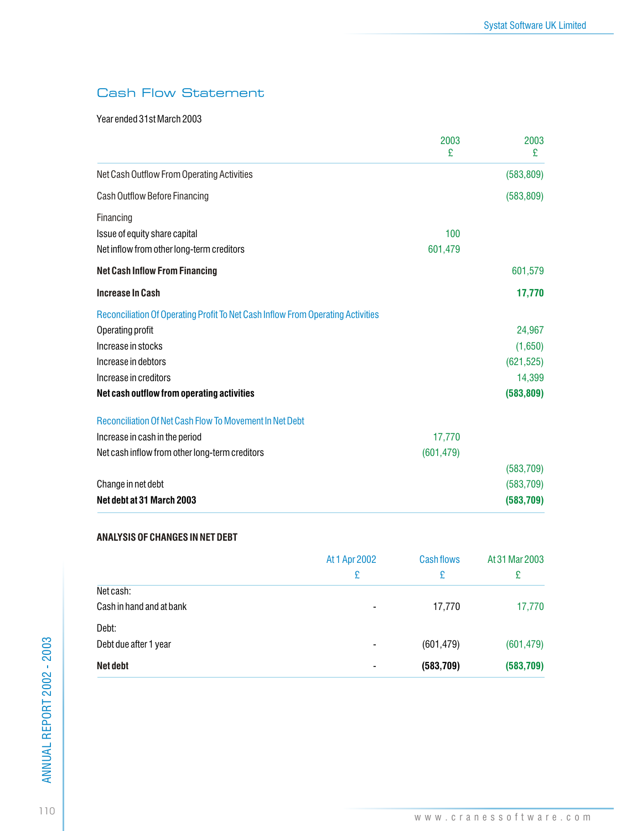# Cash Flow Statement

Year ended 31st March 2003

|                                                                                 | 2003<br>£  | 2003<br>£  |
|---------------------------------------------------------------------------------|------------|------------|
| Net Cash Outflow From Operating Activities                                      |            | (583, 809) |
| Cash Outflow Before Financing                                                   |            | (583, 809) |
| Financing                                                                       |            |            |
| Issue of equity share capital                                                   | 100        |            |
| Net inflow from other long-term creditors                                       | 601,479    |            |
| <b>Net Cash Inflow From Financing</b>                                           |            | 601,579    |
| <b>Increase In Cash</b>                                                         |            | 17,770     |
| Reconciliation Of Operating Profit To Net Cash Inflow From Operating Activities |            |            |
| Operating profit                                                                |            | 24,967     |
| Increase in stocks                                                              |            | (1,650)    |
| Increase in debtors                                                             |            | (621, 525) |
| Increase in creditors                                                           |            | 14,399     |
| Net cash outflow from operating activities                                      |            | (583, 809) |
| <b>Reconciliation Of Net Cash Flow To Movement In Net Debt</b>                  |            |            |
| Increase in cash in the period                                                  | 17,770     |            |
| Net cash inflow from other long-term creditors                                  | (601, 479) |            |
|                                                                                 |            | (583, 709) |
| Change in net debt                                                              |            | (583, 709) |
| Net debt at 31 March 2003                                                       |            | (583, 709) |

### **ANALYSIS OF CHANGES IN NET DEBT**

|                          | At 1 Apr 2002<br>£ | <b>Cashflows</b><br>£ | At 31 Mar 2003<br>£ |
|--------------------------|--------------------|-----------------------|---------------------|
| Net cash:                |                    |                       |                     |
| Cash in hand and at bank | $\blacksquare$     | 17,770                | 17,770              |
| Debt:                    |                    |                       |                     |
| Debt due after 1 year    | $\blacksquare$     | (601, 479)            | (601, 479)          |
| <b>Net debt</b>          |                    | (583, 709)            | (583, 709)          |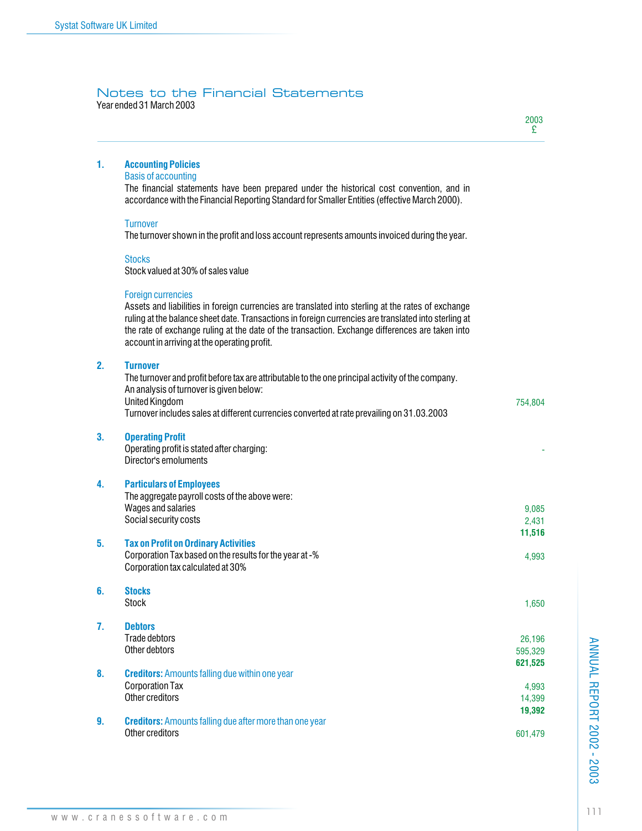### Year ended 31 March 2003 Notes to the Financial Statements

| 1. | <b>Accounting Policies</b><br><b>Basis of accounting</b>                                                                                                                                                                                                                                                                                                                                   |                            |
|----|--------------------------------------------------------------------------------------------------------------------------------------------------------------------------------------------------------------------------------------------------------------------------------------------------------------------------------------------------------------------------------------------|----------------------------|
|    | The financial statements have been prepared under the historical cost convention, and in<br>accordance with the Financial Reporting Standard for Smaller Entities (effective March 2000).                                                                                                                                                                                                  |                            |
|    | <b>Turnover</b><br>The turnover shown in the profit and loss account represents amounts invoiced during the year.                                                                                                                                                                                                                                                                          |                            |
|    | <b>Stocks</b><br>Stock valued at 30% of sales value                                                                                                                                                                                                                                                                                                                                        |                            |
|    | <b>Foreign currencies</b><br>Assets and liabilities in foreign currencies are translated into sterling at the rates of exchange<br>ruling at the balance sheet date. Transactions in foreign currencies are translated into sterling at<br>the rate of exchange ruling at the date of the transaction. Exchange differences are taken into<br>account in arriving at the operating profit. |                            |
| 2. | <b>Turnover</b><br>The turnover and profit before tax are attributable to the one principal activity of the company.<br>An analysis of turnover is given below:<br><b>United Kingdom</b><br>Turnover includes sales at different currencies converted at rate prevailing on 31.03.2003                                                                                                     | 754,804                    |
| 3. | <b>Operating Profit</b><br>Operating profit is stated after charging:<br>Director's emoluments                                                                                                                                                                                                                                                                                             |                            |
| 4. | <b>Particulars of Employees</b><br>The aggregate payroll costs of the above were:<br>Wages and salaries<br>Social security costs                                                                                                                                                                                                                                                           | 9,085<br>2,431<br>11,516   |
| 5. | <b>Tax on Profit on Ordinary Activities</b><br>Corporation Tax based on the results for the year at -%<br>Corporation tax calculated at 30%                                                                                                                                                                                                                                                | 4,993                      |
| 6. | <b>Stocks</b><br><b>Stock</b>                                                                                                                                                                                                                                                                                                                                                              | 1,650                      |
| 7. | <b>Debtors</b><br>Trade debtors<br>Other debtors                                                                                                                                                                                                                                                                                                                                           | 26,196<br>595,329          |
| 8. | <b>Creditors:</b> Amounts falling due within one year<br><b>Corporation Tax</b><br>Other creditors                                                                                                                                                                                                                                                                                         | 621,525<br>4,993<br>14,399 |
| 9. | <b>Creditors:</b> Amounts falling due after more than one year<br>Other creditors                                                                                                                                                                                                                                                                                                          | 19,392<br>601,479          |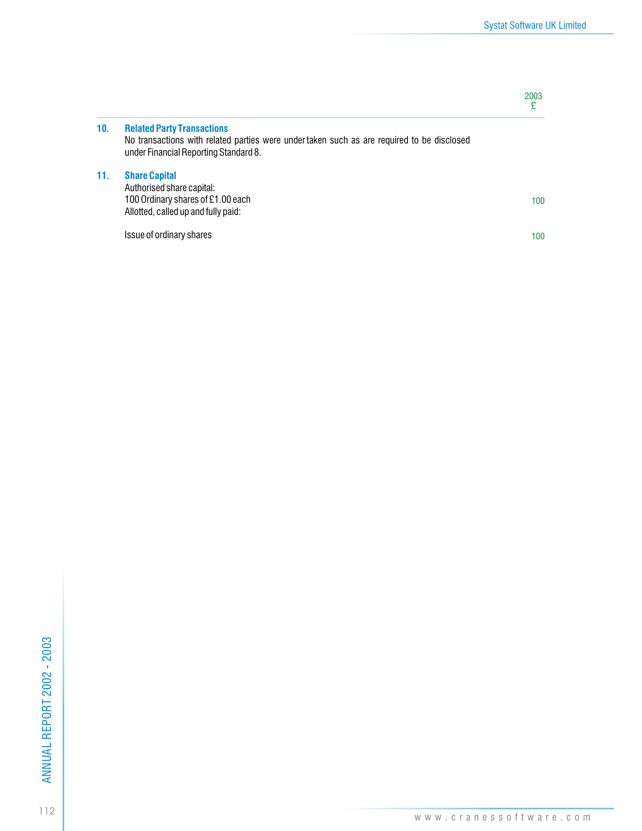2003 £

# **10. Related Party Transactions**

No transactions with related parties were under taken such as are required to be disclosed under Financial Reporting Standard 8.

## **11. Share Capital**

100 Authorised share capital: 100 Ordinary shares of £1.00 each Allotted, called up and fully paid:

Issue of ordinary shares

100